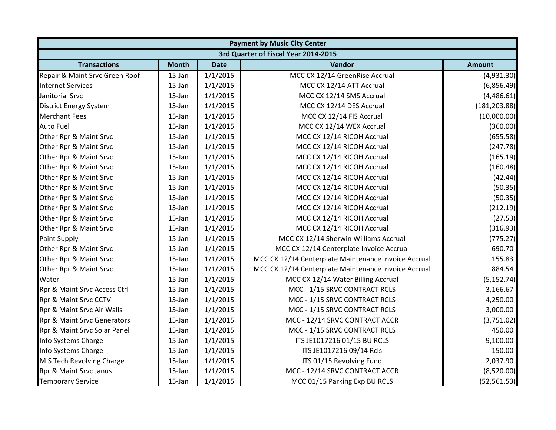|                                      | <b>Payment by Music City Center</b> |             |                                                      |               |  |
|--------------------------------------|-------------------------------------|-------------|------------------------------------------------------|---------------|--|
| 3rd Quarter of Fiscal Year 2014-2015 |                                     |             |                                                      |               |  |
| <b>Transactions</b>                  | <b>Month</b>                        | <b>Date</b> | Vendor                                               | <b>Amount</b> |  |
| Repair & Maint Srvc Green Roof       | $15$ -Jan                           | 1/1/2015    | MCC CX 12/14 GreenRise Accrual                       | (4,931.30)    |  |
| <b>Internet Services</b>             | 15-Jan                              | 1/1/2015    | MCC CX 12/14 ATT Accrual                             | (6,856.49)    |  |
| Janitorial Srvc                      | $15$ -Jan                           | 1/1/2015    | MCC CX 12/14 SMS Accrual                             | (4,486.61)    |  |
| <b>District Energy System</b>        | $15$ -Jan                           | 1/1/2015    | MCC CX 12/14 DES Accrual                             | (181, 203.88) |  |
| <b>Merchant Fees</b>                 | 15-Jan                              | 1/1/2015    | MCC CX 12/14 FIS Accrual                             | (10,000.00)   |  |
| <b>Auto Fuel</b>                     | 15-Jan                              | 1/1/2015    | MCC CX 12/14 WEX Accrual                             | (360.00)      |  |
| Other Rpr & Maint Srvc               | 15-Jan                              | 1/1/2015    | MCC CX 12/14 RICOH Accrual                           | (655.58)      |  |
| Other Rpr & Maint Srvc               | 15-Jan                              | 1/1/2015    | MCC CX 12/14 RICOH Accrual                           | (247.78)      |  |
| Other Rpr & Maint Srvc               | 15-Jan                              | 1/1/2015    | MCC CX 12/14 RICOH Accrual                           | (165.19)      |  |
| Other Rpr & Maint Srvc               | 15-Jan                              | 1/1/2015    | MCC CX 12/14 RICOH Accrual                           | (160.48)      |  |
| Other Rpr & Maint Srvc               | 15-Jan                              | 1/1/2015    | MCC CX 12/14 RICOH Accrual                           | (42.44)       |  |
| Other Rpr & Maint Srvc               | 15-Jan                              | 1/1/2015    | MCC CX 12/14 RICOH Accrual                           | (50.35)       |  |
| Other Rpr & Maint Srvc               | $15$ -Jan                           | 1/1/2015    | MCC CX 12/14 RICOH Accrual                           | (50.35)       |  |
| Other Rpr & Maint Srvc               | $15$ -Jan                           | 1/1/2015    | MCC CX 12/14 RICOH Accrual                           | (212.19)      |  |
| Other Rpr & Maint Srvc               | 15-Jan                              | 1/1/2015    | MCC CX 12/14 RICOH Accrual                           | (27.53)       |  |
| Other Rpr & Maint Srvc               | 15-Jan                              | 1/1/2015    | MCC CX 12/14 RICOH Accrual                           | (316.93)      |  |
| Paint Supply                         | $15$ -Jan                           | 1/1/2015    | MCC CX 12/14 Sherwin Williams Accrual                | (775.27)      |  |
| Other Rpr & Maint Srvc               | 15-Jan                              | 1/1/2015    | MCC CX 12/14 Centerplate Invoice Accrual             | 690.70        |  |
| Other Rpr & Maint Srvc               | 15-Jan                              | 1/1/2015    | MCC CX 12/14 Centerplate Maintenance Invoice Accrual | 155.83        |  |
| Other Rpr & Maint Srvc               | 15-Jan                              | 1/1/2015    | MCC CX 12/14 Centerplate Maintenance Invoice Accrual | 884.54        |  |
| Water                                | $15$ -Jan                           | 1/1/2015    | MCC CX 12/14 Water Billing Accrual                   | (5, 152.74)   |  |
| Rpr & Maint Srvc Access Ctrl         | 15-Jan                              | 1/1/2015    | MCC - 1/15 SRVC CONTRACT RCLS                        | 3,166.67      |  |
| Rpr & Maint Srvc CCTV                | 15-Jan                              | 1/1/2015    | MCC - 1/15 SRVC CONTRACT RCLS                        | 4,250.00      |  |
| Rpr & Maint Srvc Air Walls           | 15-Jan                              | 1/1/2015    | MCC - 1/15 SRVC CONTRACT RCLS                        | 3,000.00      |  |
| Rpr & Maint Srvc Generators          | 15-Jan                              | 1/1/2015    | MCC - 12/14 SRVC CONTRACT ACCR                       | (3,751.02)    |  |
| Rpr & Maint Srvc Solar Panel         | 15-Jan                              | 1/1/2015    | MCC - 1/15 SRVC CONTRACT RCLS                        | 450.00        |  |
| Info Systems Charge                  | 15-Jan                              | 1/1/2015    | ITS JE1017216 01/15 BU RCLS                          | 9,100.00      |  |
| Info Systems Charge                  | 15-Jan                              | 1/1/2015    | ITS JE1017216 09/14 Rcls                             | 150.00        |  |
| MIS Tech Revolving Charge            | 15-Jan                              | 1/1/2015    | ITS 01/15 Revolving Fund                             | 2,037.90      |  |
| Rpr & Maint Srvc Janus               | 15-Jan                              | 1/1/2015    | MCC - 12/14 SRVC CONTRACT ACCR                       | (8,520.00)    |  |
| <b>Temporary Service</b>             | 15-Jan                              | 1/1/2015    | MCC 01/15 Parking Exp BU RCLS                        | (52, 561.53)  |  |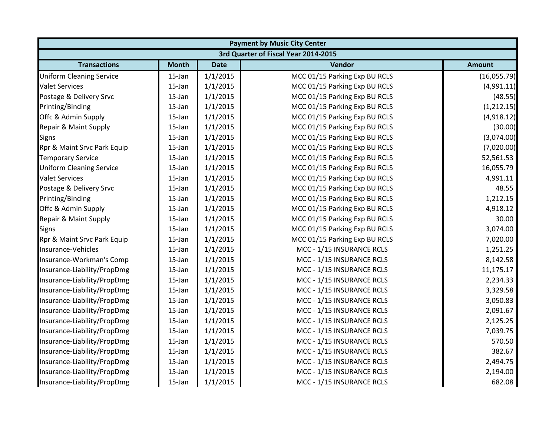|                                 | <b>Payment by Music City Center</b>  |             |                               |               |  |  |  |
|---------------------------------|--------------------------------------|-------------|-------------------------------|---------------|--|--|--|
|                                 | 3rd Quarter of Fiscal Year 2014-2015 |             |                               |               |  |  |  |
| <b>Transactions</b>             | <b>Month</b>                         | <b>Date</b> | Vendor                        | <b>Amount</b> |  |  |  |
| <b>Uniform Cleaning Service</b> | 15-Jan                               | 1/1/2015    | MCC 01/15 Parking Exp BU RCLS | (16,055.79)   |  |  |  |
| <b>Valet Services</b>           | 15-Jan                               | 1/1/2015    | MCC 01/15 Parking Exp BU RCLS | (4,991.11)    |  |  |  |
| Postage & Delivery Srvc         | 15-Jan                               | 1/1/2015    | MCC 01/15 Parking Exp BU RCLS | (48.55)       |  |  |  |
| Printing/Binding                | 15-Jan                               | 1/1/2015    | MCC 01/15 Parking Exp BU RCLS | (1,212.15)    |  |  |  |
| Offc & Admin Supply             | 15-Jan                               | 1/1/2015    | MCC 01/15 Parking Exp BU RCLS | (4,918.12)    |  |  |  |
| Repair & Maint Supply           | 15-Jan                               | 1/1/2015    | MCC 01/15 Parking Exp BU RCLS | (30.00)       |  |  |  |
| <b>Signs</b>                    | $15$ -Jan                            | 1/1/2015    | MCC 01/15 Parking Exp BU RCLS | (3,074.00)    |  |  |  |
| Rpr & Maint Srvc Park Equip     | 15-Jan                               | 1/1/2015    | MCC 01/15 Parking Exp BU RCLS | (7,020.00)    |  |  |  |
| <b>Temporary Service</b>        | 15-Jan                               | 1/1/2015    | MCC 01/15 Parking Exp BU RCLS | 52,561.53     |  |  |  |
| <b>Uniform Cleaning Service</b> | 15-Jan                               | 1/1/2015    | MCC 01/15 Parking Exp BU RCLS | 16,055.79     |  |  |  |
| <b>Valet Services</b>           | 15-Jan                               | 1/1/2015    | MCC 01/15 Parking Exp BU RCLS | 4,991.11      |  |  |  |
| Postage & Delivery Srvc         | 15-Jan                               | 1/1/2015    | MCC 01/15 Parking Exp BU RCLS | 48.55         |  |  |  |
| Printing/Binding                | 15-Jan                               | 1/1/2015    | MCC 01/15 Parking Exp BU RCLS | 1,212.15      |  |  |  |
| Offc & Admin Supply             | 15-Jan                               | 1/1/2015    | MCC 01/15 Parking Exp BU RCLS | 4,918.12      |  |  |  |
| Repair & Maint Supply           | 15-Jan                               | 1/1/2015    | MCC 01/15 Parking Exp BU RCLS | 30.00         |  |  |  |
| <b>Signs</b>                    | 15-Jan                               | 1/1/2015    | MCC 01/15 Parking Exp BU RCLS | 3,074.00      |  |  |  |
| Rpr & Maint Srvc Park Equip     | 15-Jan                               | 1/1/2015    | MCC 01/15 Parking Exp BU RCLS | 7,020.00      |  |  |  |
| Insurance-Vehicles              | 15-Jan                               | 1/1/2015    | MCC - 1/15 INSURANCE RCLS     | 1,251.25      |  |  |  |
| Insurance-Workman's Comp        | 15-Jan                               | 1/1/2015    | MCC - 1/15 INSURANCE RCLS     | 8,142.58      |  |  |  |
| Insurance-Liability/PropDmg     | 15-Jan                               | 1/1/2015    | MCC - 1/15 INSURANCE RCLS     | 11,175.17     |  |  |  |
| Insurance-Liability/PropDmg     | 15-Jan                               | 1/1/2015    | MCC - 1/15 INSURANCE RCLS     | 2,234.33      |  |  |  |
| Insurance-Liability/PropDmg     | 15-Jan                               | 1/1/2015    | MCC - 1/15 INSURANCE RCLS     | 3,329.58      |  |  |  |
| Insurance-Liability/PropDmg     | 15-Jan                               | 1/1/2015    | MCC - 1/15 INSURANCE RCLS     | 3,050.83      |  |  |  |
| Insurance-Liability/PropDmg     | 15-Jan                               | 1/1/2015    | MCC - 1/15 INSURANCE RCLS     | 2,091.67      |  |  |  |
| Insurance-Liability/PropDmg     | 15-Jan                               | 1/1/2015    | MCC - 1/15 INSURANCE RCLS     | 2,125.25      |  |  |  |
| Insurance-Liability/PropDmg     | 15-Jan                               | 1/1/2015    | MCC - 1/15 INSURANCE RCLS     | 7,039.75      |  |  |  |
| Insurance-Liability/PropDmg     | 15-Jan                               | 1/1/2015    | MCC - 1/15 INSURANCE RCLS     | 570.50        |  |  |  |
| Insurance-Liability/PropDmg     | 15-Jan                               | 1/1/2015    | MCC - 1/15 INSURANCE RCLS     | 382.67        |  |  |  |
| Insurance-Liability/PropDmg     | 15-Jan                               | 1/1/2015    | MCC - 1/15 INSURANCE RCLS     | 2,494.75      |  |  |  |
| Insurance-Liability/PropDmg     | 15-Jan                               | 1/1/2015    | MCC - 1/15 INSURANCE RCLS     | 2,194.00      |  |  |  |
| Insurance-Liability/PropDmg     | 15-Jan                               | 1/1/2015    | MCC - 1/15 INSURANCE RCLS     | 682.08        |  |  |  |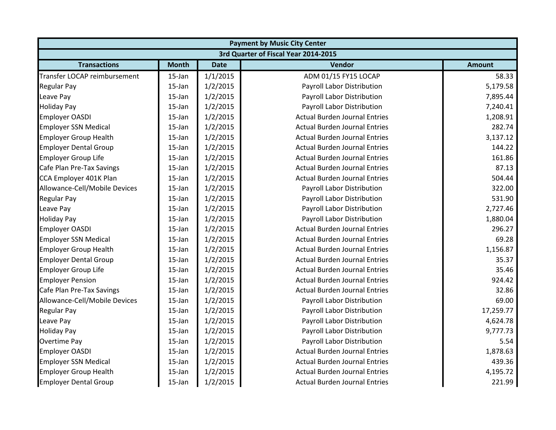|                               | <b>Payment by Music City Center</b> |             |                                      |               |  |  |
|-------------------------------|-------------------------------------|-------------|--------------------------------------|---------------|--|--|
|                               |                                     |             | 3rd Quarter of Fiscal Year 2014-2015 |               |  |  |
| <b>Transactions</b>           | <b>Month</b>                        | <b>Date</b> | Vendor                               | <b>Amount</b> |  |  |
| Transfer LOCAP reimbursement  | $15$ -Jan                           | 1/1/2015    | ADM 01/15 FY15 LOCAP                 | 58.33         |  |  |
| <b>Regular Pay</b>            | 15-Jan                              | 1/2/2015    | Payroll Labor Distribution           | 5,179.58      |  |  |
| Leave Pay                     | 15-Jan                              | 1/2/2015    | Payroll Labor Distribution           | 7,895.44      |  |  |
| <b>Holiday Pay</b>            | $15$ -Jan                           | 1/2/2015    | Payroll Labor Distribution           | 7,240.41      |  |  |
| <b>Employer OASDI</b>         | 15-Jan                              | 1/2/2015    | <b>Actual Burden Journal Entries</b> | 1,208.91      |  |  |
| <b>Employer SSN Medical</b>   | 15-Jan                              | 1/2/2015    | <b>Actual Burden Journal Entries</b> | 282.74        |  |  |
| <b>Employer Group Health</b>  | 15-Jan                              | 1/2/2015    | <b>Actual Burden Journal Entries</b> | 3,137.12      |  |  |
| <b>Employer Dental Group</b>  | $15$ -Jan                           | 1/2/2015    | <b>Actual Burden Journal Entries</b> | 144.22        |  |  |
| <b>Employer Group Life</b>    | 15-Jan                              | 1/2/2015    | <b>Actual Burden Journal Entries</b> | 161.86        |  |  |
| Cafe Plan Pre-Tax Savings     | 15-Jan                              | 1/2/2015    | <b>Actual Burden Journal Entries</b> | 87.13         |  |  |
| CCA Employer 401K Plan        | 15-Jan                              | 1/2/2015    | <b>Actual Burden Journal Entries</b> | 504.44        |  |  |
| Allowance-Cell/Mobile Devices | 15-Jan                              | 1/2/2015    | Payroll Labor Distribution           | 322.00        |  |  |
| <b>Regular Pay</b>            | 15-Jan                              | 1/2/2015    | Payroll Labor Distribution           | 531.90        |  |  |
| Leave Pay                     | 15-Jan                              | 1/2/2015    | Payroll Labor Distribution           | 2,727.46      |  |  |
| <b>Holiday Pay</b>            | 15-Jan                              | 1/2/2015    | Payroll Labor Distribution           | 1,880.04      |  |  |
| <b>Employer OASDI</b>         | 15-Jan                              | 1/2/2015    | <b>Actual Burden Journal Entries</b> | 296.27        |  |  |
| <b>Employer SSN Medical</b>   | 15-Jan                              | 1/2/2015    | <b>Actual Burden Journal Entries</b> | 69.28         |  |  |
| <b>Employer Group Health</b>  | 15-Jan                              | 1/2/2015    | <b>Actual Burden Journal Entries</b> | 1,156.87      |  |  |
| <b>Employer Dental Group</b>  | 15-Jan                              | 1/2/2015    | <b>Actual Burden Journal Entries</b> | 35.37         |  |  |
| <b>Employer Group Life</b>    | 15-Jan                              | 1/2/2015    | <b>Actual Burden Journal Entries</b> | 35.46         |  |  |
| <b>Employer Pension</b>       | 15-Jan                              | 1/2/2015    | <b>Actual Burden Journal Entries</b> | 924.42        |  |  |
| Cafe Plan Pre-Tax Savings     | $15$ -Jan                           | 1/2/2015    | <b>Actual Burden Journal Entries</b> | 32.86         |  |  |
| Allowance-Cell/Mobile Devices | $15$ -Jan                           | 1/2/2015    | Payroll Labor Distribution           | 69.00         |  |  |
| <b>Regular Pay</b>            | 15-Jan                              | 1/2/2015    | Payroll Labor Distribution           | 17,259.77     |  |  |
| Leave Pay                     | 15-Jan                              | 1/2/2015    | Payroll Labor Distribution           | 4,624.78      |  |  |
| <b>Holiday Pay</b>            | $15$ -Jan                           | 1/2/2015    | Payroll Labor Distribution           | 9,777.73      |  |  |
| Overtime Pay                  | 15-Jan                              | 1/2/2015    | Payroll Labor Distribution           | 5.54          |  |  |
| <b>Employer OASDI</b>         | 15-Jan                              | 1/2/2015    | <b>Actual Burden Journal Entries</b> | 1,878.63      |  |  |
| <b>Employer SSN Medical</b>   | $15$ -Jan                           | 1/2/2015    | <b>Actual Burden Journal Entries</b> | 439.36        |  |  |
| <b>Employer Group Health</b>  | 15-Jan                              | 1/2/2015    | <b>Actual Burden Journal Entries</b> | 4,195.72      |  |  |
| <b>Employer Dental Group</b>  | 15-Jan                              | 1/2/2015    | <b>Actual Burden Journal Entries</b> | 221.99        |  |  |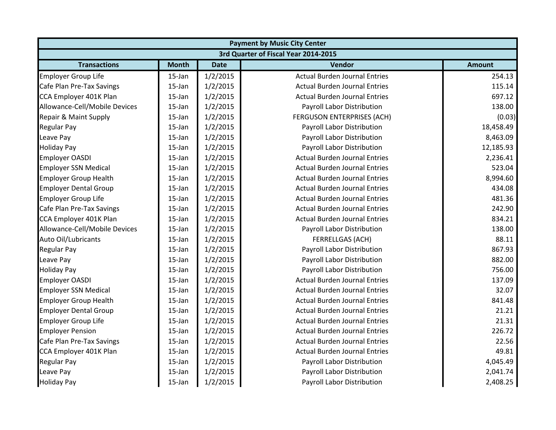| <b>Payment by Music City Center</b>  |              |             |                                      |               |  |
|--------------------------------------|--------------|-------------|--------------------------------------|---------------|--|
| 3rd Quarter of Fiscal Year 2014-2015 |              |             |                                      |               |  |
| <b>Transactions</b>                  | <b>Month</b> | <b>Date</b> | Vendor                               | <b>Amount</b> |  |
| <b>Employer Group Life</b>           | 15-Jan       | 1/2/2015    | <b>Actual Burden Journal Entries</b> | 254.13        |  |
| Cafe Plan Pre-Tax Savings            | 15-Jan       | 1/2/2015    | <b>Actual Burden Journal Entries</b> | 115.14        |  |
| CCA Employer 401K Plan               | $15$ -Jan    | 1/2/2015    | <b>Actual Burden Journal Entries</b> | 697.12        |  |
| Allowance-Cell/Mobile Devices        | 15-Jan       | 1/2/2015    | <b>Payroll Labor Distribution</b>    | 138.00        |  |
| Repair & Maint Supply                | $15$ -Jan    | 1/2/2015    | FERGUSON ENTERPRISES (ACH)           | (0.03)        |  |
| <b>Regular Pay</b>                   | $15$ -Jan    | 1/2/2015    | Payroll Labor Distribution           | 18,458.49     |  |
| Leave Pay                            | 15-Jan       | 1/2/2015    | Payroll Labor Distribution           | 8,463.09      |  |
| <b>Holiday Pay</b>                   | 15-Jan       | 1/2/2015    | Payroll Labor Distribution           | 12,185.93     |  |
| <b>Employer OASDI</b>                | 15-Jan       | 1/2/2015    | <b>Actual Burden Journal Entries</b> | 2,236.41      |  |
| <b>Employer SSN Medical</b>          | $15$ -Jan    | 1/2/2015    | <b>Actual Burden Journal Entries</b> | 523.04        |  |
| <b>Employer Group Health</b>         | 15-Jan       | 1/2/2015    | <b>Actual Burden Journal Entries</b> | 8,994.60      |  |
| <b>Employer Dental Group</b>         | $15$ -Jan    | 1/2/2015    | <b>Actual Burden Journal Entries</b> | 434.08        |  |
| <b>Employer Group Life</b>           | $15$ -Jan    | 1/2/2015    | <b>Actual Burden Journal Entries</b> | 481.36        |  |
| Cafe Plan Pre-Tax Savings            | 15-Jan       | 1/2/2015    | <b>Actual Burden Journal Entries</b> | 242.90        |  |
| CCA Employer 401K Plan               | 15-Jan       | 1/2/2015    | <b>Actual Burden Journal Entries</b> | 834.21        |  |
| Allowance-Cell/Mobile Devices        | $15$ -Jan    | 1/2/2015    | Payroll Labor Distribution           | 138.00        |  |
| Auto Oil/Lubricants                  | $15$ -Jan    | 1/2/2015    | FERRELLGAS (ACH)                     | 88.11         |  |
| <b>Regular Pay</b>                   | 15-Jan       | 1/2/2015    | Payroll Labor Distribution           | 867.93        |  |
| Leave Pay                            | 15-Jan       | 1/2/2015    | Payroll Labor Distribution           | 882.00        |  |
| <b>Holiday Pay</b>                   | 15-Jan       | 1/2/2015    | Payroll Labor Distribution           | 756.00        |  |
| <b>Employer OASDI</b>                | 15-Jan       | 1/2/2015    | <b>Actual Burden Journal Entries</b> | 137.09        |  |
| <b>Employer SSN Medical</b>          | $15$ -Jan    | 1/2/2015    | <b>Actual Burden Journal Entries</b> | 32.07         |  |
| <b>Employer Group Health</b>         | $15$ -Jan    | 1/2/2015    | <b>Actual Burden Journal Entries</b> | 841.48        |  |
| <b>Employer Dental Group</b>         | $15$ -Jan    | 1/2/2015    | <b>Actual Burden Journal Entries</b> | 21.21         |  |
| <b>Employer Group Life</b>           | 15-Jan       | 1/2/2015    | <b>Actual Burden Journal Entries</b> | 21.31         |  |
| <b>Employer Pension</b>              | 15-Jan       | 1/2/2015    | <b>Actual Burden Journal Entries</b> | 226.72        |  |
| Cafe Plan Pre-Tax Savings            | 15-Jan       | 1/2/2015    | <b>Actual Burden Journal Entries</b> | 22.56         |  |
| CCA Employer 401K Plan               | $15$ -Jan    | 1/2/2015    | <b>Actual Burden Journal Entries</b> | 49.81         |  |
| <b>Regular Pay</b>                   | $15$ -Jan    | 1/2/2015    | Payroll Labor Distribution           | 4,045.49      |  |
| Leave Pay                            | 15-Jan       | 1/2/2015    | Payroll Labor Distribution           | 2,041.74      |  |
| <b>Holiday Pay</b>                   | 15-Jan       | 1/2/2015    | Payroll Labor Distribution           | 2,408.25      |  |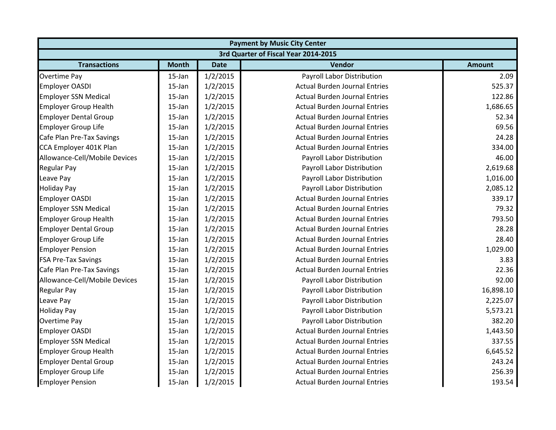|                               | <b>Payment by Music City Center</b>  |             |                                      |               |  |  |
|-------------------------------|--------------------------------------|-------------|--------------------------------------|---------------|--|--|
|                               | 3rd Quarter of Fiscal Year 2014-2015 |             |                                      |               |  |  |
| <b>Transactions</b>           | <b>Month</b>                         | <b>Date</b> | Vendor                               | <b>Amount</b> |  |  |
| <b>Overtime Pay</b>           | $15$ -Jan                            | 1/2/2015    | Payroll Labor Distribution           | 2.09          |  |  |
| <b>Employer OASDI</b>         | $15$ -Jan                            | 1/2/2015    | <b>Actual Burden Journal Entries</b> | 525.37        |  |  |
| <b>Employer SSN Medical</b>   | $15$ -Jan                            | 1/2/2015    | <b>Actual Burden Journal Entries</b> | 122.86        |  |  |
| <b>Employer Group Health</b>  | 15-Jan                               | 1/2/2015    | <b>Actual Burden Journal Entries</b> | 1,686.65      |  |  |
| <b>Employer Dental Group</b>  | 15-Jan                               | 1/2/2015    | <b>Actual Burden Journal Entries</b> | 52.34         |  |  |
| <b>Employer Group Life</b>    | $15$ -Jan                            | 1/2/2015    | <b>Actual Burden Journal Entries</b> | 69.56         |  |  |
| Cafe Plan Pre-Tax Savings     | $15$ -Jan                            | 1/2/2015    | <b>Actual Burden Journal Entries</b> | 24.28         |  |  |
| CCA Employer 401K Plan        | $15$ -Jan                            | 1/2/2015    | <b>Actual Burden Journal Entries</b> | 334.00        |  |  |
| Allowance-Cell/Mobile Devices | $15$ -Jan                            | 1/2/2015    | Payroll Labor Distribution           | 46.00         |  |  |
| <b>Regular Pay</b>            | 15-Jan                               | 1/2/2015    | Payroll Labor Distribution           | 2,619.68      |  |  |
| Leave Pay                     | $15$ -Jan                            | 1/2/2015    | Payroll Labor Distribution           | 1,016.00      |  |  |
| <b>Holiday Pay</b>            | $15$ -Jan                            | 1/2/2015    | Payroll Labor Distribution           | 2,085.12      |  |  |
| <b>Employer OASDI</b>         | 15-Jan                               | 1/2/2015    | <b>Actual Burden Journal Entries</b> | 339.17        |  |  |
| <b>Employer SSN Medical</b>   | 15-Jan                               | 1/2/2015    | <b>Actual Burden Journal Entries</b> | 79.32         |  |  |
| <b>Employer Group Health</b>  | 15-Jan                               | 1/2/2015    | <b>Actual Burden Journal Entries</b> | 793.50        |  |  |
| <b>Employer Dental Group</b>  | 15-Jan                               | 1/2/2015    | <b>Actual Burden Journal Entries</b> | 28.28         |  |  |
| <b>Employer Group Life</b>    | 15-Jan                               | 1/2/2015    | <b>Actual Burden Journal Entries</b> | 28.40         |  |  |
| <b>Employer Pension</b>       | $15$ -Jan                            | 1/2/2015    | <b>Actual Burden Journal Entries</b> | 1,029.00      |  |  |
| <b>FSA Pre-Tax Savings</b>    | $15$ -Jan                            | 1/2/2015    | <b>Actual Burden Journal Entries</b> | 3.83          |  |  |
| Cafe Plan Pre-Tax Savings     | 15-Jan                               | 1/2/2015    | <b>Actual Burden Journal Entries</b> | 22.36         |  |  |
| Allowance-Cell/Mobile Devices | 15-Jan                               | 1/2/2015    | Payroll Labor Distribution           | 92.00         |  |  |
| <b>Regular Pay</b>            | 15-Jan                               | 1/2/2015    | Payroll Labor Distribution           | 16,898.10     |  |  |
| Leave Pay                     | $15$ -Jan                            | 1/2/2015    | Payroll Labor Distribution           | 2,225.07      |  |  |
| <b>Holiday Pay</b>            | $15$ -Jan                            | 1/2/2015    | Payroll Labor Distribution           | 5,573.21      |  |  |
| <b>Overtime Pay</b>           | $15$ -Jan                            | 1/2/2015    | Payroll Labor Distribution           | 382.20        |  |  |
| <b>Employer OASDI</b>         | $15$ -Jan                            | 1/2/2015    | <b>Actual Burden Journal Entries</b> | 1,443.50      |  |  |
| <b>Employer SSN Medical</b>   | 15-Jan                               | 1/2/2015    | <b>Actual Burden Journal Entries</b> | 337.55        |  |  |
| <b>Employer Group Health</b>  | $15$ -Jan                            | 1/2/2015    | <b>Actual Burden Journal Entries</b> | 6,645.52      |  |  |
| <b>Employer Dental Group</b>  | $15$ -Jan                            | 1/2/2015    | <b>Actual Burden Journal Entries</b> | 243.24        |  |  |
| <b>Employer Group Life</b>    | $15$ -Jan                            | 1/2/2015    | <b>Actual Burden Journal Entries</b> | 256.39        |  |  |
| <b>Employer Pension</b>       | 15-Jan                               | 1/2/2015    | <b>Actual Burden Journal Entries</b> | 193.54        |  |  |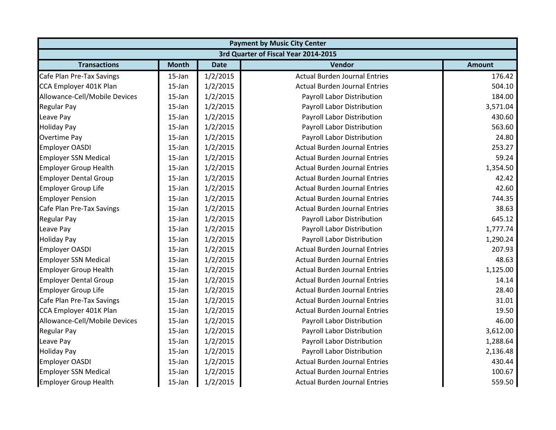| <b>Payment by Music City Center</b>  |              |             |                                      |               |  |
|--------------------------------------|--------------|-------------|--------------------------------------|---------------|--|
| 3rd Quarter of Fiscal Year 2014-2015 |              |             |                                      |               |  |
| <b>Transactions</b>                  | <b>Month</b> | <b>Date</b> | Vendor                               | <b>Amount</b> |  |
| Cafe Plan Pre-Tax Savings            | 15-Jan       | 1/2/2015    | <b>Actual Burden Journal Entries</b> | 176.42        |  |
| CCA Employer 401K Plan               | $15$ -Jan    | 1/2/2015    | <b>Actual Burden Journal Entries</b> | 504.10        |  |
| Allowance-Cell/Mobile Devices        | 15-Jan       | 1/2/2015    | Payroll Labor Distribution           | 184.00        |  |
| <b>Regular Pay</b>                   | 15-Jan       | 1/2/2015    | Payroll Labor Distribution           | 3,571.04      |  |
| Leave Pay                            | 15-Jan       | 1/2/2015    | Payroll Labor Distribution           | 430.60        |  |
| <b>Holiday Pay</b>                   | 15-Jan       | 1/2/2015    | Payroll Labor Distribution           | 563.60        |  |
| <b>Overtime Pay</b>                  | 15-Jan       | 1/2/2015    | Payroll Labor Distribution           | 24.80         |  |
| <b>Employer OASDI</b>                | 15-Jan       | 1/2/2015    | <b>Actual Burden Journal Entries</b> | 253.27        |  |
| <b>Employer SSN Medical</b>          | 15-Jan       | 1/2/2015    | <b>Actual Burden Journal Entries</b> | 59.24         |  |
| <b>Employer Group Health</b>         | 15-Jan       | 1/2/2015    | <b>Actual Burden Journal Entries</b> | 1,354.50      |  |
| <b>Employer Dental Group</b>         | 15-Jan       | 1/2/2015    | <b>Actual Burden Journal Entries</b> | 42.42         |  |
| <b>Employer Group Life</b>           | 15-Jan       | 1/2/2015    | <b>Actual Burden Journal Entries</b> | 42.60         |  |
| <b>Employer Pension</b>              | $15$ -Jan    | 1/2/2015    | <b>Actual Burden Journal Entries</b> | 744.35        |  |
| Cafe Plan Pre-Tax Savings            | 15-Jan       | 1/2/2015    | <b>Actual Burden Journal Entries</b> | 38.63         |  |
| <b>Regular Pay</b>                   | 15-Jan       | 1/2/2015    | Payroll Labor Distribution           | 645.12        |  |
| Leave Pay                            | 15-Jan       | 1/2/2015    | Payroll Labor Distribution           | 1,777.74      |  |
| <b>Holiday Pay</b>                   | 15-Jan       | 1/2/2015    | Payroll Labor Distribution           | 1,290.24      |  |
| <b>Employer OASDI</b>                | 15-Jan       | 1/2/2015    | <b>Actual Burden Journal Entries</b> | 207.93        |  |
| <b>Employer SSN Medical</b>          | 15-Jan       | 1/2/2015    | <b>Actual Burden Journal Entries</b> | 48.63         |  |
| <b>Employer Group Health</b>         | 15-Jan       | 1/2/2015    | <b>Actual Burden Journal Entries</b> | 1,125.00      |  |
| <b>Employer Dental Group</b>         | 15-Jan       | 1/2/2015    | <b>Actual Burden Journal Entries</b> | 14.14         |  |
| <b>Employer Group Life</b>           | 15-Jan       | 1/2/2015    | <b>Actual Burden Journal Entries</b> | 28.40         |  |
| Cafe Plan Pre-Tax Savings            | $15$ -Jan    | 1/2/2015    | <b>Actual Burden Journal Entries</b> | 31.01         |  |
| CCA Employer 401K Plan               | 15-Jan       | 1/2/2015    | <b>Actual Burden Journal Entries</b> | 19.50         |  |
| Allowance-Cell/Mobile Devices        | 15-Jan       | 1/2/2015    | Payroll Labor Distribution           | 46.00         |  |
| <b>Regular Pay</b>                   | 15-Jan       | 1/2/2015    | Payroll Labor Distribution           | 3,612.00      |  |
| Leave Pay                            | 15-Jan       | 1/2/2015    | Payroll Labor Distribution           | 1,288.64      |  |
| <b>Holiday Pay</b>                   | 15-Jan       | 1/2/2015    | Payroll Labor Distribution           | 2,136.48      |  |
| Employer OASDI                       | 15-Jan       | 1/2/2015    | <b>Actual Burden Journal Entries</b> | 430.44        |  |
| <b>Employer SSN Medical</b>          | 15-Jan       | 1/2/2015    | <b>Actual Burden Journal Entries</b> | 100.67        |  |
| <b>Employer Group Health</b>         | 15-Jan       | 1/2/2015    | <b>Actual Burden Journal Entries</b> | 559.50        |  |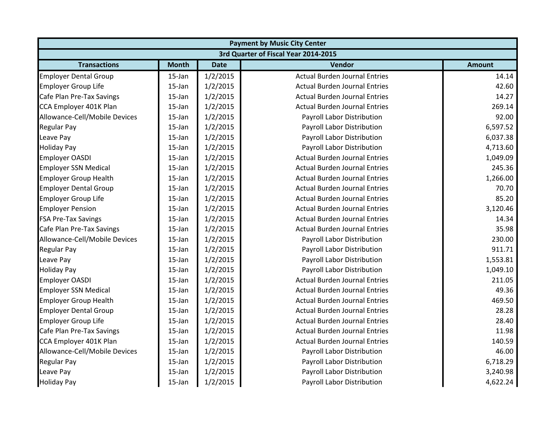| <b>Payment by Music City Center</b>  |              |             |                                      |               |  |
|--------------------------------------|--------------|-------------|--------------------------------------|---------------|--|
| 3rd Quarter of Fiscal Year 2014-2015 |              |             |                                      |               |  |
| <b>Transactions</b>                  | <b>Month</b> | <b>Date</b> | Vendor                               | <b>Amount</b> |  |
| <b>Employer Dental Group</b>         | 15-Jan       | 1/2/2015    | <b>Actual Burden Journal Entries</b> | 14.14         |  |
| <b>Employer Group Life</b>           | 15-Jan       | 1/2/2015    | <b>Actual Burden Journal Entries</b> | 42.60         |  |
| Cafe Plan Pre-Tax Savings            | $15$ -Jan    | 1/2/2015    | <b>Actual Burden Journal Entries</b> | 14.27         |  |
| CCA Employer 401K Plan               | 15-Jan       | 1/2/2015    | <b>Actual Burden Journal Entries</b> | 269.14        |  |
| Allowance-Cell/Mobile Devices        | $15$ -Jan    | 1/2/2015    | Payroll Labor Distribution           | 92.00         |  |
| <b>Regular Pay</b>                   | $15$ -Jan    | 1/2/2015    | Payroll Labor Distribution           | 6,597.52      |  |
| Leave Pay                            | 15-Jan       | 1/2/2015    | Payroll Labor Distribution           | 6,037.38      |  |
| <b>Holiday Pay</b>                   | 15-Jan       | 1/2/2015    | Payroll Labor Distribution           | 4,713.60      |  |
| <b>Employer OASDI</b>                | 15-Jan       | 1/2/2015    | <b>Actual Burden Journal Entries</b> | 1,049.09      |  |
| <b>Employer SSN Medical</b>          | $15$ -Jan    | 1/2/2015    | <b>Actual Burden Journal Entries</b> | 245.36        |  |
| <b>Employer Group Health</b>         | 15-Jan       | 1/2/2015    | <b>Actual Burden Journal Entries</b> | 1,266.00      |  |
| <b>Employer Dental Group</b>         | $15$ -Jan    | 1/2/2015    | <b>Actual Burden Journal Entries</b> | 70.70         |  |
| <b>Employer Group Life</b>           | $15$ -Jan    | 1/2/2015    | <b>Actual Burden Journal Entries</b> | 85.20         |  |
| <b>Employer Pension</b>              | 15-Jan       | 1/2/2015    | <b>Actual Burden Journal Entries</b> | 3,120.46      |  |
| <b>FSA Pre-Tax Savings</b>           | 15-Jan       | 1/2/2015    | <b>Actual Burden Journal Entries</b> | 14.34         |  |
| Cafe Plan Pre-Tax Savings            | $15$ -Jan    | 1/2/2015    | <b>Actual Burden Journal Entries</b> | 35.98         |  |
| Allowance-Cell/Mobile Devices        | $15$ -Jan    | 1/2/2015    | Payroll Labor Distribution           | 230.00        |  |
| <b>Regular Pay</b>                   | 15-Jan       | 1/2/2015    | Payroll Labor Distribution           | 911.71        |  |
| Leave Pay                            | 15-Jan       | 1/2/2015    | Payroll Labor Distribution           | 1,553.81      |  |
| <b>Holiday Pay</b>                   | 15-Jan       | 1/2/2015    | Payroll Labor Distribution           | 1,049.10      |  |
| <b>Employer OASDI</b>                | 15-Jan       | 1/2/2015    | <b>Actual Burden Journal Entries</b> | 211.05        |  |
| <b>Employer SSN Medical</b>          | $15$ -Jan    | 1/2/2015    | <b>Actual Burden Journal Entries</b> | 49.36         |  |
| <b>Employer Group Health</b>         | $15$ -Jan    | 1/2/2015    | <b>Actual Burden Journal Entries</b> | 469.50        |  |
| <b>Employer Dental Group</b>         | $15$ -Jan    | 1/2/2015    | <b>Actual Burden Journal Entries</b> | 28.28         |  |
| <b>Employer Group Life</b>           | 15-Jan       | 1/2/2015    | <b>Actual Burden Journal Entries</b> | 28.40         |  |
| Cafe Plan Pre-Tax Savings            | 15-Jan       | 1/2/2015    | <b>Actual Burden Journal Entries</b> | 11.98         |  |
| CCA Employer 401K Plan               | 15-Jan       | 1/2/2015    | <b>Actual Burden Journal Entries</b> | 140.59        |  |
| Allowance-Cell/Mobile Devices        | $15$ -Jan    | 1/2/2015    | Payroll Labor Distribution           | 46.00         |  |
| <b>Regular Pay</b>                   | $15$ -Jan    | 1/2/2015    | Payroll Labor Distribution           | 6,718.29      |  |
| Leave Pay                            | 15-Jan       | 1/2/2015    | Payroll Labor Distribution           | 3,240.98      |  |
| <b>Holiday Pay</b>                   | 15-Jan       | 1/2/2015    | Payroll Labor Distribution           | 4,622.24      |  |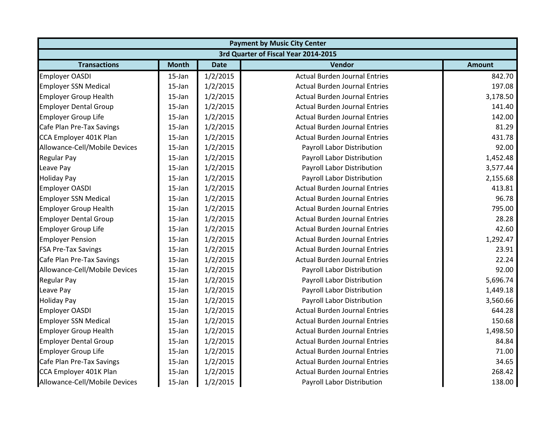|                                      | <b>Payment by Music City Center</b> |             |                                      |               |  |  |
|--------------------------------------|-------------------------------------|-------------|--------------------------------------|---------------|--|--|
| 3rd Quarter of Fiscal Year 2014-2015 |                                     |             |                                      |               |  |  |
| <b>Transactions</b>                  | <b>Month</b>                        | <b>Date</b> | Vendor                               | <b>Amount</b> |  |  |
| <b>Employer OASDI</b>                | $15$ -Jan                           | 1/2/2015    | <b>Actual Burden Journal Entries</b> | 842.70        |  |  |
| <b>Employer SSN Medical</b>          | $15$ -Jan                           | 1/2/2015    | <b>Actual Burden Journal Entries</b> | 197.08        |  |  |
| <b>Employer Group Health</b>         | 15-Jan                              | 1/2/2015    | <b>Actual Burden Journal Entries</b> | 3,178.50      |  |  |
| <b>Employer Dental Group</b>         | 15-Jan                              | 1/2/2015    | <b>Actual Burden Journal Entries</b> | 141.40        |  |  |
| <b>Employer Group Life</b>           | 15-Jan                              | 1/2/2015    | <b>Actual Burden Journal Entries</b> | 142.00        |  |  |
| Cafe Plan Pre-Tax Savings            | 15-Jan                              | 1/2/2015    | <b>Actual Burden Journal Entries</b> | 81.29         |  |  |
| CCA Employer 401K Plan               | 15-Jan                              | 1/2/2015    | <b>Actual Burden Journal Entries</b> | 431.78        |  |  |
| Allowance-Cell/Mobile Devices        | 15-Jan                              | 1/2/2015    | Payroll Labor Distribution           | 92.00         |  |  |
| <b>Regular Pay</b>                   | 15-Jan                              | 1/2/2015    | Payroll Labor Distribution           | 1,452.48      |  |  |
| Leave Pay                            | 15-Jan                              | 1/2/2015    | Payroll Labor Distribution           | 3,577.44      |  |  |
| <b>Holiday Pay</b>                   | 15-Jan                              | 1/2/2015    | Payroll Labor Distribution           | 2,155.68      |  |  |
| <b>Employer OASDI</b>                | 15-Jan                              | 1/2/2015    | <b>Actual Burden Journal Entries</b> | 413.81        |  |  |
| <b>Employer SSN Medical</b>          | 15-Jan                              | 1/2/2015    | <b>Actual Burden Journal Entries</b> | 96.78         |  |  |
| <b>Employer Group Health</b>         | 15-Jan                              | 1/2/2015    | <b>Actual Burden Journal Entries</b> | 795.00        |  |  |
| <b>Employer Dental Group</b>         | 15-Jan                              | 1/2/2015    | <b>Actual Burden Journal Entries</b> | 28.28         |  |  |
| <b>Employer Group Life</b>           | $15$ -Jan                           | 1/2/2015    | <b>Actual Burden Journal Entries</b> | 42.60         |  |  |
| <b>Employer Pension</b>              | 15-Jan                              | 1/2/2015    | <b>Actual Burden Journal Entries</b> | 1,292.47      |  |  |
| <b>FSA Pre-Tax Savings</b>           | 15-Jan                              | 1/2/2015    | <b>Actual Burden Journal Entries</b> | 23.91         |  |  |
| Cafe Plan Pre-Tax Savings            | 15-Jan                              | 1/2/2015    | <b>Actual Burden Journal Entries</b> | 22.24         |  |  |
| Allowance-Cell/Mobile Devices        | 15-Jan                              | 1/2/2015    | Payroll Labor Distribution           | 92.00         |  |  |
| <b>Regular Pay</b>                   | 15-Jan                              | 1/2/2015    | Payroll Labor Distribution           | 5,696.74      |  |  |
| Leave Pay                            | 15-Jan                              | 1/2/2015    | Payroll Labor Distribution           | 1,449.18      |  |  |
| <b>Holiday Pay</b>                   | 15-Jan                              | 1/2/2015    | Payroll Labor Distribution           | 3,560.66      |  |  |
| <b>Employer OASDI</b>                | 15-Jan                              | 1/2/2015    | <b>Actual Burden Journal Entries</b> | 644.28        |  |  |
| <b>Employer SSN Medical</b>          | 15-Jan                              | 1/2/2015    | <b>Actual Burden Journal Entries</b> | 150.68        |  |  |
| <b>Employer Group Health</b>         | 15-Jan                              | 1/2/2015    | <b>Actual Burden Journal Entries</b> | 1,498.50      |  |  |
| <b>Employer Dental Group</b>         | 15-Jan                              | 1/2/2015    | <b>Actual Burden Journal Entries</b> | 84.84         |  |  |
| <b>Employer Group Life</b>           | 15-Jan                              | 1/2/2015    | <b>Actual Burden Journal Entries</b> | 71.00         |  |  |
| Cafe Plan Pre-Tax Savings            | 15-Jan                              | 1/2/2015    | <b>Actual Burden Journal Entries</b> | 34.65         |  |  |
| CCA Employer 401K Plan               | 15-Jan                              | 1/2/2015    | <b>Actual Burden Journal Entries</b> | 268.42        |  |  |
| Allowance-Cell/Mobile Devices        | 15-Jan                              | 1/2/2015    | Payroll Labor Distribution           | 138.00        |  |  |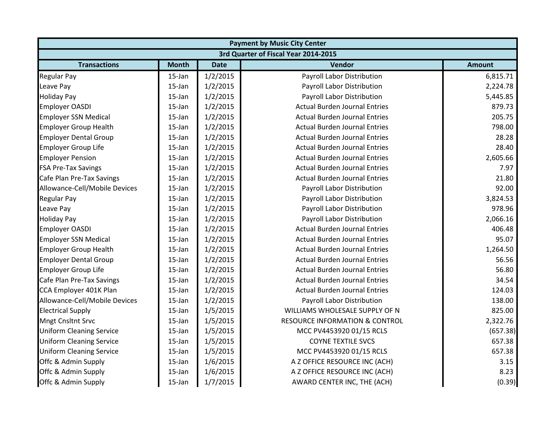| <b>Payment by Music City Center</b>  |              |             |                                           |               |  |
|--------------------------------------|--------------|-------------|-------------------------------------------|---------------|--|
| 3rd Quarter of Fiscal Year 2014-2015 |              |             |                                           |               |  |
| <b>Transactions</b>                  | <b>Month</b> | <b>Date</b> | Vendor                                    | <b>Amount</b> |  |
| <b>Regular Pay</b>                   | $15$ -Jan    | 1/2/2015    | Payroll Labor Distribution                | 6,815.71      |  |
| Leave Pay                            | $15$ -Jan    | 1/2/2015    | Payroll Labor Distribution                | 2,224.78      |  |
| <b>Holiday Pay</b>                   | 15-Jan       | 1/2/2015    | <b>Payroll Labor Distribution</b>         | 5,445.85      |  |
| <b>Employer OASDI</b>                | 15-Jan       | 1/2/2015    | <b>Actual Burden Journal Entries</b>      | 879.73        |  |
| <b>Employer SSN Medical</b>          | 15-Jan       | 1/2/2015    | <b>Actual Burden Journal Entries</b>      | 205.75        |  |
| <b>Employer Group Health</b>         | 15-Jan       | 1/2/2015    | <b>Actual Burden Journal Entries</b>      | 798.00        |  |
| <b>Employer Dental Group</b>         | 15-Jan       | 1/2/2015    | <b>Actual Burden Journal Entries</b>      | 28.28         |  |
| <b>Employer Group Life</b>           | 15-Jan       | 1/2/2015    | <b>Actual Burden Journal Entries</b>      | 28.40         |  |
| <b>Employer Pension</b>              | $15$ -Jan    | 1/2/2015    | <b>Actual Burden Journal Entries</b>      | 2,605.66      |  |
| <b>FSA Pre-Tax Savings</b>           | 15-Jan       | 1/2/2015    | <b>Actual Burden Journal Entries</b>      | 7.97          |  |
| Cafe Plan Pre-Tax Savings            | 15-Jan       | 1/2/2015    | <b>Actual Burden Journal Entries</b>      | 21.80         |  |
| Allowance-Cell/Mobile Devices        | $15$ -Jan    | 1/2/2015    | Payroll Labor Distribution                | 92.00         |  |
| <b>Regular Pay</b>                   | 15-Jan       | 1/2/2015    | Payroll Labor Distribution                | 3,824.53      |  |
| Leave Pay                            | 15-Jan       | 1/2/2015    | Payroll Labor Distribution                | 978.96        |  |
| <b>Holiday Pay</b>                   | 15-Jan       | 1/2/2015    | Payroll Labor Distribution                | 2,066.16      |  |
| <b>Employer OASDI</b>                | 15-Jan       | 1/2/2015    | <b>Actual Burden Journal Entries</b>      | 406.48        |  |
| <b>Employer SSN Medical</b>          | 15-Jan       | 1/2/2015    | <b>Actual Burden Journal Entries</b>      | 95.07         |  |
| <b>Employer Group Health</b>         | 15-Jan       | 1/2/2015    | <b>Actual Burden Journal Entries</b>      | 1,264.50      |  |
| <b>Employer Dental Group</b>         | 15-Jan       | 1/2/2015    | <b>Actual Burden Journal Entries</b>      | 56.56         |  |
| <b>Employer Group Life</b>           | 15-Jan       | 1/2/2015    | <b>Actual Burden Journal Entries</b>      | 56.80         |  |
| Cafe Plan Pre-Tax Savings            | 15-Jan       | 1/2/2015    | <b>Actual Burden Journal Entries</b>      | 34.54         |  |
| CCA Employer 401K Plan               | 15-Jan       | 1/2/2015    | <b>Actual Burden Journal Entries</b>      | 124.03        |  |
| Allowance-Cell/Mobile Devices        | 15-Jan       | 1/2/2015    | Payroll Labor Distribution                | 138.00        |  |
| <b>Electrical Supply</b>             | $15$ -Jan    | 1/5/2015    | WILLIAMS WHOLESALE SUPPLY OF N            | 825.00        |  |
| <b>Mngt Cnsltnt Srvc</b>             | $15$ -Jan    | 1/5/2015    | <b>RESOURCE INFORMATION &amp; CONTROL</b> | 2,322.76      |  |
| <b>Uniform Cleaning Service</b>      | $15$ -Jan    | 1/5/2015    | MCC PV4453920 01/15 RCLS                  | (657.38)      |  |
| <b>Uniform Cleaning Service</b>      | 15-Jan       | 1/5/2015    | <b>COYNE TEXTILE SVCS</b>                 | 657.38        |  |
| <b>Uniform Cleaning Service</b>      | 15-Jan       | 1/5/2015    | MCC PV4453920 01/15 RCLS                  | 657.38        |  |
| Offc & Admin Supply                  | 15-Jan       | 1/6/2015    | A Z OFFICE RESOURCE INC (ACH)             | 3.15          |  |
| Offc & Admin Supply                  | 15-Jan       | 1/6/2015    | A Z OFFICE RESOURCE INC (ACH)             | 8.23          |  |
| Offc & Admin Supply                  | 15-Jan       | 1/7/2015    | AWARD CENTER INC, THE (ACH)               | (0.39)        |  |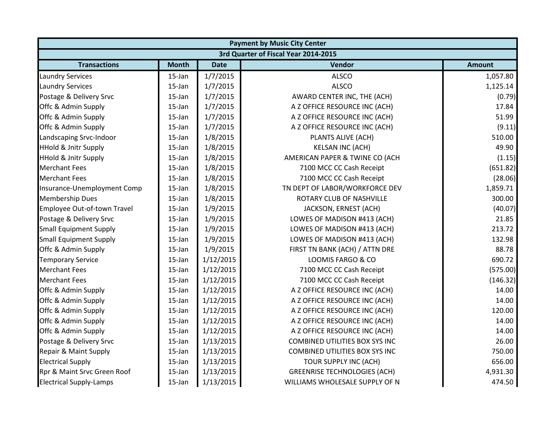|                                 | <b>Payment by Music City Center</b>  |             |                                       |               |  |  |  |
|---------------------------------|--------------------------------------|-------------|---------------------------------------|---------------|--|--|--|
|                                 | 3rd Quarter of Fiscal Year 2014-2015 |             |                                       |               |  |  |  |
| <b>Transactions</b>             | <b>Month</b>                         | <b>Date</b> | <b>Vendor</b>                         | <b>Amount</b> |  |  |  |
| <b>Laundry Services</b>         | $15$ -Jan                            | 1/7/2015    | <b>ALSCO</b>                          | 1,057.80      |  |  |  |
| <b>Laundry Services</b>         | $15$ -Jan                            | 1/7/2015    | <b>ALSCO</b>                          | 1,125.14      |  |  |  |
| Postage & Delivery Srvc         | $15$ -Jan                            | 1/7/2015    | AWARD CENTER INC, THE (ACH)           | (0.79)        |  |  |  |
| Offc & Admin Supply             | $15$ -Jan                            | 1/7/2015    | A Z OFFICE RESOURCE INC (ACH)         | 17.84         |  |  |  |
| Offc & Admin Supply             | $15$ -Jan                            | 1/7/2015    | A Z OFFICE RESOURCE INC (ACH)         | 51.99         |  |  |  |
| Offc & Admin Supply             | $15$ -Jan                            | 1/7/2015    | A Z OFFICE RESOURCE INC (ACH)         | (9.11)        |  |  |  |
| Landscaping Srvc-Indoor         | $15$ -Jan                            | 1/8/2015    | PLANTS ALIVE (ACH)                    | 510.00        |  |  |  |
| <b>HHold &amp; Jnitr Supply</b> | $15$ -Jan                            | 1/8/2015    | <b>KELSAN INC (ACH)</b>               | 49.90         |  |  |  |
| <b>HHold &amp; Jnitr Supply</b> | $15$ -Jan                            | 1/8/2015    | AMERICAN PAPER & TWINE CO (ACH        | (1.15)        |  |  |  |
| <b>Merchant Fees</b>            | $15$ -Jan                            | 1/8/2015    | 7100 MCC CC Cash Receipt              | (651.82)      |  |  |  |
| <b>Merchant Fees</b>            | $15$ -Jan                            | 1/8/2015    | 7100 MCC CC Cash Receipt              | (28.06)       |  |  |  |
| Insurance-Unemployment Comp     | $15$ -Jan                            | 1/8/2015    | TN DEPT OF LABOR/WORKFORCE DEV        | 1,859.71      |  |  |  |
| <b>Membership Dues</b>          | $15$ -Jan                            | 1/8/2015    | ROTARY CLUB OF NASHVILLE              | 300.00        |  |  |  |
| Employee Out-of-town Travel     | $15$ -Jan                            | 1/9/2015    | JACKSON, ERNEST (ACH)                 | (40.07)       |  |  |  |
| Postage & Delivery Srvc         | $15$ -Jan                            | 1/9/2015    | LOWES OF MADISON #413 (ACH)           | 21.85         |  |  |  |
| <b>Small Equipment Supply</b>   | $15$ -Jan                            | 1/9/2015    | LOWES OF MADISON #413 (ACH)           | 213.72        |  |  |  |
| <b>Small Equipment Supply</b>   | $15$ -Jan                            | 1/9/2015    | LOWES OF MADISON #413 (ACH)           | 132.98        |  |  |  |
| Offc & Admin Supply             | $15$ -Jan                            | 1/9/2015    | FIRST TN BANK (ACH) / ATTN DRE        | 88.78         |  |  |  |
| <b>Temporary Service</b>        | $15$ -Jan                            | 1/12/2015   | LOOMIS FARGO & CO                     | 690.72        |  |  |  |
| <b>Merchant Fees</b>            | $15$ -Jan                            | 1/12/2015   | 7100 MCC CC Cash Receipt              | (575.00)      |  |  |  |
| <b>Merchant Fees</b>            | 15-Jan                               | 1/12/2015   | 7100 MCC CC Cash Receipt              | (146.32)      |  |  |  |
| Offc & Admin Supply             | $15$ -Jan                            | 1/12/2015   | A Z OFFICE RESOURCE INC (ACH)         | 14.00         |  |  |  |
| Offc & Admin Supply             | $15$ -Jan                            | 1/12/2015   | A Z OFFICE RESOURCE INC (ACH)         | 14.00         |  |  |  |
| Offc & Admin Supply             | $15$ -Jan                            | 1/12/2015   | A Z OFFICE RESOURCE INC (ACH)         | 120.00        |  |  |  |
| Offc & Admin Supply             | $15$ -Jan                            | 1/12/2015   | A Z OFFICE RESOURCE INC (ACH)         | 14.00         |  |  |  |
| Offc & Admin Supply             | $15$ -Jan                            | 1/12/2015   | A Z OFFICE RESOURCE INC (ACH)         | 14.00         |  |  |  |
| Postage & Delivery Srvc         | 15-Jan                               | 1/13/2015   | <b>COMBINED UTILITIES BOX SYS INC</b> | 26.00         |  |  |  |
| Repair & Maint Supply           | $15$ -Jan                            | 1/13/2015   | <b>COMBINED UTILITIES BOX SYS INC</b> | 750.00        |  |  |  |
| <b>Electrical Supply</b>        | $15$ -Jan                            | 1/13/2015   | TOUR SUPPLY INC (ACH)                 | 656.00        |  |  |  |
| Rpr & Maint Srvc Green Roof     | $15$ -Jan                            | 1/13/2015   | <b>GREENRISE TECHNOLOGIES (ACH)</b>   | 4,931.30      |  |  |  |
| <b>Electrical Supply-Lamps</b>  | 15-Jan                               | 1/13/2015   | WILLIAMS WHOLESALE SUPPLY OF N        | 474.50        |  |  |  |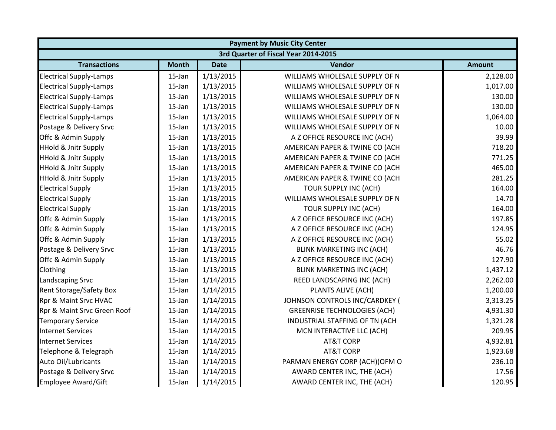|                                      | <b>Payment by Music City Center</b> |             |                                     |               |  |  |
|--------------------------------------|-------------------------------------|-------------|-------------------------------------|---------------|--|--|
| 3rd Quarter of Fiscal Year 2014-2015 |                                     |             |                                     |               |  |  |
| <b>Transactions</b>                  | <b>Month</b>                        | <b>Date</b> | Vendor                              | <b>Amount</b> |  |  |
| <b>Electrical Supply-Lamps</b>       | $15$ -Jan                           | 1/13/2015   | WILLIAMS WHOLESALE SUPPLY OF N      | 2,128.00      |  |  |
| <b>Electrical Supply-Lamps</b>       | $15$ -Jan                           | 1/13/2015   | WILLIAMS WHOLESALE SUPPLY OF N      | 1,017.00      |  |  |
| <b>Electrical Supply-Lamps</b>       | 15-Jan                              | 1/13/2015   | WILLIAMS WHOLESALE SUPPLY OF N      | 130.00        |  |  |
| <b>Electrical Supply-Lamps</b>       | 15-Jan                              | 1/13/2015   | WILLIAMS WHOLESALE SUPPLY OF N      | 130.00        |  |  |
| <b>Electrical Supply-Lamps</b>       | 15-Jan                              | 1/13/2015   | WILLIAMS WHOLESALE SUPPLY OF N      | 1,064.00      |  |  |
| Postage & Delivery Srvc              | 15-Jan                              | 1/13/2015   | WILLIAMS WHOLESALE SUPPLY OF N      | 10.00         |  |  |
| Offc & Admin Supply                  | 15-Jan                              | 1/13/2015   | A Z OFFICE RESOURCE INC (ACH)       | 39.99         |  |  |
| <b>HHold &amp; Jnitr Supply</b>      | 15-Jan                              | 1/13/2015   | AMERICAN PAPER & TWINE CO (ACH      | 718.20        |  |  |
| <b>HHold &amp; Jnitr Supply</b>      | 15-Jan                              | 1/13/2015   | AMERICAN PAPER & TWINE CO (ACH      | 771.25        |  |  |
| <b>HHold &amp; Jnitr Supply</b>      | 15-Jan                              | 1/13/2015   | AMERICAN PAPER & TWINE CO (ACH      | 465.00        |  |  |
| <b>HHold &amp; Jnitr Supply</b>      | $15$ -Jan                           | 1/13/2015   | AMERICAN PAPER & TWINE CO (ACH      | 281.25        |  |  |
| <b>Electrical Supply</b>             | $15$ -Jan                           | 1/13/2015   | TOUR SUPPLY INC (ACH)               | 164.00        |  |  |
| <b>Electrical Supply</b>             | 15-Jan                              | 1/13/2015   | WILLIAMS WHOLESALE SUPPLY OF N      | 14.70         |  |  |
| <b>Electrical Supply</b>             | $15$ -Jan                           | 1/13/2015   | TOUR SUPPLY INC (ACH)               | 164.00        |  |  |
| Offc & Admin Supply                  | 15-Jan                              | 1/13/2015   | A Z OFFICE RESOURCE INC (ACH)       | 197.85        |  |  |
| Offc & Admin Supply                  | 15-Jan                              | 1/13/2015   | A Z OFFICE RESOURCE INC (ACH)       | 124.95        |  |  |
| Offc & Admin Supply                  | 15-Jan                              | 1/13/2015   | A Z OFFICE RESOURCE INC (ACH)       | 55.02         |  |  |
| Postage & Delivery Srvc              | 15-Jan                              | 1/13/2015   | <b>BLINK MARKETING INC (ACH)</b>    | 46.76         |  |  |
| Offc & Admin Supply                  | 15-Jan                              | 1/13/2015   | A Z OFFICE RESOURCE INC (ACH)       | 127.90        |  |  |
| Clothing                             | 15-Jan                              | 1/13/2015   | <b>BLINK MARKETING INC (ACH)</b>    | 1,437.12      |  |  |
| Landscaping Srvc                     | 15-Jan                              | 1/14/2015   | REED LANDSCAPING INC (ACH)          | 2,262.00      |  |  |
| <b>Rent Storage/Safety Box</b>       | $15$ -Jan                           | 1/14/2015   | PLANTS ALIVE (ACH)                  | 1,200.00      |  |  |
| Rpr & Maint Srvc HVAC                | $15$ -Jan                           | 1/14/2015   | JOHNSON CONTROLS INC/CARDKEY (      | 3,313.25      |  |  |
| Rpr & Maint Srvc Green Roof          | $15$ -Jan                           | 1/14/2015   | <b>GREENRISE TECHNOLOGIES (ACH)</b> | 4,931.30      |  |  |
| <b>Temporary Service</b>             | $15$ -Jan                           | 1/14/2015   | INDUSTRIAL STAFFING OF TN (ACH      | 1,321.28      |  |  |
| <b>Internet Services</b>             | 15-Jan                              | 1/14/2015   | MCN INTERACTIVE LLC (ACH)           | 209.95        |  |  |
| <b>Internet Services</b>             | 15-Jan                              | 1/14/2015   | <b>AT&amp;T CORP</b>                | 4,932.81      |  |  |
| Telephone & Telegraph                | 15-Jan                              | 1/14/2015   | <b>AT&amp;T CORP</b>                | 1,923.68      |  |  |
| Auto Oil/Lubricants                  | 15-Jan                              | 1/14/2015   | PARMAN ENERGY CORP (ACH)(OFM O      | 236.10        |  |  |
| Postage & Delivery Srvc              | 15-Jan                              | 1/14/2015   | AWARD CENTER INC, THE (ACH)         | 17.56         |  |  |
| <b>Employee Award/Gift</b>           | 15-Jan                              | 1/14/2015   | AWARD CENTER INC, THE (ACH)         | 120.95        |  |  |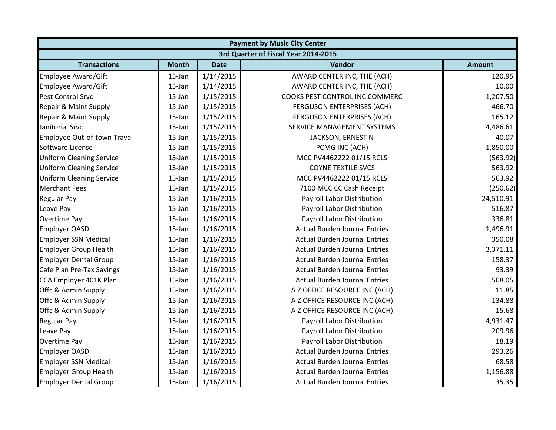|                                 |              |             | <b>Payment by Music City Center</b>  |               |
|---------------------------------|--------------|-------------|--------------------------------------|---------------|
|                                 |              |             | 3rd Quarter of Fiscal Year 2014-2015 |               |
| <b>Transactions</b>             | <b>Month</b> | <b>Date</b> | Vendor                               | <b>Amount</b> |
| Employee Award/Gift             | 15-Jan       | 1/14/2015   | AWARD CENTER INC, THE (ACH)          | 120.95        |
| <b>Employee Award/Gift</b>      | $15$ -Jan    | 1/14/2015   | AWARD CENTER INC, THE (ACH)          | 10.00         |
| Pest Control Srvc               | 15-Jan       | 1/15/2015   | COOKS PEST CONTROL INC COMMERC       | 1,207.50      |
| Repair & Maint Supply           | 15-Jan       | 1/15/2015   | FERGUSON ENTERPRISES (ACH)           | 466.70        |
| Repair & Maint Supply           | 15-Jan       | 1/15/2015   | FERGUSON ENTERPRISES (ACH)           | 165.12        |
| Janitorial Srvc                 | $15$ -Jan    | 1/15/2015   | SERVICE MANAGEMENT SYSTEMS           | 4,486.61      |
| Employee Out-of-town Travel     | 15-Jan       | 1/15/2015   | JACKSON, ERNEST N                    | 40.07         |
| Software License                | $15$ -Jan    | 1/15/2015   | PCMG INC (ACH)                       | 1,850.00      |
| <b>Uniform Cleaning Service</b> | 15-Jan       | 1/15/2015   | MCC PV4462222 01/15 RCLS             | (563.92)      |
| <b>Uniform Cleaning Service</b> | 15-Jan       | 1/15/2015   | <b>COYNE TEXTILE SVCS</b>            | 563.92        |
| <b>Uniform Cleaning Service</b> | 15-Jan       | 1/15/2015   | MCC PV4462222 01/15 RCLS             | 563.92        |
| <b>Merchant Fees</b>            | $15$ -Jan    | 1/15/2015   | 7100 MCC CC Cash Receipt             | (250.62)      |
| <b>Regular Pay</b>              | $15$ -Jan    | 1/16/2015   | Payroll Labor Distribution           | 24,510.91     |
| Leave Pay                       | 15-Jan       | 1/16/2015   | Payroll Labor Distribution           | 516.87        |
| <b>Overtime Pay</b>             | 15-Jan       | 1/16/2015   | Payroll Labor Distribution           | 336.81        |
| <b>Employer OASDI</b>           | $15$ -Jan    | 1/16/2015   | <b>Actual Burden Journal Entries</b> | 1,496.91      |
| <b>Employer SSN Medical</b>     | 15-Jan       | 1/16/2015   | <b>Actual Burden Journal Entries</b> | 350.08        |
| <b>Employer Group Health</b>    | 15-Jan       | 1/16/2015   | <b>Actual Burden Journal Entries</b> | 3,371.11      |
| <b>Employer Dental Group</b>    | 15-Jan       | 1/16/2015   | <b>Actual Burden Journal Entries</b> | 158.37        |
| Cafe Plan Pre-Tax Savings       | 15-Jan       | 1/16/2015   | <b>Actual Burden Journal Entries</b> | 93.39         |
| CCA Employer 401K Plan          | 15-Jan       | 1/16/2015   | <b>Actual Burden Journal Entries</b> | 508.05        |
| Offc & Admin Supply             | $15$ -Jan    | 1/16/2015   | A Z OFFICE RESOURCE INC (ACH)        | 11.85         |
| Offc & Admin Supply             | $15$ -Jan    | 1/16/2015   | A Z OFFICE RESOURCE INC (ACH)        | 134.88        |
| Offc & Admin Supply             | 15-Jan       | 1/16/2015   | A Z OFFICE RESOURCE INC (ACH)        | 15.68         |
| <b>Regular Pay</b>              | 15-Jan       | 1/16/2015   | Payroll Labor Distribution           | 4,931.47      |
| Leave Pay                       | 15-Jan       | 1/16/2015   | Payroll Labor Distribution           | 209.96        |
| <b>Overtime Pay</b>             | $15$ -Jan    | 1/16/2015   | Payroll Labor Distribution           | 18.19         |
| <b>Employer OASDI</b>           | $15$ -Jan    | 1/16/2015   | <b>Actual Burden Journal Entries</b> | 293.26        |
| <b>Employer SSN Medical</b>     | $15$ -Jan    | 1/16/2015   | <b>Actual Burden Journal Entries</b> | 68.58         |
| <b>Employer Group Health</b>    | $15$ -Jan    | 1/16/2015   | <b>Actual Burden Journal Entries</b> | 1,156.88      |
| <b>Employer Dental Group</b>    | 15-Jan       | 1/16/2015   | <b>Actual Burden Journal Entries</b> | 35.35         |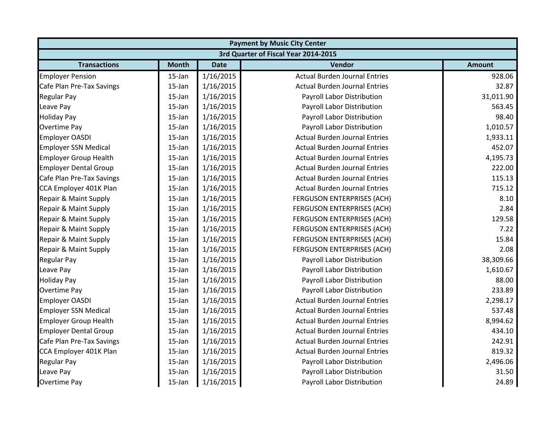|                              | <b>Payment by Music City Center</b>  |             |                                      |               |  |  |  |
|------------------------------|--------------------------------------|-------------|--------------------------------------|---------------|--|--|--|
|                              | 3rd Quarter of Fiscal Year 2014-2015 |             |                                      |               |  |  |  |
| <b>Transactions</b>          | <b>Month</b>                         | <b>Date</b> | <b>Vendor</b>                        | <b>Amount</b> |  |  |  |
| <b>Employer Pension</b>      | $15$ -Jan                            | 1/16/2015   | <b>Actual Burden Journal Entries</b> | 928.06        |  |  |  |
| Cafe Plan Pre-Tax Savings    | $15$ -Jan                            | 1/16/2015   | <b>Actual Burden Journal Entries</b> | 32.87         |  |  |  |
| <b>Regular Pay</b>           | 15-Jan                               | 1/16/2015   | Payroll Labor Distribution           | 31,011.90     |  |  |  |
| Leave Pay                    | 15-Jan                               | 1/16/2015   | Payroll Labor Distribution           | 563.45        |  |  |  |
| <b>Holiday Pay</b>           | 15-Jan                               | 1/16/2015   | Payroll Labor Distribution           | 98.40         |  |  |  |
| <b>Overtime Pay</b>          | $15$ -Jan                            | 1/16/2015   | Payroll Labor Distribution           | 1,010.57      |  |  |  |
| <b>Employer OASDI</b>        | $15$ -Jan                            | 1/16/2015   | <b>Actual Burden Journal Entries</b> | 1,933.11      |  |  |  |
| <b>Employer SSN Medical</b>  | 15-Jan                               | 1/16/2015   | <b>Actual Burden Journal Entries</b> | 452.07        |  |  |  |
| <b>Employer Group Health</b> | 15-Jan                               | 1/16/2015   | <b>Actual Burden Journal Entries</b> | 4,195.73      |  |  |  |
| <b>Employer Dental Group</b> | 15-Jan                               | 1/16/2015   | <b>Actual Burden Journal Entries</b> | 222.00        |  |  |  |
| Cafe Plan Pre-Tax Savings    | 15-Jan                               | 1/16/2015   | <b>Actual Burden Journal Entries</b> | 115.13        |  |  |  |
| CCA Employer 401K Plan       | 15-Jan                               | 1/16/2015   | <b>Actual Burden Journal Entries</b> | 715.12        |  |  |  |
| Repair & Maint Supply        | $15$ -Jan                            | 1/16/2015   | FERGUSON ENTERPRISES (ACH)           | 8.10          |  |  |  |
| Repair & Maint Supply        | $15$ -Jan                            | 1/16/2015   | FERGUSON ENTERPRISES (ACH)           | 2.84          |  |  |  |
| Repair & Maint Supply        | 15-Jan                               | 1/16/2015   | FERGUSON ENTERPRISES (ACH)           | 129.58        |  |  |  |
| Repair & Maint Supply        | 15-Jan                               | 1/16/2015   | FERGUSON ENTERPRISES (ACH)           | 7.22          |  |  |  |
| Repair & Maint Supply        | $15$ -Jan                            | 1/16/2015   | <b>FERGUSON ENTERPRISES (ACH)</b>    | 15.84         |  |  |  |
| Repair & Maint Supply        | 15-Jan                               | 1/16/2015   | <b>FERGUSON ENTERPRISES (ACH)</b>    | 2.08          |  |  |  |
| <b>Regular Pay</b>           | 15-Jan                               | 1/16/2015   | Payroll Labor Distribution           | 38,309.66     |  |  |  |
| Leave Pay                    | $15$ -Jan                            | 1/16/2015   | Payroll Labor Distribution           | 1,610.67      |  |  |  |
| <b>Holiday Pay</b>           | $15$ -Jan                            | 1/16/2015   | Payroll Labor Distribution           | 88.00         |  |  |  |
| <b>Overtime Pay</b>          | $15$ -Jan                            | 1/16/2015   | Payroll Labor Distribution           | 233.89        |  |  |  |
| <b>Employer OASDI</b>        | $15$ -Jan                            | 1/16/2015   | <b>Actual Burden Journal Entries</b> | 2,298.17      |  |  |  |
| <b>Employer SSN Medical</b>  | $15$ -Jan                            | 1/16/2015   | <b>Actual Burden Journal Entries</b> | 537.48        |  |  |  |
| <b>Employer Group Health</b> | 15-Jan                               | 1/16/2015   | <b>Actual Burden Journal Entries</b> | 8,994.62      |  |  |  |
| <b>Employer Dental Group</b> | 15-Jan                               | 1/16/2015   | <b>Actual Burden Journal Entries</b> | 434.10        |  |  |  |
| Cafe Plan Pre-Tax Savings    | $15$ -Jan                            | 1/16/2015   | <b>Actual Burden Journal Entries</b> | 242.91        |  |  |  |
| CCA Employer 401K Plan       | $15$ -Jan                            | 1/16/2015   | <b>Actual Burden Journal Entries</b> | 819.32        |  |  |  |
| <b>Regular Pay</b>           | $15$ -Jan                            | 1/16/2015   | Payroll Labor Distribution           | 2,496.06      |  |  |  |
| Leave Pay                    | 15-Jan                               | 1/16/2015   | Payroll Labor Distribution           | 31.50         |  |  |  |
| <b>Overtime Pay</b>          | 15-Jan                               | 1/16/2015   | Payroll Labor Distribution           | 24.89         |  |  |  |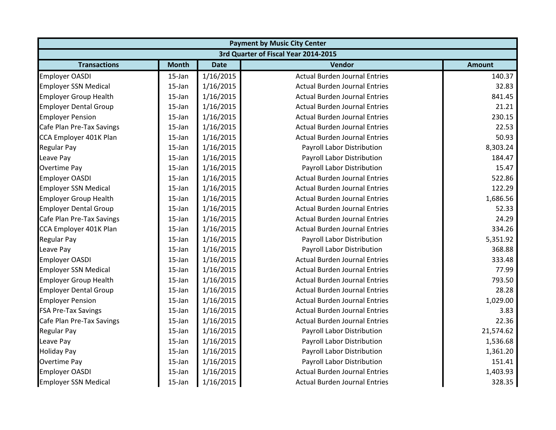| <b>Payment by Music City Center</b> |                                      |             |                                      |               |  |  |  |
|-------------------------------------|--------------------------------------|-------------|--------------------------------------|---------------|--|--|--|
|                                     | 3rd Quarter of Fiscal Year 2014-2015 |             |                                      |               |  |  |  |
| <b>Transactions</b>                 | <b>Month</b>                         | <b>Date</b> | Vendor                               | <b>Amount</b> |  |  |  |
| <b>Employer OASDI</b>               | $15$ -Jan                            | 1/16/2015   | <b>Actual Burden Journal Entries</b> | 140.37        |  |  |  |
| <b>Employer SSN Medical</b>         | $15$ -Jan                            | 1/16/2015   | <b>Actual Burden Journal Entries</b> | 32.83         |  |  |  |
| <b>Employer Group Health</b>        | 15-Jan                               | 1/16/2015   | <b>Actual Burden Journal Entries</b> | 841.45        |  |  |  |
| <b>Employer Dental Group</b>        | 15-Jan                               | 1/16/2015   | <b>Actual Burden Journal Entries</b> | 21.21         |  |  |  |
| <b>Employer Pension</b>             | 15-Jan                               | 1/16/2015   | <b>Actual Burden Journal Entries</b> | 230.15        |  |  |  |
| Cafe Plan Pre-Tax Savings           | $15$ -Jan                            | 1/16/2015   | <b>Actual Burden Journal Entries</b> | 22.53         |  |  |  |
| CCA Employer 401K Plan              | 15-Jan                               | 1/16/2015   | <b>Actual Burden Journal Entries</b> | 50.93         |  |  |  |
| <b>Regular Pay</b>                  | 15-Jan                               | 1/16/2015   | Payroll Labor Distribution           | 8,303.24      |  |  |  |
| Leave Pay                           | 15-Jan                               | 1/16/2015   | Payroll Labor Distribution           | 184.47        |  |  |  |
| <b>Overtime Pay</b>                 | 15-Jan                               | 1/16/2015   | Payroll Labor Distribution           | 15.47         |  |  |  |
| <b>Employer OASDI</b>               | 15-Jan                               | 1/16/2015   | <b>Actual Burden Journal Entries</b> | 522.86        |  |  |  |
| <b>Employer SSN Medical</b>         | 15-Jan                               | 1/16/2015   | <b>Actual Burden Journal Entries</b> | 122.29        |  |  |  |
| <b>Employer Group Health</b>        | $15$ -Jan                            | 1/16/2015   | <b>Actual Burden Journal Entries</b> | 1,686.56      |  |  |  |
| <b>Employer Dental Group</b>        | $15$ -Jan                            | 1/16/2015   | <b>Actual Burden Journal Entries</b> | 52.33         |  |  |  |
| Cafe Plan Pre-Tax Savings           | 15-Jan                               | 1/16/2015   | <b>Actual Burden Journal Entries</b> | 24.29         |  |  |  |
| CCA Employer 401K Plan              | 15-Jan                               | 1/16/2015   | <b>Actual Burden Journal Entries</b> | 334.26        |  |  |  |
| <b>Regular Pay</b>                  | $15$ -Jan                            | 1/16/2015   | Payroll Labor Distribution           | 5,351.92      |  |  |  |
| Leave Pay                           | 15-Jan                               | 1/16/2015   | Payroll Labor Distribution           | 368.88        |  |  |  |
| <b>Employer OASDI</b>               | 15-Jan                               | 1/16/2015   | <b>Actual Burden Journal Entries</b> | 333.48        |  |  |  |
| <b>Employer SSN Medical</b>         | $15$ -Jan                            | 1/16/2015   | <b>Actual Burden Journal Entries</b> | 77.99         |  |  |  |
| <b>Employer Group Health</b>        | $15$ -Jan                            | 1/16/2015   | <b>Actual Burden Journal Entries</b> | 793.50        |  |  |  |
| <b>Employer Dental Group</b>        | 15-Jan                               | 1/16/2015   | <b>Actual Burden Journal Entries</b> | 28.28         |  |  |  |
| <b>Employer Pension</b>             | $15$ -Jan                            | 1/16/2015   | <b>Actual Burden Journal Entries</b> | 1,029.00      |  |  |  |
| <b>FSA Pre-Tax Savings</b>          | $15$ -Jan                            | 1/16/2015   | <b>Actual Burden Journal Entries</b> | 3.83          |  |  |  |
| Cafe Plan Pre-Tax Savings           | 15-Jan                               | 1/16/2015   | <b>Actual Burden Journal Entries</b> | 22.36         |  |  |  |
| <b>Regular Pay</b>                  | 15-Jan                               | 1/16/2015   | Payroll Labor Distribution           | 21,574.62     |  |  |  |
| Leave Pay                           | 15-Jan                               | 1/16/2015   | Payroll Labor Distribution           | 1,536.68      |  |  |  |
| <b>Holiday Pay</b>                  | 15-Jan                               | 1/16/2015   | Payroll Labor Distribution           | 1,361.20      |  |  |  |
| Overtime Pay                        | 15-Jan                               | 1/16/2015   | Payroll Labor Distribution           | 151.41        |  |  |  |
| <b>Employer OASDI</b>               | 15-Jan                               | 1/16/2015   | <b>Actual Burden Journal Entries</b> | 1,403.93      |  |  |  |
| <b>Employer SSN Medical</b>         | 15-Jan                               | 1/16/2015   | <b>Actual Burden Journal Entries</b> | 328.35        |  |  |  |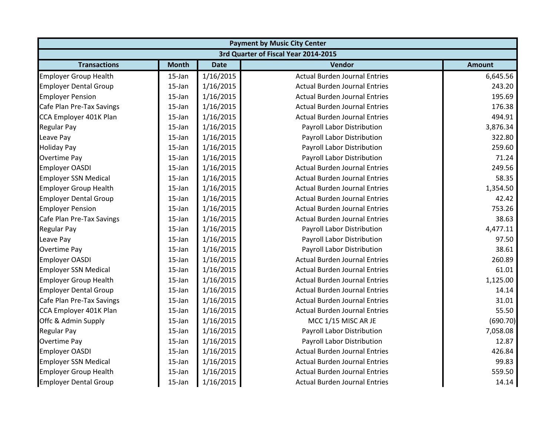|                              | <b>Payment by Music City Center</b>  |             |                                      |               |  |  |
|------------------------------|--------------------------------------|-------------|--------------------------------------|---------------|--|--|
|                              | 3rd Quarter of Fiscal Year 2014-2015 |             |                                      |               |  |  |
| <b>Transactions</b>          | <b>Month</b>                         | <b>Date</b> | Vendor                               | <b>Amount</b> |  |  |
| <b>Employer Group Health</b> | $15$ -Jan                            | 1/16/2015   | <b>Actual Burden Journal Entries</b> | 6,645.56      |  |  |
| <b>Employer Dental Group</b> | $15$ -Jan                            | 1/16/2015   | <b>Actual Burden Journal Entries</b> | 243.20        |  |  |
| <b>Employer Pension</b>      | $15$ -Jan                            | 1/16/2015   | <b>Actual Burden Journal Entries</b> | 195.69        |  |  |
| Cafe Plan Pre-Tax Savings    | 15-Jan                               | 1/16/2015   | <b>Actual Burden Journal Entries</b> | 176.38        |  |  |
| CCA Employer 401K Plan       | 15-Jan                               | 1/16/2015   | <b>Actual Burden Journal Entries</b> | 494.91        |  |  |
| <b>Regular Pay</b>           | $15$ -Jan                            | 1/16/2015   | Payroll Labor Distribution           | 3,876.34      |  |  |
| Leave Pay                    | 15-Jan                               | 1/16/2015   | Payroll Labor Distribution           | 322.80        |  |  |
| <b>Holiday Pay</b>           | 15-Jan                               | 1/16/2015   | Payroll Labor Distribution           | 259.60        |  |  |
| <b>Overtime Pay</b>          | $15$ -Jan                            | 1/16/2015   | Payroll Labor Distribution           | 71.24         |  |  |
| <b>Employer OASDI</b>        | 15-Jan                               | 1/16/2015   | <b>Actual Burden Journal Entries</b> | 249.56        |  |  |
| <b>Employer SSN Medical</b>  | $15$ -Jan                            | 1/16/2015   | <b>Actual Burden Journal Entries</b> | 58.35         |  |  |
| <b>Employer Group Health</b> | $15$ -Jan                            | 1/16/2015   | <b>Actual Burden Journal Entries</b> | 1,354.50      |  |  |
| <b>Employer Dental Group</b> | $15$ -Jan                            | 1/16/2015   | <b>Actual Burden Journal Entries</b> | 42.42         |  |  |
| <b>Employer Pension</b>      | 15-Jan                               | 1/16/2015   | <b>Actual Burden Journal Entries</b> | 753.26        |  |  |
| Cafe Plan Pre-Tax Savings    | 15-Jan                               | 1/16/2015   | <b>Actual Burden Journal Entries</b> | 38.63         |  |  |
| <b>Regular Pay</b>           | 15-Jan                               | 1/16/2015   | Payroll Labor Distribution           | 4,477.11      |  |  |
| Leave Pay                    | 15-Jan                               | 1/16/2015   | Payroll Labor Distribution           | 97.50         |  |  |
| <b>Overtime Pay</b>          | 15-Jan                               | 1/16/2015   | Payroll Labor Distribution           | 38.61         |  |  |
| <b>Employer OASDI</b>        | 15-Jan                               | 1/16/2015   | <b>Actual Burden Journal Entries</b> | 260.89        |  |  |
| <b>Employer SSN Medical</b>  | 15-Jan                               | 1/16/2015   | <b>Actual Burden Journal Entries</b> | 61.01         |  |  |
| <b>Employer Group Health</b> | 15-Jan                               | 1/16/2015   | <b>Actual Burden Journal Entries</b> | 1,125.00      |  |  |
| <b>Employer Dental Group</b> | 15-Jan                               | 1/16/2015   | <b>Actual Burden Journal Entries</b> | 14.14         |  |  |
| Cafe Plan Pre-Tax Savings    | $15$ -Jan                            | 1/16/2015   | <b>Actual Burden Journal Entries</b> | 31.01         |  |  |
| CCA Employer 401K Plan       | 15-Jan                               | 1/16/2015   | <b>Actual Burden Journal Entries</b> | 55.50         |  |  |
| Offc & Admin Supply          | $15$ -Jan                            | 1/16/2015   | MCC 1/15 MISC AR JE                  | (690.70)      |  |  |
| <b>Regular Pay</b>           | $15$ -Jan                            | 1/16/2015   | Payroll Labor Distribution           | 7,058.08      |  |  |
| <b>Overtime Pay</b>          | 15-Jan                               | 1/16/2015   | Payroll Labor Distribution           | 12.87         |  |  |
| <b>Employer OASDI</b>        | $15$ -Jan                            | 1/16/2015   | <b>Actual Burden Journal Entries</b> | 426.84        |  |  |
| <b>Employer SSN Medical</b>  | 15-Jan                               | 1/16/2015   | <b>Actual Burden Journal Entries</b> | 99.83         |  |  |
| <b>Employer Group Health</b> | 15-Jan                               | 1/16/2015   | <b>Actual Burden Journal Entries</b> | 559.50        |  |  |
| <b>Employer Dental Group</b> | 15-Jan                               | 1/16/2015   | <b>Actual Burden Journal Entries</b> | 14.14         |  |  |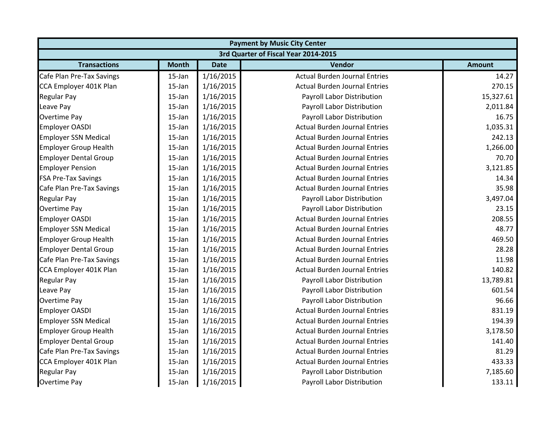|                              | <b>Payment by Music City Center</b>  |             |                                      |               |  |  |  |
|------------------------------|--------------------------------------|-------------|--------------------------------------|---------------|--|--|--|
|                              | 3rd Quarter of Fiscal Year 2014-2015 |             |                                      |               |  |  |  |
| <b>Transactions</b>          | <b>Month</b>                         | <b>Date</b> | Vendor                               | <b>Amount</b> |  |  |  |
| Cafe Plan Pre-Tax Savings    | $15$ -Jan                            | 1/16/2015   | <b>Actual Burden Journal Entries</b> | 14.27         |  |  |  |
| CCA Employer 401K Plan       | $15$ -Jan                            | 1/16/2015   | <b>Actual Burden Journal Entries</b> | 270.15        |  |  |  |
| <b>Regular Pay</b>           | $15$ -Jan                            | 1/16/2015   | Payroll Labor Distribution           | 15,327.61     |  |  |  |
| Leave Pay                    | $15$ -Jan                            | 1/16/2015   | Payroll Labor Distribution           | 2,011.84      |  |  |  |
| <b>Overtime Pay</b>          | $15$ -Jan                            | 1/16/2015   | Payroll Labor Distribution           | 16.75         |  |  |  |
| <b>Employer OASDI</b>        | $15$ -Jan                            | 1/16/2015   | <b>Actual Burden Journal Entries</b> | 1,035.31      |  |  |  |
| <b>Employer SSN Medical</b>  | $15$ -Jan                            | 1/16/2015   | <b>Actual Burden Journal Entries</b> | 242.13        |  |  |  |
| <b>Employer Group Health</b> | 15-Jan                               | 1/16/2015   | <b>Actual Burden Journal Entries</b> | 1,266.00      |  |  |  |
| <b>Employer Dental Group</b> | 15-Jan                               | 1/16/2015   | <b>Actual Burden Journal Entries</b> | 70.70         |  |  |  |
| <b>Employer Pension</b>      | $15$ -Jan                            | 1/16/2015   | <b>Actual Burden Journal Entries</b> | 3,121.85      |  |  |  |
| <b>FSA Pre-Tax Savings</b>   | $15$ -Jan                            | 1/16/2015   | <b>Actual Burden Journal Entries</b> | 14.34         |  |  |  |
| Cafe Plan Pre-Tax Savings    | $15$ -Jan                            | 1/16/2015   | <b>Actual Burden Journal Entries</b> | 35.98         |  |  |  |
| <b>Regular Pay</b>           | $15$ -Jan                            | 1/16/2015   | Payroll Labor Distribution           | 3,497.04      |  |  |  |
| <b>Overtime Pay</b>          | 15-Jan                               | 1/16/2015   | Payroll Labor Distribution           | 23.15         |  |  |  |
| <b>Employer OASDI</b>        | 15-Jan                               | 1/16/2015   | <b>Actual Burden Journal Entries</b> | 208.55        |  |  |  |
| <b>Employer SSN Medical</b>  | $15$ -Jan                            | 1/16/2015   | <b>Actual Burden Journal Entries</b> | 48.77         |  |  |  |
| <b>Employer Group Health</b> | $15$ -Jan                            | 1/16/2015   | <b>Actual Burden Journal Entries</b> | 469.50        |  |  |  |
| <b>Employer Dental Group</b> | $15$ -Jan                            | 1/16/2015   | <b>Actual Burden Journal Entries</b> | 28.28         |  |  |  |
| Cafe Plan Pre-Tax Savings    | $15$ -Jan                            | 1/16/2015   | <b>Actual Burden Journal Entries</b> | 11.98         |  |  |  |
| CCA Employer 401K Plan       | 15-Jan                               | 1/16/2015   | <b>Actual Burden Journal Entries</b> | 140.82        |  |  |  |
| <b>Regular Pay</b>           | 15-Jan                               | 1/16/2015   | Payroll Labor Distribution           | 13,789.81     |  |  |  |
| Leave Pay                    | $15$ -Jan                            | 1/16/2015   | Payroll Labor Distribution           | 601.54        |  |  |  |
| <b>Overtime Pay</b>          | $15$ -Jan                            | 1/16/2015   | <b>Payroll Labor Distribution</b>    | 96.66         |  |  |  |
| <b>Employer OASDI</b>        | $15$ -Jan                            | 1/16/2015   | <b>Actual Burden Journal Entries</b> | 831.19        |  |  |  |
| <b>Employer SSN Medical</b>  | 15-Jan                               | 1/16/2015   | <b>Actual Burden Journal Entries</b> | 194.39        |  |  |  |
| <b>Employer Group Health</b> | 15-Jan                               | 1/16/2015   | <b>Actual Burden Journal Entries</b> | 3,178.50      |  |  |  |
| <b>Employer Dental Group</b> | 15-Jan                               | 1/16/2015   | <b>Actual Burden Journal Entries</b> | 141.40        |  |  |  |
| Cafe Plan Pre-Tax Savings    | $15$ -Jan                            | 1/16/2015   | <b>Actual Burden Journal Entries</b> | 81.29         |  |  |  |
| CCA Employer 401K Plan       | $15$ -Jan                            | 1/16/2015   | <b>Actual Burden Journal Entries</b> | 433.33        |  |  |  |
| <b>Regular Pay</b>           | $15$ -Jan                            | 1/16/2015   | Payroll Labor Distribution           | 7,185.60      |  |  |  |
| <b>Overtime Pay</b>          | 15-Jan                               | 1/16/2015   | Payroll Labor Distribution           | 133.11        |  |  |  |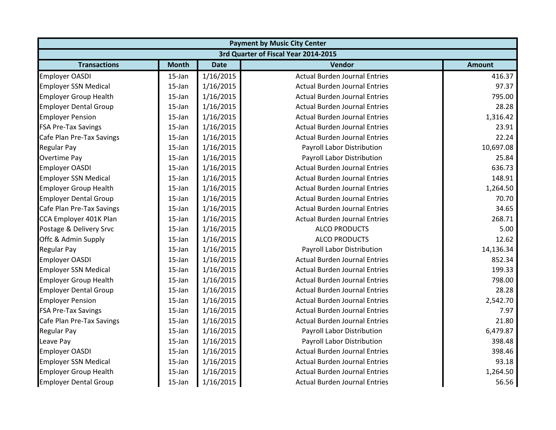|                              | <b>Payment by Music City Center</b>  |             |                                      |               |  |  |  |
|------------------------------|--------------------------------------|-------------|--------------------------------------|---------------|--|--|--|
|                              | 3rd Quarter of Fiscal Year 2014-2015 |             |                                      |               |  |  |  |
| <b>Transactions</b>          | <b>Month</b>                         | <b>Date</b> | <b>Vendor</b>                        | <b>Amount</b> |  |  |  |
| <b>Employer OASDI</b>        | 15-Jan                               | 1/16/2015   | <b>Actual Burden Journal Entries</b> | 416.37        |  |  |  |
| <b>Employer SSN Medical</b>  | $15$ -Jan                            | 1/16/2015   | <b>Actual Burden Journal Entries</b> | 97.37         |  |  |  |
| <b>Employer Group Health</b> | $15$ -Jan                            | 1/16/2015   | <b>Actual Burden Journal Entries</b> | 795.00        |  |  |  |
| <b>Employer Dental Group</b> | 15-Jan                               | 1/16/2015   | <b>Actual Burden Journal Entries</b> | 28.28         |  |  |  |
| <b>Employer Pension</b>      | 15-Jan                               | 1/16/2015   | <b>Actual Burden Journal Entries</b> | 1,316.42      |  |  |  |
| <b>FSA Pre-Tax Savings</b>   | $15$ -Jan                            | 1/16/2015   | <b>Actual Burden Journal Entries</b> | 23.91         |  |  |  |
| Cafe Plan Pre-Tax Savings    | 15-Jan                               | 1/16/2015   | <b>Actual Burden Journal Entries</b> | 22.24         |  |  |  |
| <b>Regular Pay</b>           | 15-Jan                               | 1/16/2015   | Payroll Labor Distribution           | 10,697.08     |  |  |  |
| Overtime Pay                 | 15-Jan                               | 1/16/2015   | Payroll Labor Distribution           | 25.84         |  |  |  |
| <b>Employer OASDI</b>        | 15-Jan                               | 1/16/2015   | <b>Actual Burden Journal Entries</b> | 636.73        |  |  |  |
| <b>Employer SSN Medical</b>  | 15-Jan                               | 1/16/2015   | <b>Actual Burden Journal Entries</b> | 148.91        |  |  |  |
| <b>Employer Group Health</b> | 15-Jan                               | 1/16/2015   | <b>Actual Burden Journal Entries</b> | 1,264.50      |  |  |  |
| <b>Employer Dental Group</b> | $15$ -Jan                            | 1/16/2015   | <b>Actual Burden Journal Entries</b> | 70.70         |  |  |  |
| Cafe Plan Pre-Tax Savings    | $15$ -Jan                            | 1/16/2015   | <b>Actual Burden Journal Entries</b> | 34.65         |  |  |  |
| CCA Employer 401K Plan       | 15-Jan                               | 1/16/2015   | <b>Actual Burden Journal Entries</b> | 268.71        |  |  |  |
| Postage & Delivery Srvc      | 15-Jan                               | 1/16/2015   | <b>ALCO PRODUCTS</b>                 | 5.00          |  |  |  |
| Offc & Admin Supply          | 15-Jan                               | 1/16/2015   | <b>ALCO PRODUCTS</b>                 | 12.62         |  |  |  |
| <b>Regular Pay</b>           | 15-Jan                               | 1/16/2015   | Payroll Labor Distribution           | 14,136.34     |  |  |  |
| <b>Employer OASDI</b>        | 15-Jan                               | 1/16/2015   | <b>Actual Burden Journal Entries</b> | 852.34        |  |  |  |
| <b>Employer SSN Medical</b>  | 15-Jan                               | 1/16/2015   | <b>Actual Burden Journal Entries</b> | 199.33        |  |  |  |
| <b>Employer Group Health</b> | 15-Jan                               | 1/16/2015   | <b>Actual Burden Journal Entries</b> | 798.00        |  |  |  |
| <b>Employer Dental Group</b> | 15-Jan                               | 1/16/2015   | <b>Actual Burden Journal Entries</b> | 28.28         |  |  |  |
| <b>Employer Pension</b>      | $15$ -Jan                            | 1/16/2015   | <b>Actual Burden Journal Entries</b> | 2,542.70      |  |  |  |
| <b>FSA Pre-Tax Savings</b>   | 15-Jan                               | 1/16/2015   | <b>Actual Burden Journal Entries</b> | 7.97          |  |  |  |
| Cafe Plan Pre-Tax Savings    | 15-Jan                               | 1/16/2015   | <b>Actual Burden Journal Entries</b> | 21.80         |  |  |  |
| <b>Regular Pay</b>           | 15-Jan                               | 1/16/2015   | <b>Payroll Labor Distribution</b>    | 6,479.87      |  |  |  |
| Leave Pay                    | 15-Jan                               | 1/16/2015   | Payroll Labor Distribution           | 398.48        |  |  |  |
| <b>Employer OASDI</b>        | 15-Jan                               | 1/16/2015   | <b>Actual Burden Journal Entries</b> | 398.46        |  |  |  |
| <b>Employer SSN Medical</b>  | $15$ -Jan                            | 1/16/2015   | <b>Actual Burden Journal Entries</b> | 93.18         |  |  |  |
| <b>Employer Group Health</b> | $15$ -Jan                            | 1/16/2015   | <b>Actual Burden Journal Entries</b> | 1,264.50      |  |  |  |
| <b>Employer Dental Group</b> | 15-Jan                               | 1/16/2015   | <b>Actual Burden Journal Entries</b> | 56.56         |  |  |  |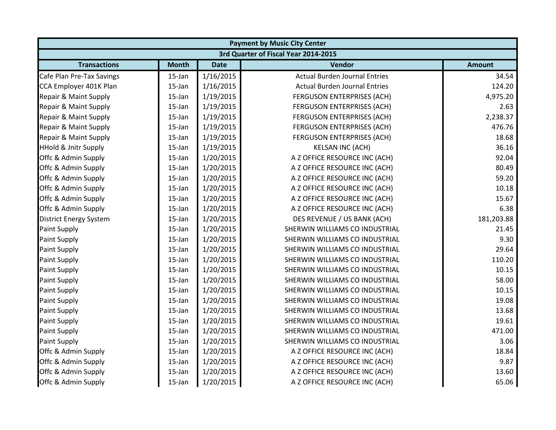|                                 | <b>Payment by Music City Center</b>  |             |                                      |               |  |  |  |
|---------------------------------|--------------------------------------|-------------|--------------------------------------|---------------|--|--|--|
|                                 | 3rd Quarter of Fiscal Year 2014-2015 |             |                                      |               |  |  |  |
| <b>Transactions</b>             | <b>Month</b>                         | <b>Date</b> | <b>Vendor</b>                        | <b>Amount</b> |  |  |  |
| Cafe Plan Pre-Tax Savings       | 15-Jan                               | 1/16/2015   | <b>Actual Burden Journal Entries</b> | 34.54         |  |  |  |
| CCA Employer 401K Plan          | $15$ -Jan                            | 1/16/2015   | <b>Actual Burden Journal Entries</b> | 124.20        |  |  |  |
| Repair & Maint Supply           | 15-Jan                               | 1/19/2015   | FERGUSON ENTERPRISES (ACH)           | 4,975.20      |  |  |  |
| Repair & Maint Supply           | 15-Jan                               | 1/19/2015   | FERGUSON ENTERPRISES (ACH)           | 2.63          |  |  |  |
| Repair & Maint Supply           | 15-Jan                               | 1/19/2015   | FERGUSON ENTERPRISES (ACH)           | 2,238.37      |  |  |  |
| Repair & Maint Supply           | $15$ -Jan                            | 1/19/2015   | FERGUSON ENTERPRISES (ACH)           | 476.76        |  |  |  |
| Repair & Maint Supply           | $15$ -Jan                            | 1/19/2015   | <b>FERGUSON ENTERPRISES (ACH)</b>    | 18.68         |  |  |  |
| <b>HHold &amp; Jnitr Supply</b> | 15-Jan                               | 1/19/2015   | <b>KELSAN INC (ACH)</b>              | 36.16         |  |  |  |
| Offc & Admin Supply             | 15-Jan                               | 1/20/2015   | A Z OFFICE RESOURCE INC (ACH)        | 92.04         |  |  |  |
| Offc & Admin Supply             | 15-Jan                               | 1/20/2015   | A Z OFFICE RESOURCE INC (ACH)        | 80.49         |  |  |  |
| Offc & Admin Supply             | 15-Jan                               | 1/20/2015   | A Z OFFICE RESOURCE INC (ACH)        | 59.20         |  |  |  |
| Offc & Admin Supply             | 15-Jan                               | 1/20/2015   | A Z OFFICE RESOURCE INC (ACH)        | 10.18         |  |  |  |
| Offc & Admin Supply             | $15$ -Jan                            | 1/20/2015   | A Z OFFICE RESOURCE INC (ACH)        | 15.67         |  |  |  |
| Offc & Admin Supply             | 15-Jan                               | 1/20/2015   | A Z OFFICE RESOURCE INC (ACH)        | 6.38          |  |  |  |
| District Energy System          | 15-Jan                               | 1/20/2015   | DES REVENUE / US BANK (ACH)          | 181,203.88    |  |  |  |
| Paint Supply                    | 15-Jan                               | 1/20/2015   | SHERWIN WILLIAMS CO INDUSTRIAL       | 21.45         |  |  |  |
| <b>Paint Supply</b>             | 15-Jan                               | 1/20/2015   | SHERWIN WILLIAMS CO INDUSTRIAL       | 9.30          |  |  |  |
| <b>Paint Supply</b>             | 15-Jan                               | 1/20/2015   | SHERWIN WILLIAMS CO INDUSTRIAL       | 29.64         |  |  |  |
| Paint Supply                    | 15-Jan                               | 1/20/2015   | SHERWIN WILLIAMS CO INDUSTRIAL       | 110.20        |  |  |  |
| <b>Paint Supply</b>             | 15-Jan                               | 1/20/2015   | SHERWIN WILLIAMS CO INDUSTRIAL       | 10.15         |  |  |  |
| <b>Paint Supply</b>             | $15$ -Jan                            | 1/20/2015   | SHERWIN WILLIAMS CO INDUSTRIAL       | 58.00         |  |  |  |
| <b>Paint Supply</b>             | 15-Jan                               | 1/20/2015   | SHERWIN WILLIAMS CO INDUSTRIAL       | 10.15         |  |  |  |
| <b>Paint Supply</b>             | 15-Jan                               | 1/20/2015   | SHERWIN WILLIAMS CO INDUSTRIAL       | 19.08         |  |  |  |
| <b>Paint Supply</b>             | $15$ -Jan                            | 1/20/2015   | SHERWIN WILLIAMS CO INDUSTRIAL       | 13.68         |  |  |  |
| <b>Paint Supply</b>             | 15-Jan                               | 1/20/2015   | SHERWIN WILLIAMS CO INDUSTRIAL       | 19.61         |  |  |  |
| <b>Paint Supply</b>             | 15-Jan                               | 1/20/2015   | SHERWIN WILLIAMS CO INDUSTRIAL       | 471.00        |  |  |  |
| <b>Paint Supply</b>             | $15$ -Jan                            | 1/20/2015   | SHERWIN WILLIAMS CO INDUSTRIAL       | 3.06          |  |  |  |
| Offc & Admin Supply             | $15$ -Jan                            | 1/20/2015   | A Z OFFICE RESOURCE INC (ACH)        | 18.84         |  |  |  |
| Offc & Admin Supply             | 15-Jan                               | 1/20/2015   | A Z OFFICE RESOURCE INC (ACH)        | 9.87          |  |  |  |
| Offc & Admin Supply             | 15-Jan                               | 1/20/2015   | A Z OFFICE RESOURCE INC (ACH)        | 13.60         |  |  |  |
| Offc & Admin Supply             | 15-Jan                               | 1/20/2015   | A Z OFFICE RESOURCE INC (ACH)        | 65.06         |  |  |  |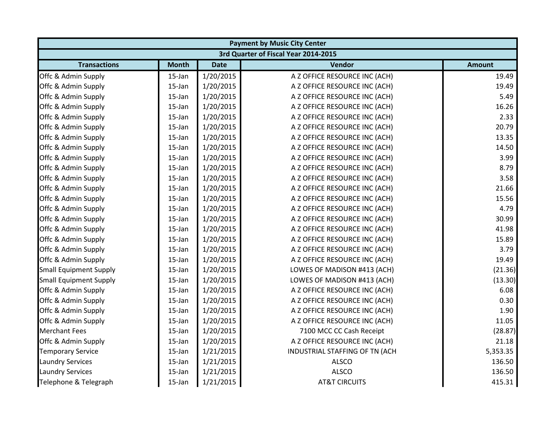|                               |              |             | <b>Payment by Music City Center</b>  |               |
|-------------------------------|--------------|-------------|--------------------------------------|---------------|
|                               |              |             | 3rd Quarter of Fiscal Year 2014-2015 |               |
| <b>Transactions</b>           | <b>Month</b> | <b>Date</b> | Vendor                               | <b>Amount</b> |
| Offc & Admin Supply           | 15-Jan       | 1/20/2015   | A Z OFFICE RESOURCE INC (ACH)        | 19.49         |
| Offc & Admin Supply           | $15$ -Jan    | 1/20/2015   | A Z OFFICE RESOURCE INC (ACH)        | 19.49         |
| Offc & Admin Supply           | 15-Jan       | 1/20/2015   | A Z OFFICE RESOURCE INC (ACH)        | 5.49          |
| Offc & Admin Supply           | 15-Jan       | 1/20/2015   | A Z OFFICE RESOURCE INC (ACH)        | 16.26         |
| Offc & Admin Supply           | 15-Jan       | 1/20/2015   | A Z OFFICE RESOURCE INC (ACH)        | 2.33          |
| Offc & Admin Supply           | 15-Jan       | 1/20/2015   | A Z OFFICE RESOURCE INC (ACH)        | 20.79         |
| Offc & Admin Supply           | 15-Jan       | 1/20/2015   | A Z OFFICE RESOURCE INC (ACH)        | 13.35         |
| Offc & Admin Supply           | 15-Jan       | 1/20/2015   | A Z OFFICE RESOURCE INC (ACH)        | 14.50         |
| Offc & Admin Supply           | 15-Jan       | 1/20/2015   | A Z OFFICE RESOURCE INC (ACH)        | 3.99          |
| Offc & Admin Supply           | 15-Jan       | 1/20/2015   | A Z OFFICE RESOURCE INC (ACH)        | 8.79          |
| Offc & Admin Supply           | 15-Jan       | 1/20/2015   | A Z OFFICE RESOURCE INC (ACH)        | 3.58          |
| Offc & Admin Supply           | $15$ -Jan    | 1/20/2015   | A Z OFFICE RESOURCE INC (ACH)        | 21.66         |
| Offc & Admin Supply           | 15-Jan       | 1/20/2015   | A Z OFFICE RESOURCE INC (ACH)        | 15.56         |
| Offc & Admin Supply           | 15-Jan       | 1/20/2015   | A Z OFFICE RESOURCE INC (ACH)        | 4.79          |
| Offc & Admin Supply           | 15-Jan       | 1/20/2015   | A Z OFFICE RESOURCE INC (ACH)        | 30.99         |
| Offc & Admin Supply           | 15-Jan       | 1/20/2015   | A Z OFFICE RESOURCE INC (ACH)        | 41.98         |
| Offc & Admin Supply           | 15-Jan       | 1/20/2015   | A Z OFFICE RESOURCE INC (ACH)        | 15.89         |
| Offc & Admin Supply           | 15-Jan       | 1/20/2015   | A Z OFFICE RESOURCE INC (ACH)        | 3.79          |
| Offc & Admin Supply           | 15-Jan       | 1/20/2015   | A Z OFFICE RESOURCE INC (ACH)        | 19.49         |
| <b>Small Equipment Supply</b> | 15-Jan       | 1/20/2015   | LOWES OF MADISON #413 (ACH)          | (21.36)       |
| <b>Small Equipment Supply</b> | 15-Jan       | 1/20/2015   | LOWES OF MADISON #413 (ACH)          | (13.30)       |
| Offc & Admin Supply           | 15-Jan       | 1/20/2015   | A Z OFFICE RESOURCE INC (ACH)        | 6.08          |
| Offc & Admin Supply           | 15-Jan       | 1/20/2015   | A Z OFFICE RESOURCE INC (ACH)        | 0.30          |
| Offc & Admin Supply           | 15-Jan       | 1/20/2015   | A Z OFFICE RESOURCE INC (ACH)        | 1.90          |
| Offc & Admin Supply           | $15$ -Jan    | 1/20/2015   | A Z OFFICE RESOURCE INC (ACH)        | 11.05         |
| <b>Merchant Fees</b>          | $15$ -Jan    | 1/20/2015   | 7100 MCC CC Cash Receipt             | (28.87)       |
| Offc & Admin Supply           | 15-Jan       | 1/20/2015   | A Z OFFICE RESOURCE INC (ACH)        | 21.18         |
| <b>Temporary Service</b>      | 15-Jan       | 1/21/2015   | INDUSTRIAL STAFFING OF TN (ACH       | 5,353.35      |
| <b>Laundry Services</b>       | 15-Jan       | 1/21/2015   | <b>ALSCO</b>                         | 136.50        |
| <b>Laundry Services</b>       | 15-Jan       | 1/21/2015   | <b>ALSCO</b>                         | 136.50        |
| Telephone & Telegraph         | 15-Jan       | 1/21/2015   | <b>AT&amp;T CIRCUITS</b>             | 415.31        |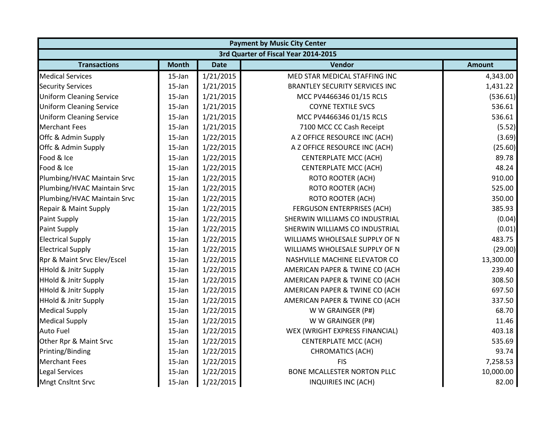|                                 | <b>Payment by Music City Center</b>  |             |                                       |               |  |  |  |
|---------------------------------|--------------------------------------|-------------|---------------------------------------|---------------|--|--|--|
|                                 | 3rd Quarter of Fiscal Year 2014-2015 |             |                                       |               |  |  |  |
| <b>Transactions</b>             | <b>Month</b>                         | <b>Date</b> | Vendor                                | <b>Amount</b> |  |  |  |
| <b>Medical Services</b>         | 15-Jan                               | 1/21/2015   | MED STAR MEDICAL STAFFING INC         | 4,343.00      |  |  |  |
| <b>Security Services</b>        | 15-Jan                               | 1/21/2015   | <b>BRANTLEY SECURITY SERVICES INC</b> | 1,431.22      |  |  |  |
| <b>Uniform Cleaning Service</b> | $15$ -Jan                            | 1/21/2015   | MCC PV4466346 01/15 RCLS              | (536.61)      |  |  |  |
| <b>Uniform Cleaning Service</b> | 15-Jan                               | 1/21/2015   | <b>COYNE TEXTILE SVCS</b>             | 536.61        |  |  |  |
| <b>Uniform Cleaning Service</b> | 15-Jan                               | 1/21/2015   | MCC PV4466346 01/15 RCLS              | 536.61        |  |  |  |
| <b>Merchant Fees</b>            | 15-Jan                               | 1/21/2015   | 7100 MCC CC Cash Receipt              | (5.52)        |  |  |  |
| Offc & Admin Supply             | 15-Jan                               | 1/22/2015   | A Z OFFICE RESOURCE INC (ACH)         | (3.69)        |  |  |  |
| Offc & Admin Supply             | 15-Jan                               | 1/22/2015   | A Z OFFICE RESOURCE INC (ACH)         | (25.60)       |  |  |  |
| Food & Ice                      | 15-Jan                               | 1/22/2015   | <b>CENTERPLATE MCC (ACH)</b>          | 89.78         |  |  |  |
| Food & Ice                      | 15-Jan                               | 1/22/2015   | <b>CENTERPLATE MCC (ACH)</b>          | 48.24         |  |  |  |
| Plumbing/HVAC Maintain Srvc     | 15-Jan                               | 1/22/2015   | <b>ROTO ROOTER (ACH)</b>              | 910.00        |  |  |  |
| Plumbing/HVAC Maintain Srvc     | 15-Jan                               | 1/22/2015   | <b>ROTO ROOTER (ACH)</b>              | 525.00        |  |  |  |
| Plumbing/HVAC Maintain Srvc     | $15$ -Jan                            | 1/22/2015   | <b>ROTO ROOTER (ACH)</b>              | 350.00        |  |  |  |
| Repair & Maint Supply           | 15-Jan                               | 1/22/2015   | <b>FERGUSON ENTERPRISES (ACH)</b>     | 385.93        |  |  |  |
| <b>Paint Supply</b>             | 15-Jan                               | 1/22/2015   | SHERWIN WILLIAMS CO INDUSTRIAL        | (0.04)        |  |  |  |
| <b>Paint Supply</b>             | 15-Jan                               | 1/22/2015   | SHERWIN WILLIAMS CO INDUSTRIAL        | (0.01)        |  |  |  |
| <b>Electrical Supply</b>        | 15-Jan                               | 1/22/2015   | WILLIAMS WHOLESALE SUPPLY OF N        | 483.75        |  |  |  |
| <b>Electrical Supply</b>        | 15-Jan                               | 1/22/2015   | WILLIAMS WHOLESALE SUPPLY OF N        | (29.00)       |  |  |  |
| Rpr & Maint Srvc Elev/Escel     | 15-Jan                               | 1/22/2015   | NASHVILLE MACHINE ELEVATOR CO         | 13,300.00     |  |  |  |
| <b>HHold &amp; Jnitr Supply</b> | 15-Jan                               | 1/22/2015   | AMERICAN PAPER & TWINE CO (ACH        | 239.40        |  |  |  |
| <b>HHold &amp; Jnitr Supply</b> | 15-Jan                               | 1/22/2015   | AMERICAN PAPER & TWINE CO (ACH        | 308.50        |  |  |  |
| <b>HHold &amp; Jnitr Supply</b> | 15-Jan                               | 1/22/2015   | AMERICAN PAPER & TWINE CO (ACH        | 697.50        |  |  |  |
| <b>HHold &amp; Jnitr Supply</b> | 15-Jan                               | 1/22/2015   | AMERICAN PAPER & TWINE CO (ACH        | 337.50        |  |  |  |
| <b>Medical Supply</b>           | 15-Jan                               | 1/22/2015   | W W GRAINGER (P#)                     | 68.70         |  |  |  |
| <b>Medical Supply</b>           | 15-Jan                               | 1/22/2015   | W W GRAINGER (P#)                     | 11.46         |  |  |  |
| <b>Auto Fuel</b>                | 15-Jan                               | 1/22/2015   | WEX (WRIGHT EXPRESS FINANCIAL)        | 403.18        |  |  |  |
| Other Rpr & Maint Srvc          | 15-Jan                               | 1/22/2015   | <b>CENTERPLATE MCC (ACH)</b>          | 535.69        |  |  |  |
| Printing/Binding                | 15-Jan                               | 1/22/2015   | <b>CHROMATICS (ACH)</b>               | 93.74         |  |  |  |
| <b>Merchant Fees</b>            | 15-Jan                               | 1/22/2015   | <b>FIS</b>                            | 7,258.53      |  |  |  |
| <b>Legal Services</b>           | 15-Jan                               | 1/22/2015   | <b>BONE MCALLESTER NORTON PLLC</b>    | 10,000.00     |  |  |  |
| <b>Mngt Cnsltnt Srvc</b>        | 15-Jan                               | 1/22/2015   | <b>INQUIRIES INC (ACH)</b>            | 82.00         |  |  |  |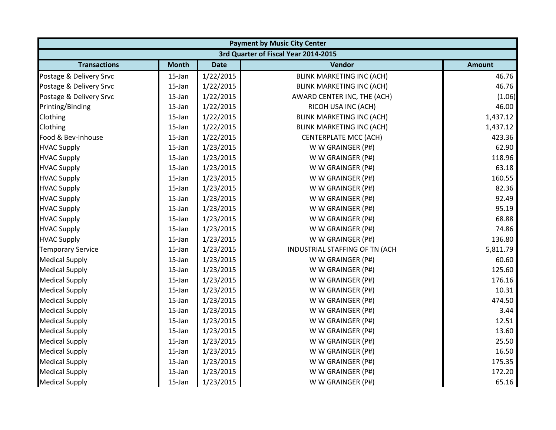|                          |              |             | <b>Payment by Music City Center</b>  |               |  |  |  |  |
|--------------------------|--------------|-------------|--------------------------------------|---------------|--|--|--|--|
|                          |              |             | 3rd Quarter of Fiscal Year 2014-2015 |               |  |  |  |  |
| <b>Transactions</b>      | <b>Month</b> | <b>Date</b> | Vendor                               | <b>Amount</b> |  |  |  |  |
| Postage & Delivery Srvc  | 15-Jan       | 1/22/2015   | <b>BLINK MARKETING INC (ACH)</b>     | 46.76         |  |  |  |  |
| Postage & Delivery Srvc  | $15$ -Jan    | 1/22/2015   | <b>BLINK MARKETING INC (ACH)</b>     | 46.76         |  |  |  |  |
| Postage & Delivery Srvc  | 15-Jan       | 1/22/2015   | AWARD CENTER INC, THE (ACH)          | (1.06)        |  |  |  |  |
| Printing/Binding         | 15-Jan       | 1/22/2015   | RICOH USA INC (ACH)                  | 46.00         |  |  |  |  |
| Clothing                 | 15-Jan       | 1/22/2015   | <b>BLINK MARKETING INC (ACH)</b>     | 1,437.12      |  |  |  |  |
| Clothing                 | 15-Jan       | 1/22/2015   | <b>BLINK MARKETING INC (ACH)</b>     | 1,437.12      |  |  |  |  |
| Food & Bev-Inhouse       | 15-Jan       | 1/22/2015   | <b>CENTERPLATE MCC (ACH)</b>         | 423.36        |  |  |  |  |
| <b>HVAC Supply</b>       | 15-Jan       | 1/23/2015   | W W GRAINGER (P#)                    | 62.90         |  |  |  |  |
| <b>HVAC Supply</b>       | 15-Jan       | 1/23/2015   | W W GRAINGER (P#)                    | 118.96        |  |  |  |  |
| <b>HVAC Supply</b>       | 15-Jan       | 1/23/2015   | W W GRAINGER (P#)                    | 63.18         |  |  |  |  |
| <b>HVAC Supply</b>       | 15-Jan       | 1/23/2015   | W W GRAINGER (P#)                    | 160.55        |  |  |  |  |
| <b>HVAC Supply</b>       | 15-Jan       | 1/23/2015   | W W GRAINGER (P#)                    | 82.36         |  |  |  |  |
| <b>HVAC Supply</b>       | 15-Jan       | 1/23/2015   | W W GRAINGER (P#)                    | 92.49         |  |  |  |  |
| <b>HVAC Supply</b>       | 15-Jan       | 1/23/2015   | W W GRAINGER (P#)                    | 95.19         |  |  |  |  |
| <b>HVAC Supply</b>       | 15-Jan       | 1/23/2015   | W W GRAINGER (P#)                    | 68.88         |  |  |  |  |
| <b>HVAC Supply</b>       | 15-Jan       | 1/23/2015   | W W GRAINGER (P#)                    | 74.86         |  |  |  |  |
| <b>HVAC Supply</b>       | 15-Jan       | 1/23/2015   | W W GRAINGER (P#)                    | 136.80        |  |  |  |  |
| <b>Temporary Service</b> | 15-Jan       | 1/23/2015   | INDUSTRIAL STAFFING OF TN (ACH       | 5,811.79      |  |  |  |  |
| <b>Medical Supply</b>    | 15-Jan       | 1/23/2015   | W W GRAINGER (P#)                    | 60.60         |  |  |  |  |
| <b>Medical Supply</b>    | 15-Jan       | 1/23/2015   | W W GRAINGER (P#)                    | 125.60        |  |  |  |  |
| <b>Medical Supply</b>    | 15-Jan       | 1/23/2015   | W W GRAINGER (P#)                    | 176.16        |  |  |  |  |
| <b>Medical Supply</b>    | 15-Jan       | 1/23/2015   | W W GRAINGER (P#)                    | 10.31         |  |  |  |  |
| <b>Medical Supply</b>    | 15-Jan       | 1/23/2015   | W W GRAINGER (P#)                    | 474.50        |  |  |  |  |
| <b>Medical Supply</b>    | 15-Jan       | 1/23/2015   | W W GRAINGER (P#)                    | 3.44          |  |  |  |  |
| <b>Medical Supply</b>    | 15-Jan       | 1/23/2015   | W W GRAINGER (P#)                    | 12.51         |  |  |  |  |
| <b>Medical Supply</b>    | 15-Jan       | 1/23/2015   | W W GRAINGER (P#)                    | 13.60         |  |  |  |  |
| <b>Medical Supply</b>    | 15-Jan       | 1/23/2015   | W W GRAINGER (P#)                    | 25.50         |  |  |  |  |
| <b>Medical Supply</b>    | 15-Jan       | 1/23/2015   | W W GRAINGER (P#)                    | 16.50         |  |  |  |  |
| <b>Medical Supply</b>    | 15-Jan       | 1/23/2015   | W W GRAINGER (P#)                    | 175.35        |  |  |  |  |
| <b>Medical Supply</b>    | 15-Jan       | 1/23/2015   | W W GRAINGER (P#)                    | 172.20        |  |  |  |  |
| <b>Medical Supply</b>    | 15-Jan       | 1/23/2015   | W W GRAINGER (P#)                    | 65.16         |  |  |  |  |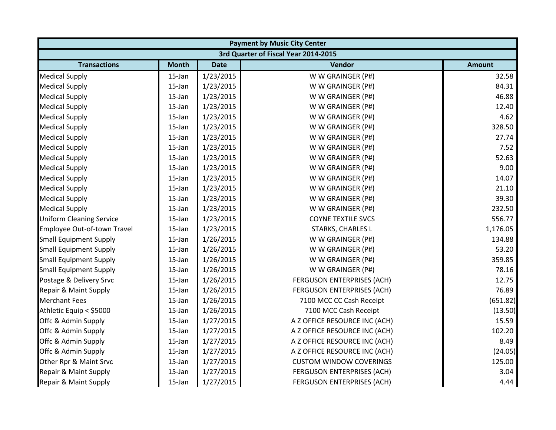|                                 | <b>Payment by Music City Center</b>  |             |                                   |               |  |  |  |
|---------------------------------|--------------------------------------|-------------|-----------------------------------|---------------|--|--|--|
|                                 | 3rd Quarter of Fiscal Year 2014-2015 |             |                                   |               |  |  |  |
| <b>Transactions</b>             | <b>Month</b>                         | <b>Date</b> | Vendor                            | <b>Amount</b> |  |  |  |
| <b>Medical Supply</b>           | 15-Jan                               | 1/23/2015   | W W GRAINGER (P#)                 | 32.58         |  |  |  |
| <b>Medical Supply</b>           | 15-Jan                               | 1/23/2015   | W W GRAINGER (P#)                 | 84.31         |  |  |  |
| <b>Medical Supply</b>           | 15-Jan                               | 1/23/2015   | W W GRAINGER (P#)                 | 46.88         |  |  |  |
| <b>Medical Supply</b>           | 15-Jan                               | 1/23/2015   | W W GRAINGER (P#)                 | 12.40         |  |  |  |
| <b>Medical Supply</b>           | 15-Jan                               | 1/23/2015   | W W GRAINGER (P#)                 | 4.62          |  |  |  |
| <b>Medical Supply</b>           | 15-Jan                               | 1/23/2015   | W W GRAINGER (P#)                 | 328.50        |  |  |  |
| <b>Medical Supply</b>           | 15-Jan                               | 1/23/2015   | W W GRAINGER (P#)                 | 27.74         |  |  |  |
| <b>Medical Supply</b>           | 15-Jan                               | 1/23/2015   | W W GRAINGER (P#)                 | 7.52          |  |  |  |
| <b>Medical Supply</b>           | 15-Jan                               | 1/23/2015   | W W GRAINGER (P#)                 | 52.63         |  |  |  |
| <b>Medical Supply</b>           | 15-Jan                               | 1/23/2015   | W W GRAINGER (P#)                 | 9.00          |  |  |  |
| <b>Medical Supply</b>           | 15-Jan                               | 1/23/2015   | W W GRAINGER (P#)                 | 14.07         |  |  |  |
| <b>Medical Supply</b>           | 15-Jan                               | 1/23/2015   | W W GRAINGER (P#)                 | 21.10         |  |  |  |
| <b>Medical Supply</b>           | 15-Jan                               | 1/23/2015   | W W GRAINGER (P#)                 | 39.30         |  |  |  |
| <b>Medical Supply</b>           | 15-Jan                               | 1/23/2015   | W W GRAINGER (P#)                 | 232.50        |  |  |  |
| <b>Uniform Cleaning Service</b> | 15-Jan                               | 1/23/2015   | <b>COYNE TEXTILE SVCS</b>         | 556.77        |  |  |  |
| Employee Out-of-town Travel     | 15-Jan                               | 1/23/2015   | STARKS, CHARLES L                 | 1,176.05      |  |  |  |
| <b>Small Equipment Supply</b>   | 15-Jan                               | 1/26/2015   | W W GRAINGER (P#)                 | 134.88        |  |  |  |
| <b>Small Equipment Supply</b>   | 15-Jan                               | 1/26/2015   | W W GRAINGER (P#)                 | 53.20         |  |  |  |
| <b>Small Equipment Supply</b>   | 15-Jan                               | 1/26/2015   | W W GRAINGER (P#)                 | 359.85        |  |  |  |
| <b>Small Equipment Supply</b>   | 15-Jan                               | 1/26/2015   | W W GRAINGER (P#)                 | 78.16         |  |  |  |
| Postage & Delivery Srvc         | 15-Jan                               | 1/26/2015   | <b>FERGUSON ENTERPRISES (ACH)</b> | 12.75         |  |  |  |
| Repair & Maint Supply           | 15-Jan                               | 1/26/2015   | <b>FERGUSON ENTERPRISES (ACH)</b> | 76.89         |  |  |  |
| <b>Merchant Fees</b>            | 15-Jan                               | 1/26/2015   | 7100 MCC CC Cash Receipt          | (651.82)      |  |  |  |
| Athletic Equip < \$5000         | 15-Jan                               | 1/26/2015   | 7100 MCC Cash Receipt             | (13.50)       |  |  |  |
| Offc & Admin Supply             | 15-Jan                               | 1/27/2015   | A Z OFFICE RESOURCE INC (ACH)     | 15.59         |  |  |  |
| Offc & Admin Supply             | 15-Jan                               | 1/27/2015   | A Z OFFICE RESOURCE INC (ACH)     | 102.20        |  |  |  |
| Offc & Admin Supply             | 15-Jan                               | 1/27/2015   | A Z OFFICE RESOURCE INC (ACH)     | 8.49          |  |  |  |
| Offc & Admin Supply             | 15-Jan                               | 1/27/2015   | A Z OFFICE RESOURCE INC (ACH)     | (24.05)       |  |  |  |
| Other Rpr & Maint Srvc          | 15-Jan                               | 1/27/2015   | <b>CUSTOM WINDOW COVERINGS</b>    | 125.00        |  |  |  |
| Repair & Maint Supply           | 15-Jan                               | 1/27/2015   | FERGUSON ENTERPRISES (ACH)        | 3.04          |  |  |  |
| Repair & Maint Supply           | 15-Jan                               | 1/27/2015   | <b>FERGUSON ENTERPRISES (ACH)</b> | 4.44          |  |  |  |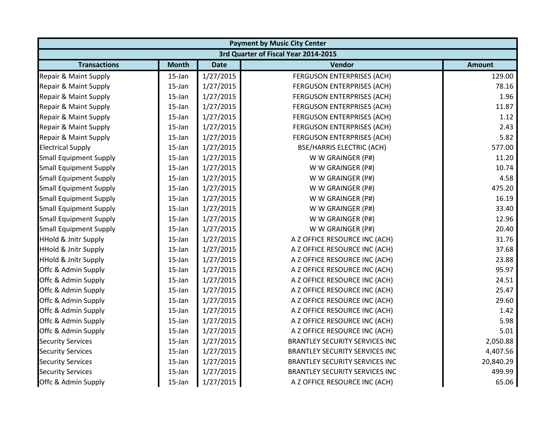| <b>Payment by Music City Center</b> |                                      |             |                                       |               |  |  |  |
|-------------------------------------|--------------------------------------|-------------|---------------------------------------|---------------|--|--|--|
|                                     | 3rd Quarter of Fiscal Year 2014-2015 |             |                                       |               |  |  |  |
| <b>Transactions</b>                 | <b>Month</b>                         | <b>Date</b> | Vendor                                | <b>Amount</b> |  |  |  |
| Repair & Maint Supply               | 15-Jan                               | 1/27/2015   | <b>FERGUSON ENTERPRISES (ACH)</b>     | 129.00        |  |  |  |
| Repair & Maint Supply               | $15$ -Jan                            | 1/27/2015   | FERGUSON ENTERPRISES (ACH)            | 78.16         |  |  |  |
| Repair & Maint Supply               | 15-Jan                               | 1/27/2015   | FERGUSON ENTERPRISES (ACH)            | 1.96          |  |  |  |
| Repair & Maint Supply               | 15-Jan                               | 1/27/2015   | FERGUSON ENTERPRISES (ACH)            | 11.87         |  |  |  |
| Repair & Maint Supply               | 15-Jan                               | 1/27/2015   | FERGUSON ENTERPRISES (ACH)            | 1.12          |  |  |  |
| Repair & Maint Supply               | $15$ -Jan                            | 1/27/2015   | FERGUSON ENTERPRISES (ACH)            | 2.43          |  |  |  |
| Repair & Maint Supply               | 15-Jan                               | 1/27/2015   | FERGUSON ENTERPRISES (ACH)            | 5.82          |  |  |  |
| <b>Electrical Supply</b>            | $15$ -Jan                            | 1/27/2015   | <b>BSE/HARRIS ELECTRIC (ACH)</b>      | 577.00        |  |  |  |
| <b>Small Equipment Supply</b>       | 15-Jan                               | 1/27/2015   | W W GRAINGER (P#)                     | 11.20         |  |  |  |
| <b>Small Equipment Supply</b>       | 15-Jan                               | 1/27/2015   | W W GRAINGER (P#)                     | 10.74         |  |  |  |
| <b>Small Equipment Supply</b>       | 15-Jan                               | 1/27/2015   | W W GRAINGER (P#)                     | 4.58          |  |  |  |
| <b>Small Equipment Supply</b>       | 15-Jan                               | 1/27/2015   | W W GRAINGER (P#)                     | 475.20        |  |  |  |
| <b>Small Equipment Supply</b>       | 15-Jan                               | 1/27/2015   | W W GRAINGER (P#)                     | 16.19         |  |  |  |
| <b>Small Equipment Supply</b>       | 15-Jan                               | 1/27/2015   | W W GRAINGER (P#)                     | 33.40         |  |  |  |
| <b>Small Equipment Supply</b>       | 15-Jan                               | 1/27/2015   | W W GRAINGER (P#)                     | 12.96         |  |  |  |
| <b>Small Equipment Supply</b>       | $15$ -Jan                            | 1/27/2015   | W W GRAINGER (P#)                     | 20.40         |  |  |  |
| <b>HHold &amp; Jnitr Supply</b>     | 15-Jan                               | 1/27/2015   | A Z OFFICE RESOURCE INC (ACH)         | 31.76         |  |  |  |
| <b>HHold &amp; Jnitr Supply</b>     | 15-Jan                               | 1/27/2015   | A Z OFFICE RESOURCE INC (ACH)         | 37.68         |  |  |  |
| <b>HHold &amp; Jnitr Supply</b>     | $15$ -Jan                            | 1/27/2015   | A Z OFFICE RESOURCE INC (ACH)         | 23.88         |  |  |  |
| Offc & Admin Supply                 | 15-Jan                               | 1/27/2015   | A Z OFFICE RESOURCE INC (ACH)         | 95.97         |  |  |  |
| Offc & Admin Supply                 | 15-Jan                               | 1/27/2015   | A Z OFFICE RESOURCE INC (ACH)         | 24.51         |  |  |  |
| Offc & Admin Supply                 | 15-Jan                               | 1/27/2015   | A Z OFFICE RESOURCE INC (ACH)         | 25.47         |  |  |  |
| Offc & Admin Supply                 | 15-Jan                               | 1/27/2015   | A Z OFFICE RESOURCE INC (ACH)         | 29.60         |  |  |  |
| Offc & Admin Supply                 | $15$ -Jan                            | 1/27/2015   | A Z OFFICE RESOURCE INC (ACH)         | 1.42          |  |  |  |
| Offc & Admin Supply                 | $15$ -Jan                            | 1/27/2015   | A Z OFFICE RESOURCE INC (ACH)         | 5.98          |  |  |  |
| Offc & Admin Supply                 | $15$ -Jan                            | 1/27/2015   | A Z OFFICE RESOURCE INC (ACH)         | 5.01          |  |  |  |
| <b>Security Services</b>            | 15-Jan                               | 1/27/2015   | <b>BRANTLEY SECURITY SERVICES INC</b> | 2,050.88      |  |  |  |
| <b>Security Services</b>            | 15-Jan                               | 1/27/2015   | <b>BRANTLEY SECURITY SERVICES INC</b> | 4,407.56      |  |  |  |
| <b>Security Services</b>            | 15-Jan                               | 1/27/2015   | <b>BRANTLEY SECURITY SERVICES INC</b> | 20,840.29     |  |  |  |
| <b>Security Services</b>            | 15-Jan                               | 1/27/2015   | <b>BRANTLEY SECURITY SERVICES INC</b> | 499.99        |  |  |  |
| Offc & Admin Supply                 | 15-Jan                               | 1/27/2015   | A Z OFFICE RESOURCE INC (ACH)         | 65.06         |  |  |  |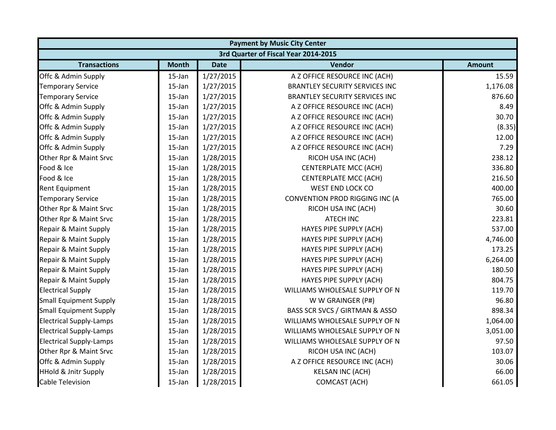|                                 | <b>Payment by Music City Center</b> |             |                                       |               |  |  |
|---------------------------------|-------------------------------------|-------------|---------------------------------------|---------------|--|--|
|                                 |                                     |             | 3rd Quarter of Fiscal Year 2014-2015  |               |  |  |
| <b>Transactions</b>             | <b>Month</b>                        | <b>Date</b> | Vendor                                | <b>Amount</b> |  |  |
| Offc & Admin Supply             | 15-Jan                              | 1/27/2015   | A Z OFFICE RESOURCE INC (ACH)         | 15.59         |  |  |
| <b>Temporary Service</b>        | $15$ -Jan                           | 1/27/2015   | <b>BRANTLEY SECURITY SERVICES INC</b> | 1,176.08      |  |  |
| <b>Temporary Service</b>        | 15-Jan                              | 1/27/2015   | <b>BRANTLEY SECURITY SERVICES INC</b> | 876.60        |  |  |
| Offc & Admin Supply             | 15-Jan                              | 1/27/2015   | A Z OFFICE RESOURCE INC (ACH)         | 8.49          |  |  |
| Offc & Admin Supply             | 15-Jan                              | 1/27/2015   | A Z OFFICE RESOURCE INC (ACH)         | 30.70         |  |  |
| Offc & Admin Supply             | 15-Jan                              | 1/27/2015   | A Z OFFICE RESOURCE INC (ACH)         | (8.35)        |  |  |
| Offc & Admin Supply             | $15$ -Jan                           | 1/27/2015   | A Z OFFICE RESOURCE INC (ACH)         | 12.00         |  |  |
| Offc & Admin Supply             | $15$ -Jan                           | 1/27/2015   | A Z OFFICE RESOURCE INC (ACH)         | 7.29          |  |  |
| Other Rpr & Maint Srvc          | $15$ -Jan                           | 1/28/2015   | RICOH USA INC (ACH)                   | 238.12        |  |  |
| Food & Ice                      | 15-Jan                              | 1/28/2015   | <b>CENTERPLATE MCC (ACH)</b>          | 336.80        |  |  |
| Food & Ice                      | 15-Jan                              | 1/28/2015   | <b>CENTERPLATE MCC (ACH)</b>          | 216.50        |  |  |
| <b>Rent Equipment</b>           | $15$ -Jan                           | 1/28/2015   | <b>WEST END LOCK CO</b>               | 400.00        |  |  |
| <b>Temporary Service</b>        | 15-Jan                              | 1/28/2015   | CONVENTION PROD RIGGING INC (A        | 765.00        |  |  |
| Other Rpr & Maint Srvc          | 15-Jan                              | 1/28/2015   | RICOH USA INC (ACH)                   | 30.60         |  |  |
| Other Rpr & Maint Srvc          | 15-Jan                              | 1/28/2015   | <b>ATECH INC</b>                      | 223.81        |  |  |
| Repair & Maint Supply           | 15-Jan                              | 1/28/2015   | HAYES PIPE SUPPLY (ACH)               | 537.00        |  |  |
| Repair & Maint Supply           | 15-Jan                              | 1/28/2015   | HAYES PIPE SUPPLY (ACH)               | 4,746.00      |  |  |
| Repair & Maint Supply           | $15$ -Jan                           | 1/28/2015   | HAYES PIPE SUPPLY (ACH)               | 173.25        |  |  |
| Repair & Maint Supply           | $15$ -Jan                           | 1/28/2015   | HAYES PIPE SUPPLY (ACH)               | 6,264.00      |  |  |
| Repair & Maint Supply           | 15-Jan                              | 1/28/2015   | HAYES PIPE SUPPLY (ACH)               | 180.50        |  |  |
| Repair & Maint Supply           | 15-Jan                              | 1/28/2015   | HAYES PIPE SUPPLY (ACH)               | 804.75        |  |  |
| <b>Electrical Supply</b>        | 15-Jan                              | 1/28/2015   | WILLIAMS WHOLESALE SUPPLY OF N        | 119.70        |  |  |
| <b>Small Equipment Supply</b>   | $15$ -Jan                           | 1/28/2015   | W W GRAINGER (P#)                     | 96.80         |  |  |
| <b>Small Equipment Supply</b>   | $15$ -Jan                           | 1/28/2015   | BASS SCR SVCS / GIRTMAN & ASSO        | 898.34        |  |  |
| <b>Electrical Supply-Lamps</b>  | $15$ -Jan                           | 1/28/2015   | WILLIAMS WHOLESALE SUPPLY OF N        | 1,064.00      |  |  |
| <b>Electrical Supply-Lamps</b>  | $15$ -Jan                           | 1/28/2015   | WILLIAMS WHOLESALE SUPPLY OF N        | 3,051.00      |  |  |
| <b>Electrical Supply-Lamps</b>  | 15-Jan                              | 1/28/2015   | WILLIAMS WHOLESALE SUPPLY OF N        | 97.50         |  |  |
| Other Rpr & Maint Srvc          | 15-Jan                              | 1/28/2015   | RICOH USA INC (ACH)                   | 103.07        |  |  |
| Offc & Admin Supply             | $15$ -Jan                           | 1/28/2015   | A Z OFFICE RESOURCE INC (ACH)         | 30.06         |  |  |
| <b>HHold &amp; Jnitr Supply</b> | 15-Jan                              | 1/28/2015   | <b>KELSAN INC (ACH)</b>               | 66.00         |  |  |
| <b>Cable Television</b>         | 15-Jan                              | 1/28/2015   | <b>COMCAST (ACH)</b>                  | 661.05        |  |  |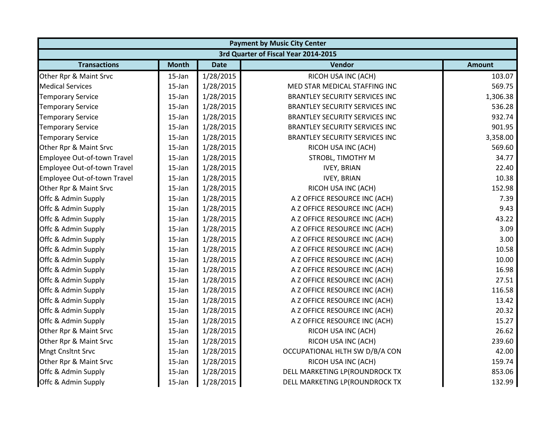|                             | <b>Payment by Music City Center</b>  |             |                                       |               |  |  |  |
|-----------------------------|--------------------------------------|-------------|---------------------------------------|---------------|--|--|--|
|                             | 3rd Quarter of Fiscal Year 2014-2015 |             |                                       |               |  |  |  |
| <b>Transactions</b>         | <b>Month</b>                         | <b>Date</b> | Vendor                                | <b>Amount</b> |  |  |  |
| Other Rpr & Maint Srvc      | 15-Jan                               | 1/28/2015   | RICOH USA INC (ACH)                   | 103.07        |  |  |  |
| <b>Medical Services</b>     | $15$ -Jan                            | 1/28/2015   | MED STAR MEDICAL STAFFING INC         | 569.75        |  |  |  |
| <b>Temporary Service</b>    | 15-Jan                               | 1/28/2015   | <b>BRANTLEY SECURITY SERVICES INC</b> | 1,306.38      |  |  |  |
| <b>Temporary Service</b>    | 15-Jan                               | 1/28/2015   | <b>BRANTLEY SECURITY SERVICES INC</b> | 536.28        |  |  |  |
| <b>Temporary Service</b>    | 15-Jan                               | 1/28/2015   | <b>BRANTLEY SECURITY SERVICES INC</b> | 932.74        |  |  |  |
| <b>Temporary Service</b>    | 15-Jan                               | 1/28/2015   | <b>BRANTLEY SECURITY SERVICES INC</b> | 901.95        |  |  |  |
| <b>Temporary Service</b>    | 15-Jan                               | 1/28/2015   | <b>BRANTLEY SECURITY SERVICES INC</b> | 3,358.00      |  |  |  |
| Other Rpr & Maint Srvc      | $15$ -Jan                            | 1/28/2015   | RICOH USA INC (ACH)                   | 569.60        |  |  |  |
| Employee Out-of-town Travel | 15-Jan                               | 1/28/2015   | STROBL, TIMOTHY M                     | 34.77         |  |  |  |
| Employee Out-of-town Travel | 15-Jan                               | 1/28/2015   | <b>IVEY, BRIAN</b>                    | 22.40         |  |  |  |
| Employee Out-of-town Travel | 15-Jan                               | 1/28/2015   | <b>IVEY, BRIAN</b>                    | 10.38         |  |  |  |
| Other Rpr & Maint Srvc      | $15$ -Jan                            | 1/28/2015   | RICOH USA INC (ACH)                   | 152.98        |  |  |  |
| Offc & Admin Supply         | 15-Jan                               | 1/28/2015   | A Z OFFICE RESOURCE INC (ACH)         | 7.39          |  |  |  |
| Offc & Admin Supply         | 15-Jan                               | 1/28/2015   | A Z OFFICE RESOURCE INC (ACH)         | 9.43          |  |  |  |
| Offc & Admin Supply         | 15-Jan                               | 1/28/2015   | A Z OFFICE RESOURCE INC (ACH)         | 43.22         |  |  |  |
| Offc & Admin Supply         | 15-Jan                               | 1/28/2015   | A Z OFFICE RESOURCE INC (ACH)         | 3.09          |  |  |  |
| Offc & Admin Supply         | 15-Jan                               | 1/28/2015   | A Z OFFICE RESOURCE INC (ACH)         | 3.00          |  |  |  |
| Offc & Admin Supply         | 15-Jan                               | 1/28/2015   | A Z OFFICE RESOURCE INC (ACH)         | 10.58         |  |  |  |
| Offc & Admin Supply         | $15$ -Jan                            | 1/28/2015   | A Z OFFICE RESOURCE INC (ACH)         | 10.00         |  |  |  |
| Offc & Admin Supply         | 15-Jan                               | 1/28/2015   | A Z OFFICE RESOURCE INC (ACH)         | 16.98         |  |  |  |
| Offc & Admin Supply         | 15-Jan                               | 1/28/2015   | A Z OFFICE RESOURCE INC (ACH)         | 27.51         |  |  |  |
| Offc & Admin Supply         | 15-Jan                               | 1/28/2015   | A Z OFFICE RESOURCE INC (ACH)         | 116.58        |  |  |  |
| Offc & Admin Supply         | 15-Jan                               | 1/28/2015   | A Z OFFICE RESOURCE INC (ACH)         | 13.42         |  |  |  |
| Offc & Admin Supply         | $15$ -Jan                            | 1/28/2015   | A Z OFFICE RESOURCE INC (ACH)         | 20.32         |  |  |  |
| Offc & Admin Supply         | $15$ -Jan                            | 1/28/2015   | A Z OFFICE RESOURCE INC (ACH)         | 15.27         |  |  |  |
| Other Rpr & Maint Srvc      | $15$ -Jan                            | 1/28/2015   | RICOH USA INC (ACH)                   | 26.62         |  |  |  |
| Other Rpr & Maint Srvc      | 15-Jan                               | 1/28/2015   | RICOH USA INC (ACH)                   | 239.60        |  |  |  |
| <b>Mngt Cnsltnt Srvc</b>    | 15-Jan                               | 1/28/2015   | OCCUPATIONAL HLTH SW D/B/A CON        | 42.00         |  |  |  |
| Other Rpr & Maint Srvc      | $15$ -Jan                            | 1/28/2015   | RICOH USA INC (ACH)                   | 159.74        |  |  |  |
| Offc & Admin Supply         | 15-Jan                               | 1/28/2015   | DELL MARKETING LP(ROUNDROCK TX        | 853.06        |  |  |  |
| Offc & Admin Supply         | 15-Jan                               | 1/28/2015   | DELL MARKETING LP(ROUNDROCK TX        | 132.99        |  |  |  |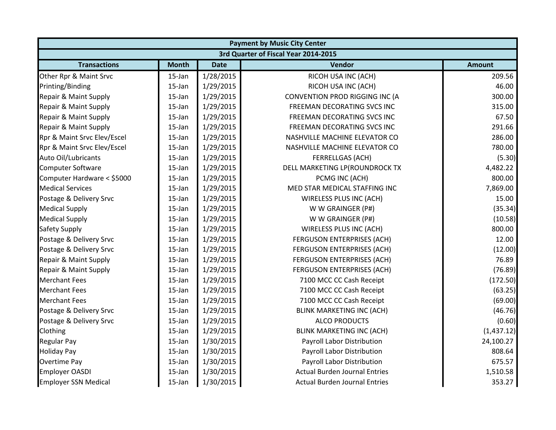|                             |              |             | <b>Payment by Music City Center</b>  |               |
|-----------------------------|--------------|-------------|--------------------------------------|---------------|
|                             |              |             | 3rd Quarter of Fiscal Year 2014-2015 |               |
| <b>Transactions</b>         | <b>Month</b> | <b>Date</b> | Vendor                               | <b>Amount</b> |
| Other Rpr & Maint Srvc      | 15-Jan       | 1/28/2015   | RICOH USA INC (ACH)                  | 209.56        |
| Printing/Binding            | $15$ -Jan    | 1/29/2015   | RICOH USA INC (ACH)                  | 46.00         |
| Repair & Maint Supply       | 15-Jan       | 1/29/2015   | CONVENTION PROD RIGGING INC (A       | 300.00        |
| Repair & Maint Supply       | 15-Jan       | 1/29/2015   | FREEMAN DECORATING SVCS INC          | 315.00        |
| Repair & Maint Supply       | $15$ -Jan    | 1/29/2015   | FREEMAN DECORATING SVCS INC          | 67.50         |
| Repair & Maint Supply       | 15-Jan       | 1/29/2015   | FREEMAN DECORATING SVCS INC          | 291.66        |
| Rpr & Maint Srvc Elev/Escel | $15$ -Jan    | 1/29/2015   | NASHVILLE MACHINE ELEVATOR CO        | 286.00        |
| Rpr & Maint Srvc Elev/Escel | $15$ -Jan    | 1/29/2015   | NASHVILLE MACHINE ELEVATOR CO        | 780.00        |
| Auto Oil/Lubricants         | 15-Jan       | 1/29/2015   | <b>FERRELLGAS (ACH)</b>              | (5.30)        |
| <b>Computer Software</b>    | 15-Jan       | 1/29/2015   | DELL MARKETING LP(ROUNDROCK TX       | 4,482.22      |
| Computer Hardware < \$5000  | 15-Jan       | 1/29/2015   | PCMG INC (ACH)                       | 800.00        |
| <b>Medical Services</b>     | 15-Jan       | 1/29/2015   | MED STAR MEDICAL STAFFING INC        | 7,869.00      |
| Postage & Delivery Srvc     | $15$ -Jan    | 1/29/2015   | WIRELESS PLUS INC (ACH)              | 15.00         |
| <b>Medical Supply</b>       | 15-Jan       | 1/29/2015   | W W GRAINGER (P#)                    | (35.34)       |
| <b>Medical Supply</b>       | 15-Jan       | 1/29/2015   | W W GRAINGER (P#)                    | (10.58)       |
| <b>Safety Supply</b>        | $15$ -Jan    | 1/29/2015   | WIRELESS PLUS INC (ACH)              | 800.00        |
| Postage & Delivery Srvc     | 15-Jan       | 1/29/2015   | FERGUSON ENTERPRISES (ACH)           | 12.00         |
| Postage & Delivery Srvc     | $15$ -Jan    | 1/29/2015   | FERGUSON ENTERPRISES (ACH)           | (12.00)       |
| Repair & Maint Supply       | $15$ -Jan    | 1/29/2015   | FERGUSON ENTERPRISES (ACH)           | 76.89         |
| Repair & Maint Supply       | 15-Jan       | 1/29/2015   | <b>FERGUSON ENTERPRISES (ACH)</b>    | (76.89)       |
| <b>Merchant Fees</b>        | 15-Jan       | 1/29/2015   | 7100 MCC CC Cash Receipt             | (172.50)      |
| <b>Merchant Fees</b>        | 15-Jan       | 1/29/2015   | 7100 MCC CC Cash Receipt             | (63.25)       |
| <b>Merchant Fees</b>        | $15$ -Jan    | 1/29/2015   | 7100 MCC CC Cash Receipt             | (69.00)       |
| Postage & Delivery Srvc     | $15$ -Jan    | 1/29/2015   | <b>BLINK MARKETING INC (ACH)</b>     | (46.76)       |
| Postage & Delivery Srvc     | 15-Jan       | 1/29/2015   | <b>ALCO PRODUCTS</b>                 | (0.60)        |
| Clothing                    | 15-Jan       | 1/29/2015   | <b>BLINK MARKETING INC (ACH)</b>     | (1,437.12)    |
| <b>Regular Pay</b>          | 15-Jan       | 1/30/2015   | Payroll Labor Distribution           | 24,100.27     |
| <b>Holiday Pay</b>          | $15$ -Jan    | 1/30/2015   | Payroll Labor Distribution           | 808.64        |
| <b>Overtime Pay</b>         | $15$ -Jan    | 1/30/2015   | Payroll Labor Distribution           | 675.57        |
| <b>Employer OASDI</b>       | 15-Jan       | 1/30/2015   | <b>Actual Burden Journal Entries</b> | 1,510.58      |
| <b>Employer SSN Medical</b> | 15-Jan       | 1/30/2015   | <b>Actual Burden Journal Entries</b> | 353.27        |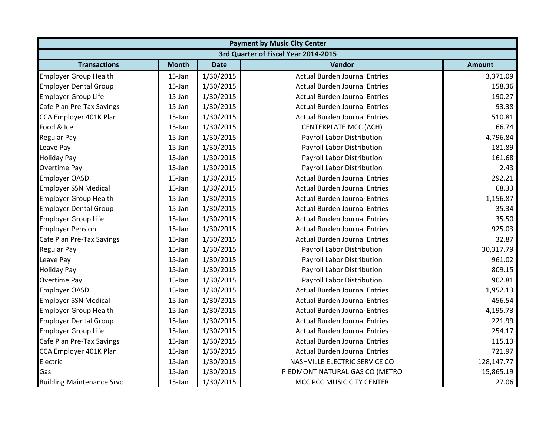| <b>Payment by Music City Center</b> |                                      |             |                                      |               |  |  |  |
|-------------------------------------|--------------------------------------|-------------|--------------------------------------|---------------|--|--|--|
|                                     | 3rd Quarter of Fiscal Year 2014-2015 |             |                                      |               |  |  |  |
| <b>Transactions</b>                 | <b>Month</b>                         | <b>Date</b> | Vendor                               | <b>Amount</b> |  |  |  |
| <b>Employer Group Health</b>        | 15-Jan                               | 1/30/2015   | <b>Actual Burden Journal Entries</b> | 3,371.09      |  |  |  |
| <b>Employer Dental Group</b>        | $15$ -Jan                            | 1/30/2015   | <b>Actual Burden Journal Entries</b> | 158.36        |  |  |  |
| <b>Employer Group Life</b>          | $15$ -Jan                            | 1/30/2015   | <b>Actual Burden Journal Entries</b> | 190.27        |  |  |  |
| Cafe Plan Pre-Tax Savings           | 15-Jan                               | 1/30/2015   | <b>Actual Burden Journal Entries</b> | 93.38         |  |  |  |
| CCA Employer 401K Plan              | 15-Jan                               | 1/30/2015   | <b>Actual Burden Journal Entries</b> | 510.81        |  |  |  |
| Food & Ice                          | 15-Jan                               | 1/30/2015   | <b>CENTERPLATE MCC (ACH)</b>         | 66.74         |  |  |  |
| <b>Regular Pay</b>                  | 15-Jan                               | 1/30/2015   | Payroll Labor Distribution           | 4,796.84      |  |  |  |
| Leave Pay                           | 15-Jan                               | 1/30/2015   | Payroll Labor Distribution           | 181.89        |  |  |  |
| <b>Holiday Pay</b>                  | 15-Jan                               | 1/30/2015   | Payroll Labor Distribution           | 161.68        |  |  |  |
| Overtime Pay                        | 15-Jan                               | 1/30/2015   | Payroll Labor Distribution           | 2.43          |  |  |  |
| <b>Employer OASDI</b>               | 15-Jan                               | 1/30/2015   | <b>Actual Burden Journal Entries</b> | 292.21        |  |  |  |
| <b>Employer SSN Medical</b>         | 15-Jan                               | 1/30/2015   | <b>Actual Burden Journal Entries</b> | 68.33         |  |  |  |
| <b>Employer Group Health</b>        | 15-Jan                               | 1/30/2015   | <b>Actual Burden Journal Entries</b> | 1,156.87      |  |  |  |
| <b>Employer Dental Group</b>        | 15-Jan                               | 1/30/2015   | <b>Actual Burden Journal Entries</b> | 35.34         |  |  |  |
| <b>Employer Group Life</b>          | 15-Jan                               | 1/30/2015   | <b>Actual Burden Journal Entries</b> | 35.50         |  |  |  |
| <b>Employer Pension</b>             | 15-Jan                               | 1/30/2015   | <b>Actual Burden Journal Entries</b> | 925.03        |  |  |  |
| Cafe Plan Pre-Tax Savings           | 15-Jan                               | 1/30/2015   | <b>Actual Burden Journal Entries</b> | 32.87         |  |  |  |
| <b>Regular Pay</b>                  | 15-Jan                               | 1/30/2015   | Payroll Labor Distribution           | 30,317.79     |  |  |  |
| Leave Pay                           | 15-Jan                               | 1/30/2015   | Payroll Labor Distribution           | 961.02        |  |  |  |
| <b>Holiday Pay</b>                  | 15-Jan                               | 1/30/2015   | Payroll Labor Distribution           | 809.15        |  |  |  |
| <b>Overtime Pay</b>                 | 15-Jan                               | 1/30/2015   | Payroll Labor Distribution           | 902.81        |  |  |  |
| <b>Employer OASDI</b>               | 15-Jan                               | 1/30/2015   | <b>Actual Burden Journal Entries</b> | 1,952.13      |  |  |  |
| <b>Employer SSN Medical</b>         | 15-Jan                               | 1/30/2015   | <b>Actual Burden Journal Entries</b> | 456.54        |  |  |  |
| <b>Employer Group Health</b>        | 15-Jan                               | 1/30/2015   | <b>Actual Burden Journal Entries</b> | 4,195.73      |  |  |  |
| <b>Employer Dental Group</b>        | 15-Jan                               | 1/30/2015   | <b>Actual Burden Journal Entries</b> | 221.99        |  |  |  |
| <b>Employer Group Life</b>          | 15-Jan                               | 1/30/2015   | <b>Actual Burden Journal Entries</b> | 254.17        |  |  |  |
| Cafe Plan Pre-Tax Savings           | 15-Jan                               | 1/30/2015   | <b>Actual Burden Journal Entries</b> | 115.13        |  |  |  |
| CCA Employer 401K Plan              | 15-Jan                               | 1/30/2015   | <b>Actual Burden Journal Entries</b> | 721.97        |  |  |  |
| Electric                            | 15-Jan                               | 1/30/2015   | NASHVILLE ELECTRIC SERVICE CO        | 128,147.77    |  |  |  |
| Gas                                 | 15-Jan                               | 1/30/2015   | PIEDMONT NATURAL GAS CO (METRO       | 15,865.19     |  |  |  |
| <b>Building Maintenance Srvc</b>    | 15-Jan                               | 1/30/2015   | MCC PCC MUSIC CITY CENTER            | 27.06         |  |  |  |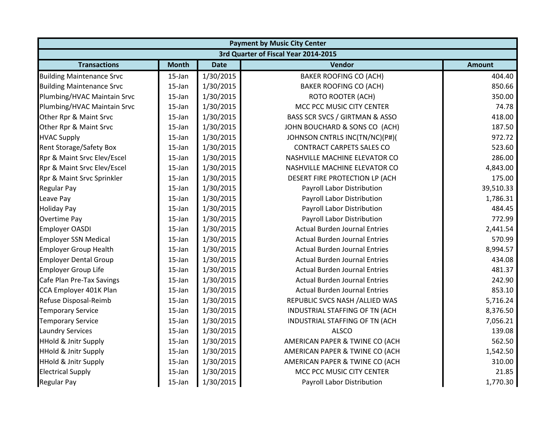|                                  |              |             | <b>Payment by Music City Center</b>  |               |
|----------------------------------|--------------|-------------|--------------------------------------|---------------|
|                                  |              |             | 3rd Quarter of Fiscal Year 2014-2015 |               |
| <b>Transactions</b>              | <b>Month</b> | <b>Date</b> | Vendor                               | <b>Amount</b> |
| <b>Building Maintenance Srvc</b> | $15$ -Jan    | 1/30/2015   | <b>BAKER ROOFING CO (ACH)</b>        | 404.40        |
| <b>Building Maintenance Srvc</b> | 15-Jan       | 1/30/2015   | <b>BAKER ROOFING CO (ACH)</b>        | 850.66        |
| Plumbing/HVAC Maintain Srvc      | 15-Jan       | 1/30/2015   | <b>ROTO ROOTER (ACH)</b>             | 350.00        |
| Plumbing/HVAC Maintain Srvc      | $15$ -Jan    | 1/30/2015   | MCC PCC MUSIC CITY CENTER            | 74.78         |
| Other Rpr & Maint Srvc           | 15-Jan       | 1/30/2015   | BASS SCR SVCS / GIRTMAN & ASSO       | 418.00        |
| Other Rpr & Maint Srvc           | 15-Jan       | 1/30/2015   | JOHN BOUCHARD & SONS CO (ACH)        | 187.50        |
| <b>HVAC Supply</b>               | 15-Jan       | 1/30/2015   | JOHNSON CNTRLS INC(TN/NC)(P#)(       | 972.72        |
| <b>Rent Storage/Safety Box</b>   | $15$ -Jan    | 1/30/2015   | <b>CONTRACT CARPETS SALES CO</b>     | 523.60        |
| Rpr & Maint Srvc Elev/Escel      | 15-Jan       | 1/30/2015   | NASHVILLE MACHINE ELEVATOR CO        | 286.00        |
| Rpr & Maint Srvc Elev/Escel      | 15-Jan       | 1/30/2015   | NASHVILLE MACHINE ELEVATOR CO        | 4,843.00      |
| Rpr & Maint Srvc Sprinkler       | $15$ -Jan    | 1/30/2015   | DESERT FIRE PROTECTION LP (ACH       | 175.00        |
| <b>Regular Pay</b>               | $15$ -Jan    | 1/30/2015   | Payroll Labor Distribution           | 39,510.33     |
| Leave Pay                        | $15$ -Jan    | 1/30/2015   | Payroll Labor Distribution           | 1,786.31      |
| <b>Holiday Pay</b>               | $15$ -Jan    | 1/30/2015   | Payroll Labor Distribution           | 484.45        |
| <b>Overtime Pay</b>              | 15-Jan       | 1/30/2015   | Payroll Labor Distribution           | 772.99        |
| <b>Employer OASDI</b>            | $15$ -Jan    | 1/30/2015   | <b>Actual Burden Journal Entries</b> | 2,441.54      |
| <b>Employer SSN Medical</b>      | 15-Jan       | 1/30/2015   | <b>Actual Burden Journal Entries</b> | 570.99        |
| <b>Employer Group Health</b>     | 15-Jan       | 1/30/2015   | <b>Actual Burden Journal Entries</b> | 8,994.57      |
| <b>Employer Dental Group</b>     | $15$ -Jan    | 1/30/2015   | <b>Actual Burden Journal Entries</b> | 434.08        |
| <b>Employer Group Life</b>       | 15-Jan       | 1/30/2015   | <b>Actual Burden Journal Entries</b> | 481.37        |
| Cafe Plan Pre-Tax Savings        | 15-Jan       | 1/30/2015   | <b>Actual Burden Journal Entries</b> | 242.90        |
| CCA Employer 401K Plan           | $15$ -Jan    | 1/30/2015   | <b>Actual Burden Journal Entries</b> | 853.10        |
| Refuse Disposal-Reimb            | $15$ -Jan    | 1/30/2015   | REPUBLIC SVCS NASH / ALLIED WAS      | 5,716.24      |
| <b>Temporary Service</b>         | 15-Jan       | 1/30/2015   | INDUSTRIAL STAFFING OF TN (ACH       | 8,376.50      |
| <b>Temporary Service</b>         | 15-Jan       | 1/30/2015   | INDUSTRIAL STAFFING OF TN (ACH       | 7,056.21      |
| <b>Laundry Services</b>          | $15$ -Jan    | 1/30/2015   | <b>ALSCO</b>                         | 139.08        |
| <b>HHold &amp; Jnitr Supply</b>  | 15-Jan       | 1/30/2015   | AMERICAN PAPER & TWINE CO (ACH       | 562.50        |
| <b>HHold &amp; Jnitr Supply</b>  | 15-Jan       | 1/30/2015   | AMERICAN PAPER & TWINE CO (ACH       | 1,542.50      |
| <b>HHold &amp; Jnitr Supply</b>  | $15$ -Jan    | 1/30/2015   | AMERICAN PAPER & TWINE CO (ACH       | 310.00        |
| <b>Electrical Supply</b>         | $15$ -Jan    | 1/30/2015   | MCC PCC MUSIC CITY CENTER            | 21.85         |
| <b>Regular Pay</b>               | 15-Jan       | 1/30/2015   | Payroll Labor Distribution           | 1,770.30      |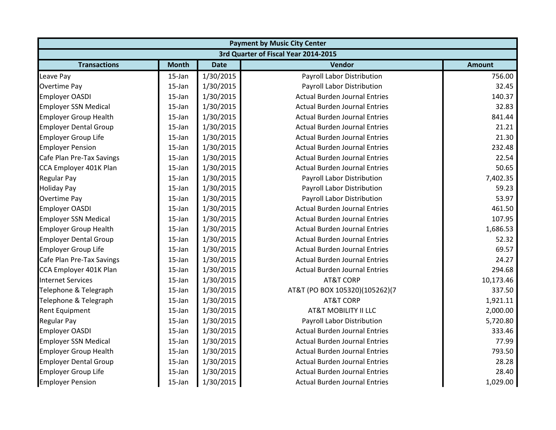|                              | <b>Payment by Music City Center</b>  |             |                                      |               |  |  |  |
|------------------------------|--------------------------------------|-------------|--------------------------------------|---------------|--|--|--|
|                              | 3rd Quarter of Fiscal Year 2014-2015 |             |                                      |               |  |  |  |
| <b>Transactions</b>          | <b>Month</b>                         | <b>Date</b> | Vendor                               | <b>Amount</b> |  |  |  |
| Leave Pay                    | $15$ -Jan                            | 1/30/2015   | Payroll Labor Distribution           | 756.00        |  |  |  |
| <b>Overtime Pay</b>          | 15-Jan                               | 1/30/2015   | Payroll Labor Distribution           | 32.45         |  |  |  |
| <b>Employer OASDI</b>        | 15-Jan                               | 1/30/2015   | <b>Actual Burden Journal Entries</b> | 140.37        |  |  |  |
| <b>Employer SSN Medical</b>  | 15-Jan                               | 1/30/2015   | <b>Actual Burden Journal Entries</b> | 32.83         |  |  |  |
| <b>Employer Group Health</b> | 15-Jan                               | 1/30/2015   | <b>Actual Burden Journal Entries</b> | 841.44        |  |  |  |
| <b>Employer Dental Group</b> | 15-Jan                               | 1/30/2015   | <b>Actual Burden Journal Entries</b> | 21.21         |  |  |  |
| <b>Employer Group Life</b>   | 15-Jan                               | 1/30/2015   | <b>Actual Burden Journal Entries</b> | 21.30         |  |  |  |
| <b>Employer Pension</b>      | 15-Jan                               | 1/30/2015   | <b>Actual Burden Journal Entries</b> | 232.48        |  |  |  |
| Cafe Plan Pre-Tax Savings    | $15$ -Jan                            | 1/30/2015   | <b>Actual Burden Journal Entries</b> | 22.54         |  |  |  |
| CCA Employer 401K Plan       | 15-Jan                               | 1/30/2015   | <b>Actual Burden Journal Entries</b> | 50.65         |  |  |  |
| <b>Regular Pay</b>           | 15-Jan                               | 1/30/2015   | Payroll Labor Distribution           | 7,402.35      |  |  |  |
| <b>Holiday Pay</b>           | 15-Jan                               | 1/30/2015   | Payroll Labor Distribution           | 59.23         |  |  |  |
| Overtime Pay                 | 15-Jan                               | 1/30/2015   | <b>Payroll Labor Distribution</b>    | 53.97         |  |  |  |
| <b>Employer OASDI</b>        | 15-Jan                               | 1/30/2015   | <b>Actual Burden Journal Entries</b> | 461.50        |  |  |  |
| <b>Employer SSN Medical</b>  | 15-Jan                               | 1/30/2015   | <b>Actual Burden Journal Entries</b> | 107.95        |  |  |  |
| <b>Employer Group Health</b> | 15-Jan                               | 1/30/2015   | <b>Actual Burden Journal Entries</b> | 1,686.53      |  |  |  |
| <b>Employer Dental Group</b> | 15-Jan                               | 1/30/2015   | <b>Actual Burden Journal Entries</b> | 52.32         |  |  |  |
| <b>Employer Group Life</b>   | 15-Jan                               | 1/30/2015   | <b>Actual Burden Journal Entries</b> | 69.57         |  |  |  |
| Cafe Plan Pre-Tax Savings    | 15-Jan                               | 1/30/2015   | <b>Actual Burden Journal Entries</b> | 24.27         |  |  |  |
| CCA Employer 401K Plan       | 15-Jan                               | 1/30/2015   | <b>Actual Burden Journal Entries</b> | 294.68        |  |  |  |
| <b>Internet Services</b>     | 15-Jan                               | 1/30/2015   | <b>AT&amp;T CORP</b>                 | 10,173.46     |  |  |  |
| Telephone & Telegraph        | 15-Jan                               | 1/30/2015   | AT&T (PO BOX 105320)(105262)(7       | 337.50        |  |  |  |
| Telephone & Telegraph        | 15-Jan                               | 1/30/2015   | <b>AT&amp;T CORP</b>                 | 1,921.11      |  |  |  |
| <b>Rent Equipment</b>        | 15-Jan                               | 1/30/2015   | <b>AT&amp;T MOBILITY II LLC</b>      | 2,000.00      |  |  |  |
| <b>Regular Pay</b>           | 15-Jan                               | 1/30/2015   | Payroll Labor Distribution           | 5,720.80      |  |  |  |
| <b>Employer OASDI</b>        | $15$ -Jan                            | 1/30/2015   | <b>Actual Burden Journal Entries</b> | 333.46        |  |  |  |
| <b>Employer SSN Medical</b>  | 15-Jan                               | 1/30/2015   | <b>Actual Burden Journal Entries</b> | 77.99         |  |  |  |
| <b>Employer Group Health</b> | 15-Jan                               | 1/30/2015   | <b>Actual Burden Journal Entries</b> | 793.50        |  |  |  |
| <b>Employer Dental Group</b> | 15-Jan                               | 1/30/2015   | <b>Actual Burden Journal Entries</b> | 28.28         |  |  |  |
| <b>Employer Group Life</b>   | 15-Jan                               | 1/30/2015   | <b>Actual Burden Journal Entries</b> | 28.40         |  |  |  |
| <b>Employer Pension</b>      | 15-Jan                               | 1/30/2015   | <b>Actual Burden Journal Entries</b> | 1,029.00      |  |  |  |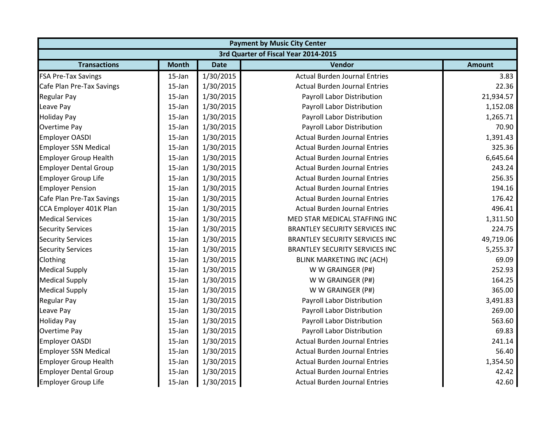|                              | <b>Payment by Music City Center</b>  |             |                                       |               |  |  |  |
|------------------------------|--------------------------------------|-------------|---------------------------------------|---------------|--|--|--|
|                              | 3rd Quarter of Fiscal Year 2014-2015 |             |                                       |               |  |  |  |
| <b>Transactions</b>          | <b>Month</b>                         | <b>Date</b> | Vendor                                | <b>Amount</b> |  |  |  |
| <b>FSA Pre-Tax Savings</b>   | $15$ -Jan                            | 1/30/2015   | <b>Actual Burden Journal Entries</b>  | 3.83          |  |  |  |
| Cafe Plan Pre-Tax Savings    | $15$ -Jan                            | 1/30/2015   | <b>Actual Burden Journal Entries</b>  | 22.36         |  |  |  |
| <b>Regular Pay</b>           | 15-Jan                               | 1/30/2015   | Payroll Labor Distribution            | 21,934.57     |  |  |  |
| Leave Pay                    | 15-Jan                               | 1/30/2015   | Payroll Labor Distribution            | 1,152.08      |  |  |  |
| <b>Holiday Pay</b>           | 15-Jan                               | 1/30/2015   | Payroll Labor Distribution            | 1,265.71      |  |  |  |
| <b>Overtime Pay</b>          | $15$ -Jan                            | 1/30/2015   | Payroll Labor Distribution            | 70.90         |  |  |  |
| <b>Employer OASDI</b>        | $15$ -Jan                            | 1/30/2015   | <b>Actual Burden Journal Entries</b>  | 1,391.43      |  |  |  |
| <b>Employer SSN Medical</b>  | $15$ -Jan                            | 1/30/2015   | <b>Actual Burden Journal Entries</b>  | 325.36        |  |  |  |
| <b>Employer Group Health</b> | $15$ -Jan                            | 1/30/2015   | <b>Actual Burden Journal Entries</b>  | 6,645.64      |  |  |  |
| <b>Employer Dental Group</b> | 15-Jan                               | 1/30/2015   | <b>Actual Burden Journal Entries</b>  | 243.24        |  |  |  |
| <b>Employer Group Life</b>   | $15$ -Jan                            | 1/30/2015   | <b>Actual Burden Journal Entries</b>  | 256.35        |  |  |  |
| <b>Employer Pension</b>      | $15$ -Jan                            | 1/30/2015   | <b>Actual Burden Journal Entries</b>  | 194.16        |  |  |  |
| Cafe Plan Pre-Tax Savings    | 15-Jan                               | 1/30/2015   | <b>Actual Burden Journal Entries</b>  | 176.42        |  |  |  |
| CCA Employer 401K Plan       | 15-Jan                               | 1/30/2015   | <b>Actual Burden Journal Entries</b>  | 496.41        |  |  |  |
| <b>Medical Services</b>      | 15-Jan                               | 1/30/2015   | MED STAR MEDICAL STAFFING INC         | 1,311.50      |  |  |  |
| <b>Security Services</b>     | 15-Jan                               | 1/30/2015   | <b>BRANTLEY SECURITY SERVICES INC</b> | 224.75        |  |  |  |
| <b>Security Services</b>     | $15$ -Jan                            | 1/30/2015   | <b>BRANTLEY SECURITY SERVICES INC</b> | 49,719.06     |  |  |  |
| <b>Security Services</b>     | $15$ -Jan                            | 1/30/2015   | <b>BRANTLEY SECURITY SERVICES INC</b> | 5,255.37      |  |  |  |
| Clothing                     | $15$ -Jan                            | 1/30/2015   | <b>BLINK MARKETING INC (ACH)</b>      | 69.09         |  |  |  |
| <b>Medical Supply</b>        | 15-Jan                               | 1/30/2015   | W W GRAINGER (P#)                     | 252.93        |  |  |  |
| <b>Medical Supply</b>        | 15-Jan                               | 1/30/2015   | W W GRAINGER (P#)                     | 164.25        |  |  |  |
| <b>Medical Supply</b>        | 15-Jan                               | 1/30/2015   | W W GRAINGER (P#)                     | 365.00        |  |  |  |
| <b>Regular Pay</b>           | $15$ -Jan                            | 1/30/2015   | Payroll Labor Distribution            | 3,491.83      |  |  |  |
| Leave Pay                    | $15$ -Jan                            | 1/30/2015   | Payroll Labor Distribution            | 269.00        |  |  |  |
| <b>Holiday Pay</b>           | $15$ -Jan                            | 1/30/2015   | Payroll Labor Distribution            | 563.60        |  |  |  |
| <b>Overtime Pay</b>          | $15$ -Jan                            | 1/30/2015   | Payroll Labor Distribution            | 69.83         |  |  |  |
| <b>Employer OASDI</b>        | 15-Jan                               | 1/30/2015   | <b>Actual Burden Journal Entries</b>  | 241.14        |  |  |  |
| <b>Employer SSN Medical</b>  | $15$ -Jan                            | 1/30/2015   | <b>Actual Burden Journal Entries</b>  | 56.40         |  |  |  |
| <b>Employer Group Health</b> | $15$ -Jan                            | 1/30/2015   | <b>Actual Burden Journal Entries</b>  | 1,354.50      |  |  |  |
| <b>Employer Dental Group</b> | $15$ -Jan                            | 1/30/2015   | <b>Actual Burden Journal Entries</b>  | 42.42         |  |  |  |
| <b>Employer Group Life</b>   | 15-Jan                               | 1/30/2015   | <b>Actual Burden Journal Entries</b>  | 42.60         |  |  |  |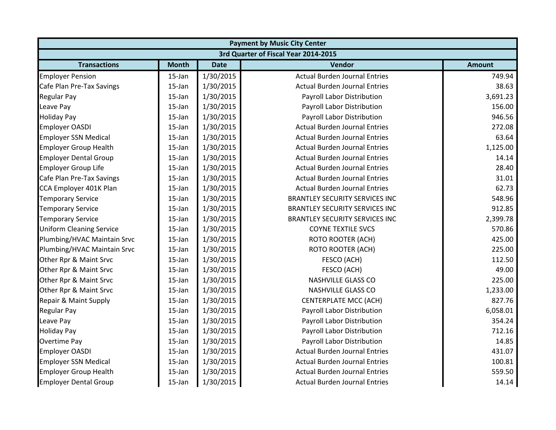| <b>Payment by Music City Center</b> |                                      |             |                                       |               |  |  |  |
|-------------------------------------|--------------------------------------|-------------|---------------------------------------|---------------|--|--|--|
|                                     | 3rd Quarter of Fiscal Year 2014-2015 |             |                                       |               |  |  |  |
| <b>Transactions</b>                 | <b>Month</b>                         | <b>Date</b> | Vendor                                | <b>Amount</b> |  |  |  |
| <b>Employer Pension</b>             | $15$ -Jan                            | 1/30/2015   | <b>Actual Burden Journal Entries</b>  | 749.94        |  |  |  |
| Cafe Plan Pre-Tax Savings           | $15$ -Jan                            | 1/30/2015   | <b>Actual Burden Journal Entries</b>  | 38.63         |  |  |  |
| <b>Regular Pay</b>                  | 15-Jan                               | 1/30/2015   | Payroll Labor Distribution            | 3,691.23      |  |  |  |
| Leave Pay                           | 15-Jan                               | 1/30/2015   | Payroll Labor Distribution            | 156.00        |  |  |  |
| <b>Holiday Pay</b>                  | 15-Jan                               | 1/30/2015   | Payroll Labor Distribution            | 946.56        |  |  |  |
| <b>Employer OASDI</b>               | 15-Jan                               | 1/30/2015   | <b>Actual Burden Journal Entries</b>  | 272.08        |  |  |  |
| <b>Employer SSN Medical</b>         | 15-Jan                               | 1/30/2015   | <b>Actual Burden Journal Entries</b>  | 63.64         |  |  |  |
| <b>Employer Group Health</b>        | 15-Jan                               | 1/30/2015   | <b>Actual Burden Journal Entries</b>  | 1,125.00      |  |  |  |
| <b>Employer Dental Group</b>        | $15$ -Jan                            | 1/30/2015   | <b>Actual Burden Journal Entries</b>  | 14.14         |  |  |  |
| <b>Employer Group Life</b>          | 15-Jan                               | 1/30/2015   | <b>Actual Burden Journal Entries</b>  | 28.40         |  |  |  |
| Cafe Plan Pre-Tax Savings           | 15-Jan                               | 1/30/2015   | <b>Actual Burden Journal Entries</b>  | 31.01         |  |  |  |
| CCA Employer 401K Plan              | $15$ -Jan                            | 1/30/2015   | <b>Actual Burden Journal Entries</b>  | 62.73         |  |  |  |
| <b>Temporary Service</b>            | 15-Jan                               | 1/30/2015   | <b>BRANTLEY SECURITY SERVICES INC</b> | 548.96        |  |  |  |
| <b>Temporary Service</b>            | 15-Jan                               | 1/30/2015   | <b>BRANTLEY SECURITY SERVICES INC</b> | 912.85        |  |  |  |
| <b>Temporary Service</b>            | 15-Jan                               | 1/30/2015   | <b>BRANTLEY SECURITY SERVICES INC</b> | 2,399.78      |  |  |  |
| <b>Uniform Cleaning Service</b>     | 15-Jan                               | 1/30/2015   | <b>COYNE TEXTILE SVCS</b>             | 570.86        |  |  |  |
| Plumbing/HVAC Maintain Srvc         | 15-Jan                               | 1/30/2015   | <b>ROTO ROOTER (ACH)</b>              | 425.00        |  |  |  |
| Plumbing/HVAC Maintain Srvc         | $15$ -Jan                            | 1/30/2015   | <b>ROTO ROOTER (ACH)</b>              | 225.00        |  |  |  |
| Other Rpr & Maint Srvc              | 15-Jan                               | 1/30/2015   | FESCO (ACH)                           | 112.50        |  |  |  |
| Other Rpr & Maint Srvc              | 15-Jan                               | 1/30/2015   | FESCO (ACH)                           | 49.00         |  |  |  |
| Other Rpr & Maint Srvc              | 15-Jan                               | 1/30/2015   | <b>NASHVILLE GLASS CO</b>             | 225.00        |  |  |  |
| Other Rpr & Maint Srvc              | 15-Jan                               | 1/30/2015   | <b>NASHVILLE GLASS CO</b>             | 1,233.00      |  |  |  |
| Repair & Maint Supply               | 15-Jan                               | 1/30/2015   | <b>CENTERPLATE MCC (ACH)</b>          | 827.76        |  |  |  |
| <b>Regular Pay</b>                  | $15$ -Jan                            | 1/30/2015   | Payroll Labor Distribution            | 6,058.01      |  |  |  |
| Leave Pay                           | $15$ -Jan                            | 1/30/2015   | Payroll Labor Distribution            | 354.24        |  |  |  |
| <b>Holiday Pay</b>                  | $15$ -Jan                            | 1/30/2015   | Payroll Labor Distribution            | 712.16        |  |  |  |
| <b>Overtime Pay</b>                 | 15-Jan                               | 1/30/2015   | Payroll Labor Distribution            | 14.85         |  |  |  |
| <b>Employer OASDI</b>               | 15-Jan                               | 1/30/2015   | <b>Actual Burden Journal Entries</b>  | 431.07        |  |  |  |
| <b>Employer SSN Medical</b>         | 15-Jan                               | 1/30/2015   | <b>Actual Burden Journal Entries</b>  | 100.81        |  |  |  |
| <b>Employer Group Health</b>        | 15-Jan                               | 1/30/2015   | <b>Actual Burden Journal Entries</b>  | 559.50        |  |  |  |
| <b>Employer Dental Group</b>        | 15-Jan                               | 1/30/2015   | <b>Actual Burden Journal Entries</b>  | 14.14         |  |  |  |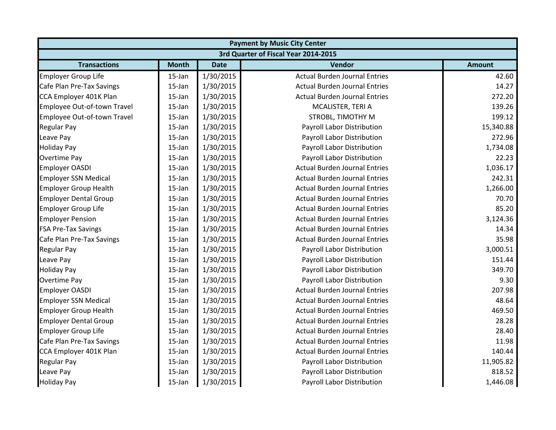|                              | <b>Payment by Music City Center</b>  |             |                                      |               |  |  |  |
|------------------------------|--------------------------------------|-------------|--------------------------------------|---------------|--|--|--|
|                              | 3rd Quarter of Fiscal Year 2014-2015 |             |                                      |               |  |  |  |
| <b>Transactions</b>          | <b>Month</b>                         | <b>Date</b> | Vendor                               | <b>Amount</b> |  |  |  |
| <b>Employer Group Life</b>   | 15-Jan                               | 1/30/2015   | <b>Actual Burden Journal Entries</b> | 42.60         |  |  |  |
| Cafe Plan Pre-Tax Savings    | 15-Jan                               | 1/30/2015   | <b>Actual Burden Journal Entries</b> | 14.27         |  |  |  |
| CCA Employer 401K Plan       | $15$ -Jan                            | 1/30/2015   | <b>Actual Burden Journal Entries</b> | 272.20        |  |  |  |
| Employee Out-of-town Travel  | 15-Jan                               | 1/30/2015   | MCALISTER, TERI A                    | 139.26        |  |  |  |
| Employee Out-of-town Travel  | 15-Jan                               | 1/30/2015   | STROBL, TIMOTHY M                    | 199.12        |  |  |  |
| <b>Regular Pay</b>           | 15-Jan                               | 1/30/2015   | Payroll Labor Distribution           | 15,340.88     |  |  |  |
| Leave Pay                    | 15-Jan                               | 1/30/2015   | Payroll Labor Distribution           | 272.96        |  |  |  |
| <b>Holiday Pay</b>           | 15-Jan                               | 1/30/2015   | Payroll Labor Distribution           | 1,734.08      |  |  |  |
| Overtime Pay                 | 15-Jan                               | 1/30/2015   | Payroll Labor Distribution           | 22.23         |  |  |  |
| <b>Employer OASDI</b>        | 15-Jan                               | 1/30/2015   | <b>Actual Burden Journal Entries</b> | 1,036.17      |  |  |  |
| <b>Employer SSN Medical</b>  | 15-Jan                               | 1/30/2015   | <b>Actual Burden Journal Entries</b> | 242.31        |  |  |  |
| <b>Employer Group Health</b> | 15-Jan                               | 1/30/2015   | <b>Actual Burden Journal Entries</b> | 1,266.00      |  |  |  |
| <b>Employer Dental Group</b> | 15-Jan                               | 1/30/2015   | <b>Actual Burden Journal Entries</b> | 70.70         |  |  |  |
| <b>Employer Group Life</b>   | 15-Jan                               | 1/30/2015   | <b>Actual Burden Journal Entries</b> | 85.20         |  |  |  |
| <b>Employer Pension</b>      | 15-Jan                               | 1/30/2015   | <b>Actual Burden Journal Entries</b> | 3,124.36      |  |  |  |
| <b>FSA Pre-Tax Savings</b>   | 15-Jan                               | 1/30/2015   | <b>Actual Burden Journal Entries</b> | 14.34         |  |  |  |
| Cafe Plan Pre-Tax Savings    | 15-Jan                               | 1/30/2015   | <b>Actual Burden Journal Entries</b> | 35.98         |  |  |  |
| <b>Regular Pay</b>           | 15-Jan                               | 1/30/2015   | Payroll Labor Distribution           | 3,000.51      |  |  |  |
| Leave Pay                    | 15-Jan                               | 1/30/2015   | Payroll Labor Distribution           | 151.44        |  |  |  |
| <b>Holiday Pay</b>           | 15-Jan                               | 1/30/2015   | Payroll Labor Distribution           | 349.70        |  |  |  |
| <b>Overtime Pay</b>          | 15-Jan                               | 1/30/2015   | Payroll Labor Distribution           | 9.30          |  |  |  |
| <b>Employer OASDI</b>        | 15-Jan                               | 1/30/2015   | <b>Actual Burden Journal Entries</b> | 207.98        |  |  |  |
| <b>Employer SSN Medical</b>  | 15-Jan                               | 1/30/2015   | <b>Actual Burden Journal Entries</b> | 48.64         |  |  |  |
| <b>Employer Group Health</b> | 15-Jan                               | 1/30/2015   | <b>Actual Burden Journal Entries</b> | 469.50        |  |  |  |
| <b>Employer Dental Group</b> | 15-Jan                               | 1/30/2015   | <b>Actual Burden Journal Entries</b> | 28.28         |  |  |  |
| <b>Employer Group Life</b>   | 15-Jan                               | 1/30/2015   | <b>Actual Burden Journal Entries</b> | 28.40         |  |  |  |
| Cafe Plan Pre-Tax Savings    | 15-Jan                               | 1/30/2015   | <b>Actual Burden Journal Entries</b> | 11.98         |  |  |  |
| CCA Employer 401K Plan       | 15-Jan                               | 1/30/2015   | <b>Actual Burden Journal Entries</b> | 140.44        |  |  |  |
| <b>Regular Pay</b>           | 15-Jan                               | 1/30/2015   | Payroll Labor Distribution           | 11,905.82     |  |  |  |
| Leave Pay                    | 15-Jan                               | 1/30/2015   | Payroll Labor Distribution           | 818.52        |  |  |  |
| <b>Holiday Pay</b>           | 15-Jan                               | 1/30/2015   | Payroll Labor Distribution           | 1,446.08      |  |  |  |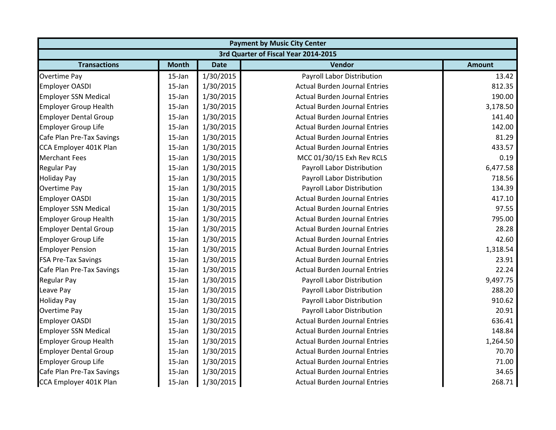| <b>Payment by Music City Center</b> |                                      |             |                                      |               |  |  |  |
|-------------------------------------|--------------------------------------|-------------|--------------------------------------|---------------|--|--|--|
|                                     | 3rd Quarter of Fiscal Year 2014-2015 |             |                                      |               |  |  |  |
| <b>Transactions</b>                 | <b>Month</b>                         | <b>Date</b> | Vendor                               | <b>Amount</b> |  |  |  |
| <b>Overtime Pay</b>                 | $15$ -Jan                            | 1/30/2015   | Payroll Labor Distribution           | 13.42         |  |  |  |
| <b>Employer OASDI</b>               | $15$ -Jan                            | 1/30/2015   | <b>Actual Burden Journal Entries</b> | 812.35        |  |  |  |
| <b>Employer SSN Medical</b>         | $15$ -Jan                            | 1/30/2015   | <b>Actual Burden Journal Entries</b> | 190.00        |  |  |  |
| <b>Employer Group Health</b>        | 15-Jan                               | 1/30/2015   | <b>Actual Burden Journal Entries</b> | 3,178.50      |  |  |  |
| <b>Employer Dental Group</b>        | 15-Jan                               | 1/30/2015   | <b>Actual Burden Journal Entries</b> | 141.40        |  |  |  |
| <b>Employer Group Life</b>          | $15$ -Jan                            | 1/30/2015   | <b>Actual Burden Journal Entries</b> | 142.00        |  |  |  |
| Cafe Plan Pre-Tax Savings           | $15$ -Jan                            | 1/30/2015   | <b>Actual Burden Journal Entries</b> | 81.29         |  |  |  |
| CCA Employer 401K Plan              | $15$ -Jan                            | 1/30/2015   | <b>Actual Burden Journal Entries</b> | 433.57        |  |  |  |
| <b>Merchant Fees</b>                | $15$ -Jan                            | 1/30/2015   | MCC 01/30/15 Exh Rev RCLS            | 0.19          |  |  |  |
| <b>Regular Pay</b>                  | $15$ -Jan                            | 1/30/2015   | Payroll Labor Distribution           | 6,477.58      |  |  |  |
| <b>Holiday Pay</b>                  | $15$ -Jan                            | 1/30/2015   | Payroll Labor Distribution           | 718.56        |  |  |  |
| <b>Overtime Pay</b>                 | $15$ -Jan                            | 1/30/2015   | Payroll Labor Distribution           | 134.39        |  |  |  |
| <b>Employer OASDI</b>               | 15-Jan                               | 1/30/2015   | <b>Actual Burden Journal Entries</b> | 417.10        |  |  |  |
| <b>Employer SSN Medical</b>         | 15-Jan                               | 1/30/2015   | <b>Actual Burden Journal Entries</b> | 97.55         |  |  |  |
| <b>Employer Group Health</b>        | 15-Jan                               | 1/30/2015   | <b>Actual Burden Journal Entries</b> | 795.00        |  |  |  |
| <b>Employer Dental Group</b>        | 15-Jan                               | 1/30/2015   | <b>Actual Burden Journal Entries</b> | 28.28         |  |  |  |
| <b>Employer Group Life</b>          | $15$ -Jan                            | 1/30/2015   | <b>Actual Burden Journal Entries</b> | 42.60         |  |  |  |
| <b>Employer Pension</b>             | $15$ -Jan                            | 1/30/2015   | <b>Actual Burden Journal Entries</b> | 1,318.54      |  |  |  |
| <b>FSA Pre-Tax Savings</b>          | $15$ -Jan                            | 1/30/2015   | <b>Actual Burden Journal Entries</b> | 23.91         |  |  |  |
| Cafe Plan Pre-Tax Savings           | $15$ -Jan                            | 1/30/2015   | <b>Actual Burden Journal Entries</b> | 22.24         |  |  |  |
| <b>Regular Pay</b>                  | 15-Jan                               | 1/30/2015   | Payroll Labor Distribution           | 9,497.75      |  |  |  |
| Leave Pay                           | $15$ -Jan                            | 1/30/2015   | Payroll Labor Distribution           | 288.20        |  |  |  |
| <b>Holiday Pay</b>                  | 15-Jan                               | 1/30/2015   | Payroll Labor Distribution           | 910.62        |  |  |  |
| Overtime Pay                        | 15-Jan                               | 1/30/2015   | Payroll Labor Distribution           | 20.91         |  |  |  |
| <b>Employer OASDI</b>               | $15$ -Jan                            | 1/30/2015   | <b>Actual Burden Journal Entries</b> | 636.41        |  |  |  |
| <b>Employer SSN Medical</b>         | $15$ -Jan                            | 1/30/2015   | <b>Actual Burden Journal Entries</b> | 148.84        |  |  |  |
| <b>Employer Group Health</b>        | $15$ -Jan                            | 1/30/2015   | <b>Actual Burden Journal Entries</b> | 1,264.50      |  |  |  |
| <b>Employer Dental Group</b>        | $15$ -Jan                            | 1/30/2015   | <b>Actual Burden Journal Entries</b> | 70.70         |  |  |  |
| <b>Employer Group Life</b>          | $15$ -Jan                            | 1/30/2015   | <b>Actual Burden Journal Entries</b> | 71.00         |  |  |  |
| Cafe Plan Pre-Tax Savings           | $15$ -Jan                            | 1/30/2015   | <b>Actual Burden Journal Entries</b> | 34.65         |  |  |  |
| CCA Employer 401K Plan              | 15-Jan                               | 1/30/2015   | <b>Actual Burden Journal Entries</b> | 268.71        |  |  |  |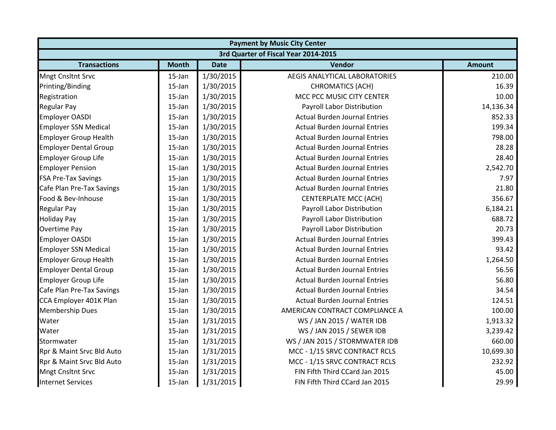|                              | <b>Payment by Music City Center</b> |             |                                      |               |  |
|------------------------------|-------------------------------------|-------------|--------------------------------------|---------------|--|
|                              |                                     |             | 3rd Quarter of Fiscal Year 2014-2015 |               |  |
| <b>Transactions</b>          | <b>Month</b>                        | <b>Date</b> | Vendor                               | <b>Amount</b> |  |
| <b>Mngt Cnsltnt Srvc</b>     | $15$ -Jan                           | 1/30/2015   | AEGIS ANALYTICAL LABORATORIES        | 210.00        |  |
| Printing/Binding             | $15$ -Jan                           | 1/30/2015   | <b>CHROMATICS (ACH)</b>              | 16.39         |  |
| Registration                 | 15-Jan                              | 1/30/2015   | MCC PCC MUSIC CITY CENTER            | 10.00         |  |
| <b>Regular Pay</b>           | 15-Jan                              | 1/30/2015   | Payroll Labor Distribution           | 14,136.34     |  |
| <b>Employer OASDI</b>        | 15-Jan                              | 1/30/2015   | <b>Actual Burden Journal Entries</b> | 852.33        |  |
| <b>Employer SSN Medical</b>  | 15-Jan                              | 1/30/2015   | <b>Actual Burden Journal Entries</b> | 199.34        |  |
| <b>Employer Group Health</b> | 15-Jan                              | 1/30/2015   | <b>Actual Burden Journal Entries</b> | 798.00        |  |
| <b>Employer Dental Group</b> | 15-Jan                              | 1/30/2015   | <b>Actual Burden Journal Entries</b> | 28.28         |  |
| <b>Employer Group Life</b>   | $15$ -Jan                           | 1/30/2015   | <b>Actual Burden Journal Entries</b> | 28.40         |  |
| <b>Employer Pension</b>      | 15-Jan                              | 1/30/2015   | <b>Actual Burden Journal Entries</b> | 2,542.70      |  |
| <b>FSA Pre-Tax Savings</b>   | 15-Jan                              | 1/30/2015   | <b>Actual Burden Journal Entries</b> | 7.97          |  |
| Cafe Plan Pre-Tax Savings    | $15$ -Jan                           | 1/30/2015   | <b>Actual Burden Journal Entries</b> | 21.80         |  |
| Food & Bev-Inhouse           | 15-Jan                              | 1/30/2015   | <b>CENTERPLATE MCC (ACH)</b>         | 356.67        |  |
| <b>Regular Pay</b>           | 15-Jan                              | 1/30/2015   | Payroll Labor Distribution           | 6,184.21      |  |
| <b>Holiday Pay</b>           | 15-Jan                              | 1/30/2015   | Payroll Labor Distribution           | 688.72        |  |
| Overtime Pay                 | 15-Jan                              | 1/30/2015   | Payroll Labor Distribution           | 20.73         |  |
| <b>Employer OASDI</b>        | 15-Jan                              | 1/30/2015   | <b>Actual Burden Journal Entries</b> | 399.43        |  |
| <b>Employer SSN Medical</b>  | 15-Jan                              | 1/30/2015   | <b>Actual Burden Journal Entries</b> | 93.42         |  |
| <b>Employer Group Health</b> | 15-Jan                              | 1/30/2015   | <b>Actual Burden Journal Entries</b> | 1,264.50      |  |
| <b>Employer Dental Group</b> | 15-Jan                              | 1/30/2015   | <b>Actual Burden Journal Entries</b> | 56.56         |  |
| <b>Employer Group Life</b>   | 15-Jan                              | 1/30/2015   | <b>Actual Burden Journal Entries</b> | 56.80         |  |
| Cafe Plan Pre-Tax Savings    | $15$ -Jan                           | 1/30/2015   | <b>Actual Burden Journal Entries</b> | 34.54         |  |
| CCA Employer 401K Plan       | 15-Jan                              | 1/30/2015   | <b>Actual Burden Journal Entries</b> | 124.51        |  |
| <b>Membership Dues</b>       | 15-Jan                              | 1/30/2015   | AMERICAN CONTRACT COMPLIANCE A       | 100.00        |  |
| Water                        | 15-Jan                              | 1/31/2015   | WS / JAN 2015 / WATER IDB            | 1,913.32      |  |
| Water                        | $15$ -Jan                           | 1/31/2015   | WS / JAN 2015 / SEWER IDB            | 3,239.42      |  |
| Stormwater                   | 15-Jan                              | 1/31/2015   | WS / JAN 2015 / STORMWATER IDB       | 660.00        |  |
| Rpr & Maint Srvc Bld Auto    | 15-Jan                              | 1/31/2015   | MCC - 1/15 SRVC CONTRACT RCLS        | 10,699.30     |  |
| Rpr & Maint Srvc Bld Auto    | 15-Jan                              | 1/31/2015   | MCC - 1/15 SRVC CONTRACT RCLS        | 232.92        |  |
| <b>Mngt Cnsltnt Srvc</b>     | 15-Jan                              | 1/31/2015   | FIN Fifth Third CCard Jan 2015       | 45.00         |  |
| <b>Internet Services</b>     | 15-Jan                              | 1/31/2015   | FIN Fifth Third CCard Jan 2015       | 29.99         |  |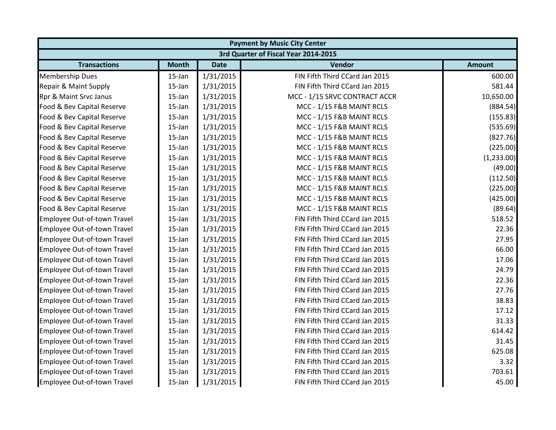|                             |                                      |             | <b>Payment by Music City Center</b> |               |  |  |  |
|-----------------------------|--------------------------------------|-------------|-------------------------------------|---------------|--|--|--|
|                             | 3rd Quarter of Fiscal Year 2014-2015 |             |                                     |               |  |  |  |
| <b>Transactions</b>         | <b>Month</b>                         | <b>Date</b> | Vendor                              | <b>Amount</b> |  |  |  |
| <b>Membership Dues</b>      | 15-Jan                               | 1/31/2015   | FIN Fifth Third CCard Jan 2015      | 600.00        |  |  |  |
| Repair & Maint Supply       | 15-Jan                               | 1/31/2015   | FIN Fifth Third CCard Jan 2015      | 581.44        |  |  |  |
| Rpr & Maint Srvc Janus      | 15-Jan                               | 1/31/2015   | MCC - 1/15 SRVC CONTRACT ACCR       | 10,650.00     |  |  |  |
| Food & Bev Capital Reserve  | 15-Jan                               | 1/31/2015   | MCC - 1/15 F&B MAINT RCLS           | (884.54)      |  |  |  |
| Food & Bev Capital Reserve  | 15-Jan                               | 1/31/2015   | MCC - 1/15 F&B MAINT RCLS           | (155.83)      |  |  |  |
| Food & Bev Capital Reserve  | $15$ -Jan                            | 1/31/2015   | MCC - 1/15 F&B MAINT RCLS           | (535.69)      |  |  |  |
| Food & Bev Capital Reserve  | 15-Jan                               | 1/31/2015   | MCC - 1/15 F&B MAINT RCLS           | (827.76)      |  |  |  |
| Food & Bev Capital Reserve  | 15-Jan                               | 1/31/2015   | MCC - 1/15 F&B MAINT RCLS           | (225.00)      |  |  |  |
| Food & Bev Capital Reserve  | 15-Jan                               | 1/31/2015   | MCC - 1/15 F&B MAINT RCLS           | (1,233.00)    |  |  |  |
| Food & Bev Capital Reserve  | 15-Jan                               | 1/31/2015   | MCC - 1/15 F&B MAINT RCLS           | (49.00)       |  |  |  |
| Food & Bev Capital Reserve  | 15-Jan                               | 1/31/2015   | MCC - 1/15 F&B MAINT RCLS           | (112.50)      |  |  |  |
| Food & Bev Capital Reserve  | 15-Jan                               | 1/31/2015   | MCC - 1/15 F&B MAINT RCLS           | (225.00)      |  |  |  |
| Food & Bev Capital Reserve  | 15-Jan                               | 1/31/2015   | MCC - 1/15 F&B MAINT RCLS           | (425.00)      |  |  |  |
| Food & Bev Capital Reserve  | 15-Jan                               | 1/31/2015   | MCC - 1/15 F&B MAINT RCLS           | (89.64)       |  |  |  |
| Employee Out-of-town Travel | 15-Jan                               | 1/31/2015   | FIN Fifth Third CCard Jan 2015      | 518.52        |  |  |  |
| Employee Out-of-town Travel | 15-Jan                               | 1/31/2015   | FIN Fifth Third CCard Jan 2015      | 22.36         |  |  |  |
| Employee Out-of-town Travel | 15-Jan                               | 1/31/2015   | FIN Fifth Third CCard Jan 2015      | 27.95         |  |  |  |
| Employee Out-of-town Travel | 15-Jan                               | 1/31/2015   | FIN Fifth Third CCard Jan 2015      | 66.00         |  |  |  |
| Employee Out-of-town Travel | 15-Jan                               | 1/31/2015   | FIN Fifth Third CCard Jan 2015      | 17.06         |  |  |  |
| Employee Out-of-town Travel | 15-Jan                               | 1/31/2015   | FIN Fifth Third CCard Jan 2015      | 24.79         |  |  |  |
| Employee Out-of-town Travel | 15-Jan                               | 1/31/2015   | FIN Fifth Third CCard Jan 2015      | 22.36         |  |  |  |
| Employee Out-of-town Travel | 15-Jan                               | 1/31/2015   | FIN Fifth Third CCard Jan 2015      | 27.76         |  |  |  |
| Employee Out-of-town Travel | 15-Jan                               | 1/31/2015   | FIN Fifth Third CCard Jan 2015      | 38.83         |  |  |  |
| Employee Out-of-town Travel | 15-Jan                               | 1/31/2015   | FIN Fifth Third CCard Jan 2015      | 17.12         |  |  |  |
| Employee Out-of-town Travel | $15$ -Jan                            | 1/31/2015   | FIN Fifth Third CCard Jan 2015      | 31.33         |  |  |  |
| Employee Out-of-town Travel | 15-Jan                               | 1/31/2015   | FIN Fifth Third CCard Jan 2015      | 614.42        |  |  |  |
| Employee Out-of-town Travel | 15-Jan                               | 1/31/2015   | FIN Fifth Third CCard Jan 2015      | 31.45         |  |  |  |
| Employee Out-of-town Travel | 15-Jan                               | 1/31/2015   | FIN Fifth Third CCard Jan 2015      | 625.08        |  |  |  |
| Employee Out-of-town Travel | 15-Jan                               | 1/31/2015   | FIN Fifth Third CCard Jan 2015      | 3.32          |  |  |  |
| Employee Out-of-town Travel | 15-Jan                               | 1/31/2015   | FIN Fifth Third CCard Jan 2015      | 703.61        |  |  |  |
| Employee Out-of-town Travel | 15-Jan                               | 1/31/2015   | FIN Fifth Third CCard Jan 2015      | 45.00         |  |  |  |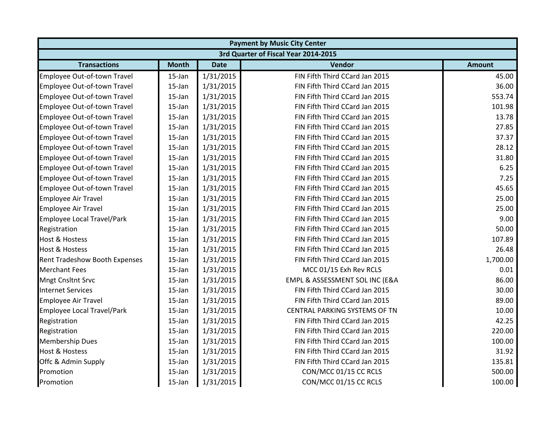|                               | <b>Payment by Music City Center</b>  |             |                                |               |  |  |  |
|-------------------------------|--------------------------------------|-------------|--------------------------------|---------------|--|--|--|
|                               | 3rd Quarter of Fiscal Year 2014-2015 |             |                                |               |  |  |  |
| <b>Transactions</b>           | <b>Month</b>                         | <b>Date</b> | Vendor                         | <b>Amount</b> |  |  |  |
| Employee Out-of-town Travel   | 15-Jan                               | 1/31/2015   | FIN Fifth Third CCard Jan 2015 | 45.00         |  |  |  |
| Employee Out-of-town Travel   | 15-Jan                               | 1/31/2015   | FIN Fifth Third CCard Jan 2015 | 36.00         |  |  |  |
| Employee Out-of-town Travel   | 15-Jan                               | 1/31/2015   | FIN Fifth Third CCard Jan 2015 | 553.74        |  |  |  |
| Employee Out-of-town Travel   | 15-Jan                               | 1/31/2015   | FIN Fifth Third CCard Jan 2015 | 101.98        |  |  |  |
| Employee Out-of-town Travel   | 15-Jan                               | 1/31/2015   | FIN Fifth Third CCard Jan 2015 | 13.78         |  |  |  |
| Employee Out-of-town Travel   | $15$ -Jan                            | 1/31/2015   | FIN Fifth Third CCard Jan 2015 | 27.85         |  |  |  |
| Employee Out-of-town Travel   | 15-Jan                               | 1/31/2015   | FIN Fifth Third CCard Jan 2015 | 37.37         |  |  |  |
| Employee Out-of-town Travel   | 15-Jan                               | 1/31/2015   | FIN Fifth Third CCard Jan 2015 | 28.12         |  |  |  |
| Employee Out-of-town Travel   | 15-Jan                               | 1/31/2015   | FIN Fifth Third CCard Jan 2015 | 31.80         |  |  |  |
| Employee Out-of-town Travel   | 15-Jan                               | 1/31/2015   | FIN Fifth Third CCard Jan 2015 | 6.25          |  |  |  |
| Employee Out-of-town Travel   | 15-Jan                               | 1/31/2015   | FIN Fifth Third CCard Jan 2015 | 7.25          |  |  |  |
| Employee Out-of-town Travel   | $15$ -Jan                            | 1/31/2015   | FIN Fifth Third CCard Jan 2015 | 45.65         |  |  |  |
| <b>Employee Air Travel</b>    | $15$ -Jan                            | 1/31/2015   | FIN Fifth Third CCard Jan 2015 | 25.00         |  |  |  |
| <b>Employee Air Travel</b>    | 15-Jan                               | 1/31/2015   | FIN Fifth Third CCard Jan 2015 | 25.00         |  |  |  |
| Employee Local Travel/Park    | 15-Jan                               | 1/31/2015   | FIN Fifth Third CCard Jan 2015 | 9.00          |  |  |  |
| Registration                  | $15$ -Jan                            | 1/31/2015   | FIN Fifth Third CCard Jan 2015 | 50.00         |  |  |  |
| <b>Host &amp; Hostess</b>     | 15-Jan                               | 1/31/2015   | FIN Fifth Third CCard Jan 2015 | 107.89        |  |  |  |
| <b>Host &amp; Hostess</b>     | 15-Jan                               | 1/31/2015   | FIN Fifth Third CCard Jan 2015 | 26.48         |  |  |  |
| Rent Tradeshow Booth Expenses | 15-Jan                               | 1/31/2015   | FIN Fifth Third CCard Jan 2015 | 1,700.00      |  |  |  |
| <b>Merchant Fees</b>          | $15$ -Jan                            | 1/31/2015   | MCC 01/15 Exh Rev RCLS         | 0.01          |  |  |  |
| <b>Mngt Cnsltnt Srvc</b>      | 15-Jan                               | 1/31/2015   | EMPL & ASSESSMENT SOL INC (E&A | 86.00         |  |  |  |
| <b>Internet Services</b>      | $15$ -Jan                            | 1/31/2015   | FIN Fifth Third CCard Jan 2015 | 30.00         |  |  |  |
| <b>Employee Air Travel</b>    | $15$ -Jan                            | 1/31/2015   | FIN Fifth Third CCard Jan 2015 | 89.00         |  |  |  |
| Employee Local Travel/Park    | 15-Jan                               | 1/31/2015   | CENTRAL PARKING SYSTEMS OF TN  | 10.00         |  |  |  |
| Registration                  | 15-Jan                               | 1/31/2015   | FIN Fifth Third CCard Jan 2015 | 42.25         |  |  |  |
| Registration                  | 15-Jan                               | 1/31/2015   | FIN Fifth Third CCard Jan 2015 | 220.00        |  |  |  |
| <b>Membership Dues</b>        | $15$ -Jan                            | 1/31/2015   | FIN Fifth Third CCard Jan 2015 | 100.00        |  |  |  |
| <b>Host &amp; Hostess</b>     | $15$ -Jan                            | 1/31/2015   | FIN Fifth Third CCard Jan 2015 | 31.92         |  |  |  |
| Offc & Admin Supply           | 15-Jan                               | 1/31/2015   | FIN Fifth Third CCard Jan 2015 | 135.81        |  |  |  |
| Promotion                     | 15-Jan                               | 1/31/2015   | CON/MCC 01/15 CC RCLS          | 500.00        |  |  |  |
| Promotion                     | 15-Jan                               | 1/31/2015   | CON/MCC 01/15 CC RCLS          | 100.00        |  |  |  |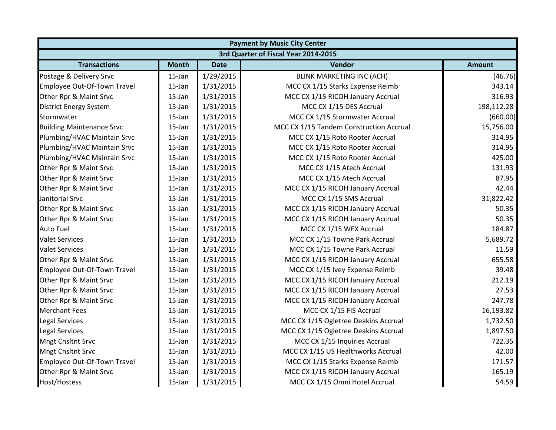|                                  | <b>Payment by Music City Center</b> |             |                                         |               |  |  |
|----------------------------------|-------------------------------------|-------------|-----------------------------------------|---------------|--|--|
|                                  |                                     |             | 3rd Quarter of Fiscal Year 2014-2015    |               |  |  |
| <b>Transactions</b>              | <b>Month</b>                        | <b>Date</b> | Vendor                                  | <b>Amount</b> |  |  |
| Postage & Delivery Srvc          | 15-Jan                              | 1/29/2015   | <b>BLINK MARKETING INC (ACH)</b>        | (46.76)       |  |  |
| Employee Out-Of-Town Travel      | $15$ -Jan                           | 1/31/2015   | MCC CX 1/15 Starks Expense Reimb        | 343.14        |  |  |
| Other Rpr & Maint Srvc           | $15$ -Jan                           | 1/31/2015   | MCC CX 1/15 RICOH January Accrual       | 316.93        |  |  |
| <b>District Energy System</b>    | 15-Jan                              | 1/31/2015   | MCC CX 1/15 DES Accrual                 | 198,112.28    |  |  |
| Stormwater                       | $15$ -Jan                           | 1/31/2015   | MCC CX 1/15 Stormwater Accrual          | (660.00)      |  |  |
| <b>Building Maintenance Srvc</b> | 15-Jan                              | 1/31/2015   | MCC CX 1/15 Tandem Construction Accrual | 15,756.00     |  |  |
| Plumbing/HVAC Maintain Srvc      | 15-Jan                              | 1/31/2015   | MCC CX 1/15 Roto Rooter Accrual         | 314.95        |  |  |
| Plumbing/HVAC Maintain Srvc      | 15-Jan                              | 1/31/2015   | MCC CX 1/15 Roto Rooter Accrual         | 314.95        |  |  |
| Plumbing/HVAC Maintain Srvc      | $15$ -Jan                           | 1/31/2015   | MCC CX 1/15 Roto Rooter Accrual         | 425.00        |  |  |
| Other Rpr & Maint Srvc           | 15-Jan                              | 1/31/2015   | MCC CX 1/15 Atech Accrual               | 131.93        |  |  |
| Other Rpr & Maint Srvc           | 15-Jan                              | 1/31/2015   | MCC CX 1/15 Atech Accrual               | 87.95         |  |  |
| Other Rpr & Maint Srvc           | 15-Jan                              | 1/31/2015   | MCC CX 1/15 RICOH January Accrual       | 42.44         |  |  |
| Janitorial Srvc                  | 15-Jan                              | 1/31/2015   | MCC CX 1/15 SMS Accrual                 | 31,822.42     |  |  |
| Other Rpr & Maint Srvc           | 15-Jan                              | 1/31/2015   | MCC CX 1/15 RICOH January Accrual       | 50.35         |  |  |
| Other Rpr & Maint Srvc           | $15$ -Jan                           | 1/31/2015   | MCC CX 1/15 RICOH January Accrual       | 50.35         |  |  |
| <b>Auto Fuel</b>                 | 15-Jan                              | 1/31/2015   | MCC CX 1/15 WEX Accrual                 | 184.87        |  |  |
| <b>Valet Services</b>            | 15-Jan                              | 1/31/2015   | MCC CX 1/15 Towne Park Accrual          | 5,689.72      |  |  |
| <b>Valet Services</b>            | $15$ -Jan                           | 1/31/2015   | MCC CX 1/15 Towne Park Accrual          | 11.59         |  |  |
| Other Rpr & Maint Srvc           | 15-Jan                              | 1/31/2015   | MCC CX 1/15 RICOH January Accrual       | 655.58        |  |  |
| Employee Out-Of-Town Travel      | 15-Jan                              | 1/31/2015   | MCC CX 1/15 Ivey Expense Reimb          | 39.48         |  |  |
| Other Rpr & Maint Srvc           | 15-Jan                              | 1/31/2015   | MCC CX 1/15 RICOH January Accrual       | 212.19        |  |  |
| Other Rpr & Maint Srvc           | 15-Jan                              | 1/31/2015   | MCC CX 1/15 RICOH January Accrual       | 27.53         |  |  |
| Other Rpr & Maint Srvc           | 15-Jan                              | 1/31/2015   | MCC CX 1/15 RICOH January Accrual       | 247.78        |  |  |
| <b>Merchant Fees</b>             | 15-Jan                              | 1/31/2015   | MCC CX 1/15 FIS Accrual                 | 16,193.82     |  |  |
| <b>Legal Services</b>            | 15-Jan                              | 1/31/2015   | MCC CX 1/15 Ogletree Deakins Accrual    | 1,732.50      |  |  |
| <b>Legal Services</b>            | 15-Jan                              | 1/31/2015   | MCC CX 1/15 Ogletree Deakins Accrual    | 1,897.50      |  |  |
| <b>Mngt Cnsltnt Srvc</b>         | 15-Jan                              | 1/31/2015   | MCC CX 1/15 Inquiries Accrual           | 722.35        |  |  |
| <b>Mngt Cnsltnt Srvc</b>         | 15-Jan                              | 1/31/2015   | MCC CX 1/15 US Healthworks Accrual      | 42.00         |  |  |
| Employee Out-Of-Town Travel      | 15-Jan                              | 1/31/2015   | MCC CX 1/15 Starks Expense Reimb        | 171.57        |  |  |
| Other Rpr & Maint Srvc           | 15-Jan                              | 1/31/2015   | MCC CX 1/15 RICOH January Accrual       | 165.19        |  |  |
| Host/Hostess                     | 15-Jan                              | 1/31/2015   | MCC CX 1/15 Omni Hotel Accrual          | 54.59         |  |  |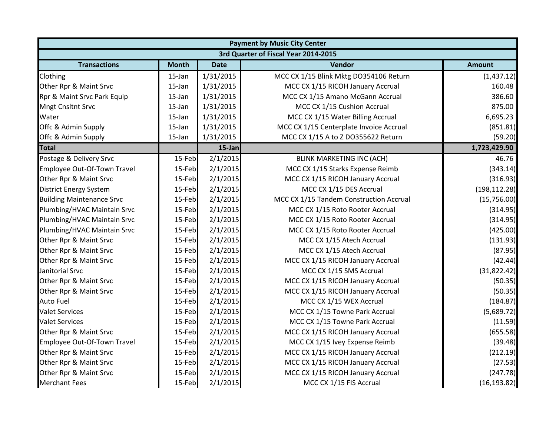|                                  | <b>Payment by Music City Center</b> |             |                                         |               |  |  |
|----------------------------------|-------------------------------------|-------------|-----------------------------------------|---------------|--|--|
|                                  |                                     |             | 3rd Quarter of Fiscal Year 2014-2015    |               |  |  |
| <b>Transactions</b>              | <b>Month</b>                        | <b>Date</b> | Vendor                                  | <b>Amount</b> |  |  |
| Clothing                         | 15-Jan                              | 1/31/2015   | MCC CX 1/15 Blink Mktg DO354106 Return  | (1,437.12)    |  |  |
| Other Rpr & Maint Srvc           | 15-Jan                              | 1/31/2015   | MCC CX 1/15 RICOH January Accrual       | 160.48        |  |  |
| Rpr & Maint Srvc Park Equip      | 15-Jan                              | 1/31/2015   | MCC CX 1/15 Amano McGann Accrual        | 386.60        |  |  |
| <b>Mngt Cnsltnt Srvc</b>         | 15-Jan                              | 1/31/2015   | MCC CX 1/15 Cushion Accrual             | 875.00        |  |  |
| Water                            | 15-Jan                              | 1/31/2015   | MCC CX 1/15 Water Billing Accrual       | 6,695.23      |  |  |
| Offc & Admin Supply              | 15-Jan                              | 1/31/2015   | MCC CX 1/15 Centerplate Invoice Accrual | (851.81)      |  |  |
| Offc & Admin Supply              | 15-Jan                              | 1/31/2015   | MCC CX 1/15 A to Z DO355622 Return      | (59.20)       |  |  |
| <b>Total</b>                     |                                     | 15-Jan      |                                         | 1,723,429.90  |  |  |
| Postage & Delivery Srvc          | 15-Feb                              | 2/1/2015    | <b>BLINK MARKETING INC (ACH)</b>        | 46.76         |  |  |
| Employee Out-Of-Town Travel      | 15-Feb                              | 2/1/2015    | MCC CX 1/15 Starks Expense Reimb        | (343.14)      |  |  |
| Other Rpr & Maint Srvc           | 15-Feb                              | 2/1/2015    | MCC CX 1/15 RICOH January Accrual       | (316.93)      |  |  |
| <b>District Energy System</b>    | 15-Feb                              | 2/1/2015    | MCC CX 1/15 DES Accrual                 | (198, 112.28) |  |  |
| <b>Building Maintenance Srvc</b> | 15-Feb                              | 2/1/2015    | MCC CX 1/15 Tandem Construction Accrual | (15,756.00)   |  |  |
| Plumbing/HVAC Maintain Srvc      | 15-Feb                              | 2/1/2015    | MCC CX 1/15 Roto Rooter Accrual         | (314.95)      |  |  |
| Plumbing/HVAC Maintain Srvc      | 15-Feb                              | 2/1/2015    | MCC CX 1/15 Roto Rooter Accrual         | (314.95)      |  |  |
| Plumbing/HVAC Maintain Srvc      | 15-Feb                              | 2/1/2015    | MCC CX 1/15 Roto Rooter Accrual         | (425.00)      |  |  |
| Other Rpr & Maint Srvc           | 15-Feb                              | 2/1/2015    | MCC CX 1/15 Atech Accrual               | (131.93)      |  |  |
| Other Rpr & Maint Srvc           | 15-Feb                              | 2/1/2015    | MCC CX 1/15 Atech Accrual               | (87.95)       |  |  |
| Other Rpr & Maint Srvc           | 15-Feb                              | 2/1/2015    | MCC CX 1/15 RICOH January Accrual       | (42.44)       |  |  |
| Janitorial Srvc                  | 15-Feb                              | 2/1/2015    | MCC CX 1/15 SMS Accrual                 | (31,822.42)   |  |  |
| Other Rpr & Maint Srvc           | 15-Feb                              | 2/1/2015    | MCC CX 1/15 RICOH January Accrual       | (50.35)       |  |  |
| Other Rpr & Maint Srvc           | 15-Feb                              | 2/1/2015    | MCC CX 1/15 RICOH January Accrual       | (50.35)       |  |  |
| <b>Auto Fuel</b>                 | 15-Feb                              | 2/1/2015    | MCC CX 1/15 WEX Accrual                 | (184.87)      |  |  |
| <b>Valet Services</b>            | 15-Feb                              | 2/1/2015    | MCC CX 1/15 Towne Park Accrual          | (5,689.72)    |  |  |
| <b>Valet Services</b>            | 15-Feb                              | 2/1/2015    | MCC CX 1/15 Towne Park Accrual          | (11.59)       |  |  |
| Other Rpr & Maint Srvc           | 15-Feb                              | 2/1/2015    | MCC CX 1/15 RICOH January Accrual       | (655.58)      |  |  |
| Employee Out-Of-Town Travel      | 15-Feb                              | 2/1/2015    | MCC CX 1/15 Ivey Expense Reimb          | (39.48)       |  |  |
| Other Rpr & Maint Srvc           | 15-Feb                              | 2/1/2015    | MCC CX 1/15 RICOH January Accrual       | (212.19)      |  |  |
| Other Rpr & Maint Srvc           | 15-Feb                              | 2/1/2015    | MCC CX 1/15 RICOH January Accrual       | (27.53)       |  |  |
| Other Rpr & Maint Srvc           | 15-Feb                              | 2/1/2015    | MCC CX 1/15 RICOH January Accrual       | (247.78)      |  |  |
| <b>Merchant Fees</b>             | 15-Feb                              | 2/1/2015    | MCC CX 1/15 FIS Accrual                 | (16, 193.82)  |  |  |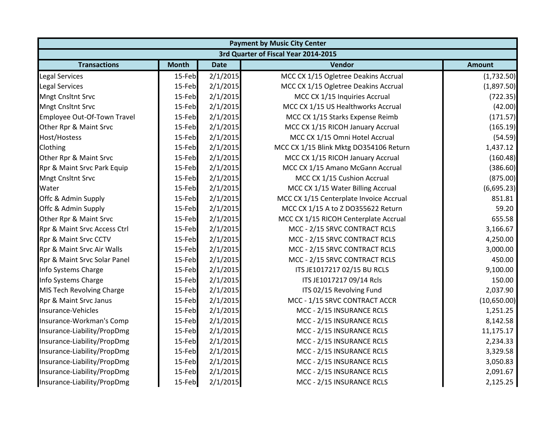| <b>Payment by Music City Center</b> |                                      |             |                                         |               |  |  |  |
|-------------------------------------|--------------------------------------|-------------|-----------------------------------------|---------------|--|--|--|
|                                     | 3rd Quarter of Fiscal Year 2014-2015 |             |                                         |               |  |  |  |
| <b>Transactions</b>                 | <b>Month</b>                         | <b>Date</b> | Vendor                                  | <b>Amount</b> |  |  |  |
| <b>Legal Services</b>               | 15-Feb                               | 2/1/2015    | MCC CX 1/15 Ogletree Deakins Accrual    | (1,732.50)    |  |  |  |
| <b>Legal Services</b>               | 15-Feb                               | 2/1/2015    | MCC CX 1/15 Ogletree Deakins Accrual    | (1,897.50)    |  |  |  |
| <b>Mngt Cnsltnt Srvc</b>            | 15-Feb                               | 2/1/2015    | MCC CX 1/15 Inquiries Accrual           | (722.35)      |  |  |  |
| <b>Mngt Cnsltnt Srvc</b>            | 15-Feb                               | 2/1/2015    | MCC CX 1/15 US Healthworks Accrual      | (42.00)       |  |  |  |
| Employee Out-Of-Town Travel         | 15-Feb                               | 2/1/2015    | MCC CX 1/15 Starks Expense Reimb        | (171.57)      |  |  |  |
| Other Rpr & Maint Srvc              | 15-Feb                               | 2/1/2015    | MCC CX 1/15 RICOH January Accrual       | (165.19)      |  |  |  |
| Host/Hostess                        | 15-Feb                               | 2/1/2015    | MCC CX 1/15 Omni Hotel Accrual          | (54.59)       |  |  |  |
| Clothing                            | 15-Feb                               | 2/1/2015    | MCC CX 1/15 Blink Mktg DO354106 Return  | 1,437.12      |  |  |  |
| Other Rpr & Maint Srvc              | 15-Feb                               | 2/1/2015    | MCC CX 1/15 RICOH January Accrual       | (160.48)      |  |  |  |
| Rpr & Maint Srvc Park Equip         | 15-Feb                               | 2/1/2015    | MCC CX 1/15 Amano McGann Accrual        | (386.60)      |  |  |  |
| <b>Mngt Cnsltnt Srvc</b>            | 15-Feb                               | 2/1/2015    | MCC CX 1/15 Cushion Accrual             | (875.00)      |  |  |  |
| Water                               | 15-Feb                               | 2/1/2015    | MCC CX 1/15 Water Billing Accrual       | (6,695.23)    |  |  |  |
| Offc & Admin Supply                 | 15-Feb                               | 2/1/2015    | MCC CX 1/15 Centerplate Invoice Accrual | 851.81        |  |  |  |
| Offc & Admin Supply                 | 15-Feb                               | 2/1/2015    | MCC CX 1/15 A to Z DO355622 Return      | 59.20         |  |  |  |
| Other Rpr & Maint Srvc              | 15-Feb                               | 2/1/2015    | MCC CX 1/15 RICOH Centerplate Accrual   | 655.58        |  |  |  |
| Rpr & Maint Srvc Access Ctrl        | 15-Feb                               | 2/1/2015    | MCC - 2/15 SRVC CONTRACT RCLS           | 3,166.67      |  |  |  |
| Rpr & Maint Srvc CCTV               | 15-Feb                               | 2/1/2015    | MCC - 2/15 SRVC CONTRACT RCLS           | 4,250.00      |  |  |  |
| Rpr & Maint Srvc Air Walls          | 15-Feb                               | 2/1/2015    | MCC - 2/15 SRVC CONTRACT RCLS           | 3,000.00      |  |  |  |
| Rpr & Maint Srvc Solar Panel        | 15-Feb                               | 2/1/2015    | MCC - 2/15 SRVC CONTRACT RCLS           | 450.00        |  |  |  |
| Info Systems Charge                 | 15-Feb                               | 2/1/2015    | ITS JE1017217 02/15 BU RCLS             | 9,100.00      |  |  |  |
| Info Systems Charge                 | 15-Feb                               | 2/1/2015    | ITS JE1017217 09/14 Rcls                | 150.00        |  |  |  |
| MIS Tech Revolving Charge           | 15-Feb                               | 2/1/2015    | ITS 02/15 Revolving Fund                | 2,037.90      |  |  |  |
| Rpr & Maint Srvc Janus              | 15-Feb                               | 2/1/2015    | MCC - 1/15 SRVC CONTRACT ACCR           | (10,650.00)   |  |  |  |
| Insurance-Vehicles                  | 15-Feb                               | 2/1/2015    | MCC - 2/15 INSURANCE RCLS               | 1,251.25      |  |  |  |
| Insurance-Workman's Comp            | 15-Feb                               | 2/1/2015    | MCC - 2/15 INSURANCE RCLS               | 8,142.58      |  |  |  |
| Insurance-Liability/PropDmg         | 15-Feb                               | 2/1/2015    | MCC - 2/15 INSURANCE RCLS               | 11,175.17     |  |  |  |
| Insurance-Liability/PropDmg         | 15-Feb                               | 2/1/2015    | MCC - 2/15 INSURANCE RCLS               | 2,234.33      |  |  |  |
| Insurance-Liability/PropDmg         | 15-Feb                               | 2/1/2015    | MCC - 2/15 INSURANCE RCLS               | 3,329.58      |  |  |  |
| Insurance-Liability/PropDmg         | 15-Feb                               | 2/1/2015    | MCC - 2/15 INSURANCE RCLS               | 3,050.83      |  |  |  |
| Insurance-Liability/PropDmg         | 15-Feb                               | 2/1/2015    | MCC - 2/15 INSURANCE RCLS               | 2,091.67      |  |  |  |
| Insurance-Liability/PropDmg         | 15-Feb                               | 2/1/2015    | MCC - 2/15 INSURANCE RCLS               | 2,125.25      |  |  |  |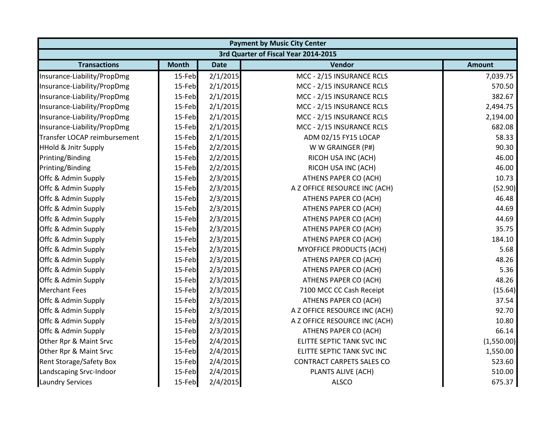| <b>Payment by Music City Center</b>  |              |             |                                  |               |  |  |
|--------------------------------------|--------------|-------------|----------------------------------|---------------|--|--|
| 3rd Quarter of Fiscal Year 2014-2015 |              |             |                                  |               |  |  |
| <b>Transactions</b>                  | <b>Month</b> | <b>Date</b> | Vendor                           | <b>Amount</b> |  |  |
| Insurance-Liability/PropDmg          | 15-Feb       | 2/1/2015    | MCC - 2/15 INSURANCE RCLS        | 7,039.75      |  |  |
| Insurance-Liability/PropDmg          | 15-Feb       | 2/1/2015    | MCC - 2/15 INSURANCE RCLS        | 570.50        |  |  |
| Insurance-Liability/PropDmg          | 15-Feb       | 2/1/2015    | MCC - 2/15 INSURANCE RCLS        | 382.67        |  |  |
| Insurance-Liability/PropDmg          | 15-Feb       | 2/1/2015    | MCC - 2/15 INSURANCE RCLS        | 2,494.75      |  |  |
| Insurance-Liability/PropDmg          | 15-Feb       | 2/1/2015    | MCC - 2/15 INSURANCE RCLS        | 2,194.00      |  |  |
| Insurance-Liability/PropDmg          | 15-Feb       | 2/1/2015    | MCC - 2/15 INSURANCE RCLS        | 682.08        |  |  |
| Transfer LOCAP reimbursement         | 15-Feb       | 2/1/2015    | ADM 02/15 FY15 LOCAP             | 58.33         |  |  |
| <b>HHold &amp; Jnitr Supply</b>      | 15-Feb       | 2/2/2015    | W W GRAINGER (P#)                | 90.30         |  |  |
| Printing/Binding                     | 15-Feb       | 2/2/2015    | RICOH USA INC (ACH)              | 46.00         |  |  |
| Printing/Binding                     | 15-Feb       | 2/2/2015    | RICOH USA INC (ACH)              | 46.00         |  |  |
| Offc & Admin Supply                  | 15-Feb       | 2/3/2015    | ATHENS PAPER CO (ACH)            | 10.73         |  |  |
| Offc & Admin Supply                  | 15-Feb       | 2/3/2015    | A Z OFFICE RESOURCE INC (ACH)    | (52.90)       |  |  |
| Offc & Admin Supply                  | 15-Feb       | 2/3/2015    | ATHENS PAPER CO (ACH)            | 46.48         |  |  |
| Offc & Admin Supply                  | 15-Feb       | 2/3/2015    | ATHENS PAPER CO (ACH)            | 44.69         |  |  |
| Offc & Admin Supply                  | 15-Feb       | 2/3/2015    | ATHENS PAPER CO (ACH)            | 44.69         |  |  |
| Offc & Admin Supply                  | 15-Feb       | 2/3/2015    | ATHENS PAPER CO (ACH)            | 35.75         |  |  |
| Offc & Admin Supply                  | 15-Feb       | 2/3/2015    | ATHENS PAPER CO (ACH)            | 184.10        |  |  |
| Offc & Admin Supply                  | 15-Feb       | 2/3/2015    | <b>MYOFFICE PRODUCTS (ACH)</b>   | 5.68          |  |  |
| Offc & Admin Supply                  | 15-Feb       | 2/3/2015    | ATHENS PAPER CO (ACH)            | 48.26         |  |  |
| Offc & Admin Supply                  | 15-Feb       | 2/3/2015    | ATHENS PAPER CO (ACH)            | 5.36          |  |  |
| Offc & Admin Supply                  | 15-Feb       | 2/3/2015    | ATHENS PAPER CO (ACH)            | 48.26         |  |  |
| <b>Merchant Fees</b>                 | 15-Feb       | 2/3/2015    | 7100 MCC CC Cash Receipt         | (15.64)       |  |  |
| Offc & Admin Supply                  | 15-Feb       | 2/3/2015    | ATHENS PAPER CO (ACH)            | 37.54         |  |  |
| Offc & Admin Supply                  | 15-Feb       | 2/3/2015    | A Z OFFICE RESOURCE INC (ACH)    | 92.70         |  |  |
| Offc & Admin Supply                  | 15-Feb       | 2/3/2015    | A Z OFFICE RESOURCE INC (ACH)    | 10.80         |  |  |
| Offc & Admin Supply                  | 15-Feb       | 2/3/2015    | ATHENS PAPER CO (ACH)            | 66.14         |  |  |
| Other Rpr & Maint Srvc               | 15-Feb       | 2/4/2015    | ELITTE SEPTIC TANK SVC INC       | (1,550.00)    |  |  |
| Other Rpr & Maint Srvc               | 15-Feb       | 2/4/2015    | ELITTE SEPTIC TANK SVC INC       | 1,550.00      |  |  |
| <b>Rent Storage/Safety Box</b>       | 15-Feb       | 2/4/2015    | <b>CONTRACT CARPETS SALES CO</b> | 523.60        |  |  |
| Landscaping Srvc-Indoor              | 15-Feb       | 2/4/2015    | PLANTS ALIVE (ACH)               | 510.00        |  |  |
| <b>Laundry Services</b>              | 15-Feb       | 2/4/2015    | <b>ALSCO</b>                     | 675.37        |  |  |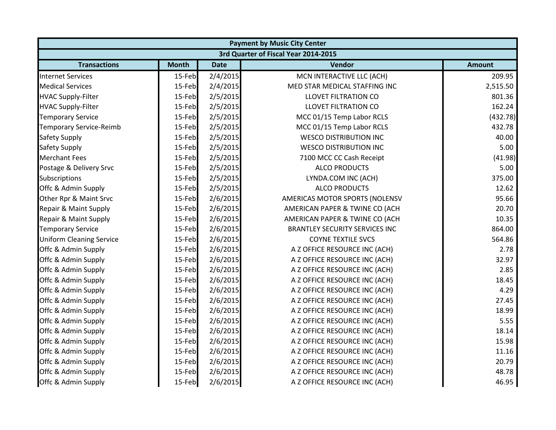|                                 | <b>Payment by Music City Center</b> |             |                                       |               |  |  |
|---------------------------------|-------------------------------------|-------------|---------------------------------------|---------------|--|--|
|                                 |                                     |             | 3rd Quarter of Fiscal Year 2014-2015  |               |  |  |
| <b>Transactions</b>             | <b>Month</b>                        | <b>Date</b> | Vendor                                | <b>Amount</b> |  |  |
| <b>Internet Services</b>        | 15-Feb                              | 2/4/2015    | MCN INTERACTIVE LLC (ACH)             | 209.95        |  |  |
| <b>Medical Services</b>         | 15-Feb                              | 2/4/2015    | MED STAR MEDICAL STAFFING INC         | 2,515.50      |  |  |
| <b>HVAC Supply-Filter</b>       | 15-Feb                              | 2/5/2015    | <b>LLOVET FILTRATION CO</b>           | 801.36        |  |  |
| <b>HVAC Supply-Filter</b>       | 15-Feb                              | 2/5/2015    | <b>LLOVET FILTRATION CO</b>           | 162.24        |  |  |
| <b>Temporary Service</b>        | 15-Feb                              | 2/5/2015    | MCC 01/15 Temp Labor RCLS             | (432.78)      |  |  |
| <b>Temporary Service-Reimb</b>  | 15-Feb                              | 2/5/2015    | MCC 01/15 Temp Labor RCLS             | 432.78        |  |  |
| Safety Supply                   | 15-Feb                              | 2/5/2015    | <b>WESCO DISTRIBUTION INC</b>         | 40.00         |  |  |
| Safety Supply                   | 15-Feb                              | 2/5/2015    | <b>WESCO DISTRIBUTION INC</b>         | 5.00          |  |  |
| <b>Merchant Fees</b>            | 15-Feb                              | 2/5/2015    | 7100 MCC CC Cash Receipt              | (41.98)       |  |  |
| Postage & Delivery Srvc         | 15-Feb                              | 2/5/2015    | <b>ALCO PRODUCTS</b>                  | 5.00          |  |  |
| Subscriptions                   | 15-Feb                              | 2/5/2015    | LYNDA.COM INC (ACH)                   | 375.00        |  |  |
| Offc & Admin Supply             | 15-Feb                              | 2/5/2015    | <b>ALCO PRODUCTS</b>                  | 12.62         |  |  |
| Other Rpr & Maint Srvc          | 15-Feb                              | 2/6/2015    | AMERICAS MOTOR SPORTS (NOLENSV        | 95.66         |  |  |
| Repair & Maint Supply           | 15-Feb                              | 2/6/2015    | AMERICAN PAPER & TWINE CO (ACH        | 20.70         |  |  |
| Repair & Maint Supply           | 15-Feb                              | 2/6/2015    | AMERICAN PAPER & TWINE CO (ACH        | 10.35         |  |  |
| <b>Temporary Service</b>        | 15-Feb                              | 2/6/2015    | <b>BRANTLEY SECURITY SERVICES INC</b> | 864.00        |  |  |
| <b>Uniform Cleaning Service</b> | 15-Feb                              | 2/6/2015    | <b>COYNE TEXTILE SVCS</b>             | 564.86        |  |  |
| Offc & Admin Supply             | 15-Feb                              | 2/6/2015    | A Z OFFICE RESOURCE INC (ACH)         | 2.78          |  |  |
| Offc & Admin Supply             | 15-Feb                              | 2/6/2015    | A Z OFFICE RESOURCE INC (ACH)         | 32.97         |  |  |
| Offc & Admin Supply             | 15-Feb                              | 2/6/2015    | A Z OFFICE RESOURCE INC (ACH)         | 2.85          |  |  |
| Offc & Admin Supply             | 15-Feb                              | 2/6/2015    | A Z OFFICE RESOURCE INC (ACH)         | 18.45         |  |  |
| Offc & Admin Supply             | 15-Feb                              | 2/6/2015    | A Z OFFICE RESOURCE INC (ACH)         | 4.29          |  |  |
| Offc & Admin Supply             | 15-Feb                              | 2/6/2015    | A Z OFFICE RESOURCE INC (ACH)         | 27.45         |  |  |
| Offc & Admin Supply             | 15-Feb                              | 2/6/2015    | A Z OFFICE RESOURCE INC (ACH)         | 18.99         |  |  |
| Offc & Admin Supply             | 15-Feb                              | 2/6/2015    | A Z OFFICE RESOURCE INC (ACH)         | 5.55          |  |  |
| Offc & Admin Supply             | 15-Feb                              | 2/6/2015    | A Z OFFICE RESOURCE INC (ACH)         | 18.14         |  |  |
| Offc & Admin Supply             | 15-Feb                              | 2/6/2015    | A Z OFFICE RESOURCE INC (ACH)         | 15.98         |  |  |
| Offc & Admin Supply             | 15-Feb                              | 2/6/2015    | A Z OFFICE RESOURCE INC (ACH)         | 11.16         |  |  |
| Offc & Admin Supply             | 15-Feb                              | 2/6/2015    | A Z OFFICE RESOURCE INC (ACH)         | 20.79         |  |  |
| Offc & Admin Supply             | 15-Feb                              | 2/6/2015    | A Z OFFICE RESOURCE INC (ACH)         | 48.78         |  |  |
| Offc & Admin Supply             | 15-Feb                              | 2/6/2015    | A Z OFFICE RESOURCE INC (ACH)         | 46.95         |  |  |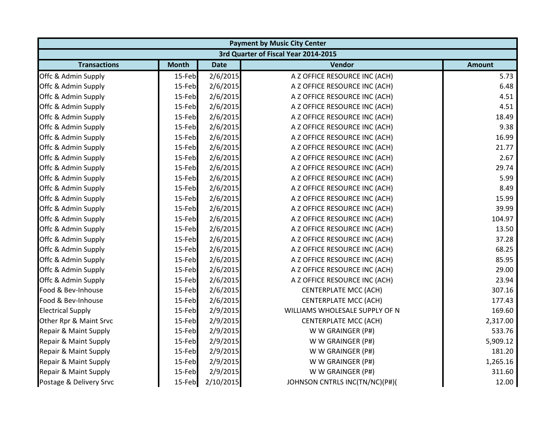|                                      | <b>Payment by Music City Center</b> |             |                                |               |  |  |
|--------------------------------------|-------------------------------------|-------------|--------------------------------|---------------|--|--|
| 3rd Quarter of Fiscal Year 2014-2015 |                                     |             |                                |               |  |  |
| <b>Transactions</b>                  | <b>Month</b>                        | <b>Date</b> | Vendor                         | <b>Amount</b> |  |  |
| Offc & Admin Supply                  | 15-Feb                              | 2/6/2015    | A Z OFFICE RESOURCE INC (ACH)  | 5.73          |  |  |
| Offc & Admin Supply                  | 15-Feb                              | 2/6/2015    | A Z OFFICE RESOURCE INC (ACH)  | 6.48          |  |  |
| Offc & Admin Supply                  | 15-Feb                              | 2/6/2015    | A Z OFFICE RESOURCE INC (ACH)  | 4.51          |  |  |
| Offc & Admin Supply                  | 15-Feb                              | 2/6/2015    | A Z OFFICE RESOURCE INC (ACH)  | 4.51          |  |  |
| Offc & Admin Supply                  | 15-Feb                              | 2/6/2015    | A Z OFFICE RESOURCE INC (ACH)  | 18.49         |  |  |
| Offc & Admin Supply                  | 15-Feb                              | 2/6/2015    | A Z OFFICE RESOURCE INC (ACH)  | 9.38          |  |  |
| Offc & Admin Supply                  | 15-Feb                              | 2/6/2015    | A Z OFFICE RESOURCE INC (ACH)  | 16.99         |  |  |
| Offc & Admin Supply                  | 15-Feb                              | 2/6/2015    | A Z OFFICE RESOURCE INC (ACH)  | 21.77         |  |  |
| Offc & Admin Supply                  | 15-Feb                              | 2/6/2015    | A Z OFFICE RESOURCE INC (ACH)  | 2.67          |  |  |
| Offc & Admin Supply                  | 15-Feb                              | 2/6/2015    | A Z OFFICE RESOURCE INC (ACH)  | 29.74         |  |  |
| Offc & Admin Supply                  | 15-Feb                              | 2/6/2015    | A Z OFFICE RESOURCE INC (ACH)  | 5.99          |  |  |
| Offc & Admin Supply                  | 15-Feb                              | 2/6/2015    | A Z OFFICE RESOURCE INC (ACH)  | 8.49          |  |  |
| Offc & Admin Supply                  | 15-Feb                              | 2/6/2015    | A Z OFFICE RESOURCE INC (ACH)  | 15.99         |  |  |
| Offc & Admin Supply                  | 15-Feb                              | 2/6/2015    | A Z OFFICE RESOURCE INC (ACH)  | 39.99         |  |  |
| Offc & Admin Supply                  | 15-Feb                              | 2/6/2015    | A Z OFFICE RESOURCE INC (ACH)  | 104.97        |  |  |
| Offc & Admin Supply                  | 15-Feb                              | 2/6/2015    | A Z OFFICE RESOURCE INC (ACH)  | 13.50         |  |  |
| Offc & Admin Supply                  | 15-Feb                              | 2/6/2015    | A Z OFFICE RESOURCE INC (ACH)  | 37.28         |  |  |
| Offc & Admin Supply                  | 15-Feb                              | 2/6/2015    | A Z OFFICE RESOURCE INC (ACH)  | 68.25         |  |  |
| Offc & Admin Supply                  | 15-Feb                              | 2/6/2015    | A Z OFFICE RESOURCE INC (ACH)  | 85.95         |  |  |
| Offc & Admin Supply                  | 15-Feb                              | 2/6/2015    | A Z OFFICE RESOURCE INC (ACH)  | 29.00         |  |  |
| Offc & Admin Supply                  | 15-Feb                              | 2/6/2015    | A Z OFFICE RESOURCE INC (ACH)  | 23.94         |  |  |
| Food & Bev-Inhouse                   | 15-Feb                              | 2/6/2015    | <b>CENTERPLATE MCC (ACH)</b>   | 307.16        |  |  |
| Food & Bev-Inhouse                   | 15-Feb                              | 2/6/2015    | <b>CENTERPLATE MCC (ACH)</b>   | 177.43        |  |  |
| <b>Electrical Supply</b>             | 15-Feb                              | 2/9/2015    | WILLIAMS WHOLESALE SUPPLY OF N | 169.60        |  |  |
| Other Rpr & Maint Srvc               | 15-Feb                              | 2/9/2015    | <b>CENTERPLATE MCC (ACH)</b>   | 2,317.00      |  |  |
| Repair & Maint Supply                | 15-Feb                              | 2/9/2015    | W W GRAINGER (P#)              | 533.76        |  |  |
| Repair & Maint Supply                | 15-Feb                              | 2/9/2015    | W W GRAINGER (P#)              | 5,909.12      |  |  |
| Repair & Maint Supply                | 15-Feb                              | 2/9/2015    | W W GRAINGER (P#)              | 181.20        |  |  |
| Repair & Maint Supply                | 15-Feb                              | 2/9/2015    | W W GRAINGER (P#)              | 1,265.16      |  |  |
| Repair & Maint Supply                | 15-Feb                              | 2/9/2015    | W W GRAINGER (P#)              | 311.60        |  |  |
| Postage & Delivery Srvc              | 15-Feb                              | 2/10/2015   | JOHNSON CNTRLS INC(TN/NC)(P#)( | 12.00         |  |  |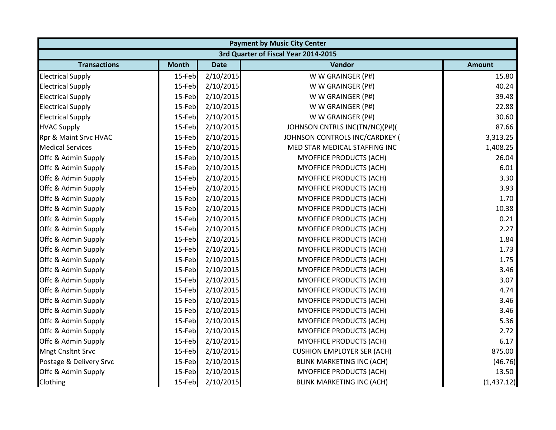|                          | <b>Payment by Music City Center</b> |             |                                      |               |  |  |
|--------------------------|-------------------------------------|-------------|--------------------------------------|---------------|--|--|
|                          |                                     |             | 3rd Quarter of Fiscal Year 2014-2015 |               |  |  |
| <b>Transactions</b>      | <b>Month</b>                        | <b>Date</b> | Vendor                               | <b>Amount</b> |  |  |
| <b>Electrical Supply</b> | 15-Feb                              | 2/10/2015   | W W GRAINGER (P#)                    | 15.80         |  |  |
| <b>Electrical Supply</b> | 15-Feb                              | 2/10/2015   | W W GRAINGER (P#)                    | 40.24         |  |  |
| <b>Electrical Supply</b> | 15-Feb                              | 2/10/2015   | W W GRAINGER (P#)                    | 39.48         |  |  |
| <b>Electrical Supply</b> | 15-Feb                              | 2/10/2015   | W W GRAINGER (P#)                    | 22.88         |  |  |
| <b>Electrical Supply</b> | 15-Feb                              | 2/10/2015   | W W GRAINGER (P#)                    | 30.60         |  |  |
| <b>HVAC Supply</b>       | 15-Feb                              | 2/10/2015   | JOHNSON CNTRLS INC(TN/NC)(P#)(       | 87.66         |  |  |
| Rpr & Maint Srvc HVAC    | 15-Feb                              | 2/10/2015   | JOHNSON CONTROLS INC/CARDKEY (       | 3,313.25      |  |  |
| <b>Medical Services</b>  | 15-Feb                              | 2/10/2015   | MED STAR MEDICAL STAFFING INC        | 1,408.25      |  |  |
| Offc & Admin Supply      | 15-Feb                              | 2/10/2015   | <b>MYOFFICE PRODUCTS (ACH)</b>       | 26.04         |  |  |
| Offc & Admin Supply      | 15-Feb                              | 2/10/2015   | <b>MYOFFICE PRODUCTS (ACH)</b>       | 6.01          |  |  |
| Offc & Admin Supply      | 15-Feb                              | 2/10/2015   | MYOFFICE PRODUCTS (ACH)              | 3.30          |  |  |
| Offc & Admin Supply      | 15-Feb                              | 2/10/2015   | <b>MYOFFICE PRODUCTS (ACH)</b>       | 3.93          |  |  |
| Offc & Admin Supply      | 15-Feb                              | 2/10/2015   | MYOFFICE PRODUCTS (ACH)              | 1.70          |  |  |
| Offc & Admin Supply      | 15-Feb                              | 2/10/2015   | MYOFFICE PRODUCTS (ACH)              | 10.38         |  |  |
| Offc & Admin Supply      | 15-Feb                              | 2/10/2015   | MYOFFICE PRODUCTS (ACH)              | 0.21          |  |  |
| Offc & Admin Supply      | 15-Feb                              | 2/10/2015   | MYOFFICE PRODUCTS (ACH)              | 2.27          |  |  |
| Offc & Admin Supply      | 15-Feb                              | 2/10/2015   | <b>MYOFFICE PRODUCTS (ACH)</b>       | 1.84          |  |  |
| Offc & Admin Supply      | 15-Feb                              | 2/10/2015   | MYOFFICE PRODUCTS (ACH)              | 1.73          |  |  |
| Offc & Admin Supply      | 15-Feb                              | 2/10/2015   | MYOFFICE PRODUCTS (ACH)              | 1.75          |  |  |
| Offc & Admin Supply      | 15-Feb                              | 2/10/2015   | MYOFFICE PRODUCTS (ACH)              | 3.46          |  |  |
| Offc & Admin Supply      | 15-Feb                              | 2/10/2015   | MYOFFICE PRODUCTS (ACH)              | 3.07          |  |  |
| Offc & Admin Supply      | 15-Feb                              | 2/10/2015   | MYOFFICE PRODUCTS (ACH)              | 4.74          |  |  |
| Offc & Admin Supply      | 15-Feb                              | 2/10/2015   | MYOFFICE PRODUCTS (ACH)              | 3.46          |  |  |
| Offc & Admin Supply      | 15-Feb                              | 2/10/2015   | <b>MYOFFICE PRODUCTS (ACH)</b>       | 3.46          |  |  |
| Offc & Admin Supply      | 15-Feb                              | 2/10/2015   | MYOFFICE PRODUCTS (ACH)              | 5.36          |  |  |
| Offc & Admin Supply      | 15-Feb                              | 2/10/2015   | MYOFFICE PRODUCTS (ACH)              | 2.72          |  |  |
| Offc & Admin Supply      | 15-Feb                              | 2/10/2015   | MYOFFICE PRODUCTS (ACH)              | 6.17          |  |  |
| <b>Mngt Cnsltnt Srvc</b> | 15-Feb                              | 2/10/2015   | <b>CUSHION EMPLOYER SER (ACH)</b>    | 875.00        |  |  |
| Postage & Delivery Srvc  | 15-Feb                              | 2/10/2015   | <b>BLINK MARKETING INC (ACH)</b>     | (46.76)       |  |  |
| Offc & Admin Supply      | 15-Feb                              | 2/10/2015   | MYOFFICE PRODUCTS (ACH)              | 13.50         |  |  |
| Clothing                 | 15-Feb                              | 2/10/2015   | <b>BLINK MARKETING INC (ACH)</b>     | (1,437.12)    |  |  |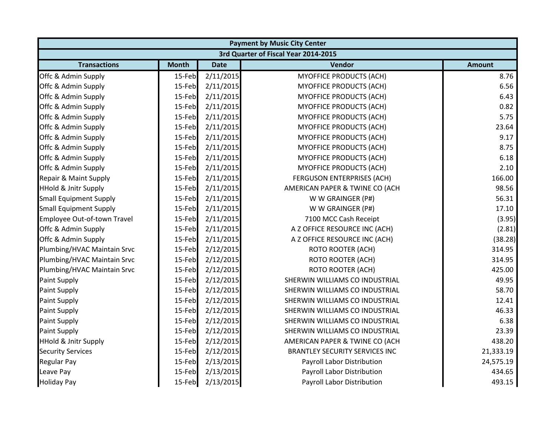| <b>Payment by Music City Center</b> |                                      |             |                                       |               |  |  |  |
|-------------------------------------|--------------------------------------|-------------|---------------------------------------|---------------|--|--|--|
|                                     | 3rd Quarter of Fiscal Year 2014-2015 |             |                                       |               |  |  |  |
| <b>Transactions</b>                 | <b>Month</b>                         | <b>Date</b> | Vendor                                | <b>Amount</b> |  |  |  |
| Offc & Admin Supply                 | 15-Feb                               | 2/11/2015   | <b>MYOFFICE PRODUCTS (ACH)</b>        | 8.76          |  |  |  |
| Offc & Admin Supply                 | 15-Feb                               | 2/11/2015   | <b>MYOFFICE PRODUCTS (ACH)</b>        | 6.56          |  |  |  |
| Offc & Admin Supply                 | 15-Feb                               | 2/11/2015   | MYOFFICE PRODUCTS (ACH)               | 6.43          |  |  |  |
| Offc & Admin Supply                 | 15-Feb                               | 2/11/2015   | <b>MYOFFICE PRODUCTS (ACH)</b>        | 0.82          |  |  |  |
| Offc & Admin Supply                 | 15-Feb                               | 2/11/2015   | MYOFFICE PRODUCTS (ACH)               | 5.75          |  |  |  |
| Offc & Admin Supply                 | 15-Feb                               | 2/11/2015   | <b>MYOFFICE PRODUCTS (ACH)</b>        | 23.64         |  |  |  |
| Offc & Admin Supply                 | 15-Feb                               | 2/11/2015   | MYOFFICE PRODUCTS (ACH)               | 9.17          |  |  |  |
| Offc & Admin Supply                 | 15-Feb                               | 2/11/2015   | <b>MYOFFICE PRODUCTS (ACH)</b>        | 8.75          |  |  |  |
| Offc & Admin Supply                 | 15-Feb                               | 2/11/2015   | MYOFFICE PRODUCTS (ACH)               | 6.18          |  |  |  |
| Offc & Admin Supply                 | 15-Feb                               | 2/11/2015   | MYOFFICE PRODUCTS (ACH)               | 2.10          |  |  |  |
| Repair & Maint Supply               | 15-Feb                               | 2/11/2015   | <b>FERGUSON ENTERPRISES (ACH)</b>     | 166.00        |  |  |  |
| <b>HHold &amp; Jnitr Supply</b>     | 15-Feb                               | 2/11/2015   | AMERICAN PAPER & TWINE CO (ACH        | 98.56         |  |  |  |
| <b>Small Equipment Supply</b>       | 15-Feb                               | 2/11/2015   | W W GRAINGER (P#)                     | 56.31         |  |  |  |
| <b>Small Equipment Supply</b>       | 15-Feb                               | 2/11/2015   | W W GRAINGER (P#)                     | 17.10         |  |  |  |
| Employee Out-of-town Travel         | 15-Feb                               | 2/11/2015   | 7100 MCC Cash Receipt                 | (3.95)        |  |  |  |
| Offc & Admin Supply                 | 15-Feb                               | 2/11/2015   | A Z OFFICE RESOURCE INC (ACH)         | (2.81)        |  |  |  |
| Offc & Admin Supply                 | 15-Feb                               | 2/11/2015   | A Z OFFICE RESOURCE INC (ACH)         | (38.28)       |  |  |  |
| Plumbing/HVAC Maintain Srvc         | 15-Feb                               | 2/12/2015   | <b>ROTO ROOTER (ACH)</b>              | 314.95        |  |  |  |
| Plumbing/HVAC Maintain Srvc         | 15-Feb                               | 2/12/2015   | <b>ROTO ROOTER (ACH)</b>              | 314.95        |  |  |  |
| Plumbing/HVAC Maintain Srvc         | 15-Feb                               | 2/12/2015   | <b>ROTO ROOTER (ACH)</b>              | 425.00        |  |  |  |
| <b>Paint Supply</b>                 | 15-Feb                               | 2/12/2015   | SHERWIN WILLIAMS CO INDUSTRIAL        | 49.95         |  |  |  |
| Paint Supply                        | 15-Feb                               | 2/12/2015   | SHERWIN WILLIAMS CO INDUSTRIAL        | 58.70         |  |  |  |
| Paint Supply                        | 15-Feb                               | 2/12/2015   | SHERWIN WILLIAMS CO INDUSTRIAL        | 12.41         |  |  |  |
| <b>Paint Supply</b>                 | 15-Feb                               | 2/12/2015   | SHERWIN WILLIAMS CO INDUSTRIAL        | 46.33         |  |  |  |
| <b>Paint Supply</b>                 | 15-Feb                               | 2/12/2015   | SHERWIN WILLIAMS CO INDUSTRIAL        | 6.38          |  |  |  |
| <b>Paint Supply</b>                 | 15-Feb                               | 2/12/2015   | SHERWIN WILLIAMS CO INDUSTRIAL        | 23.39         |  |  |  |
| <b>HHold &amp; Jnitr Supply</b>     | 15-Feb                               | 2/12/2015   | AMERICAN PAPER & TWINE CO (ACH        | 438.20        |  |  |  |
| <b>Security Services</b>            | 15-Feb                               | 2/12/2015   | <b>BRANTLEY SECURITY SERVICES INC</b> | 21,333.19     |  |  |  |
| <b>Regular Pay</b>                  | 15-Feb                               | 2/13/2015   | Payroll Labor Distribution            | 24,575.19     |  |  |  |
| Leave Pay                           | 15-Feb                               | 2/13/2015   | Payroll Labor Distribution            | 434.65        |  |  |  |
| <b>Holiday Pay</b>                  | 15-Feb                               | 2/13/2015   | Payroll Labor Distribution            | 493.15        |  |  |  |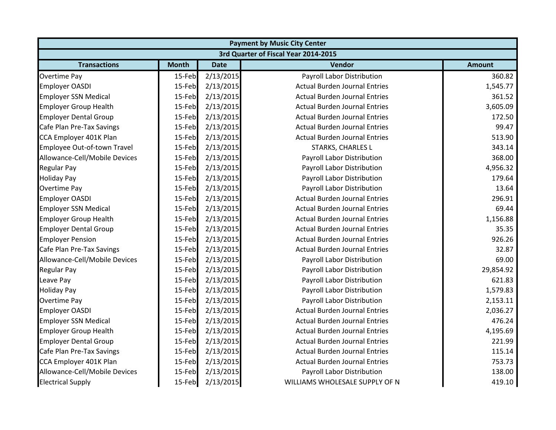|                                      | <b>Payment by Music City Center</b> |             |                                      |               |  |  |
|--------------------------------------|-------------------------------------|-------------|--------------------------------------|---------------|--|--|
| 3rd Quarter of Fiscal Year 2014-2015 |                                     |             |                                      |               |  |  |
| <b>Transactions</b>                  | <b>Month</b>                        | <b>Date</b> | Vendor                               | <b>Amount</b> |  |  |
| <b>Overtime Pay</b>                  | 15-Feb                              | 2/13/2015   | Payroll Labor Distribution           | 360.82        |  |  |
| <b>Employer OASDI</b>                | 15-Feb                              | 2/13/2015   | <b>Actual Burden Journal Entries</b> | 1,545.77      |  |  |
| <b>Employer SSN Medical</b>          | 15-Feb                              | 2/13/2015   | <b>Actual Burden Journal Entries</b> | 361.52        |  |  |
| <b>Employer Group Health</b>         | 15-Feb                              | 2/13/2015   | <b>Actual Burden Journal Entries</b> | 3,605.09      |  |  |
| <b>Employer Dental Group</b>         | 15-Feb                              | 2/13/2015   | <b>Actual Burden Journal Entries</b> | 172.50        |  |  |
| Cafe Plan Pre-Tax Savings            | 15-Feb                              | 2/13/2015   | <b>Actual Burden Journal Entries</b> | 99.47         |  |  |
| CCA Employer 401K Plan               | 15-Feb                              | 2/13/2015   | <b>Actual Burden Journal Entries</b> | 513.90        |  |  |
| Employee Out-of-town Travel          | 15-Feb                              | 2/13/2015   | <b>STARKS, CHARLES L</b>             | 343.14        |  |  |
| Allowance-Cell/Mobile Devices        | 15-Feb                              | 2/13/2015   | Payroll Labor Distribution           | 368.00        |  |  |
| <b>Regular Pay</b>                   | 15-Feb                              | 2/13/2015   | Payroll Labor Distribution           | 4,956.32      |  |  |
| <b>Holiday Pay</b>                   | 15-Feb                              | 2/13/2015   | Payroll Labor Distribution           | 179.64        |  |  |
| <b>Overtime Pay</b>                  | 15-Feb                              | 2/13/2015   | Payroll Labor Distribution           | 13.64         |  |  |
| <b>Employer OASDI</b>                | 15-Feb                              | 2/13/2015   | <b>Actual Burden Journal Entries</b> | 296.91        |  |  |
| <b>Employer SSN Medical</b>          | 15-Feb                              | 2/13/2015   | <b>Actual Burden Journal Entries</b> | 69.44         |  |  |
| <b>Employer Group Health</b>         | 15-Feb                              | 2/13/2015   | <b>Actual Burden Journal Entries</b> | 1,156.88      |  |  |
| <b>Employer Dental Group</b>         | 15-Feb                              | 2/13/2015   | <b>Actual Burden Journal Entries</b> | 35.35         |  |  |
| <b>Employer Pension</b>              | 15-Feb                              | 2/13/2015   | <b>Actual Burden Journal Entries</b> | 926.26        |  |  |
| Cafe Plan Pre-Tax Savings            | 15-Feb                              | 2/13/2015   | <b>Actual Burden Journal Entries</b> | 32.87         |  |  |
| Allowance-Cell/Mobile Devices        | 15-Feb                              | 2/13/2015   | Payroll Labor Distribution           | 69.00         |  |  |
| <b>Regular Pay</b>                   | 15-Feb                              | 2/13/2015   | Payroll Labor Distribution           | 29,854.92     |  |  |
| Leave Pay                            | 15-Feb                              | 2/13/2015   | Payroll Labor Distribution           | 621.83        |  |  |
| <b>Holiday Pay</b>                   | 15-Feb                              | 2/13/2015   | Payroll Labor Distribution           | 1,579.83      |  |  |
| Overtime Pay                         | 15-Feb                              | 2/13/2015   | Payroll Labor Distribution           | 2,153.11      |  |  |
| <b>Employer OASDI</b>                | 15-Feb                              | 2/13/2015   | <b>Actual Burden Journal Entries</b> | 2,036.27      |  |  |
| <b>Employer SSN Medical</b>          | 15-Feb                              | 2/13/2015   | <b>Actual Burden Journal Entries</b> | 476.24        |  |  |
| <b>Employer Group Health</b>         | 15-Feb                              | 2/13/2015   | <b>Actual Burden Journal Entries</b> | 4,195.69      |  |  |
| <b>Employer Dental Group</b>         | 15-Feb                              | 2/13/2015   | <b>Actual Burden Journal Entries</b> | 221.99        |  |  |
| Cafe Plan Pre-Tax Savings            | 15-Feb                              | 2/13/2015   | <b>Actual Burden Journal Entries</b> | 115.14        |  |  |
| CCA Employer 401K Plan               | 15-Feb                              | 2/13/2015   | <b>Actual Burden Journal Entries</b> | 753.73        |  |  |
| Allowance-Cell/Mobile Devices        | 15-Feb                              | 2/13/2015   | Payroll Labor Distribution           | 138.00        |  |  |
| <b>Electrical Supply</b>             | 15-Feb                              | 2/13/2015   | WILLIAMS WHOLESALE SUPPLY OF N       | 419.10        |  |  |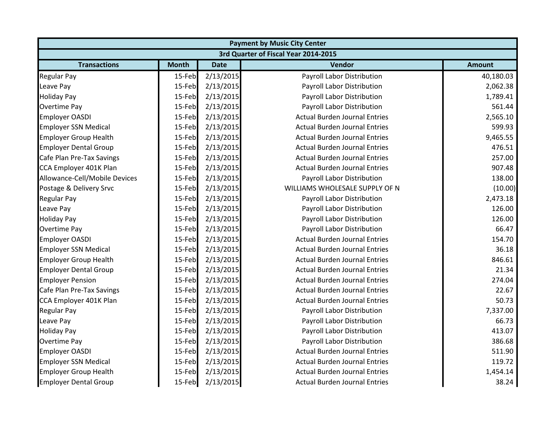| <b>Payment by Music City Center</b> |                                      |             |                                      |               |  |  |  |
|-------------------------------------|--------------------------------------|-------------|--------------------------------------|---------------|--|--|--|
|                                     | 3rd Quarter of Fiscal Year 2014-2015 |             |                                      |               |  |  |  |
| <b>Transactions</b>                 | <b>Month</b>                         | <b>Date</b> | Vendor                               | <b>Amount</b> |  |  |  |
| <b>Regular Pay</b>                  | 15-Feb                               | 2/13/2015   | Payroll Labor Distribution           | 40,180.03     |  |  |  |
| Leave Pay                           | 15-Feb                               | 2/13/2015   | Payroll Labor Distribution           | 2,062.38      |  |  |  |
| <b>Holiday Pay</b>                  | 15-Feb                               | 2/13/2015   | Payroll Labor Distribution           | 1,789.41      |  |  |  |
| Overtime Pay                        | 15-Feb                               | 2/13/2015   | Payroll Labor Distribution           | 561.44        |  |  |  |
| <b>Employer OASDI</b>               | 15-Feb                               | 2/13/2015   | <b>Actual Burden Journal Entries</b> | 2,565.10      |  |  |  |
| <b>Employer SSN Medical</b>         | 15-Feb                               | 2/13/2015   | <b>Actual Burden Journal Entries</b> | 599.93        |  |  |  |
| <b>Employer Group Health</b>        | 15-Feb                               | 2/13/2015   | <b>Actual Burden Journal Entries</b> | 9,465.55      |  |  |  |
| <b>Employer Dental Group</b>        | 15-Feb                               | 2/13/2015   | <b>Actual Burden Journal Entries</b> | 476.51        |  |  |  |
| Cafe Plan Pre-Tax Savings           | 15-Feb                               | 2/13/2015   | <b>Actual Burden Journal Entries</b> | 257.00        |  |  |  |
| CCA Employer 401K Plan              | 15-Feb                               | 2/13/2015   | <b>Actual Burden Journal Entries</b> | 907.48        |  |  |  |
| Allowance-Cell/Mobile Devices       | 15-Feb                               | 2/13/2015   | Payroll Labor Distribution           | 138.00        |  |  |  |
| Postage & Delivery Srvc             | 15-Feb                               | 2/13/2015   | WILLIAMS WHOLESALE SUPPLY OF N       | (10.00)       |  |  |  |
| <b>Regular Pay</b>                  | 15-Feb                               | 2/13/2015   | Payroll Labor Distribution           | 2,473.18      |  |  |  |
| Leave Pay                           | 15-Feb                               | 2/13/2015   | Payroll Labor Distribution           | 126.00        |  |  |  |
| <b>Holiday Pay</b>                  | 15-Feb                               | 2/13/2015   | Payroll Labor Distribution           | 126.00        |  |  |  |
| Overtime Pay                        | 15-Feb                               | 2/13/2015   | Payroll Labor Distribution           | 66.47         |  |  |  |
| <b>Employer OASDI</b>               | 15-Feb                               | 2/13/2015   | <b>Actual Burden Journal Entries</b> | 154.70        |  |  |  |
| <b>Employer SSN Medical</b>         | 15-Feb                               | 2/13/2015   | <b>Actual Burden Journal Entries</b> | 36.18         |  |  |  |
| <b>Employer Group Health</b>        | 15-Feb                               | 2/13/2015   | <b>Actual Burden Journal Entries</b> | 846.61        |  |  |  |
| <b>Employer Dental Group</b>        | 15-Feb                               | 2/13/2015   | <b>Actual Burden Journal Entries</b> | 21.34         |  |  |  |
| <b>Employer Pension</b>             | 15-Feb                               | 2/13/2015   | <b>Actual Burden Journal Entries</b> | 274.04        |  |  |  |
| Cafe Plan Pre-Tax Savings           | 15-Feb                               | 2/13/2015   | <b>Actual Burden Journal Entries</b> | 22.67         |  |  |  |
| CCA Employer 401K Plan              | 15-Feb                               | 2/13/2015   | <b>Actual Burden Journal Entries</b> | 50.73         |  |  |  |
| <b>Regular Pay</b>                  | 15-Feb                               | 2/13/2015   | Payroll Labor Distribution           | 7,337.00      |  |  |  |
| Leave Pay                           | 15-Feb                               | 2/13/2015   | Payroll Labor Distribution           | 66.73         |  |  |  |
| <b>Holiday Pay</b>                  | 15-Feb                               | 2/13/2015   | Payroll Labor Distribution           | 413.07        |  |  |  |
| <b>Overtime Pay</b>                 | 15-Feb                               | 2/13/2015   | Payroll Labor Distribution           | 386.68        |  |  |  |
| <b>Employer OASDI</b>               | 15-Feb                               | 2/13/2015   | <b>Actual Burden Journal Entries</b> | 511.90        |  |  |  |
| <b>Employer SSN Medical</b>         | 15-Feb                               | 2/13/2015   | <b>Actual Burden Journal Entries</b> | 119.72        |  |  |  |
| <b>Employer Group Health</b>        | 15-Feb                               | 2/13/2015   | <b>Actual Burden Journal Entries</b> | 1,454.14      |  |  |  |
| <b>Employer Dental Group</b>        | 15-Feb                               | 2/13/2015   | <b>Actual Burden Journal Entries</b> | 38.24         |  |  |  |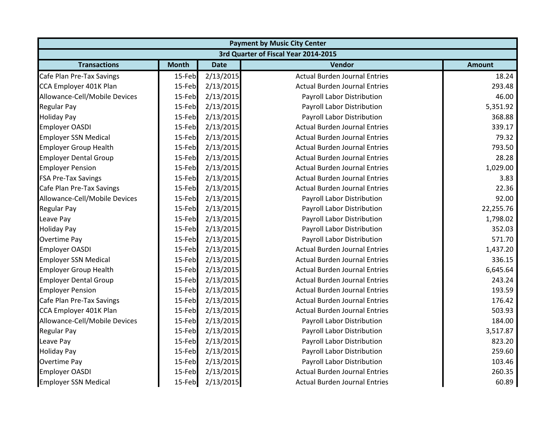|                                      | <b>Payment by Music City Center</b> |             |                                      |               |  |  |
|--------------------------------------|-------------------------------------|-------------|--------------------------------------|---------------|--|--|
| 3rd Quarter of Fiscal Year 2014-2015 |                                     |             |                                      |               |  |  |
| <b>Transactions</b>                  | <b>Month</b>                        | <b>Date</b> | Vendor                               | <b>Amount</b> |  |  |
| Cafe Plan Pre-Tax Savings            | 15-Feb                              | 2/13/2015   | <b>Actual Burden Journal Entries</b> | 18.24         |  |  |
| CCA Employer 401K Plan               | 15-Feb                              | 2/13/2015   | <b>Actual Burden Journal Entries</b> | 293.48        |  |  |
| Allowance-Cell/Mobile Devices        | 15-Feb                              | 2/13/2015   | Payroll Labor Distribution           | 46.00         |  |  |
| <b>Regular Pay</b>                   | 15-Feb                              | 2/13/2015   | Payroll Labor Distribution           | 5,351.92      |  |  |
| <b>Holiday Pay</b>                   | 15-Feb                              | 2/13/2015   | Payroll Labor Distribution           | 368.88        |  |  |
| <b>Employer OASDI</b>                | 15-Feb                              | 2/13/2015   | <b>Actual Burden Journal Entries</b> | 339.17        |  |  |
| <b>Employer SSN Medical</b>          | 15-Feb                              | 2/13/2015   | <b>Actual Burden Journal Entries</b> | 79.32         |  |  |
| <b>Employer Group Health</b>         | 15-Feb                              | 2/13/2015   | <b>Actual Burden Journal Entries</b> | 793.50        |  |  |
| <b>Employer Dental Group</b>         | 15-Feb                              | 2/13/2015   | <b>Actual Burden Journal Entries</b> | 28.28         |  |  |
| <b>Employer Pension</b>              | 15-Feb                              | 2/13/2015   | <b>Actual Burden Journal Entries</b> | 1,029.00      |  |  |
| <b>FSA Pre-Tax Savings</b>           | 15-Feb                              | 2/13/2015   | <b>Actual Burden Journal Entries</b> | 3.83          |  |  |
| Cafe Plan Pre-Tax Savings            | 15-Feb                              | 2/13/2015   | <b>Actual Burden Journal Entries</b> | 22.36         |  |  |
| Allowance-Cell/Mobile Devices        | 15-Feb                              | 2/13/2015   | Payroll Labor Distribution           | 92.00         |  |  |
| <b>Regular Pay</b>                   | 15-Feb                              | 2/13/2015   | Payroll Labor Distribution           | 22,255.76     |  |  |
| Leave Pay                            | 15-Feb                              | 2/13/2015   | Payroll Labor Distribution           | 1,798.02      |  |  |
| <b>Holiday Pay</b>                   | 15-Feb                              | 2/13/2015   | Payroll Labor Distribution           | 352.03        |  |  |
| Overtime Pay                         | 15-Feb                              | 2/13/2015   | Payroll Labor Distribution           | 571.70        |  |  |
| <b>Employer OASDI</b>                | 15-Feb                              | 2/13/2015   | <b>Actual Burden Journal Entries</b> | 1,437.20      |  |  |
| <b>Employer SSN Medical</b>          | 15-Feb                              | 2/13/2015   | <b>Actual Burden Journal Entries</b> | 336.15        |  |  |
| <b>Employer Group Health</b>         | 15-Feb                              | 2/13/2015   | <b>Actual Burden Journal Entries</b> | 6,645.64      |  |  |
| <b>Employer Dental Group</b>         | 15-Feb                              | 2/13/2015   | <b>Actual Burden Journal Entries</b> | 243.24        |  |  |
| <b>Employer Pension</b>              | 15-Feb                              | 2/13/2015   | <b>Actual Burden Journal Entries</b> | 193.59        |  |  |
| Cafe Plan Pre-Tax Savings            | 15-Feb                              | 2/13/2015   | <b>Actual Burden Journal Entries</b> | 176.42        |  |  |
| CCA Employer 401K Plan               | 15-Feb                              | 2/13/2015   | <b>Actual Burden Journal Entries</b> | 503.93        |  |  |
| Allowance-Cell/Mobile Devices        | 15-Feb                              | 2/13/2015   | Payroll Labor Distribution           | 184.00        |  |  |
| <b>Regular Pay</b>                   | 15-Feb                              | 2/13/2015   | Payroll Labor Distribution           | 3,517.87      |  |  |
| Leave Pay                            | 15-Feb                              | 2/13/2015   | Payroll Labor Distribution           | 823.20        |  |  |
| <b>Holiday Pay</b>                   | 15-Feb                              | 2/13/2015   | Payroll Labor Distribution           | 259.60        |  |  |
| Overtime Pay                         | 15-Feb                              | 2/13/2015   | Payroll Labor Distribution           | 103.46        |  |  |
| <b>Employer OASDI</b>                | 15-Feb                              | 2/13/2015   | <b>Actual Burden Journal Entries</b> | 260.35        |  |  |
| <b>Employer SSN Medical</b>          | 15-Feb                              | 2/13/2015   | <b>Actual Burden Journal Entries</b> | 60.89         |  |  |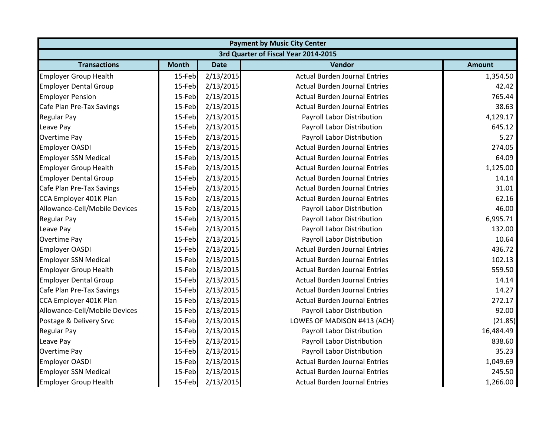| <b>Payment by Music City Center</b>  |              |             |                                      |               |  |  |
|--------------------------------------|--------------|-------------|--------------------------------------|---------------|--|--|
| 3rd Quarter of Fiscal Year 2014-2015 |              |             |                                      |               |  |  |
| <b>Transactions</b>                  | <b>Month</b> | <b>Date</b> | <b>Vendor</b>                        | <b>Amount</b> |  |  |
| <b>Employer Group Health</b>         | 15-Feb       | 2/13/2015   | <b>Actual Burden Journal Entries</b> | 1,354.50      |  |  |
| <b>Employer Dental Group</b>         | 15-Feb       | 2/13/2015   | <b>Actual Burden Journal Entries</b> | 42.42         |  |  |
| <b>Employer Pension</b>              | 15-Feb       | 2/13/2015   | <b>Actual Burden Journal Entries</b> | 765.44        |  |  |
| Cafe Plan Pre-Tax Savings            | 15-Feb       | 2/13/2015   | <b>Actual Burden Journal Entries</b> | 38.63         |  |  |
| <b>Regular Pay</b>                   | 15-Feb       | 2/13/2015   | Payroll Labor Distribution           | 4,129.17      |  |  |
| Leave Pay                            | 15-Feb       | 2/13/2015   | Payroll Labor Distribution           | 645.12        |  |  |
| <b>Overtime Pay</b>                  | 15-Feb       | 2/13/2015   | Payroll Labor Distribution           | 5.27          |  |  |
| <b>Employer OASDI</b>                | 15-Feb       | 2/13/2015   | <b>Actual Burden Journal Entries</b> | 274.05        |  |  |
| <b>Employer SSN Medical</b>          | 15-Feb       | 2/13/2015   | <b>Actual Burden Journal Entries</b> | 64.09         |  |  |
| <b>Employer Group Health</b>         | 15-Feb       | 2/13/2015   | <b>Actual Burden Journal Entries</b> | 1,125.00      |  |  |
| <b>Employer Dental Group</b>         | 15-Feb       | 2/13/2015   | <b>Actual Burden Journal Entries</b> | 14.14         |  |  |
| Cafe Plan Pre-Tax Savings            | 15-Feb       | 2/13/2015   | <b>Actual Burden Journal Entries</b> | 31.01         |  |  |
| CCA Employer 401K Plan               | 15-Feb       | 2/13/2015   | <b>Actual Burden Journal Entries</b> | 62.16         |  |  |
| Allowance-Cell/Mobile Devices        | 15-Feb       | 2/13/2015   | Payroll Labor Distribution           | 46.00         |  |  |
| <b>Regular Pay</b>                   | 15-Feb       | 2/13/2015   | Payroll Labor Distribution           | 6,995.71      |  |  |
| Leave Pay                            | 15-Feb       | 2/13/2015   | Payroll Labor Distribution           | 132.00        |  |  |
| <b>Overtime Pay</b>                  | 15-Feb       | 2/13/2015   | Payroll Labor Distribution           | 10.64         |  |  |
| <b>Employer OASDI</b>                | 15-Feb       | 2/13/2015   | <b>Actual Burden Journal Entries</b> | 436.72        |  |  |
| <b>Employer SSN Medical</b>          | 15-Feb       | 2/13/2015   | <b>Actual Burden Journal Entries</b> | 102.13        |  |  |
| <b>Employer Group Health</b>         | 15-Feb       | 2/13/2015   | <b>Actual Burden Journal Entries</b> | 559.50        |  |  |
| <b>Employer Dental Group</b>         | 15-Feb       | 2/13/2015   | <b>Actual Burden Journal Entries</b> | 14.14         |  |  |
| Cafe Plan Pre-Tax Savings            | 15-Feb       | 2/13/2015   | <b>Actual Burden Journal Entries</b> | 14.27         |  |  |
| CCA Employer 401K Plan               | 15-Feb       | 2/13/2015   | <b>Actual Burden Journal Entries</b> | 272.17        |  |  |
| Allowance-Cell/Mobile Devices        | 15-Feb       | 2/13/2015   | Payroll Labor Distribution           | 92.00         |  |  |
| Postage & Delivery Srvc              | 15-Feb       | 2/13/2015   | LOWES OF MADISON #413 (ACH)          | (21.85)       |  |  |
| <b>Regular Pay</b>                   | 15-Feb       | 2/13/2015   | Payroll Labor Distribution           | 16,484.49     |  |  |
| Leave Pay                            | 15-Feb       | 2/13/2015   | Payroll Labor Distribution           | 838.60        |  |  |
| Overtime Pay                         | 15-Feb       | 2/13/2015   | Payroll Labor Distribution           | 35.23         |  |  |
| <b>Employer OASDI</b>                | 15-Feb       | 2/13/2015   | <b>Actual Burden Journal Entries</b> | 1,049.69      |  |  |
| <b>Employer SSN Medical</b>          | 15-Feb       | 2/13/2015   | <b>Actual Burden Journal Entries</b> | 245.50        |  |  |
| <b>Employer Group Health</b>         | 15-Feb       | 2/13/2015   | <b>Actual Burden Journal Entries</b> | 1,266.00      |  |  |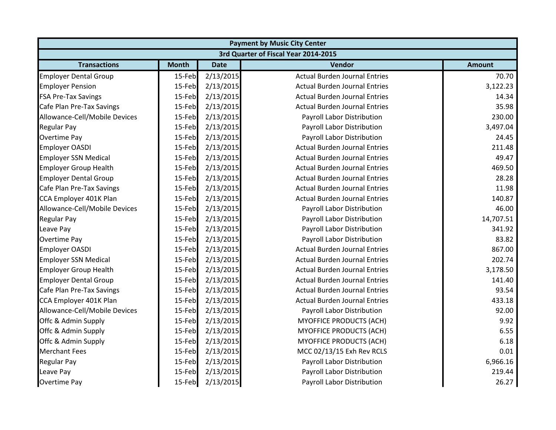| <b>Payment by Music City Center</b> |                                      |             |                                      |               |  |  |  |
|-------------------------------------|--------------------------------------|-------------|--------------------------------------|---------------|--|--|--|
|                                     | 3rd Quarter of Fiscal Year 2014-2015 |             |                                      |               |  |  |  |
| <b>Transactions</b>                 | <b>Month</b>                         | <b>Date</b> | <b>Vendor</b>                        | <b>Amount</b> |  |  |  |
| <b>Employer Dental Group</b>        | 15-Feb                               | 2/13/2015   | <b>Actual Burden Journal Entries</b> | 70.70         |  |  |  |
| <b>Employer Pension</b>             | 15-Feb                               | 2/13/2015   | <b>Actual Burden Journal Entries</b> | 3,122.23      |  |  |  |
| <b>FSA Pre-Tax Savings</b>          | 15-Feb                               | 2/13/2015   | <b>Actual Burden Journal Entries</b> | 14.34         |  |  |  |
| Cafe Plan Pre-Tax Savings           | 15-Feb                               | 2/13/2015   | <b>Actual Burden Journal Entries</b> | 35.98         |  |  |  |
| Allowance-Cell/Mobile Devices       | 15-Feb                               | 2/13/2015   | Payroll Labor Distribution           | 230.00        |  |  |  |
| <b>Regular Pay</b>                  | 15-Feb                               | 2/13/2015   | Payroll Labor Distribution           | 3,497.04      |  |  |  |
| <b>Overtime Pay</b>                 | 15-Feb                               | 2/13/2015   | Payroll Labor Distribution           | 24.45         |  |  |  |
| <b>Employer OASDI</b>               | 15-Feb                               | 2/13/2015   | <b>Actual Burden Journal Entries</b> | 211.48        |  |  |  |
| <b>Employer SSN Medical</b>         | 15-Feb                               | 2/13/2015   | <b>Actual Burden Journal Entries</b> | 49.47         |  |  |  |
| <b>Employer Group Health</b>        | 15-Feb                               | 2/13/2015   | <b>Actual Burden Journal Entries</b> | 469.50        |  |  |  |
| <b>Employer Dental Group</b>        | 15-Feb                               | 2/13/2015   | <b>Actual Burden Journal Entries</b> | 28.28         |  |  |  |
| Cafe Plan Pre-Tax Savings           | 15-Feb                               | 2/13/2015   | <b>Actual Burden Journal Entries</b> | 11.98         |  |  |  |
| CCA Employer 401K Plan              | 15-Feb                               | 2/13/2015   | <b>Actual Burden Journal Entries</b> | 140.87        |  |  |  |
| Allowance-Cell/Mobile Devices       | 15-Feb                               | 2/13/2015   | Payroll Labor Distribution           | 46.00         |  |  |  |
| <b>Regular Pay</b>                  | 15-Feb                               | 2/13/2015   | Payroll Labor Distribution           | 14,707.51     |  |  |  |
| Leave Pay                           | 15-Feb                               | 2/13/2015   | Payroll Labor Distribution           | 341.92        |  |  |  |
| <b>Overtime Pay</b>                 | 15-Feb                               | 2/13/2015   | Payroll Labor Distribution           | 83.82         |  |  |  |
| <b>Employer OASDI</b>               | 15-Feb                               | 2/13/2015   | <b>Actual Burden Journal Entries</b> | 867.00        |  |  |  |
| <b>Employer SSN Medical</b>         | 15-Feb                               | 2/13/2015   | <b>Actual Burden Journal Entries</b> | 202.74        |  |  |  |
| <b>Employer Group Health</b>        | 15-Feb                               | 2/13/2015   | <b>Actual Burden Journal Entries</b> | 3,178.50      |  |  |  |
| <b>Employer Dental Group</b>        | 15-Feb                               | 2/13/2015   | <b>Actual Burden Journal Entries</b> | 141.40        |  |  |  |
| Cafe Plan Pre-Tax Savings           | 15-Feb                               | 2/13/2015   | <b>Actual Burden Journal Entries</b> | 93.54         |  |  |  |
| CCA Employer 401K Plan              | 15-Feb                               | 2/13/2015   | <b>Actual Burden Journal Entries</b> | 433.18        |  |  |  |
| Allowance-Cell/Mobile Devices       | 15-Feb                               | 2/13/2015   | Payroll Labor Distribution           | 92.00         |  |  |  |
| Offc & Admin Supply                 | 15-Feb                               | 2/13/2015   | MYOFFICE PRODUCTS (ACH)              | 9.92          |  |  |  |
| Offc & Admin Supply                 | 15-Feb                               | 2/13/2015   | MYOFFICE PRODUCTS (ACH)              | 6.55          |  |  |  |
| Offc & Admin Supply                 | 15-Feb                               | 2/13/2015   | MYOFFICE PRODUCTS (ACH)              | 6.18          |  |  |  |
| <b>Merchant Fees</b>                | 15-Feb                               | 2/13/2015   | MCC 02/13/15 Exh Rev RCLS            | 0.01          |  |  |  |
| <b>Regular Pay</b>                  | 15-Feb                               | 2/13/2015   | Payroll Labor Distribution           | 6,966.16      |  |  |  |
| Leave Pay                           | 15-Feb                               | 2/13/2015   | Payroll Labor Distribution           | 219.44        |  |  |  |
| <b>Overtime Pay</b>                 | 15-Feb                               | 2/13/2015   | Payroll Labor Distribution           | 26.27         |  |  |  |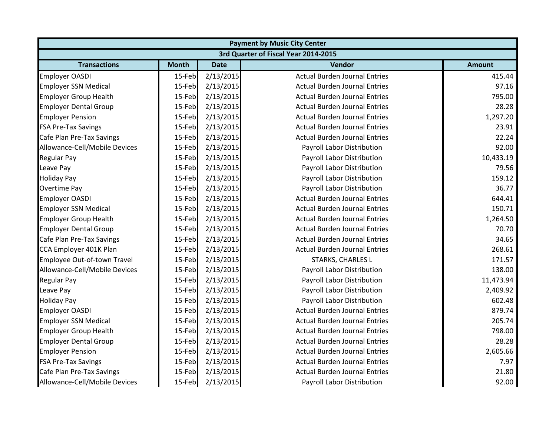| <b>Payment by Music City Center</b>  |              |             |                                      |               |  |  |
|--------------------------------------|--------------|-------------|--------------------------------------|---------------|--|--|
| 3rd Quarter of Fiscal Year 2014-2015 |              |             |                                      |               |  |  |
| <b>Transactions</b>                  | <b>Month</b> | <b>Date</b> | <b>Vendor</b>                        | <b>Amount</b> |  |  |
| <b>Employer OASDI</b>                | 15-Feb       | 2/13/2015   | <b>Actual Burden Journal Entries</b> | 415.44        |  |  |
| <b>Employer SSN Medical</b>          | 15-Feb       | 2/13/2015   | <b>Actual Burden Journal Entries</b> | 97.16         |  |  |
| <b>Employer Group Health</b>         | 15-Feb       | 2/13/2015   | <b>Actual Burden Journal Entries</b> | 795.00        |  |  |
| <b>Employer Dental Group</b>         | 15-Feb       | 2/13/2015   | <b>Actual Burden Journal Entries</b> | 28.28         |  |  |
| <b>Employer Pension</b>              | 15-Feb       | 2/13/2015   | <b>Actual Burden Journal Entries</b> | 1,297.20      |  |  |
| <b>FSA Pre-Tax Savings</b>           | 15-Feb       | 2/13/2015   | <b>Actual Burden Journal Entries</b> | 23.91         |  |  |
| Cafe Plan Pre-Tax Savings            | 15-Feb       | 2/13/2015   | <b>Actual Burden Journal Entries</b> | 22.24         |  |  |
| Allowance-Cell/Mobile Devices        | 15-Feb       | 2/13/2015   | Payroll Labor Distribution           | 92.00         |  |  |
| <b>Regular Pay</b>                   | 15-Feb       | 2/13/2015   | Payroll Labor Distribution           | 10,433.19     |  |  |
| Leave Pay                            | 15-Feb       | 2/13/2015   | Payroll Labor Distribution           | 79.56         |  |  |
| <b>Holiday Pay</b>                   | 15-Feb       | 2/13/2015   | Payroll Labor Distribution           | 159.12        |  |  |
| <b>Overtime Pay</b>                  | 15-Feb       | 2/13/2015   | Payroll Labor Distribution           | 36.77         |  |  |
| <b>Employer OASDI</b>                | 15-Feb       | 2/13/2015   | <b>Actual Burden Journal Entries</b> | 644.41        |  |  |
| <b>Employer SSN Medical</b>          | 15-Feb       | 2/13/2015   | <b>Actual Burden Journal Entries</b> | 150.71        |  |  |
| <b>Employer Group Health</b>         | 15-Feb       | 2/13/2015   | <b>Actual Burden Journal Entries</b> | 1,264.50      |  |  |
| <b>Employer Dental Group</b>         | 15-Feb       | 2/13/2015   | <b>Actual Burden Journal Entries</b> | 70.70         |  |  |
| Cafe Plan Pre-Tax Savings            | 15-Feb       | 2/13/2015   | <b>Actual Burden Journal Entries</b> | 34.65         |  |  |
| CCA Employer 401K Plan               | 15-Feb       | 2/13/2015   | <b>Actual Burden Journal Entries</b> | 268.61        |  |  |
| Employee Out-of-town Travel          | 15-Feb       | 2/13/2015   | STARKS, CHARLES L                    | 171.57        |  |  |
| Allowance-Cell/Mobile Devices        | 15-Feb       | 2/13/2015   | Payroll Labor Distribution           | 138.00        |  |  |
| <b>Regular Pay</b>                   | 15-Feb       | 2/13/2015   | Payroll Labor Distribution           | 11,473.94     |  |  |
| Leave Pay                            | 15-Feb       | 2/13/2015   | Payroll Labor Distribution           | 2,409.92      |  |  |
| <b>Holiday Pay</b>                   | 15-Feb       | 2/13/2015   | Payroll Labor Distribution           | 602.48        |  |  |
| <b>Employer OASDI</b>                | 15-Feb       | 2/13/2015   | <b>Actual Burden Journal Entries</b> | 879.74        |  |  |
| <b>Employer SSN Medical</b>          | 15-Feb       | 2/13/2015   | <b>Actual Burden Journal Entries</b> | 205.74        |  |  |
| <b>Employer Group Health</b>         | 15-Feb       | 2/13/2015   | <b>Actual Burden Journal Entries</b> | 798.00        |  |  |
| <b>Employer Dental Group</b>         | 15-Feb       | 2/13/2015   | <b>Actual Burden Journal Entries</b> | 28.28         |  |  |
| <b>Employer Pension</b>              | 15-Feb       | 2/13/2015   | <b>Actual Burden Journal Entries</b> | 2,605.66      |  |  |
| <b>FSA Pre-Tax Savings</b>           | 15-Feb       | 2/13/2015   | <b>Actual Burden Journal Entries</b> | 7.97          |  |  |
| Cafe Plan Pre-Tax Savings            | 15-Feb       | 2/13/2015   | <b>Actual Burden Journal Entries</b> | 21.80         |  |  |
| Allowance-Cell/Mobile Devices        | 15-Feb       | 2/13/2015   | Payroll Labor Distribution           | 92.00         |  |  |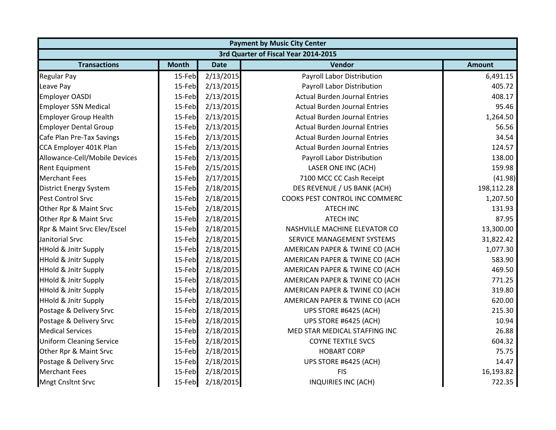| <b>Payment by Music City Center</b> |                                      |             |                                      |               |  |  |  |
|-------------------------------------|--------------------------------------|-------------|--------------------------------------|---------------|--|--|--|
|                                     | 3rd Quarter of Fiscal Year 2014-2015 |             |                                      |               |  |  |  |
| <b>Transactions</b>                 | <b>Month</b>                         | <b>Date</b> | Vendor                               | <b>Amount</b> |  |  |  |
| <b>Regular Pay</b>                  | 15-Feb                               | 2/13/2015   | Payroll Labor Distribution           | 6,491.15      |  |  |  |
| Leave Pay                           | 15-Feb                               | 2/13/2015   | Payroll Labor Distribution           | 405.72        |  |  |  |
| <b>Employer OASDI</b>               | 15-Feb                               | 2/13/2015   | <b>Actual Burden Journal Entries</b> | 408.17        |  |  |  |
| <b>Employer SSN Medical</b>         | 15-Feb                               | 2/13/2015   | <b>Actual Burden Journal Entries</b> | 95.46         |  |  |  |
| <b>Employer Group Health</b>        | 15-Feb                               | 2/13/2015   | <b>Actual Burden Journal Entries</b> | 1,264.50      |  |  |  |
| <b>Employer Dental Group</b>        | 15-Feb                               | 2/13/2015   | <b>Actual Burden Journal Entries</b> | 56.56         |  |  |  |
| Cafe Plan Pre-Tax Savings           | 15-Feb                               | 2/13/2015   | <b>Actual Burden Journal Entries</b> | 34.54         |  |  |  |
| CCA Employer 401K Plan              | 15-Feb                               | 2/13/2015   | <b>Actual Burden Journal Entries</b> | 124.57        |  |  |  |
| Allowance-Cell/Mobile Devices       | 15-Feb                               | 2/13/2015   | Payroll Labor Distribution           | 138.00        |  |  |  |
| <b>Rent Equipment</b>               | 15-Feb                               | 2/15/2015   | LASER ONE INC (ACH)                  | 159.98        |  |  |  |
| <b>Merchant Fees</b>                | 15-Feb                               | 2/17/2015   | 7100 MCC CC Cash Receipt             | (41.98)       |  |  |  |
| <b>District Energy System</b>       | 15-Feb                               | 2/18/2015   | DES REVENUE / US BANK (ACH)          | 198,112.28    |  |  |  |
| <b>Pest Control Srvc</b>            | 15-Feb                               | 2/18/2015   | COOKS PEST CONTROL INC COMMERC       | 1,207.50      |  |  |  |
| Other Rpr & Maint Srvc              | 15-Feb                               | 2/18/2015   | <b>ATECH INC</b>                     | 131.93        |  |  |  |
| Other Rpr & Maint Srvc              | 15-Feb                               | 2/18/2015   | <b>ATECH INC</b>                     | 87.95         |  |  |  |
| Rpr & Maint Srvc Elev/Escel         | 15-Feb                               | 2/18/2015   | NASHVILLE MACHINE ELEVATOR CO        | 13,300.00     |  |  |  |
| Janitorial Srvc                     | 15-Feb                               | 2/18/2015   | SERVICE MANAGEMENT SYSTEMS           | 31,822.42     |  |  |  |
| <b>HHold &amp; Jnitr Supply</b>     | 15-Feb                               | 2/18/2015   | AMERICAN PAPER & TWINE CO (ACH       | 1,077.30      |  |  |  |
| <b>HHold &amp; Jnitr Supply</b>     | 15-Feb                               | 2/18/2015   | AMERICAN PAPER & TWINE CO (ACH       | 583.90        |  |  |  |
| <b>HHold &amp; Jnitr Supply</b>     | 15-Feb                               | 2/18/2015   | AMERICAN PAPER & TWINE CO (ACH       | 469.50        |  |  |  |
| <b>HHold &amp; Jnitr Supply</b>     | 15-Feb                               | 2/18/2015   | AMERICAN PAPER & TWINE CO (ACH       | 771.25        |  |  |  |
| <b>HHold &amp; Jnitr Supply</b>     | 15-Feb                               | 2/18/2015   | AMERICAN PAPER & TWINE CO (ACH       | 319.80        |  |  |  |
| <b>HHold &amp; Jnitr Supply</b>     | 15-Feb                               | 2/18/2015   | AMERICAN PAPER & TWINE CO (ACH       | 620.00        |  |  |  |
| Postage & Delivery Srvc             | 15-Feb                               | 2/18/2015   | UPS STORE #6425 (ACH)                | 215.30        |  |  |  |
| Postage & Delivery Srvc             | 15-Feb                               | 2/18/2015   | UPS STORE #6425 (ACH)                | 10.94         |  |  |  |
| <b>Medical Services</b>             | 15-Feb                               | 2/18/2015   | MED STAR MEDICAL STAFFING INC        | 26.88         |  |  |  |
| <b>Uniform Cleaning Service</b>     | 15-Feb                               | 2/18/2015   | <b>COYNE TEXTILE SVCS</b>            | 604.32        |  |  |  |
| Other Rpr & Maint Srvc              | 15-Feb                               | 2/18/2015   | <b>HOBART CORP</b>                   | 75.75         |  |  |  |
| Postage & Delivery Srvc             | 15-Feb                               | 2/18/2015   | UPS STORE #6425 (ACH)                | 14.47         |  |  |  |
| <b>Merchant Fees</b>                | 15-Feb                               | 2/18/2015   | <b>FIS</b>                           | 16,193.82     |  |  |  |
| <b>Mngt Cnsltnt Srvc</b>            | 15-Feb                               | 2/18/2015   | INQUIRIES INC (ACH)                  | 722.35        |  |  |  |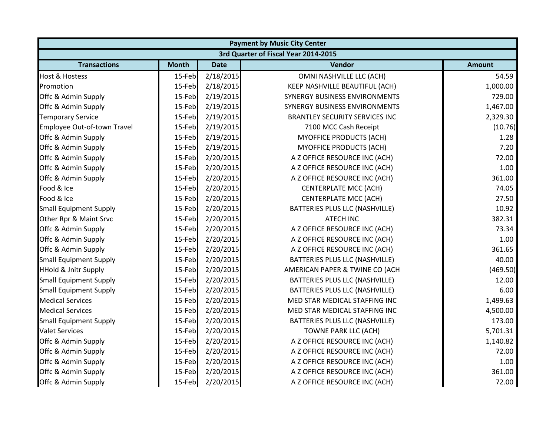| <b>Payment by Music City Center</b> |                                      |             |                                       |               |  |  |  |
|-------------------------------------|--------------------------------------|-------------|---------------------------------------|---------------|--|--|--|
|                                     | 3rd Quarter of Fiscal Year 2014-2015 |             |                                       |               |  |  |  |
| <b>Transactions</b>                 | <b>Month</b>                         | <b>Date</b> | Vendor                                | <b>Amount</b> |  |  |  |
| <b>Host &amp; Hostess</b>           | 15-Feb                               | 2/18/2015   | OMNI NASHVILLE LLC (ACH)              | 54.59         |  |  |  |
| Promotion                           | 15-Feb                               | 2/18/2015   | KEEP NASHVILLE BEAUTIFUL (ACH)        | 1,000.00      |  |  |  |
| Offc & Admin Supply                 | 15-Feb                               | 2/19/2015   | SYNERGY BUSINESS ENVIRONMENTS         | 729.00        |  |  |  |
| Offc & Admin Supply                 | 15-Feb                               | 2/19/2015   | SYNERGY BUSINESS ENVIRONMENTS         | 1,467.00      |  |  |  |
| <b>Temporary Service</b>            | 15-Feb                               | 2/19/2015   | <b>BRANTLEY SECURITY SERVICES INC</b> | 2,329.30      |  |  |  |
| Employee Out-of-town Travel         | 15-Feb                               | 2/19/2015   | 7100 MCC Cash Receipt                 | (10.76)       |  |  |  |
| Offc & Admin Supply                 | 15-Feb                               | 2/19/2015   | <b>MYOFFICE PRODUCTS (ACH)</b>        | 1.28          |  |  |  |
| Offc & Admin Supply                 | 15-Feb                               | 2/19/2015   | <b>MYOFFICE PRODUCTS (ACH)</b>        | 7.20          |  |  |  |
| Offc & Admin Supply                 | 15-Feb                               | 2/20/2015   | A Z OFFICE RESOURCE INC (ACH)         | 72.00         |  |  |  |
| Offc & Admin Supply                 | 15-Feb                               | 2/20/2015   | A Z OFFICE RESOURCE INC (ACH)         | 1.00          |  |  |  |
| Offc & Admin Supply                 | 15-Feb                               | 2/20/2015   | A Z OFFICE RESOURCE INC (ACH)         | 361.00        |  |  |  |
| Food & Ice                          | 15-Feb                               | 2/20/2015   | <b>CENTERPLATE MCC (ACH)</b>          | 74.05         |  |  |  |
| Food & Ice                          | 15-Feb                               | 2/20/2015   | <b>CENTERPLATE MCC (ACH)</b>          | 27.50         |  |  |  |
| <b>Small Equipment Supply</b>       | 15-Feb                               | 2/20/2015   | BATTERIES PLUS LLC (NASHVILLE)        | 10.92         |  |  |  |
| Other Rpr & Maint Srvc              | 15-Feb                               | 2/20/2015   | <b>ATECH INC</b>                      | 382.31        |  |  |  |
| Offc & Admin Supply                 | 15-Feb                               | 2/20/2015   | A Z OFFICE RESOURCE INC (ACH)         | 73.34         |  |  |  |
| Offc & Admin Supply                 | 15-Feb                               | 2/20/2015   | A Z OFFICE RESOURCE INC (ACH)         | 1.00          |  |  |  |
| Offc & Admin Supply                 | 15-Feb                               | 2/20/2015   | A Z OFFICE RESOURCE INC (ACH)         | 361.65        |  |  |  |
| <b>Small Equipment Supply</b>       | 15-Feb                               | 2/20/2015   | BATTERIES PLUS LLC (NASHVILLE)        | 40.00         |  |  |  |
| <b>HHold &amp; Jnitr Supply</b>     | 15-Feb                               | 2/20/2015   | AMERICAN PAPER & TWINE CO (ACH        | (469.50)      |  |  |  |
| <b>Small Equipment Supply</b>       | 15-Feb                               | 2/20/2015   | BATTERIES PLUS LLC (NASHVILLE)        | 12.00         |  |  |  |
| <b>Small Equipment Supply</b>       | 15-Feb                               | 2/20/2015   | BATTERIES PLUS LLC (NASHVILLE)        | 6.00          |  |  |  |
| <b>Medical Services</b>             | 15-Feb                               | 2/20/2015   | MED STAR MEDICAL STAFFING INC         | 1,499.63      |  |  |  |
| <b>Medical Services</b>             | 15-Feb                               | 2/20/2015   | MED STAR MEDICAL STAFFING INC         | 4,500.00      |  |  |  |
| <b>Small Equipment Supply</b>       | 15-Feb                               | 2/20/2015   | BATTERIES PLUS LLC (NASHVILLE)        | 173.00        |  |  |  |
| <b>Valet Services</b>               | 15-Feb                               | 2/20/2015   | TOWNE PARK LLC (ACH)                  | 5,701.31      |  |  |  |
| Offc & Admin Supply                 | 15-Feb                               | 2/20/2015   | A Z OFFICE RESOURCE INC (ACH)         | 1,140.82      |  |  |  |
| Offc & Admin Supply                 | 15-Feb                               | 2/20/2015   | A Z OFFICE RESOURCE INC (ACH)         | 72.00         |  |  |  |
| Offc & Admin Supply                 | 15-Feb                               | 2/20/2015   | A Z OFFICE RESOURCE INC (ACH)         | 1.00          |  |  |  |
| Offc & Admin Supply                 | 15-Feb                               | 2/20/2015   | A Z OFFICE RESOURCE INC (ACH)         | 361.00        |  |  |  |
| Offc & Admin Supply                 | 15-Feb                               | 2/20/2015   | A Z OFFICE RESOURCE INC (ACH)         | 72.00         |  |  |  |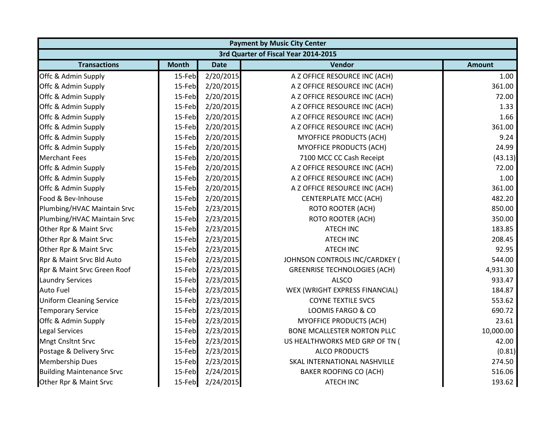| <b>Payment by Music City Center</b> |                                      |             |                                     |               |  |  |  |
|-------------------------------------|--------------------------------------|-------------|-------------------------------------|---------------|--|--|--|
|                                     | 3rd Quarter of Fiscal Year 2014-2015 |             |                                     |               |  |  |  |
| <b>Transactions</b>                 | <b>Month</b>                         | <b>Date</b> | Vendor                              | <b>Amount</b> |  |  |  |
| Offc & Admin Supply                 | 15-Feb                               | 2/20/2015   | A Z OFFICE RESOURCE INC (ACH)       | 1.00          |  |  |  |
| Offc & Admin Supply                 | 15-Feb                               | 2/20/2015   | A Z OFFICE RESOURCE INC (ACH)       | 361.00        |  |  |  |
| Offc & Admin Supply                 | 15-Feb                               | 2/20/2015   | A Z OFFICE RESOURCE INC (ACH)       | 72.00         |  |  |  |
| Offc & Admin Supply                 | 15-Feb                               | 2/20/2015   | A Z OFFICE RESOURCE INC (ACH)       | 1.33          |  |  |  |
| Offc & Admin Supply                 | 15-Feb                               | 2/20/2015   | A Z OFFICE RESOURCE INC (ACH)       | 1.66          |  |  |  |
| Offc & Admin Supply                 | 15-Feb                               | 2/20/2015   | A Z OFFICE RESOURCE INC (ACH)       | 361.00        |  |  |  |
| Offc & Admin Supply                 | 15-Feb                               | 2/20/2015   | <b>MYOFFICE PRODUCTS (ACH)</b>      | 9.24          |  |  |  |
| Offc & Admin Supply                 | 15-Feb                               | 2/20/2015   | <b>MYOFFICE PRODUCTS (ACH)</b>      | 24.99         |  |  |  |
| <b>Merchant Fees</b>                | 15-Feb                               | 2/20/2015   | 7100 MCC CC Cash Receipt            | (43.13)       |  |  |  |
| Offc & Admin Supply                 | 15-Feb                               | 2/20/2015   | A Z OFFICE RESOURCE INC (ACH)       | 72.00         |  |  |  |
| Offc & Admin Supply                 | 15-Feb                               | 2/20/2015   | A Z OFFICE RESOURCE INC (ACH)       | 1.00          |  |  |  |
| Offc & Admin Supply                 | 15-Feb                               | 2/20/2015   | A Z OFFICE RESOURCE INC (ACH)       | 361.00        |  |  |  |
| Food & Bev-Inhouse                  | 15-Feb                               | 2/20/2015   | <b>CENTERPLATE MCC (ACH)</b>        | 482.20        |  |  |  |
| Plumbing/HVAC Maintain Srvc         | 15-Feb                               | 2/23/2015   | <b>ROTO ROOTER (ACH)</b>            | 850.00        |  |  |  |
| Plumbing/HVAC Maintain Srvc         | 15-Feb                               | 2/23/2015   | <b>ROTO ROOTER (ACH)</b>            | 350.00        |  |  |  |
| Other Rpr & Maint Srvc              | 15-Feb                               | 2/23/2015   | <b>ATECH INC</b>                    | 183.85        |  |  |  |
| Other Rpr & Maint Srvc              | 15-Feb                               | 2/23/2015   | <b>ATECH INC</b>                    | 208.45        |  |  |  |
| Other Rpr & Maint Srvc              | 15-Feb                               | 2/23/2015   | <b>ATECH INC</b>                    | 92.95         |  |  |  |
| Rpr & Maint Srvc Bld Auto           | 15-Feb                               | 2/23/2015   | JOHNSON CONTROLS INC/CARDKEY (      | 544.00        |  |  |  |
| Rpr & Maint Srvc Green Roof         | 15-Feb                               | 2/23/2015   | <b>GREENRISE TECHNOLOGIES (ACH)</b> | 4,931.30      |  |  |  |
| <b>Laundry Services</b>             | 15-Feb                               | 2/23/2015   | <b>ALSCO</b>                        | 933.47        |  |  |  |
| <b>Auto Fuel</b>                    | 15-Feb                               | 2/23/2015   | WEX (WRIGHT EXPRESS FINANCIAL)      | 184.87        |  |  |  |
| <b>Uniform Cleaning Service</b>     | 15-Feb                               | 2/23/2015   | <b>COYNE TEXTILE SVCS</b>           | 553.62        |  |  |  |
| <b>Temporary Service</b>            | 15-Feb                               | 2/23/2015   | LOOMIS FARGO & CO                   | 690.72        |  |  |  |
| Offc & Admin Supply                 | 15-Feb                               | 2/23/2015   | <b>MYOFFICE PRODUCTS (ACH)</b>      | 23.61         |  |  |  |
| <b>Legal Services</b>               | 15-Feb                               | 2/23/2015   | <b>BONE MCALLESTER NORTON PLLC</b>  | 10,000.00     |  |  |  |
| <b>Mngt Cnsltnt Srvc</b>            | 15-Feb                               | 2/23/2015   | US HEALTHWORKS MED GRP OF TN (      | 42.00         |  |  |  |
| Postage & Delivery Srvc             | 15-Feb                               | 2/23/2015   | <b>ALCO PRODUCTS</b>                | (0.81)        |  |  |  |
| <b>Membership Dues</b>              | 15-Feb                               | 2/23/2015   | SKAL INTERNATIONAL NASHVILLE        | 274.50        |  |  |  |
| <b>Building Maintenance Srvc</b>    | 15-Feb                               | 2/24/2015   | <b>BAKER ROOFING CO (ACH)</b>       | 516.06        |  |  |  |
| Other Rpr & Maint Srvc              | 15-Feb                               | 2/24/2015   | <b>ATECH INC</b>                    | 193.62        |  |  |  |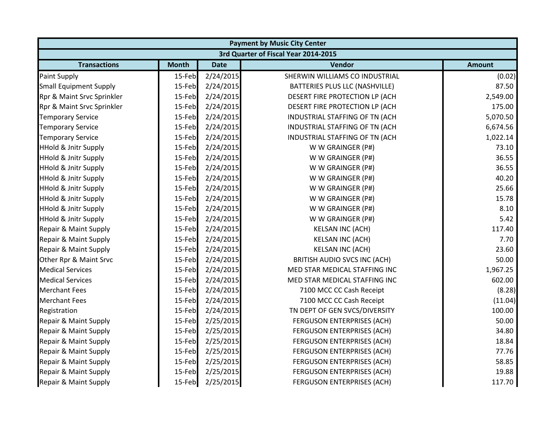|                                 | <b>Payment by Music City Center</b> |             |                                      |               |  |  |
|---------------------------------|-------------------------------------|-------------|--------------------------------------|---------------|--|--|
|                                 |                                     |             | 3rd Quarter of Fiscal Year 2014-2015 |               |  |  |
| <b>Transactions</b>             | <b>Month</b>                        | <b>Date</b> | <b>Vendor</b>                        | <b>Amount</b> |  |  |
| Paint Supply                    | 15-Feb                              | 2/24/2015   | SHERWIN WILLIAMS CO INDUSTRIAL       | (0.02)        |  |  |
| <b>Small Equipment Supply</b>   | 15-Feb                              | 2/24/2015   | BATTERIES PLUS LLC (NASHVILLE)       | 87.50         |  |  |
| Rpr & Maint Srvc Sprinkler      | 15-Feb                              | 2/24/2015   | DESERT FIRE PROTECTION LP (ACH       | 2,549.00      |  |  |
| Rpr & Maint Srvc Sprinkler      | 15-Feb                              | 2/24/2015   | DESERT FIRE PROTECTION LP (ACH       | 175.00        |  |  |
| <b>Temporary Service</b>        | 15-Feb                              | 2/24/2015   | INDUSTRIAL STAFFING OF TN (ACH       | 5,070.50      |  |  |
| <b>Temporary Service</b>        | 15-Feb                              | 2/24/2015   | INDUSTRIAL STAFFING OF TN (ACH       | 6,674.56      |  |  |
| <b>Temporary Service</b>        | 15-Feb                              | 2/24/2015   | INDUSTRIAL STAFFING OF TN (ACH       | 1,022.14      |  |  |
| <b>HHold &amp; Jnitr Supply</b> | 15-Feb                              | 2/24/2015   | W W GRAINGER (P#)                    | 73.10         |  |  |
| <b>HHold &amp; Jnitr Supply</b> | 15-Feb                              | 2/24/2015   | W W GRAINGER (P#)                    | 36.55         |  |  |
| <b>HHold &amp; Jnitr Supply</b> | 15-Feb                              | 2/24/2015   | W W GRAINGER (P#)                    | 36.55         |  |  |
| <b>HHold &amp; Jnitr Supply</b> | 15-Feb                              | 2/24/2015   | W W GRAINGER (P#)                    | 40.20         |  |  |
| <b>HHold &amp; Jnitr Supply</b> | 15-Feb                              | 2/24/2015   | W W GRAINGER (P#)                    | 25.66         |  |  |
| <b>HHold &amp; Jnitr Supply</b> | 15-Feb                              | 2/24/2015   | W W GRAINGER (P#)                    | 15.78         |  |  |
| <b>HHold &amp; Jnitr Supply</b> | 15-Feb                              | 2/24/2015   | W W GRAINGER (P#)                    | 8.10          |  |  |
| <b>HHold &amp; Jnitr Supply</b> | 15-Feb                              | 2/24/2015   | W W GRAINGER (P#)                    | 5.42          |  |  |
| Repair & Maint Supply           | 15-Feb                              | 2/24/2015   | <b>KELSAN INC (ACH)</b>              | 117.40        |  |  |
| Repair & Maint Supply           | 15-Feb                              | 2/24/2015   | <b>KELSAN INC (ACH)</b>              | 7.70          |  |  |
| Repair & Maint Supply           | 15-Feb                              | 2/24/2015   | <b>KELSAN INC (ACH)</b>              | 23.60         |  |  |
| Other Rpr & Maint Srvc          | 15-Feb                              | 2/24/2015   | BRITISH AUDIO SVCS INC (ACH)         | 50.00         |  |  |
| <b>Medical Services</b>         | 15-Feb                              | 2/24/2015   | MED STAR MEDICAL STAFFING INC        | 1,967.25      |  |  |
| <b>Medical Services</b>         | 15-Feb                              | 2/24/2015   | MED STAR MEDICAL STAFFING INC        | 602.00        |  |  |
| <b>Merchant Fees</b>            | 15-Feb                              | 2/24/2015   | 7100 MCC CC Cash Receipt             | (8.28)        |  |  |
| <b>Merchant Fees</b>            | 15-Feb                              | 2/24/2015   | 7100 MCC CC Cash Receipt             | (11.04)       |  |  |
| Registration                    | 15-Feb                              | 2/24/2015   | TN DEPT OF GEN SVCS/DIVERSITY        | 100.00        |  |  |
| Repair & Maint Supply           | 15-Feb                              | 2/25/2015   | FERGUSON ENTERPRISES (ACH)           | 50.00         |  |  |
| Repair & Maint Supply           | 15-Feb                              | 2/25/2015   | FERGUSON ENTERPRISES (ACH)           | 34.80         |  |  |
| Repair & Maint Supply           | 15-Feb                              | 2/25/2015   | <b>FERGUSON ENTERPRISES (ACH)</b>    | 18.84         |  |  |
| Repair & Maint Supply           | 15-Feb                              | 2/25/2015   | <b>FERGUSON ENTERPRISES (ACH)</b>    | 77.76         |  |  |
| Repair & Maint Supply           | 15-Feb                              | 2/25/2015   | <b>FERGUSON ENTERPRISES (ACH)</b>    | 58.85         |  |  |
| Repair & Maint Supply           | 15-Feb                              | 2/25/2015   | <b>FERGUSON ENTERPRISES (ACH)</b>    | 19.88         |  |  |
| Repair & Maint Supply           | 15-Feb                              | 2/25/2015   | <b>FERGUSON ENTERPRISES (ACH)</b>    | 117.70        |  |  |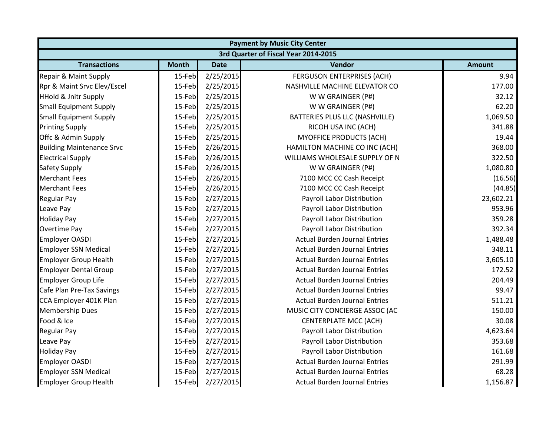|                                  |              |             | <b>Payment by Music City Center</b>  |               |
|----------------------------------|--------------|-------------|--------------------------------------|---------------|
|                                  |              |             | 3rd Quarter of Fiscal Year 2014-2015 |               |
| <b>Transactions</b>              | <b>Month</b> | <b>Date</b> | Vendor                               | <b>Amount</b> |
| Repair & Maint Supply            | 15-Feb       | 2/25/2015   | <b>FERGUSON ENTERPRISES (ACH)</b>    | 9.94          |
| Rpr & Maint Srvc Elev/Escel      | 15-Feb       | 2/25/2015   | NASHVILLE MACHINE ELEVATOR CO        | 177.00        |
| <b>HHold &amp; Jnitr Supply</b>  | 15-Feb       | 2/25/2015   | W W GRAINGER (P#)                    | 32.12         |
| <b>Small Equipment Supply</b>    | 15-Feb       | 2/25/2015   | W W GRAINGER (P#)                    | 62.20         |
| <b>Small Equipment Supply</b>    | 15-Feb       | 2/25/2015   | BATTERIES PLUS LLC (NASHVILLE)       | 1,069.50      |
| <b>Printing Supply</b>           | 15-Feb       | 2/25/2015   | RICOH USA INC (ACH)                  | 341.88        |
| Offc & Admin Supply              | 15-Feb       | 2/25/2015   | <b>MYOFFICE PRODUCTS (ACH)</b>       | 19.44         |
| <b>Building Maintenance Srvc</b> | 15-Feb       | 2/26/2015   | HAMILTON MACHINE CO INC (ACH)        | 368.00        |
| <b>Electrical Supply</b>         | 15-Feb       | 2/26/2015   | WILLIAMS WHOLESALE SUPPLY OF N       | 322.50        |
| Safety Supply                    | 15-Feb       | 2/26/2015   | W W GRAINGER (P#)                    | 1,080.80      |
| <b>Merchant Fees</b>             | 15-Feb       | 2/26/2015   | 7100 MCC CC Cash Receipt             | (16.56)       |
| <b>Merchant Fees</b>             | 15-Feb       | 2/26/2015   | 7100 MCC CC Cash Receipt             | (44.85)       |
| <b>Regular Pay</b>               | 15-Feb       | 2/27/2015   | Payroll Labor Distribution           | 23,602.21     |
| Leave Pay                        | 15-Feb       | 2/27/2015   | Payroll Labor Distribution           | 953.96        |
| <b>Holiday Pay</b>               | 15-Feb       | 2/27/2015   | Payroll Labor Distribution           | 359.28        |
| Overtime Pay                     | 15-Feb       | 2/27/2015   | Payroll Labor Distribution           | 392.34        |
| <b>Employer OASDI</b>            | 15-Feb       | 2/27/2015   | <b>Actual Burden Journal Entries</b> | 1,488.48      |
| <b>Employer SSN Medical</b>      | 15-Feb       | 2/27/2015   | <b>Actual Burden Journal Entries</b> | 348.11        |
| <b>Employer Group Health</b>     | 15-Feb       | 2/27/2015   | <b>Actual Burden Journal Entries</b> | 3,605.10      |
| <b>Employer Dental Group</b>     | 15-Feb       | 2/27/2015   | <b>Actual Burden Journal Entries</b> | 172.52        |
| <b>Employer Group Life</b>       | 15-Feb       | 2/27/2015   | <b>Actual Burden Journal Entries</b> | 204.49        |
| Cafe Plan Pre-Tax Savings        | 15-Feb       | 2/27/2015   | <b>Actual Burden Journal Entries</b> | 99.47         |
| CCA Employer 401K Plan           | 15-Feb       | 2/27/2015   | <b>Actual Burden Journal Entries</b> | 511.21        |
| <b>Membership Dues</b>           | 15-Feb       | 2/27/2015   | MUSIC CITY CONCIERGE ASSOC (AC       | 150.00        |
| Food & Ice                       | 15-Feb       | 2/27/2015   | <b>CENTERPLATE MCC (ACH)</b>         | 30.08         |
| <b>Regular Pay</b>               | 15-Feb       | 2/27/2015   | Payroll Labor Distribution           | 4,623.64      |
| Leave Pay                        | 15-Feb       | 2/27/2015   | Payroll Labor Distribution           | 353.68        |
| <b>Holiday Pay</b>               | 15-Feb       | 2/27/2015   | Payroll Labor Distribution           | 161.68        |
| <b>Employer OASDI</b>            | 15-Feb       | 2/27/2015   | <b>Actual Burden Journal Entries</b> | 291.99        |
| <b>Employer SSN Medical</b>      | 15-Feb       | 2/27/2015   | <b>Actual Burden Journal Entries</b> | 68.28         |
| <b>Employer Group Health</b>     | 15-Feb       | 2/27/2015   | <b>Actual Burden Journal Entries</b> | 1,156.87      |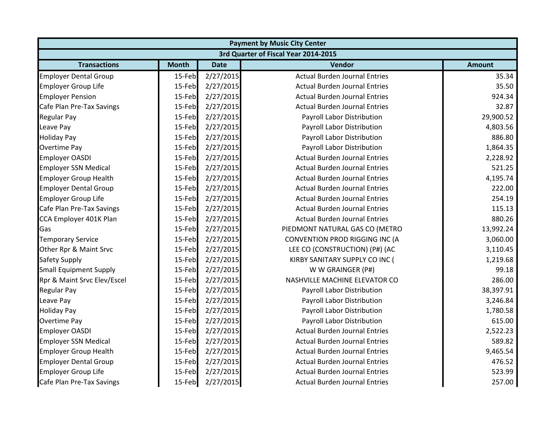|                               | <b>Payment by Music City Center</b>  |             |                                      |               |  |  |  |
|-------------------------------|--------------------------------------|-------------|--------------------------------------|---------------|--|--|--|
|                               | 3rd Quarter of Fiscal Year 2014-2015 |             |                                      |               |  |  |  |
| <b>Transactions</b>           | <b>Month</b>                         | <b>Date</b> | <b>Vendor</b>                        | <b>Amount</b> |  |  |  |
| <b>Employer Dental Group</b>  | 15-Feb                               | 2/27/2015   | <b>Actual Burden Journal Entries</b> | 35.34         |  |  |  |
| <b>Employer Group Life</b>    | 15-Feb                               | 2/27/2015   | <b>Actual Burden Journal Entries</b> | 35.50         |  |  |  |
| <b>Employer Pension</b>       | 15-Feb                               | 2/27/2015   | <b>Actual Burden Journal Entries</b> | 924.34        |  |  |  |
| Cafe Plan Pre-Tax Savings     | 15-Feb                               | 2/27/2015   | <b>Actual Burden Journal Entries</b> | 32.87         |  |  |  |
| <b>Regular Pay</b>            | 15-Feb                               | 2/27/2015   | Payroll Labor Distribution           | 29,900.52     |  |  |  |
| Leave Pay                     | 15-Feb                               | 2/27/2015   | Payroll Labor Distribution           | 4,803.56      |  |  |  |
| <b>Holiday Pay</b>            | 15-Feb                               | 2/27/2015   | Payroll Labor Distribution           | 886.80        |  |  |  |
| <b>Overtime Pay</b>           | 15-Feb                               | 2/27/2015   | Payroll Labor Distribution           | 1,864.35      |  |  |  |
| <b>Employer OASDI</b>         | 15-Feb                               | 2/27/2015   | <b>Actual Burden Journal Entries</b> | 2,228.92      |  |  |  |
| <b>Employer SSN Medical</b>   | 15-Feb                               | 2/27/2015   | <b>Actual Burden Journal Entries</b> | 521.25        |  |  |  |
| <b>Employer Group Health</b>  | 15-Feb                               | 2/27/2015   | <b>Actual Burden Journal Entries</b> | 4,195.74      |  |  |  |
| <b>Employer Dental Group</b>  | 15-Feb                               | 2/27/2015   | <b>Actual Burden Journal Entries</b> | 222.00        |  |  |  |
| <b>Employer Group Life</b>    | 15-Feb                               | 2/27/2015   | <b>Actual Burden Journal Entries</b> | 254.19        |  |  |  |
| Cafe Plan Pre-Tax Savings     | 15-Feb                               | 2/27/2015   | <b>Actual Burden Journal Entries</b> | 115.13        |  |  |  |
| CCA Employer 401K Plan        | 15-Feb                               | 2/27/2015   | <b>Actual Burden Journal Entries</b> | 880.26        |  |  |  |
| Gas                           | 15-Feb                               | 2/27/2015   | PIEDMONT NATURAL GAS CO (METRO       | 13,992.24     |  |  |  |
| <b>Temporary Service</b>      | 15-Feb                               | 2/27/2015   | CONVENTION PROD RIGGING INC (A       | 3,060.00      |  |  |  |
| Other Rpr & Maint Srvc        | 15-Feb                               | 2/27/2015   | LEE CO (CONSTRUCTION) (P#) (AC       | 3,110.45      |  |  |  |
| Safety Supply                 | 15-Feb                               | 2/27/2015   | KIRBY SANITARY SUPPLY CO INC (       | 1,219.68      |  |  |  |
| <b>Small Equipment Supply</b> | 15-Feb                               | 2/27/2015   | W W GRAINGER (P#)                    | 99.18         |  |  |  |
| Rpr & Maint Srvc Elev/Escel   | 15-Feb                               | 2/27/2015   | NASHVILLE MACHINE ELEVATOR CO        | 286.00        |  |  |  |
| <b>Regular Pay</b>            | 15-Feb                               | 2/27/2015   | Payroll Labor Distribution           | 38,397.91     |  |  |  |
| Leave Pay                     | 15-Feb                               | 2/27/2015   | Payroll Labor Distribution           | 3,246.84      |  |  |  |
| <b>Holiday Pay</b>            | 15-Feb                               | 2/27/2015   | Payroll Labor Distribution           | 1,780.58      |  |  |  |
| Overtime Pay                  | 15-Feb                               | 2/27/2015   | Payroll Labor Distribution           | 615.00        |  |  |  |
| <b>Employer OASDI</b>         | 15-Feb                               | 2/27/2015   | <b>Actual Burden Journal Entries</b> | 2,522.23      |  |  |  |
| <b>Employer SSN Medical</b>   | 15-Feb                               | 2/27/2015   | <b>Actual Burden Journal Entries</b> | 589.82        |  |  |  |
| <b>Employer Group Health</b>  | 15-Feb                               | 2/27/2015   | <b>Actual Burden Journal Entries</b> | 9,465.54      |  |  |  |
| <b>Employer Dental Group</b>  | 15-Feb                               | 2/27/2015   | <b>Actual Burden Journal Entries</b> | 476.52        |  |  |  |
| <b>Employer Group Life</b>    | 15-Feb                               | 2/27/2015   | <b>Actual Burden Journal Entries</b> | 523.99        |  |  |  |
| Cafe Plan Pre-Tax Savings     | 15-Feb                               | 2/27/2015   | <b>Actual Burden Journal Entries</b> | 257.00        |  |  |  |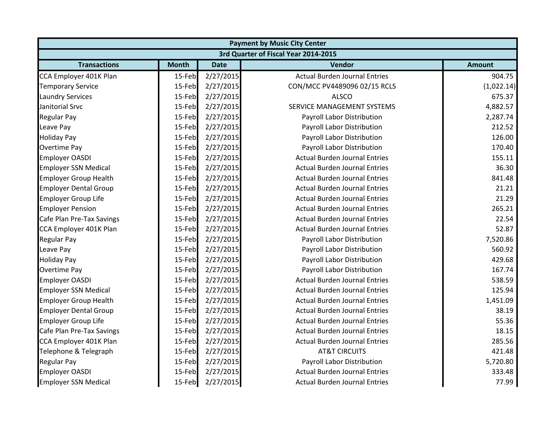| <b>Payment by Music City Center</b> |                                      |             |                                      |               |  |  |  |
|-------------------------------------|--------------------------------------|-------------|--------------------------------------|---------------|--|--|--|
|                                     | 3rd Quarter of Fiscal Year 2014-2015 |             |                                      |               |  |  |  |
| <b>Transactions</b>                 | <b>Month</b>                         | <b>Date</b> | Vendor                               | <b>Amount</b> |  |  |  |
| CCA Employer 401K Plan              | 15-Feb                               | 2/27/2015   | <b>Actual Burden Journal Entries</b> | 904.75        |  |  |  |
| <b>Temporary Service</b>            | 15-Feb                               | 2/27/2015   | CON/MCC PV4489096 02/15 RCLS         | (1,022.14)    |  |  |  |
| <b>Laundry Services</b>             | 15-Feb                               | 2/27/2015   | <b>ALSCO</b>                         | 675.37        |  |  |  |
| Janitorial Srvc                     | 15-Feb                               | 2/27/2015   | SERVICE MANAGEMENT SYSTEMS           | 4,882.57      |  |  |  |
| <b>Regular Pay</b>                  | 15-Feb                               | 2/27/2015   | Payroll Labor Distribution           | 2,287.74      |  |  |  |
| Leave Pay                           | 15-Feb                               | 2/27/2015   | Payroll Labor Distribution           | 212.52        |  |  |  |
| <b>Holiday Pay</b>                  | 15-Feb                               | 2/27/2015   | Payroll Labor Distribution           | 126.00        |  |  |  |
| <b>Overtime Pay</b>                 | 15-Feb                               | 2/27/2015   | Payroll Labor Distribution           | 170.40        |  |  |  |
| <b>Employer OASDI</b>               | 15-Feb                               | 2/27/2015   | <b>Actual Burden Journal Entries</b> | 155.11        |  |  |  |
| <b>Employer SSN Medical</b>         | 15-Feb                               | 2/27/2015   | <b>Actual Burden Journal Entries</b> | 36.30         |  |  |  |
| <b>Employer Group Health</b>        | 15-Feb                               | 2/27/2015   | <b>Actual Burden Journal Entries</b> | 841.48        |  |  |  |
| <b>Employer Dental Group</b>        | 15-Feb                               | 2/27/2015   | <b>Actual Burden Journal Entries</b> | 21.21         |  |  |  |
| <b>Employer Group Life</b>          | 15-Feb                               | 2/27/2015   | <b>Actual Burden Journal Entries</b> | 21.29         |  |  |  |
| <b>Employer Pension</b>             | 15-Feb                               | 2/27/2015   | <b>Actual Burden Journal Entries</b> | 265.21        |  |  |  |
| Cafe Plan Pre-Tax Savings           | 15-Feb                               | 2/27/2015   | <b>Actual Burden Journal Entries</b> | 22.54         |  |  |  |
| CCA Employer 401K Plan              | 15-Feb                               | 2/27/2015   | <b>Actual Burden Journal Entries</b> | 52.87         |  |  |  |
| <b>Regular Pay</b>                  | 15-Feb                               | 2/27/2015   | Payroll Labor Distribution           | 7,520.86      |  |  |  |
| Leave Pay                           | 15-Feb                               | 2/27/2015   | Payroll Labor Distribution           | 560.92        |  |  |  |
| <b>Holiday Pay</b>                  | 15-Feb                               | 2/27/2015   | Payroll Labor Distribution           | 429.68        |  |  |  |
| <b>Overtime Pay</b>                 | 15-Feb                               | 2/27/2015   | Payroll Labor Distribution           | 167.74        |  |  |  |
| <b>Employer OASDI</b>               | 15-Feb                               | 2/27/2015   | <b>Actual Burden Journal Entries</b> | 538.59        |  |  |  |
| <b>Employer SSN Medical</b>         | 15-Feb                               | 2/27/2015   | <b>Actual Burden Journal Entries</b> | 125.94        |  |  |  |
| <b>Employer Group Health</b>        | 15-Feb                               | 2/27/2015   | <b>Actual Burden Journal Entries</b> | 1,451.09      |  |  |  |
| <b>Employer Dental Group</b>        | 15-Feb                               | 2/27/2015   | <b>Actual Burden Journal Entries</b> | 38.19         |  |  |  |
| <b>Employer Group Life</b>          | 15-Feb                               | 2/27/2015   | <b>Actual Burden Journal Entries</b> | 55.36         |  |  |  |
| Cafe Plan Pre-Tax Savings           | 15-Feb                               | 2/27/2015   | <b>Actual Burden Journal Entries</b> | 18.15         |  |  |  |
| CCA Employer 401K Plan              | 15-Feb                               | 2/27/2015   | <b>Actual Burden Journal Entries</b> | 285.56        |  |  |  |
| Telephone & Telegraph               | 15-Feb                               | 2/27/2015   | <b>AT&amp;T CIRCUITS</b>             | 421.48        |  |  |  |
| <b>Regular Pay</b>                  | 15-Feb                               | 2/27/2015   | Payroll Labor Distribution           | 5,720.80      |  |  |  |
| <b>Employer OASDI</b>               | 15-Feb                               | 2/27/2015   | <b>Actual Burden Journal Entries</b> | 333.48        |  |  |  |
| <b>Employer SSN Medical</b>         | 15-Feb                               | 2/27/2015   | <b>Actual Burden Journal Entries</b> | 77.99         |  |  |  |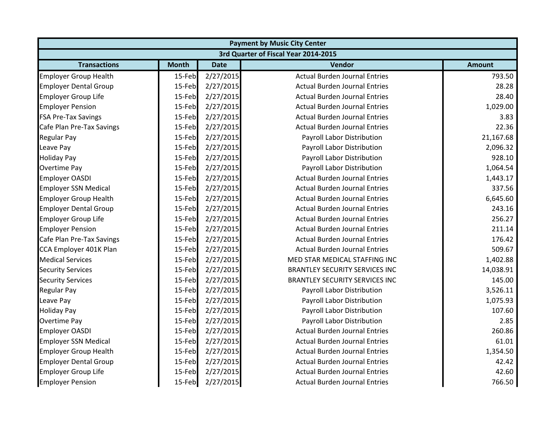|                              | <b>Payment by Music City Center</b>  |             |                                       |               |  |  |  |
|------------------------------|--------------------------------------|-------------|---------------------------------------|---------------|--|--|--|
|                              | 3rd Quarter of Fiscal Year 2014-2015 |             |                                       |               |  |  |  |
| <b>Transactions</b>          | <b>Month</b>                         | <b>Date</b> | <b>Vendor</b>                         | <b>Amount</b> |  |  |  |
| <b>Employer Group Health</b> | 15-Feb                               | 2/27/2015   | <b>Actual Burden Journal Entries</b>  | 793.50        |  |  |  |
| <b>Employer Dental Group</b> | 15-Feb                               | 2/27/2015   | <b>Actual Burden Journal Entries</b>  | 28.28         |  |  |  |
| <b>Employer Group Life</b>   | 15-Feb                               | 2/27/2015   | <b>Actual Burden Journal Entries</b>  | 28.40         |  |  |  |
| <b>Employer Pension</b>      | 15-Feb                               | 2/27/2015   | <b>Actual Burden Journal Entries</b>  | 1,029.00      |  |  |  |
| <b>FSA Pre-Tax Savings</b>   | 15-Feb                               | 2/27/2015   | <b>Actual Burden Journal Entries</b>  | 3.83          |  |  |  |
| Cafe Plan Pre-Tax Savings    | 15-Feb                               | 2/27/2015   | <b>Actual Burden Journal Entries</b>  | 22.36         |  |  |  |
| <b>Regular Pay</b>           | 15-Feb                               | 2/27/2015   | Payroll Labor Distribution            | 21,167.68     |  |  |  |
| Leave Pay                    | 15-Feb                               | 2/27/2015   | Payroll Labor Distribution            | 2,096.32      |  |  |  |
| <b>Holiday Pay</b>           | 15-Feb                               | 2/27/2015   | Payroll Labor Distribution            | 928.10        |  |  |  |
| Overtime Pay                 | 15-Feb                               | 2/27/2015   | Payroll Labor Distribution            | 1,064.54      |  |  |  |
| <b>Employer OASDI</b>        | 15-Feb                               | 2/27/2015   | <b>Actual Burden Journal Entries</b>  | 1,443.17      |  |  |  |
| <b>Employer SSN Medical</b>  | 15-Feb                               | 2/27/2015   | <b>Actual Burden Journal Entries</b>  | 337.56        |  |  |  |
| <b>Employer Group Health</b> | 15-Feb                               | 2/27/2015   | <b>Actual Burden Journal Entries</b>  | 6,645.60      |  |  |  |
| <b>Employer Dental Group</b> | 15-Feb                               | 2/27/2015   | <b>Actual Burden Journal Entries</b>  | 243.16        |  |  |  |
| <b>Employer Group Life</b>   | 15-Feb                               | 2/27/2015   | <b>Actual Burden Journal Entries</b>  | 256.27        |  |  |  |
| <b>Employer Pension</b>      | 15-Feb                               | 2/27/2015   | <b>Actual Burden Journal Entries</b>  | 211.14        |  |  |  |
| Cafe Plan Pre-Tax Savings    | 15-Feb                               | 2/27/2015   | <b>Actual Burden Journal Entries</b>  | 176.42        |  |  |  |
| CCA Employer 401K Plan       | 15-Feb                               | 2/27/2015   | <b>Actual Burden Journal Entries</b>  | 509.67        |  |  |  |
| <b>Medical Services</b>      | 15-Feb                               | 2/27/2015   | MED STAR MEDICAL STAFFING INC         | 1,402.88      |  |  |  |
| <b>Security Services</b>     | 15-Feb                               | 2/27/2015   | <b>BRANTLEY SECURITY SERVICES INC</b> | 14,038.91     |  |  |  |
| <b>Security Services</b>     | 15-Feb                               | 2/27/2015   | <b>BRANTLEY SECURITY SERVICES INC</b> | 145.00        |  |  |  |
| <b>Regular Pay</b>           | 15-Feb                               | 2/27/2015   | Payroll Labor Distribution            | 3,526.11      |  |  |  |
| Leave Pay                    | 15-Feb                               | 2/27/2015   | Payroll Labor Distribution            | 1,075.93      |  |  |  |
| <b>Holiday Pay</b>           | 15-Feb                               | 2/27/2015   | Payroll Labor Distribution            | 107.60        |  |  |  |
| <b>Overtime Pay</b>          | 15-Feb                               | 2/27/2015   | Payroll Labor Distribution            | 2.85          |  |  |  |
| <b>Employer OASDI</b>        | 15-Feb                               | 2/27/2015   | <b>Actual Burden Journal Entries</b>  | 260.86        |  |  |  |
| <b>Employer SSN Medical</b>  | 15-Feb                               | 2/27/2015   | <b>Actual Burden Journal Entries</b>  | 61.01         |  |  |  |
| <b>Employer Group Health</b> | 15-Feb                               | 2/27/2015   | <b>Actual Burden Journal Entries</b>  | 1,354.50      |  |  |  |
| <b>Employer Dental Group</b> | 15-Feb                               | 2/27/2015   | <b>Actual Burden Journal Entries</b>  | 42.42         |  |  |  |
| <b>Employer Group Life</b>   | 15-Feb                               | 2/27/2015   | <b>Actual Burden Journal Entries</b>  | 42.60         |  |  |  |
| <b>Employer Pension</b>      | 15-Feb                               | 2/27/2015   | <b>Actual Burden Journal Entries</b>  | 766.50        |  |  |  |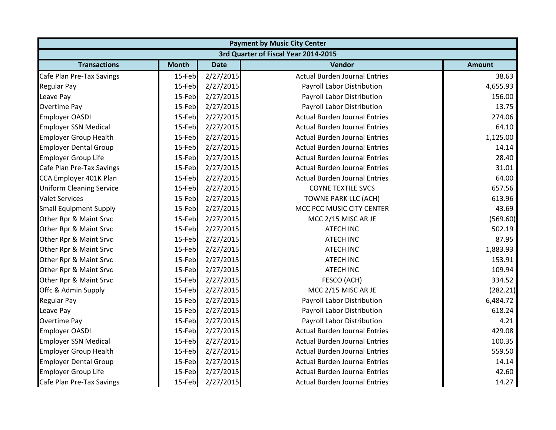| <b>Payment by Music City Center</b> |                                      |             |                                      |               |  |  |  |
|-------------------------------------|--------------------------------------|-------------|--------------------------------------|---------------|--|--|--|
|                                     | 3rd Quarter of Fiscal Year 2014-2015 |             |                                      |               |  |  |  |
| <b>Transactions</b>                 | <b>Month</b>                         | <b>Date</b> | Vendor                               | <b>Amount</b> |  |  |  |
| Cafe Plan Pre-Tax Savings           | 15-Feb                               | 2/27/2015   | <b>Actual Burden Journal Entries</b> | 38.63         |  |  |  |
| <b>Regular Pay</b>                  | 15-Feb                               | 2/27/2015   | Payroll Labor Distribution           | 4,655.93      |  |  |  |
| Leave Pay                           | 15-Feb                               | 2/27/2015   | Payroll Labor Distribution           | 156.00        |  |  |  |
| <b>Overtime Pay</b>                 | 15-Feb                               | 2/27/2015   | Payroll Labor Distribution           | 13.75         |  |  |  |
| Employer OASDI                      | 15-Feb                               | 2/27/2015   | <b>Actual Burden Journal Entries</b> | 274.06        |  |  |  |
| <b>Employer SSN Medical</b>         | 15-Feb                               | 2/27/2015   | <b>Actual Burden Journal Entries</b> | 64.10         |  |  |  |
| <b>Employer Group Health</b>        | 15-Feb                               | 2/27/2015   | <b>Actual Burden Journal Entries</b> | 1,125.00      |  |  |  |
| <b>Employer Dental Group</b>        | 15-Feb                               | 2/27/2015   | <b>Actual Burden Journal Entries</b> | 14.14         |  |  |  |
| <b>Employer Group Life</b>          | 15-Feb                               | 2/27/2015   | <b>Actual Burden Journal Entries</b> | 28.40         |  |  |  |
| Cafe Plan Pre-Tax Savings           | 15-Feb                               | 2/27/2015   | <b>Actual Burden Journal Entries</b> | 31.01         |  |  |  |
| CCA Employer 401K Plan              | 15-Feb                               | 2/27/2015   | <b>Actual Burden Journal Entries</b> | 64.00         |  |  |  |
| <b>Uniform Cleaning Service</b>     | 15-Feb                               | 2/27/2015   | <b>COYNE TEXTILE SVCS</b>            | 657.56        |  |  |  |
| <b>Valet Services</b>               | 15-Feb                               | 2/27/2015   | <b>TOWNE PARK LLC (ACH)</b>          | 613.96        |  |  |  |
| <b>Small Equipment Supply</b>       | 15-Feb                               | 2/27/2015   | MCC PCC MUSIC CITY CENTER            | 43.69         |  |  |  |
| Other Rpr & Maint Srvc              | 15-Feb                               | 2/27/2015   | MCC 2/15 MISC AR JE                  | (569.60)      |  |  |  |
| Other Rpr & Maint Srvc              | 15-Feb                               | 2/27/2015   | <b>ATECH INC</b>                     | 502.19        |  |  |  |
| Other Rpr & Maint Srvc              | 15-Feb                               | 2/27/2015   | <b>ATECH INC</b>                     | 87.95         |  |  |  |
| Other Rpr & Maint Srvc              | 15-Feb                               | 2/27/2015   | <b>ATECH INC</b>                     | 1,883.93      |  |  |  |
| Other Rpr & Maint Srvc              | 15-Feb                               | 2/27/2015   | <b>ATECH INC</b>                     | 153.91        |  |  |  |
| Other Rpr & Maint Srvc              | 15-Feb                               | 2/27/2015   | <b>ATECH INC</b>                     | 109.94        |  |  |  |
| Other Rpr & Maint Srvc              | 15-Feb                               | 2/27/2015   | FESCO (ACH)                          | 334.52        |  |  |  |
| Offc & Admin Supply                 | 15-Feb                               | 2/27/2015   | MCC 2/15 MISC AR JE                  | (282.21)      |  |  |  |
| <b>Regular Pay</b>                  | 15-Feb                               | 2/27/2015   | Payroll Labor Distribution           | 6,484.72      |  |  |  |
| Leave Pay                           | 15-Feb                               | 2/27/2015   | Payroll Labor Distribution           | 618.24        |  |  |  |
| <b>Overtime Pay</b>                 | 15-Feb                               | 2/27/2015   | Payroll Labor Distribution           | 4.21          |  |  |  |
| <b>Employer OASDI</b>               | 15-Feb                               | 2/27/2015   | <b>Actual Burden Journal Entries</b> | 429.08        |  |  |  |
| <b>Employer SSN Medical</b>         | 15-Feb                               | 2/27/2015   | <b>Actual Burden Journal Entries</b> | 100.35        |  |  |  |
| <b>Employer Group Health</b>        | 15-Feb                               | 2/27/2015   | <b>Actual Burden Journal Entries</b> | 559.50        |  |  |  |
| <b>Employer Dental Group</b>        | 15-Feb                               | 2/27/2015   | <b>Actual Burden Journal Entries</b> | 14.14         |  |  |  |
| <b>Employer Group Life</b>          | 15-Feb                               | 2/27/2015   | <b>Actual Burden Journal Entries</b> | 42.60         |  |  |  |
| Cafe Plan Pre-Tax Savings           | 15-Feb                               | 2/27/2015   | <b>Actual Burden Journal Entries</b> | 14.27         |  |  |  |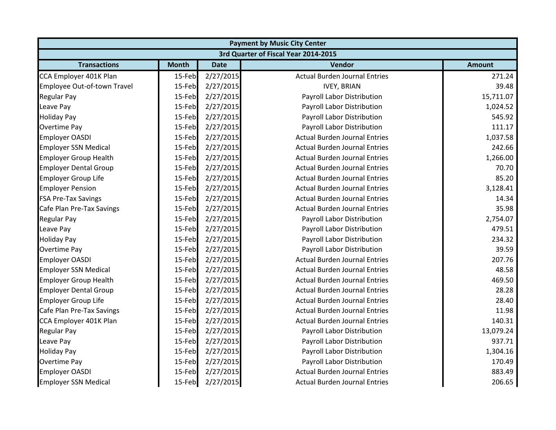| <b>Payment by Music City Center</b> |              |             |                                      |               |  |
|-------------------------------------|--------------|-------------|--------------------------------------|---------------|--|
|                                     |              |             | 3rd Quarter of Fiscal Year 2014-2015 |               |  |
| <b>Transactions</b>                 | <b>Month</b> | <b>Date</b> | <b>Vendor</b>                        | <b>Amount</b> |  |
| CCA Employer 401K Plan              | 15-Feb       | 2/27/2015   | <b>Actual Burden Journal Entries</b> | 271.24        |  |
| Employee Out-of-town Travel         | 15-Feb       | 2/27/2015   | <b>IVEY, BRIAN</b>                   | 39.48         |  |
| <b>Regular Pay</b>                  | 15-Feb       | 2/27/2015   | Payroll Labor Distribution           | 15,711.07     |  |
| Leave Pay                           | 15-Feb       | 2/27/2015   | Payroll Labor Distribution           | 1,024.52      |  |
| <b>Holiday Pay</b>                  | 15-Feb       | 2/27/2015   | Payroll Labor Distribution           | 545.92        |  |
| <b>Overtime Pay</b>                 | 15-Feb       | 2/27/2015   | Payroll Labor Distribution           | 111.17        |  |
| <b>Employer OASDI</b>               | 15-Feb       | 2/27/2015   | <b>Actual Burden Journal Entries</b> | 1,037.58      |  |
| <b>Employer SSN Medical</b>         | 15-Feb       | 2/27/2015   | <b>Actual Burden Journal Entries</b> | 242.66        |  |
| <b>Employer Group Health</b>        | 15-Feb       | 2/27/2015   | <b>Actual Burden Journal Entries</b> | 1,266.00      |  |
| <b>Employer Dental Group</b>        | 15-Feb       | 2/27/2015   | <b>Actual Burden Journal Entries</b> | 70.70         |  |
| <b>Employer Group Life</b>          | 15-Feb       | 2/27/2015   | <b>Actual Burden Journal Entries</b> | 85.20         |  |
| <b>Employer Pension</b>             | 15-Feb       | 2/27/2015   | <b>Actual Burden Journal Entries</b> | 3,128.41      |  |
| <b>FSA Pre-Tax Savings</b>          | 15-Feb       | 2/27/2015   | <b>Actual Burden Journal Entries</b> | 14.34         |  |
| Cafe Plan Pre-Tax Savings           | 15-Feb       | 2/27/2015   | <b>Actual Burden Journal Entries</b> | 35.98         |  |
| <b>Regular Pay</b>                  | 15-Feb       | 2/27/2015   | Payroll Labor Distribution           | 2,754.07      |  |
| Leave Pay                           | 15-Feb       | 2/27/2015   | Payroll Labor Distribution           | 479.51        |  |
| <b>Holiday Pay</b>                  | 15-Feb       | 2/27/2015   | Payroll Labor Distribution           | 234.32        |  |
| <b>Overtime Pay</b>                 | 15-Feb       | 2/27/2015   | Payroll Labor Distribution           | 39.59         |  |
| <b>Employer OASDI</b>               | 15-Feb       | 2/27/2015   | <b>Actual Burden Journal Entries</b> | 207.76        |  |
| <b>Employer SSN Medical</b>         | 15-Feb       | 2/27/2015   | <b>Actual Burden Journal Entries</b> | 48.58         |  |
| <b>Employer Group Health</b>        | 15-Feb       | 2/27/2015   | <b>Actual Burden Journal Entries</b> | 469.50        |  |
| <b>Employer Dental Group</b>        | 15-Feb       | 2/27/2015   | <b>Actual Burden Journal Entries</b> | 28.28         |  |
| <b>Employer Group Life</b>          | 15-Feb       | 2/27/2015   | <b>Actual Burden Journal Entries</b> | 28.40         |  |
| Cafe Plan Pre-Tax Savings           | 15-Feb       | 2/27/2015   | <b>Actual Burden Journal Entries</b> | 11.98         |  |
| CCA Employer 401K Plan              | 15-Feb       | 2/27/2015   | <b>Actual Burden Journal Entries</b> | 140.31        |  |
| <b>Regular Pay</b>                  | 15-Feb       | 2/27/2015   | Payroll Labor Distribution           | 13,079.24     |  |
| Leave Pay                           | 15-Feb       | 2/27/2015   | Payroll Labor Distribution           | 937.71        |  |
| <b>Holiday Pay</b>                  | 15-Feb       | 2/27/2015   | Payroll Labor Distribution           | 1,304.16      |  |
| <b>Overtime Pay</b>                 | 15-Feb       | 2/27/2015   | Payroll Labor Distribution           | 170.49        |  |
| <b>Employer OASDI</b>               | 15-Feb       | 2/27/2015   | <b>Actual Burden Journal Entries</b> | 883.49        |  |
| <b>Employer SSN Medical</b>         | 15-Feb       | 2/27/2015   | <b>Actual Burden Journal Entries</b> | 206.65        |  |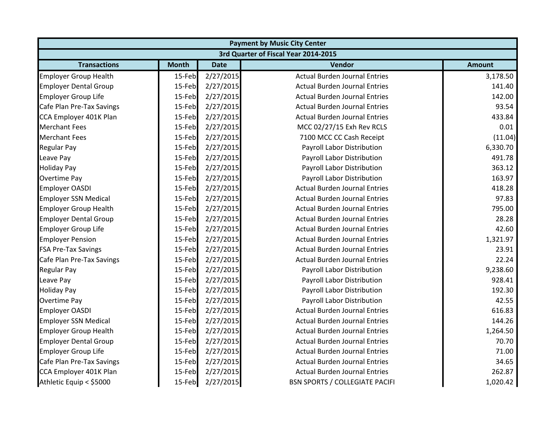| <b>Payment by Music City Center</b> |              |             |                                       |               |  |
|-------------------------------------|--------------|-------------|---------------------------------------|---------------|--|
|                                     |              |             | 3rd Quarter of Fiscal Year 2014-2015  |               |  |
| <b>Transactions</b>                 | <b>Month</b> | <b>Date</b> | <b>Vendor</b>                         | <b>Amount</b> |  |
| <b>Employer Group Health</b>        | 15-Feb       | 2/27/2015   | <b>Actual Burden Journal Entries</b>  | 3,178.50      |  |
| <b>Employer Dental Group</b>        | 15-Feb       | 2/27/2015   | <b>Actual Burden Journal Entries</b>  | 141.40        |  |
| <b>Employer Group Life</b>          | 15-Feb       | 2/27/2015   | <b>Actual Burden Journal Entries</b>  | 142.00        |  |
| Cafe Plan Pre-Tax Savings           | 15-Feb       | 2/27/2015   | <b>Actual Burden Journal Entries</b>  | 93.54         |  |
| CCA Employer 401K Plan              | 15-Feb       | 2/27/2015   | <b>Actual Burden Journal Entries</b>  | 433.84        |  |
| <b>Merchant Fees</b>                | 15-Feb       | 2/27/2015   | MCC 02/27/15 Exh Rev RCLS             | 0.01          |  |
| <b>Merchant Fees</b>                | 15-Feb       | 2/27/2015   | 7100 MCC CC Cash Receipt              | (11.04)       |  |
| <b>Regular Pay</b>                  | 15-Feb       | 2/27/2015   | Payroll Labor Distribution            | 6,330.70      |  |
| Leave Pay                           | 15-Feb       | 2/27/2015   | Payroll Labor Distribution            | 491.78        |  |
| <b>Holiday Pay</b>                  | 15-Feb       | 2/27/2015   | Payroll Labor Distribution            | 363.12        |  |
| Overtime Pay                        | 15-Feb       | 2/27/2015   | Payroll Labor Distribution            | 163.97        |  |
| <b>Employer OASDI</b>               | 15-Feb       | 2/27/2015   | <b>Actual Burden Journal Entries</b>  | 418.28        |  |
| <b>Employer SSN Medical</b>         | 15-Feb       | 2/27/2015   | <b>Actual Burden Journal Entries</b>  | 97.83         |  |
| <b>Employer Group Health</b>        | 15-Feb       | 2/27/2015   | <b>Actual Burden Journal Entries</b>  | 795.00        |  |
| <b>Employer Dental Group</b>        | 15-Feb       | 2/27/2015   | <b>Actual Burden Journal Entries</b>  | 28.28         |  |
| <b>Employer Group Life</b>          | 15-Feb       | 2/27/2015   | <b>Actual Burden Journal Entries</b>  | 42.60         |  |
| <b>Employer Pension</b>             | 15-Feb       | 2/27/2015   | <b>Actual Burden Journal Entries</b>  | 1,321.97      |  |
| <b>FSA Pre-Tax Savings</b>          | 15-Feb       | 2/27/2015   | <b>Actual Burden Journal Entries</b>  | 23.91         |  |
| Cafe Plan Pre-Tax Savings           | 15-Feb       | 2/27/2015   | <b>Actual Burden Journal Entries</b>  | 22.24         |  |
| <b>Regular Pay</b>                  | 15-Feb       | 2/27/2015   | Payroll Labor Distribution            | 9,238.60      |  |
| Leave Pay                           | 15-Feb       | 2/27/2015   | Payroll Labor Distribution            | 928.41        |  |
| <b>Holiday Pay</b>                  | 15-Feb       | 2/27/2015   | Payroll Labor Distribution            | 192.30        |  |
| Overtime Pay                        | 15-Feb       | 2/27/2015   | Payroll Labor Distribution            | 42.55         |  |
| <b>Employer OASDI</b>               | 15-Feb       | 2/27/2015   | <b>Actual Burden Journal Entries</b>  | 616.83        |  |
| <b>Employer SSN Medical</b>         | 15-Feb       | 2/27/2015   | <b>Actual Burden Journal Entries</b>  | 144.26        |  |
| <b>Employer Group Health</b>        | 15-Feb       | 2/27/2015   | <b>Actual Burden Journal Entries</b>  | 1,264.50      |  |
| <b>Employer Dental Group</b>        | 15-Feb       | 2/27/2015   | <b>Actual Burden Journal Entries</b>  | 70.70         |  |
| <b>Employer Group Life</b>          | 15-Feb       | 2/27/2015   | <b>Actual Burden Journal Entries</b>  | 71.00         |  |
| Cafe Plan Pre-Tax Savings           | 15-Feb       | 2/27/2015   | <b>Actual Burden Journal Entries</b>  | 34.65         |  |
| CCA Employer 401K Plan              | 15-Feb       | 2/27/2015   | <b>Actual Burden Journal Entries</b>  | 262.87        |  |
| Athletic Equip < \$5000             | 15-Feb       | 2/27/2015   | <b>BSN SPORTS / COLLEGIATE PACIFI</b> | 1,020.42      |  |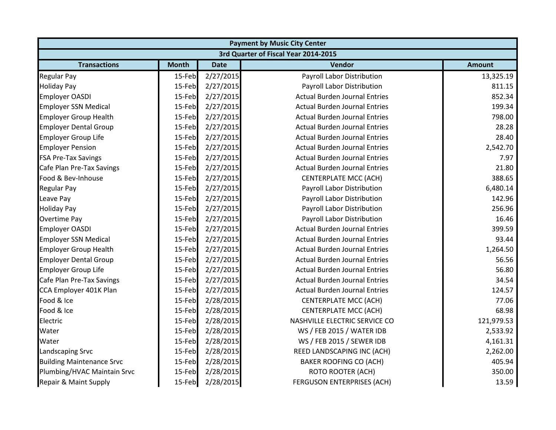| <b>Payment by Music City Center</b>  |              |             |                                      |               |  |  |
|--------------------------------------|--------------|-------------|--------------------------------------|---------------|--|--|
| 3rd Quarter of Fiscal Year 2014-2015 |              |             |                                      |               |  |  |
| <b>Transactions</b>                  | <b>Month</b> | <b>Date</b> | Vendor                               | <b>Amount</b> |  |  |
| <b>Regular Pay</b>                   | 15-Feb       | 2/27/2015   | Payroll Labor Distribution           | 13,325.19     |  |  |
| <b>Holiday Pay</b>                   | 15-Feb       | 2/27/2015   | Payroll Labor Distribution           | 811.15        |  |  |
| <b>Employer OASDI</b>                | 15-Feb       | 2/27/2015   | <b>Actual Burden Journal Entries</b> | 852.34        |  |  |
| <b>Employer SSN Medical</b>          | 15-Feb       | 2/27/2015   | <b>Actual Burden Journal Entries</b> | 199.34        |  |  |
| <b>Employer Group Health</b>         | 15-Feb       | 2/27/2015   | <b>Actual Burden Journal Entries</b> | 798.00        |  |  |
| <b>Employer Dental Group</b>         | 15-Feb       | 2/27/2015   | <b>Actual Burden Journal Entries</b> | 28.28         |  |  |
| <b>Employer Group Life</b>           | 15-Feb       | 2/27/2015   | <b>Actual Burden Journal Entries</b> | 28.40         |  |  |
| <b>Employer Pension</b>              | 15-Feb       | 2/27/2015   | <b>Actual Burden Journal Entries</b> | 2,542.70      |  |  |
| <b>FSA Pre-Tax Savings</b>           | 15-Feb       | 2/27/2015   | <b>Actual Burden Journal Entries</b> | 7.97          |  |  |
| Cafe Plan Pre-Tax Savings            | 15-Feb       | 2/27/2015   | <b>Actual Burden Journal Entries</b> | 21.80         |  |  |
| Food & Bev-Inhouse                   | 15-Feb       | 2/27/2015   | <b>CENTERPLATE MCC (ACH)</b>         | 388.65        |  |  |
| <b>Regular Pay</b>                   | 15-Feb       | 2/27/2015   | Payroll Labor Distribution           | 6,480.14      |  |  |
| Leave Pay                            | 15-Feb       | 2/27/2015   | Payroll Labor Distribution           | 142.96        |  |  |
| <b>Holiday Pay</b>                   | 15-Feb       | 2/27/2015   | Payroll Labor Distribution           | 256.96        |  |  |
| Overtime Pay                         | 15-Feb       | 2/27/2015   | Payroll Labor Distribution           | 16.46         |  |  |
| <b>Employer OASDI</b>                | 15-Feb       | 2/27/2015   | <b>Actual Burden Journal Entries</b> | 399.59        |  |  |
| <b>Employer SSN Medical</b>          | 15-Feb       | 2/27/2015   | <b>Actual Burden Journal Entries</b> | 93.44         |  |  |
| <b>Employer Group Health</b>         | 15-Feb       | 2/27/2015   | <b>Actual Burden Journal Entries</b> | 1,264.50      |  |  |
| <b>Employer Dental Group</b>         | 15-Feb       | 2/27/2015   | <b>Actual Burden Journal Entries</b> | 56.56         |  |  |
| <b>Employer Group Life</b>           | 15-Feb       | 2/27/2015   | <b>Actual Burden Journal Entries</b> | 56.80         |  |  |
| Cafe Plan Pre-Tax Savings            | 15-Feb       | 2/27/2015   | <b>Actual Burden Journal Entries</b> | 34.54         |  |  |
| CCA Employer 401K Plan               | 15-Feb       | 2/27/2015   | <b>Actual Burden Journal Entries</b> | 124.57        |  |  |
| Food & Ice                           | 15-Feb       | 2/28/2015   | <b>CENTERPLATE MCC (ACH)</b>         | 77.06         |  |  |
| Food & Ice                           | 15-Feb       | 2/28/2015   | <b>CENTERPLATE MCC (ACH)</b>         | 68.98         |  |  |
| Electric                             | 15-Feb       | 2/28/2015   | NASHVILLE ELECTRIC SERVICE CO        | 121,979.53    |  |  |
| Water                                | 15-Feb       | 2/28/2015   | WS / FEB 2015 / WATER IDB            | 2,533.92      |  |  |
| Water                                | 15-Feb       | 2/28/2015   | WS / FEB 2015 / SEWER IDB            | 4,161.31      |  |  |
| Landscaping Srvc                     | 15-Feb       | 2/28/2015   | REED LANDSCAPING INC (ACH)           | 2,262.00      |  |  |
| <b>Building Maintenance Srvc</b>     | 15-Feb       | 2/28/2015   | <b>BAKER ROOFING CO (ACH)</b>        | 405.94        |  |  |
| Plumbing/HVAC Maintain Srvc          | 15-Feb       | 2/28/2015   | <b>ROTO ROOTER (ACH)</b>             | 350.00        |  |  |
| Repair & Maint Supply                | 15-Feb       | 2/28/2015   | <b>FERGUSON ENTERPRISES (ACH)</b>    | 13.59         |  |  |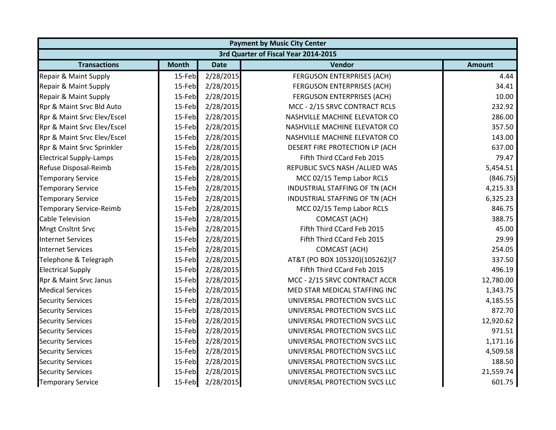|                                |              | <b>Payment by Music City Center</b> |                                      |               |  |  |  |
|--------------------------------|--------------|-------------------------------------|--------------------------------------|---------------|--|--|--|
|                                |              |                                     | 3rd Quarter of Fiscal Year 2014-2015 |               |  |  |  |
| <b>Transactions</b>            | <b>Month</b> | <b>Date</b>                         | Vendor                               | <b>Amount</b> |  |  |  |
| Repair & Maint Supply          | 15-Feb       | 2/28/2015                           | <b>FERGUSON ENTERPRISES (ACH)</b>    | 4.44          |  |  |  |
| Repair & Maint Supply          | 15-Feb       | 2/28/2015                           | <b>FERGUSON ENTERPRISES (ACH)</b>    | 34.41         |  |  |  |
| Repair & Maint Supply          | 15-Feb       | 2/28/2015                           | FERGUSON ENTERPRISES (ACH)           | 10.00         |  |  |  |
| Rpr & Maint Srvc Bld Auto      | 15-Feb       | 2/28/2015                           | MCC - 2/15 SRVC CONTRACT RCLS        | 232.92        |  |  |  |
| Rpr & Maint Srvc Elev/Escel    | 15-Feb       | 2/28/2015                           | NASHVILLE MACHINE ELEVATOR CO        | 286.00        |  |  |  |
| Rpr & Maint Srvc Elev/Escel    | 15-Feb       | 2/28/2015                           | NASHVILLE MACHINE ELEVATOR CO        | 357.50        |  |  |  |
| Rpr & Maint Srvc Elev/Escel    | 15-Feb       | 2/28/2015                           | NASHVILLE MACHINE ELEVATOR CO        | 143.00        |  |  |  |
| Rpr & Maint Srvc Sprinkler     | 15-Feb       | 2/28/2015                           | DESERT FIRE PROTECTION LP (ACH       | 637.00        |  |  |  |
| <b>Electrical Supply-Lamps</b> | 15-Feb       | 2/28/2015                           | Fifth Third CCard Feb 2015           | 79.47         |  |  |  |
| Refuse Disposal-Reimb          | 15-Feb       | 2/28/2015                           | REPUBLIC SVCS NASH / ALLIED WAS      | 5,454.51      |  |  |  |
| <b>Temporary Service</b>       | 15-Feb       | 2/28/2015                           | MCC 02/15 Temp Labor RCLS            | (846.75)      |  |  |  |
| <b>Temporary Service</b>       | 15-Feb       | 2/28/2015                           | INDUSTRIAL STAFFING OF TN (ACH       | 4,215.33      |  |  |  |
| <b>Temporary Service</b>       | 15-Feb       | 2/28/2015                           | INDUSTRIAL STAFFING OF TN (ACH       | 6,325.23      |  |  |  |
| <b>Temporary Service-Reimb</b> | 15-Feb       | 2/28/2015                           | MCC 02/15 Temp Labor RCLS            | 846.75        |  |  |  |
| <b>Cable Television</b>        | 15-Feb       | 2/28/2015                           | <b>COMCAST (ACH)</b>                 | 388.75        |  |  |  |
| <b>Mngt Cnsltnt Srvc</b>       | 15-Feb       | 2/28/2015                           | Fifth Third CCard Feb 2015           | 45.00         |  |  |  |
| <b>Internet Services</b>       | 15-Feb       | 2/28/2015                           | Fifth Third CCard Feb 2015           | 29.99         |  |  |  |
| <b>Internet Services</b>       | 15-Feb       | 2/28/2015                           | <b>COMCAST (ACH)</b>                 | 254.05        |  |  |  |
| Telephone & Telegraph          | 15-Feb       | 2/28/2015                           | AT&T (PO BOX 105320)(105262)(7       | 337.50        |  |  |  |
| <b>Electrical Supply</b>       | 15-Feb       | 2/28/2015                           | Fifth Third CCard Feb 2015           | 496.19        |  |  |  |
| Rpr & Maint Srvc Janus         | 15-Feb       | 2/28/2015                           | MCC - 2/15 SRVC CONTRACT ACCR        | 12,780.00     |  |  |  |
| <b>Medical Services</b>        | 15-Feb       | 2/28/2015                           | MED STAR MEDICAL STAFFING INC        | 1,343.75      |  |  |  |
| <b>Security Services</b>       | 15-Feb       | 2/28/2015                           | UNIVERSAL PROTECTION SVCS LLC        | 4,185.55      |  |  |  |
| <b>Security Services</b>       | 15-Feb       | 2/28/2015                           | UNIVERSAL PROTECTION SVCS LLC        | 872.70        |  |  |  |
| <b>Security Services</b>       | 15-Feb       | 2/28/2015                           | UNIVERSAL PROTECTION SVCS LLC        | 12,920.62     |  |  |  |
| <b>Security Services</b>       | 15-Feb       | 2/28/2015                           | UNIVERSAL PROTECTION SVCS LLC        | 971.51        |  |  |  |
| <b>Security Services</b>       | 15-Feb       | 2/28/2015                           | UNIVERSAL PROTECTION SVCS LLC        | 1,171.16      |  |  |  |
| <b>Security Services</b>       | 15-Feb       | 2/28/2015                           | UNIVERSAL PROTECTION SVCS LLC        | 4,509.58      |  |  |  |
| <b>Security Services</b>       | 15-Feb       | 2/28/2015                           | UNIVERSAL PROTECTION SVCS LLC        | 188.50        |  |  |  |
| <b>Security Services</b>       | 15-Feb       | 2/28/2015                           | UNIVERSAL PROTECTION SVCS LLC        | 21,559.74     |  |  |  |
| <b>Temporary Service</b>       | 15-Feb       | 2/28/2015                           | UNIVERSAL PROTECTION SVCS LLC        | 601.75        |  |  |  |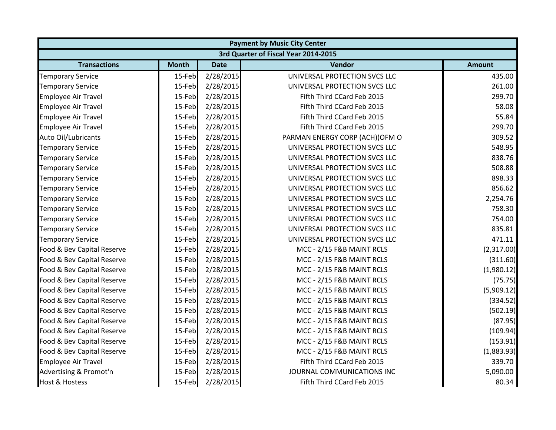| <b>Payment by Music City Center</b> |              |             |                                      |               |  |
|-------------------------------------|--------------|-------------|--------------------------------------|---------------|--|
|                                     |              |             | 3rd Quarter of Fiscal Year 2014-2015 |               |  |
| <b>Transactions</b>                 | <b>Month</b> | <b>Date</b> | Vendor                               | <b>Amount</b> |  |
| <b>Temporary Service</b>            | 15-Feb       | 2/28/2015   | UNIVERSAL PROTECTION SVCS LLC        | 435.00        |  |
| <b>Temporary Service</b>            | 15-Feb       | 2/28/2015   | UNIVERSAL PROTECTION SVCS LLC        | 261.00        |  |
| <b>Employee Air Travel</b>          | 15-Feb       | 2/28/2015   | Fifth Third CCard Feb 2015           | 299.70        |  |
| <b>Employee Air Travel</b>          | 15-Feb       | 2/28/2015   | Fifth Third CCard Feb 2015           | 58.08         |  |
| <b>Employee Air Travel</b>          | 15-Feb       | 2/28/2015   | Fifth Third CCard Feb 2015           | 55.84         |  |
| <b>Employee Air Travel</b>          | 15-Feb       | 2/28/2015   | Fifth Third CCard Feb 2015           | 299.70        |  |
| Auto Oil/Lubricants                 | 15-Feb       | 2/28/2015   | PARMAN ENERGY CORP (ACH)(OFM O       | 309.52        |  |
| <b>Temporary Service</b>            | 15-Feb       | 2/28/2015   | UNIVERSAL PROTECTION SVCS LLC        | 548.95        |  |
| <b>Temporary Service</b>            | 15-Feb       | 2/28/2015   | UNIVERSAL PROTECTION SVCS LLC        | 838.76        |  |
| <b>Temporary Service</b>            | 15-Feb       | 2/28/2015   | UNIVERSAL PROTECTION SVCS LLC        | 508.88        |  |
| <b>Temporary Service</b>            | 15-Feb       | 2/28/2015   | UNIVERSAL PROTECTION SVCS LLC        | 898.33        |  |
| <b>Temporary Service</b>            | 15-Feb       | 2/28/2015   | UNIVERSAL PROTECTION SVCS LLC        | 856.62        |  |
| <b>Temporary Service</b>            | 15-Feb       | 2/28/2015   | UNIVERSAL PROTECTION SVCS LLC        | 2,254.76      |  |
| <b>Temporary Service</b>            | 15-Feb       | 2/28/2015   | UNIVERSAL PROTECTION SVCS LLC        | 758.30        |  |
| <b>Temporary Service</b>            | 15-Feb       | 2/28/2015   | UNIVERSAL PROTECTION SVCS LLC        | 754.00        |  |
| <b>Temporary Service</b>            | 15-Feb       | 2/28/2015   | UNIVERSAL PROTECTION SVCS LLC        | 835.81        |  |
| <b>Temporary Service</b>            | 15-Feb       | 2/28/2015   | UNIVERSAL PROTECTION SVCS LLC        | 471.11        |  |
| Food & Bev Capital Reserve          | 15-Feb       | 2/28/2015   | MCC - 2/15 F&B MAINT RCLS            | (2,317.00)    |  |
| Food & Bev Capital Reserve          | 15-Feb       | 2/28/2015   | MCC - 2/15 F&B MAINT RCLS            | (311.60)      |  |
| Food & Bev Capital Reserve          | 15-Feb       | 2/28/2015   | MCC - 2/15 F&B MAINT RCLS            | (1,980.12)    |  |
| Food & Bev Capital Reserve          | 15-Feb       | 2/28/2015   | MCC - 2/15 F&B MAINT RCLS            | (75.75)       |  |
| Food & Bev Capital Reserve          | 15-Feb       | 2/28/2015   | MCC - 2/15 F&B MAINT RCLS            | (5,909.12)    |  |
| Food & Bev Capital Reserve          | 15-Feb       | 2/28/2015   | MCC - 2/15 F&B MAINT RCLS            | (334.52)      |  |
| Food & Bev Capital Reserve          | 15-Feb       | 2/28/2015   | MCC - 2/15 F&B MAINT RCLS            | (502.19)      |  |
| Food & Bev Capital Reserve          | 15-Feb       | 2/28/2015   | MCC - 2/15 F&B MAINT RCLS            | (87.95)       |  |
| Food & Bev Capital Reserve          | 15-Feb       | 2/28/2015   | MCC - 2/15 F&B MAINT RCLS            | (109.94)      |  |
| Food & Bev Capital Reserve          | 15-Feb       | 2/28/2015   | MCC - 2/15 F&B MAINT RCLS            | (153.91)      |  |
| Food & Bev Capital Reserve          | 15-Feb       | 2/28/2015   | MCC - 2/15 F&B MAINT RCLS            | (1,883.93)    |  |
| <b>Employee Air Travel</b>          | 15-Feb       | 2/28/2015   | Fifth Third CCard Feb 2015           | 339.70        |  |
| Advertising & Promot'n              | 15-Feb       | 2/28/2015   | JOURNAL COMMUNICATIONS INC           | 5,090.00      |  |
| <b>Host &amp; Hostess</b>           | 15-Feb       | 2/28/2015   | Fifth Third CCard Feb 2015           | 80.34         |  |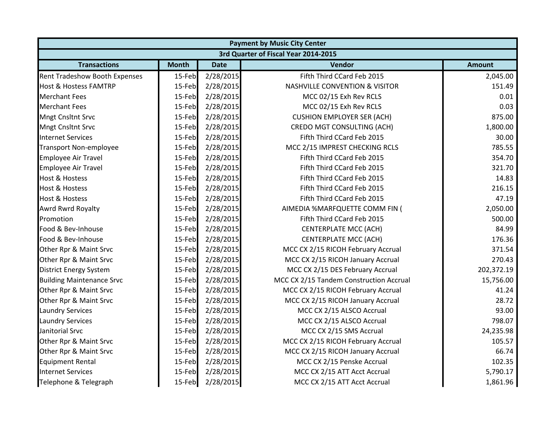|                                      | <b>Payment by Music City Center</b> |             |                                           |               |  |  |
|--------------------------------------|-------------------------------------|-------------|-------------------------------------------|---------------|--|--|
|                                      |                                     |             | 3rd Quarter of Fiscal Year 2014-2015      |               |  |  |
| <b>Transactions</b>                  | <b>Month</b>                        | <b>Date</b> | Vendor                                    | <b>Amount</b> |  |  |
| <b>Rent Tradeshow Booth Expenses</b> | 15-Feb                              | 2/28/2015   | Fifth Third CCard Feb 2015                | 2,045.00      |  |  |
| <b>Host &amp; Hostess FAMTRP</b>     | 15-Feb                              | 2/28/2015   | <b>NASHVILLE CONVENTION &amp; VISITOR</b> | 151.49        |  |  |
| <b>Merchant Fees</b>                 | 15-Feb                              | 2/28/2015   | MCC 02/15 Exh Rev RCLS                    | 0.01          |  |  |
| <b>Merchant Fees</b>                 | 15-Feb                              | 2/28/2015   | MCC 02/15 Exh Rev RCLS                    | 0.03          |  |  |
| <b>Mngt Cnsltnt Srvc</b>             | 15-Feb                              | 2/28/2015   | <b>CUSHION EMPLOYER SER (ACH)</b>         | 875.00        |  |  |
| <b>Mngt Cnsltnt Srvc</b>             | 15-Feb                              | 2/28/2015   | <b>CREDO MGT CONSULTING (ACH)</b>         | 1,800.00      |  |  |
| <b>Internet Services</b>             | 15-Feb                              | 2/28/2015   | Fifth Third CCard Feb 2015                | 30.00         |  |  |
| <b>Transport Non-employee</b>        | 15-Feb                              | 2/28/2015   | MCC 2/15 IMPREST CHECKING RCLS            | 785.55        |  |  |
| <b>Employee Air Travel</b>           | 15-Feb                              | 2/28/2015   | Fifth Third CCard Feb 2015                | 354.70        |  |  |
| <b>Employee Air Travel</b>           | 15-Feb                              | 2/28/2015   | Fifth Third CCard Feb 2015                | 321.70        |  |  |
| <b>Host &amp; Hostess</b>            | 15-Feb                              | 2/28/2015   | Fifth Third CCard Feb 2015                | 14.83         |  |  |
| <b>Host &amp; Hostess</b>            | 15-Feb                              | 2/28/2015   | Fifth Third CCard Feb 2015                | 216.15        |  |  |
| <b>Host &amp; Hostess</b>            | 15-Feb                              | 2/28/2015   | Fifth Third CCard Feb 2015                | 47.19         |  |  |
| Awrd Rwrd Royalty                    | 15-Feb                              | 2/28/2015   | AIMEDIA %MARFQUETTE COMM FIN (            | 2,050.00      |  |  |
| Promotion                            | 15-Feb                              | 2/28/2015   | Fifth Third CCard Feb 2015                | 500.00        |  |  |
| Food & Bev-Inhouse                   | 15-Feb                              | 2/28/2015   | <b>CENTERPLATE MCC (ACH)</b>              | 84.99         |  |  |
| Food & Bev-Inhouse                   | 15-Feb                              | 2/28/2015   | <b>CENTERPLATE MCC (ACH)</b>              | 176.36        |  |  |
| Other Rpr & Maint Srvc               | 15-Feb                              | 2/28/2015   | MCC CX 2/15 RICOH February Accrual        | 371.54        |  |  |
| Other Rpr & Maint Srvc               | 15-Feb                              | 2/28/2015   | MCC CX 2/15 RICOH January Accrual         | 270.43        |  |  |
| <b>District Energy System</b>        | 15-Feb                              | 2/28/2015   | MCC CX 2/15 DES February Accrual          | 202,372.19    |  |  |
| <b>Building Maintenance Srvc</b>     | 15-Feb                              | 2/28/2015   | MCC CX 2/15 Tandem Construction Accrual   | 15,756.00     |  |  |
| Other Rpr & Maint Srvc               | 15-Feb                              | 2/28/2015   | MCC CX 2/15 RICOH February Accrual        | 41.24         |  |  |
| Other Rpr & Maint Srvc               | 15-Feb                              | 2/28/2015   | MCC CX 2/15 RICOH January Accrual         | 28.72         |  |  |
| <b>Laundry Services</b>              | 15-Feb                              | 2/28/2015   | MCC CX 2/15 ALSCO Accrual                 | 93.00         |  |  |
| <b>Laundry Services</b>              | 15-Feb                              | 2/28/2015   | MCC CX 2/15 ALSCO Accrual                 | 798.07        |  |  |
| Janitorial Srvc                      | 15-Feb                              | 2/28/2015   | MCC CX 2/15 SMS Accrual                   | 24,235.98     |  |  |
| Other Rpr & Maint Srvc               | 15-Feb                              | 2/28/2015   | MCC CX 2/15 RICOH February Accrual        | 105.57        |  |  |
| Other Rpr & Maint Srvc               | 15-Feb                              | 2/28/2015   | MCC CX 2/15 RICOH January Accrual         | 66.74         |  |  |
| <b>Equipment Rental</b>              | 15-Feb                              | 2/28/2015   | MCC CX 2/15 Penske Accrual                | 102.35        |  |  |
| <b>Internet Services</b>             | 15-Feb                              | 2/28/2015   | MCC CX 2/15 ATT Acct Accrual              | 5,790.17      |  |  |
| Telephone & Telegraph                | 15-Feb                              | 2/28/2015   | MCC CX 2/15 ATT Acct Accrual              | 1,861.96      |  |  |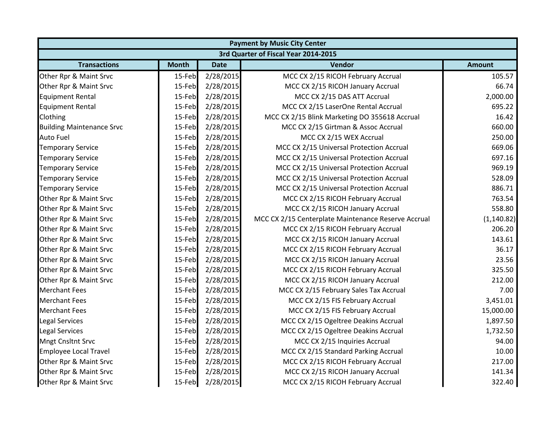| <b>Payment by Music City Center</b> |              |             |                                                     |               |  |
|-------------------------------------|--------------|-------------|-----------------------------------------------------|---------------|--|
|                                     |              |             | 3rd Quarter of Fiscal Year 2014-2015                |               |  |
| <b>Transactions</b>                 | <b>Month</b> | <b>Date</b> | Vendor                                              | <b>Amount</b> |  |
| Other Rpr & Maint Srvc              | 15-Feb       | 2/28/2015   | MCC CX 2/15 RICOH February Accrual                  | 105.57        |  |
| Other Rpr & Maint Srvc              | 15-Feb       | 2/28/2015   | MCC CX 2/15 RICOH January Accrual                   | 66.74         |  |
| <b>Equipment Rental</b>             | 15-Feb       | 2/28/2015   | MCC CX 2/15 DAS ATT Accrual                         | 2,000.00      |  |
| <b>Equipment Rental</b>             | 15-Feb       | 2/28/2015   | MCC CX 2/15 LaserOne Rental Accrual                 | 695.22        |  |
| Clothing                            | 15-Feb       | 2/28/2015   | MCC CX 2/15 Blink Marketing DO 355618 Accrual       | 16.42         |  |
| <b>Building Maintenance Srvc</b>    | 15-Feb       | 2/28/2015   | MCC CX 2/15 Girtman & Assoc Accrual                 | 660.00        |  |
| <b>Auto Fuel</b>                    | 15-Feb       | 2/28/2015   | MCC CX 2/15 WEX Accrual                             | 250.00        |  |
| <b>Temporary Service</b>            | 15-Feb       | 2/28/2015   | MCC CX 2/15 Universal Protection Accrual            | 669.06        |  |
| <b>Temporary Service</b>            | 15-Feb       | 2/28/2015   | MCC CX 2/15 Universal Protection Accrual            | 697.16        |  |
| <b>Temporary Service</b>            | 15-Feb       | 2/28/2015   | MCC CX 2/15 Universal Protection Accrual            | 969.19        |  |
| <b>Temporary Service</b>            | 15-Feb       | 2/28/2015   | MCC CX 2/15 Universal Protection Accrual            | 528.09        |  |
| <b>Temporary Service</b>            | 15-Feb       | 2/28/2015   | MCC CX 2/15 Universal Protection Accrual            | 886.71        |  |
| Other Rpr & Maint Srvc              | 15-Feb       | 2/28/2015   | MCC CX 2/15 RICOH February Accrual                  | 763.54        |  |
| Other Rpr & Maint Srvc              | 15-Feb       | 2/28/2015   | MCC CX 2/15 RICOH January Accrual                   | 558.80        |  |
| Other Rpr & Maint Srvc              | 15-Feb       | 2/28/2015   | MCC CX 2/15 Centerplate Maintenance Reserve Accrual | (1, 140.82)   |  |
| Other Rpr & Maint Srvc              | 15-Feb       | 2/28/2015   | MCC CX 2/15 RICOH February Accrual                  | 206.20        |  |
| Other Rpr & Maint Srvc              | 15-Feb       | 2/28/2015   | MCC CX 2/15 RICOH January Accrual                   | 143.61        |  |
| Other Rpr & Maint Srvc              | 15-Feb       | 2/28/2015   | MCC CX 2/15 RICOH February Accrual                  | 36.17         |  |
| Other Rpr & Maint Srvc              | 15-Feb       | 2/28/2015   | MCC CX 2/15 RICOH January Accrual                   | 23.56         |  |
| Other Rpr & Maint Srvc              | 15-Feb       | 2/28/2015   | MCC CX 2/15 RICOH February Accrual                  | 325.50        |  |
| Other Rpr & Maint Srvc              | 15-Feb       | 2/28/2015   | MCC CX 2/15 RICOH January Accrual                   | 212.00        |  |
| <b>Merchant Fees</b>                | 15-Feb       | 2/28/2015   | MCC CX 2/15 February Sales Tax Accrual              | 7.00          |  |
| <b>Merchant Fees</b>                | 15-Feb       | 2/28/2015   | MCC CX 2/15 FIS February Accrual                    | 3,451.01      |  |
| <b>Merchant Fees</b>                | 15-Feb       | 2/28/2015   | MCC CX 2/15 FIS February Accrual                    | 15,000.00     |  |
| <b>Legal Services</b>               | 15-Feb       | 2/28/2015   | MCC CX 2/15 Ogeltree Deakins Accrual                | 1,897.50      |  |
| <b>Legal Services</b>               | 15-Feb       | 2/28/2015   | MCC CX 2/15 Ogeltree Deakins Accrual                | 1,732.50      |  |
| <b>Mngt Cnsltnt Srvc</b>            | 15-Feb       | 2/28/2015   | MCC CX 2/15 Inquiries Accrual                       | 94.00         |  |
| <b>Employee Local Travel</b>        | 15-Feb       | 2/28/2015   | MCC CX 2/15 Standard Parking Accrual                | 10.00         |  |
| Other Rpr & Maint Srvc              | 15-Feb       | 2/28/2015   | MCC CX 2/15 RICOH February Accrual                  | 217.00        |  |
| Other Rpr & Maint Srvc              | 15-Feb       | 2/28/2015   | MCC CX 2/15 RICOH January Accrual                   | 141.34        |  |
| Other Rpr & Maint Srvc              | 15-Feb       | 2/28/2015   | MCC CX 2/15 RICOH February Accrual                  | 322.40        |  |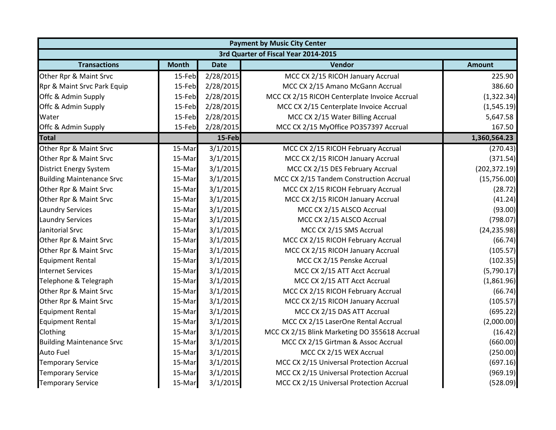|                                  | <b>Payment by Music City Center</b> |             |                                               |               |  |  |
|----------------------------------|-------------------------------------|-------------|-----------------------------------------------|---------------|--|--|
|                                  |                                     |             | 3rd Quarter of Fiscal Year 2014-2015          |               |  |  |
| <b>Transactions</b>              | <b>Month</b>                        | <b>Date</b> | Vendor                                        | <b>Amount</b> |  |  |
| Other Rpr & Maint Srvc           | 15-Feb                              | 2/28/2015   | MCC CX 2/15 RICOH January Accrual             | 225.90        |  |  |
| Rpr & Maint Srvc Park Equip      | 15-Feb                              | 2/28/2015   | MCC CX 2/15 Amano McGann Accrual              | 386.60        |  |  |
| Offc & Admin Supply              | 15-Feb                              | 2/28/2015   | MCC CX 2/15 RICOH Centerplate Invoice Accrual | (1,322.34)    |  |  |
| Offc & Admin Supply              | 15-Feb                              | 2/28/2015   | MCC CX 2/15 Centerplate Invoice Accrual       | (1,545.19)    |  |  |
| Water                            | 15-Feb                              | 2/28/2015   | MCC CX 2/15 Water Billing Accrual             | 5,647.58      |  |  |
| Offc & Admin Supply              | 15-Feb                              | 2/28/2015   | MCC CX 2/15 MyOffice PO357397 Accrual         | 167.50        |  |  |
| <b>Total</b>                     |                                     | 15-Feb      |                                               | 1,360,564.23  |  |  |
| Other Rpr & Maint Srvc           | 15-Mar                              | 3/1/2015    | MCC CX 2/15 RICOH February Accrual            | (270.43)      |  |  |
| Other Rpr & Maint Srvc           | 15-Mar                              | 3/1/2015    | MCC CX 2/15 RICOH January Accrual             | (371.54)      |  |  |
| <b>District Energy System</b>    | 15-Mar                              | 3/1/2015    | MCC CX 2/15 DES February Accrual              | (202, 372.19) |  |  |
| <b>Building Maintenance Srvc</b> | 15-Mar                              | 3/1/2015    | MCC CX 2/15 Tandem Construction Accrual       | (15,756.00)   |  |  |
| Other Rpr & Maint Srvc           | 15-Mar                              | 3/1/2015    | MCC CX 2/15 RICOH February Accrual            | (28.72)       |  |  |
| Other Rpr & Maint Srvc           | 15-Mar                              | 3/1/2015    | MCC CX 2/15 RICOH January Accrual             | (41.24)       |  |  |
| <b>Laundry Services</b>          | 15-Mar                              | 3/1/2015    | MCC CX 2/15 ALSCO Accrual                     | (93.00)       |  |  |
| <b>Laundry Services</b>          | 15-Mar                              | 3/1/2015    | MCC CX 2/15 ALSCO Accrual                     | (798.07)      |  |  |
| Janitorial Srvc                  | 15-Mar                              | 3/1/2015    | MCC CX 2/15 SMS Accrual                       | (24, 235.98)  |  |  |
| Other Rpr & Maint Srvc           | 15-Mar                              | 3/1/2015    | MCC CX 2/15 RICOH February Accrual            | (66.74)       |  |  |
| Other Rpr & Maint Srvc           | 15-Mar                              | 3/1/2015    | MCC CX 2/15 RICOH January Accrual             | (105.57)      |  |  |
| <b>Equipment Rental</b>          | 15-Mar                              | 3/1/2015    | MCC CX 2/15 Penske Accrual                    | (102.35)      |  |  |
| <b>Internet Services</b>         | 15-Mar                              | 3/1/2015    | MCC CX 2/15 ATT Acct Accrual                  | (5,790.17)    |  |  |
| Telephone & Telegraph            | 15-Mar                              | 3/1/2015    | MCC CX 2/15 ATT Acct Accrual                  | (1,861.96)    |  |  |
| Other Rpr & Maint Srvc           | 15-Mar                              | 3/1/2015    | MCC CX 2/15 RICOH February Accrual            | (66.74)       |  |  |
| Other Rpr & Maint Srvc           | 15-Mar                              | 3/1/2015    | MCC CX 2/15 RICOH January Accrual             | (105.57)      |  |  |
| <b>Equipment Rental</b>          | 15-Mar                              | 3/1/2015    | MCC CX 2/15 DAS ATT Accrual                   | (695.22)      |  |  |
| <b>Equipment Rental</b>          | 15-Mar                              | 3/1/2015    | MCC CX 2/15 LaserOne Rental Accrual           | (2,000.00)    |  |  |
| Clothing                         | 15-Mar                              | 3/1/2015    | MCC CX 2/15 Blink Marketing DO 355618 Accrual | (16.42)       |  |  |
| <b>Building Maintenance Srvc</b> | 15-Mar                              | 3/1/2015    | MCC CX 2/15 Girtman & Assoc Accrual           | (660.00)      |  |  |
| <b>Auto Fuel</b>                 | 15-Mar                              | 3/1/2015    | MCC CX 2/15 WEX Accrual                       | (250.00)      |  |  |
| <b>Temporary Service</b>         | 15-Mar                              | 3/1/2015    | MCC CX 2/15 Universal Protection Accrual      | (697.16)      |  |  |
| <b>Temporary Service</b>         | 15-Mar                              | 3/1/2015    | MCC CX 2/15 Universal Protection Accrual      | (969.19)      |  |  |
| <b>Temporary Service</b>         | 15-Mar                              | 3/1/2015    | MCC CX 2/15 Universal Protection Accrual      | (528.09)      |  |  |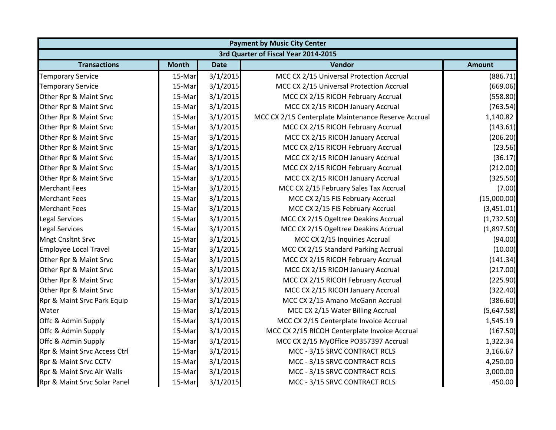| <b>Payment by Music City Center</b> |              |             |                                                     |               |  |
|-------------------------------------|--------------|-------------|-----------------------------------------------------|---------------|--|
|                                     |              |             | 3rd Quarter of Fiscal Year 2014-2015                |               |  |
| <b>Transactions</b>                 | <b>Month</b> | <b>Date</b> | Vendor                                              | <b>Amount</b> |  |
| <b>Temporary Service</b>            | 15-Mar       | 3/1/2015    | MCC CX 2/15 Universal Protection Accrual            | (886.71)      |  |
| <b>Temporary Service</b>            | 15-Mar       | 3/1/2015    | MCC CX 2/15 Universal Protection Accrual            | (669.06)      |  |
| Other Rpr & Maint Srvc              | 15-Mar       | 3/1/2015    | MCC CX 2/15 RICOH February Accrual                  | (558.80)      |  |
| Other Rpr & Maint Srvc              | 15-Mar       | 3/1/2015    | MCC CX 2/15 RICOH January Accrual                   | (763.54)      |  |
| Other Rpr & Maint Srvc              | 15-Mar       | 3/1/2015    | MCC CX 2/15 Centerplate Maintenance Reserve Accrual | 1,140.82      |  |
| Other Rpr & Maint Srvc              | 15-Mar       | 3/1/2015    | MCC CX 2/15 RICOH February Accrual                  | (143.61)      |  |
| Other Rpr & Maint Srvc              | 15-Mar       | 3/1/2015    | MCC CX 2/15 RICOH January Accrual                   | (206.20)      |  |
| Other Rpr & Maint Srvc              | 15-Mar       | 3/1/2015    | MCC CX 2/15 RICOH February Accrual                  | (23.56)       |  |
| Other Rpr & Maint Srvc              | 15-Mar       | 3/1/2015    | MCC CX 2/15 RICOH January Accrual                   | (36.17)       |  |
| Other Rpr & Maint Srvc              | 15-Mar       | 3/1/2015    | MCC CX 2/15 RICOH February Accrual                  | (212.00)      |  |
| Other Rpr & Maint Srvc              | 15-Mar       | 3/1/2015    | MCC CX 2/15 RICOH January Accrual                   | (325.50)      |  |
| <b>Merchant Fees</b>                | 15-Mar       | 3/1/2015    | MCC CX 2/15 February Sales Tax Accrual              | (7.00)        |  |
| <b>Merchant Fees</b>                | 15-Mar       | 3/1/2015    | MCC CX 2/15 FIS February Accrual                    | (15,000.00)   |  |
| <b>Merchant Fees</b>                | 15-Mar       | 3/1/2015    | MCC CX 2/15 FIS February Accrual                    | (3,451.01)    |  |
| <b>Legal Services</b>               | 15-Mar       | 3/1/2015    | MCC CX 2/15 Ogeltree Deakins Accrual                | (1,732.50)    |  |
| <b>Legal Services</b>               | 15-Mar       | 3/1/2015    | MCC CX 2/15 Ogeltree Deakins Accrual                | (1,897.50)    |  |
| <b>Mngt Cnsltnt Srvc</b>            | 15-Mar       | 3/1/2015    | MCC CX 2/15 Inquiries Accrual                       | (94.00)       |  |
| <b>Employee Local Travel</b>        | 15-Mar       | 3/1/2015    | MCC CX 2/15 Standard Parking Accrual                | (10.00)       |  |
| Other Rpr & Maint Srvc              | 15-Mar       | 3/1/2015    | MCC CX 2/15 RICOH February Accrual                  | (141.34)      |  |
| Other Rpr & Maint Srvc              | 15-Mar       | 3/1/2015    | MCC CX 2/15 RICOH January Accrual                   | (217.00)      |  |
| Other Rpr & Maint Srvc              | 15-Mar       | 3/1/2015    | MCC CX 2/15 RICOH February Accrual                  | (225.90)      |  |
| Other Rpr & Maint Srvc              | 15-Mar       | 3/1/2015    | MCC CX 2/15 RICOH January Accrual                   | (322.40)      |  |
| Rpr & Maint Srvc Park Equip         | 15-Mar       | 3/1/2015    | MCC CX 2/15 Amano McGann Accrual                    | (386.60)      |  |
| Water                               | 15-Mar       | 3/1/2015    | MCC CX 2/15 Water Billing Accrual                   | (5,647.58)    |  |
| Offc & Admin Supply                 | 15-Mar       | 3/1/2015    | MCC CX 2/15 Centerplate Invoice Accrual             | 1,545.19      |  |
| Offc & Admin Supply                 | 15-Mar       | 3/1/2015    | MCC CX 2/15 RICOH Centerplate Invoice Accrual       | (167.50)      |  |
| Offc & Admin Supply                 | 15-Mar       | 3/1/2015    | MCC CX 2/15 MyOffice PO357397 Accrual               | 1,322.34      |  |
| Rpr & Maint Srvc Access Ctrl        | 15-Mar       | 3/1/2015    | MCC - 3/15 SRVC CONTRACT RCLS                       | 3,166.67      |  |
| Rpr & Maint Srvc CCTV               | 15-Mar       | 3/1/2015    | MCC - 3/15 SRVC CONTRACT RCLS                       | 4,250.00      |  |
| Rpr & Maint Srvc Air Walls          | 15-Mar       | 3/1/2015    | MCC - 3/15 SRVC CONTRACT RCLS                       | 3,000.00      |  |
| Rpr & Maint Srvc Solar Panel        | 15-Mar       | 3/1/2015    | MCC - 3/15 SRVC CONTRACT RCLS                       | 450.00        |  |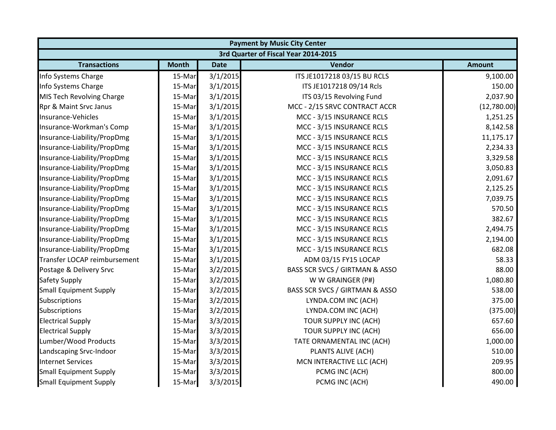| <b>Payment by Music City Center</b> |              |             |                                      |               |  |
|-------------------------------------|--------------|-------------|--------------------------------------|---------------|--|
|                                     |              |             | 3rd Quarter of Fiscal Year 2014-2015 |               |  |
| <b>Transactions</b>                 | <b>Month</b> | <b>Date</b> | Vendor                               | <b>Amount</b> |  |
| Info Systems Charge                 | 15-Mar       | 3/1/2015    | ITS JE1017218 03/15 BU RCLS          | 9,100.00      |  |
| Info Systems Charge                 | 15-Mar       | 3/1/2015    | ITS JE1017218 09/14 Rcls             | 150.00        |  |
| MIS Tech Revolving Charge           | 15-Mar       | 3/1/2015    | ITS 03/15 Revolving Fund             | 2,037.90      |  |
| Rpr & Maint Srvc Janus              | 15-Mar       | 3/1/2015    | MCC - 2/15 SRVC CONTRACT ACCR        | (12,780.00)   |  |
| Insurance-Vehicles                  | 15-Mar       | 3/1/2015    | MCC - 3/15 INSURANCE RCLS            | 1,251.25      |  |
| Insurance-Workman's Comp            | 15-Mar       | 3/1/2015    | MCC - 3/15 INSURANCE RCLS            | 8,142.58      |  |
| Insurance-Liability/PropDmg         | 15-Mar       | 3/1/2015    | MCC - 3/15 INSURANCE RCLS            | 11,175.17     |  |
| Insurance-Liability/PropDmg         | 15-Mar       | 3/1/2015    | MCC - 3/15 INSURANCE RCLS            | 2,234.33      |  |
| Insurance-Liability/PropDmg         | 15-Mar       | 3/1/2015    | MCC - 3/15 INSURANCE RCLS            | 3,329.58      |  |
| Insurance-Liability/PropDmg         | 15-Mar       | 3/1/2015    | MCC - 3/15 INSURANCE RCLS            | 3,050.83      |  |
| Insurance-Liability/PropDmg         | 15-Mar       | 3/1/2015    | MCC - 3/15 INSURANCE RCLS            | 2,091.67      |  |
| Insurance-Liability/PropDmg         | 15-Mar       | 3/1/2015    | MCC - 3/15 INSURANCE RCLS            | 2,125.25      |  |
| Insurance-Liability/PropDmg         | 15-Mar       | 3/1/2015    | MCC - 3/15 INSURANCE RCLS            | 7,039.75      |  |
| Insurance-Liability/PropDmg         | 15-Mar       | 3/1/2015    | MCC - 3/15 INSURANCE RCLS            | 570.50        |  |
| Insurance-Liability/PropDmg         | 15-Mar       | 3/1/2015    | MCC - 3/15 INSURANCE RCLS            | 382.67        |  |
| Insurance-Liability/PropDmg         | 15-Mar       | 3/1/2015    | MCC - 3/15 INSURANCE RCLS            | 2,494.75      |  |
| Insurance-Liability/PropDmg         | 15-Mar       | 3/1/2015    | MCC - 3/15 INSURANCE RCLS            | 2,194.00      |  |
| Insurance-Liability/PropDmg         | 15-Mar       | 3/1/2015    | MCC - 3/15 INSURANCE RCLS            | 682.08        |  |
| Transfer LOCAP reimbursement        | 15-Mar       | 3/1/2015    | ADM 03/15 FY15 LOCAP                 | 58.33         |  |
| Postage & Delivery Srvc             | 15-Mar       | 3/2/2015    | BASS SCR SVCS / GIRTMAN & ASSO       | 88.00         |  |
| <b>Safety Supply</b>                | 15-Mar       | 3/2/2015    | W W GRAINGER (P#)                    | 1,080.80      |  |
| <b>Small Equipment Supply</b>       | 15-Mar       | 3/2/2015    | BASS SCR SVCS / GIRTMAN & ASSO       | 538.00        |  |
| Subscriptions                       | 15-Mar       | 3/2/2015    | LYNDA.COM INC (ACH)                  | 375.00        |  |
| Subscriptions                       | 15-Mar       | 3/2/2015    | LYNDA.COM INC (ACH)                  | (375.00)      |  |
| <b>Electrical Supply</b>            | 15-Mar       | 3/3/2015    | TOUR SUPPLY INC (ACH)                | 657.60        |  |
| <b>Electrical Supply</b>            | 15-Mar       | 3/3/2015    | TOUR SUPPLY INC (ACH)                | 656.00        |  |
| Lumber/Wood Products                | 15-Mar       | 3/3/2015    | TATE ORNAMENTAL INC (ACH)            | 1,000.00      |  |
| Landscaping Srvc-Indoor             | 15-Mar       | 3/3/2015    | PLANTS ALIVE (ACH)                   | 510.00        |  |
| <b>Internet Services</b>            | 15-Mar       | 3/3/2015    | MCN INTERACTIVE LLC (ACH)            | 209.95        |  |
| <b>Small Equipment Supply</b>       | 15-Mar       | 3/3/2015    | PCMG INC (ACH)                       | 800.00        |  |
| <b>Small Equipment Supply</b>       | 15-Mar       | 3/3/2015    | PCMG INC (ACH)                       | 490.00        |  |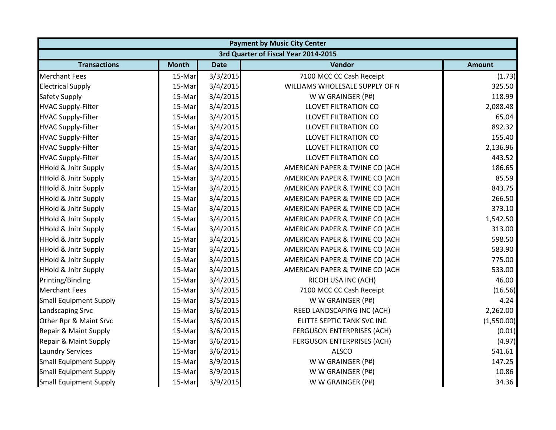|                                      | <b>Payment by Music City Center</b> |             |                                   |               |  |  |
|--------------------------------------|-------------------------------------|-------------|-----------------------------------|---------------|--|--|
| 3rd Quarter of Fiscal Year 2014-2015 |                                     |             |                                   |               |  |  |
| <b>Transactions</b>                  | <b>Month</b>                        | <b>Date</b> | Vendor                            | <b>Amount</b> |  |  |
| <b>Merchant Fees</b>                 | 15-Mar                              | 3/3/2015    | 7100 MCC CC Cash Receipt          | (1.73)        |  |  |
| <b>Electrical Supply</b>             | 15-Mar                              | 3/4/2015    | WILLIAMS WHOLESALE SUPPLY OF N    | 325.50        |  |  |
| <b>Safety Supply</b>                 | 15-Mar                              | 3/4/2015    | W W GRAINGER (P#)                 | 118.99        |  |  |
| <b>HVAC Supply-Filter</b>            | 15-Mar                              | 3/4/2015    | <b>LLOVET FILTRATION CO</b>       | 2,088.48      |  |  |
| <b>HVAC Supply-Filter</b>            | 15-Mar                              | 3/4/2015    | <b>LLOVET FILTRATION CO</b>       | 65.04         |  |  |
| <b>HVAC Supply-Filter</b>            | 15-Mar                              | 3/4/2015    | <b>LLOVET FILTRATION CO</b>       | 892.32        |  |  |
| <b>HVAC Supply-Filter</b>            | 15-Mar                              | 3/4/2015    | <b>LLOVET FILTRATION CO</b>       | 155.40        |  |  |
| <b>HVAC Supply-Filter</b>            | 15-Mar                              | 3/4/2015    | <b>LLOVET FILTRATION CO</b>       | 2,136.96      |  |  |
| <b>HVAC Supply-Filter</b>            | 15-Mar                              | 3/4/2015    | <b>LLOVET FILTRATION CO</b>       | 443.52        |  |  |
| <b>HHold &amp; Jnitr Supply</b>      | 15-Mar                              | 3/4/2015    | AMERICAN PAPER & TWINE CO (ACH    | 186.65        |  |  |
| HHold & Jnitr Supply                 | 15-Mar                              | 3/4/2015    | AMERICAN PAPER & TWINE CO (ACH    | 85.59         |  |  |
| <b>HHold &amp; Jnitr Supply</b>      | 15-Mar                              | 3/4/2015    | AMERICAN PAPER & TWINE CO (ACH    | 843.75        |  |  |
| <b>HHold &amp; Jnitr Supply</b>      | 15-Mar                              | 3/4/2015    | AMERICAN PAPER & TWINE CO (ACH    | 266.50        |  |  |
| <b>HHold &amp; Jnitr Supply</b>      | 15-Mar                              | 3/4/2015    | AMERICAN PAPER & TWINE CO (ACH    | 373.10        |  |  |
| <b>HHold &amp; Jnitr Supply</b>      | 15-Mar                              | 3/4/2015    | AMERICAN PAPER & TWINE CO (ACH    | 1,542.50      |  |  |
| <b>HHold &amp; Jnitr Supply</b>      | 15-Mar                              | 3/4/2015    | AMERICAN PAPER & TWINE CO (ACH    | 313.00        |  |  |
| <b>HHold &amp; Jnitr Supply</b>      | 15-Mar                              | 3/4/2015    | AMERICAN PAPER & TWINE CO (ACH    | 598.50        |  |  |
| <b>HHold &amp; Jnitr Supply</b>      | 15-Mar                              | 3/4/2015    | AMERICAN PAPER & TWINE CO (ACH    | 583.90        |  |  |
| <b>HHold &amp; Jnitr Supply</b>      | 15-Mar                              | 3/4/2015    | AMERICAN PAPER & TWINE CO (ACH    | 775.00        |  |  |
| HHold & Jnitr Supply                 | 15-Mar                              | 3/4/2015    | AMERICAN PAPER & TWINE CO (ACH    | 533.00        |  |  |
| Printing/Binding                     | 15-Mar                              | 3/4/2015    | RICOH USA INC (ACH)               | 46.00         |  |  |
| <b>Merchant Fees</b>                 | 15-Mar                              | 3/4/2015    | 7100 MCC CC Cash Receipt          | (16.56)       |  |  |
| <b>Small Equipment Supply</b>        | 15-Mar                              | 3/5/2015    | W W GRAINGER (P#)                 | 4.24          |  |  |
| <b>Landscaping Srvc</b>              | 15-Mar                              | 3/6/2015    | REED LANDSCAPING INC (ACH)        | 2,262.00      |  |  |
| Other Rpr & Maint Srvc               | 15-Mar                              | 3/6/2015    | ELITTE SEPTIC TANK SVC INC        | (1,550.00)    |  |  |
| Repair & Maint Supply                | 15-Mar                              | 3/6/2015    | FERGUSON ENTERPRISES (ACH)        | (0.01)        |  |  |
| Repair & Maint Supply                | 15-Mar                              | 3/6/2015    | <b>FERGUSON ENTERPRISES (ACH)</b> | (4.97)        |  |  |
| <b>Laundry Services</b>              | 15-Mar                              | 3/6/2015    | <b>ALSCO</b>                      | 541.61        |  |  |
| <b>Small Equipment Supply</b>        | 15-Mar                              | 3/9/2015    | W W GRAINGER (P#)                 | 147.25        |  |  |
| <b>Small Equipment Supply</b>        | 15-Mar                              | 3/9/2015    | W W GRAINGER (P#)                 | 10.86         |  |  |
| <b>Small Equipment Supply</b>        | 15-Mar                              | 3/9/2015    | W W GRAINGER (P#)                 | 34.36         |  |  |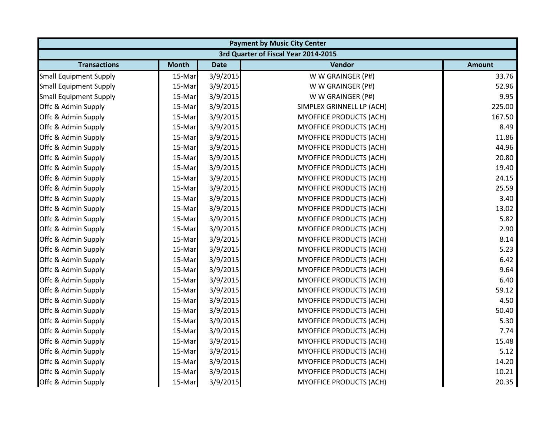| <b>Payment by Music City Center</b>  |              |             |                                |               |  |  |
|--------------------------------------|--------------|-------------|--------------------------------|---------------|--|--|
| 3rd Quarter of Fiscal Year 2014-2015 |              |             |                                |               |  |  |
| <b>Transactions</b>                  | <b>Month</b> | <b>Date</b> | Vendor                         | <b>Amount</b> |  |  |
| <b>Small Equipment Supply</b>        | 15-Mar       | 3/9/2015    | W W GRAINGER (P#)              | 33.76         |  |  |
| <b>Small Equipment Supply</b>        | 15-Mar       | 3/9/2015    | W W GRAINGER (P#)              | 52.96         |  |  |
| <b>Small Equipment Supply</b>        | 15-Mar       | 3/9/2015    | W W GRAINGER (P#)              | 9.95          |  |  |
| Offc & Admin Supply                  | 15-Mar       | 3/9/2015    | SIMPLEX GRINNELL LP (ACH)      | 225.00        |  |  |
| Offc & Admin Supply                  | 15-Mar       | 3/9/2015    | <b>MYOFFICE PRODUCTS (ACH)</b> | 167.50        |  |  |
| Offc & Admin Supply                  | 15-Mar       | 3/9/2015    | <b>MYOFFICE PRODUCTS (ACH)</b> | 8.49          |  |  |
| Offc & Admin Supply                  | 15-Mar       | 3/9/2015    | <b>MYOFFICE PRODUCTS (ACH)</b> | 11.86         |  |  |
| Offc & Admin Supply                  | 15-Mar       | 3/9/2015    | <b>MYOFFICE PRODUCTS (ACH)</b> | 44.96         |  |  |
| Offc & Admin Supply                  | 15-Mar       | 3/9/2015    | <b>MYOFFICE PRODUCTS (ACH)</b> | 20.80         |  |  |
| Offc & Admin Supply                  | 15-Mar       | 3/9/2015    | MYOFFICE PRODUCTS (ACH)        | 19.40         |  |  |
| Offc & Admin Supply                  | 15-Mar       | 3/9/2015    | MYOFFICE PRODUCTS (ACH)        | 24.15         |  |  |
| Offc & Admin Supply                  | 15-Mar       | 3/9/2015    | <b>MYOFFICE PRODUCTS (ACH)</b> | 25.59         |  |  |
| Offc & Admin Supply                  | 15-Mar       | 3/9/2015    | <b>MYOFFICE PRODUCTS (ACH)</b> | 3.40          |  |  |
| Offc & Admin Supply                  | 15-Mar       | 3/9/2015    | <b>MYOFFICE PRODUCTS (ACH)</b> | 13.02         |  |  |
| Offc & Admin Supply                  | 15-Mar       | 3/9/2015    | <b>MYOFFICE PRODUCTS (ACH)</b> | 5.82          |  |  |
| Offc & Admin Supply                  | 15-Mar       | 3/9/2015    | <b>MYOFFICE PRODUCTS (ACH)</b> | 2.90          |  |  |
| Offc & Admin Supply                  | 15-Mar       | 3/9/2015    | <b>MYOFFICE PRODUCTS (ACH)</b> | 8.14          |  |  |
| Offc & Admin Supply                  | 15-Mar       | 3/9/2015    | <b>MYOFFICE PRODUCTS (ACH)</b> | 5.23          |  |  |
| Offc & Admin Supply                  | 15-Mar       | 3/9/2015    | <b>MYOFFICE PRODUCTS (ACH)</b> | 6.42          |  |  |
| Offc & Admin Supply                  | 15-Mar       | 3/9/2015    | <b>MYOFFICE PRODUCTS (ACH)</b> | 9.64          |  |  |
| Offc & Admin Supply                  | 15-Mar       | 3/9/2015    | MYOFFICE PRODUCTS (ACH)        | 6.40          |  |  |
| Offc & Admin Supply                  | 15-Mar       | 3/9/2015    | <b>MYOFFICE PRODUCTS (ACH)</b> | 59.12         |  |  |
| Offc & Admin Supply                  | 15-Mar       | 3/9/2015    | <b>MYOFFICE PRODUCTS (ACH)</b> | 4.50          |  |  |
| Offc & Admin Supply                  | 15-Mar       | 3/9/2015    | <b>MYOFFICE PRODUCTS (ACH)</b> | 50.40         |  |  |
| Offc & Admin Supply                  | 15-Mar       | 3/9/2015    | <b>MYOFFICE PRODUCTS (ACH)</b> | 5.30          |  |  |
| Offc & Admin Supply                  | 15-Mar       | 3/9/2015    | <b>MYOFFICE PRODUCTS (ACH)</b> | 7.74          |  |  |
| Offc & Admin Supply                  | 15-Mar       | 3/9/2015    | <b>MYOFFICE PRODUCTS (ACH)</b> | 15.48         |  |  |
| Offc & Admin Supply                  | 15-Mar       | 3/9/2015    | <b>MYOFFICE PRODUCTS (ACH)</b> | 5.12          |  |  |
| Offc & Admin Supply                  | 15-Mar       | 3/9/2015    | <b>MYOFFICE PRODUCTS (ACH)</b> | 14.20         |  |  |
| Offc & Admin Supply                  | 15-Mar       | 3/9/2015    | <b>MYOFFICE PRODUCTS (ACH)</b> | 10.21         |  |  |
| Offc & Admin Supply                  | 15-Mar       | 3/9/2015    | MYOFFICE PRODUCTS (ACH)        | 20.35         |  |  |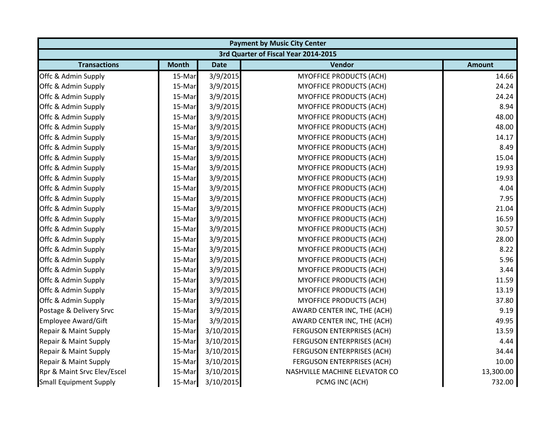|                                      | <b>Payment by Music City Center</b> |           |                                   |               |  |  |
|--------------------------------------|-------------------------------------|-----------|-----------------------------------|---------------|--|--|
| 3rd Quarter of Fiscal Year 2014-2015 |                                     |           |                                   |               |  |  |
| <b>Transactions</b>                  | <b>Month</b>                        | Date      | Vendor                            | <b>Amount</b> |  |  |
| Offc & Admin Supply                  | 15-Mar                              | 3/9/2015  | <b>MYOFFICE PRODUCTS (ACH)</b>    | 14.66         |  |  |
| Offc & Admin Supply                  | 15-Mar                              | 3/9/2015  | <b>MYOFFICE PRODUCTS (ACH)</b>    | 24.24         |  |  |
| Offc & Admin Supply                  | 15-Mar                              | 3/9/2015  | <b>MYOFFICE PRODUCTS (ACH)</b>    | 24.24         |  |  |
| Offc & Admin Supply                  | 15-Mar                              | 3/9/2015  | <b>MYOFFICE PRODUCTS (ACH)</b>    | 8.94          |  |  |
| Offc & Admin Supply                  | 15-Mar                              | 3/9/2015  | <b>MYOFFICE PRODUCTS (ACH)</b>    | 48.00         |  |  |
| Offc & Admin Supply                  | 15-Mar                              | 3/9/2015  | <b>MYOFFICE PRODUCTS (ACH)</b>    | 48.00         |  |  |
| Offc & Admin Supply                  | 15-Mar                              | 3/9/2015  | <b>MYOFFICE PRODUCTS (ACH)</b>    | 14.17         |  |  |
| Offc & Admin Supply                  | 15-Mar                              | 3/9/2015  | <b>MYOFFICE PRODUCTS (ACH)</b>    | 8.49          |  |  |
| Offc & Admin Supply                  | 15-Mar                              | 3/9/2015  | MYOFFICE PRODUCTS (ACH)           | 15.04         |  |  |
| Offc & Admin Supply                  | 15-Mar                              | 3/9/2015  | <b>MYOFFICE PRODUCTS (ACH)</b>    | 19.93         |  |  |
| Offc & Admin Supply                  | 15-Mar                              | 3/9/2015  | <b>MYOFFICE PRODUCTS (ACH)</b>    | 19.93         |  |  |
| Offc & Admin Supply                  | 15-Mar                              | 3/9/2015  | <b>MYOFFICE PRODUCTS (ACH)</b>    | 4.04          |  |  |
| Offc & Admin Supply                  | 15-Mar                              | 3/9/2015  | <b>MYOFFICE PRODUCTS (ACH)</b>    | 7.95          |  |  |
| Offc & Admin Supply                  | 15-Mar                              | 3/9/2015  | <b>MYOFFICE PRODUCTS (ACH)</b>    | 21.04         |  |  |
| Offc & Admin Supply                  | 15-Mar                              | 3/9/2015  | MYOFFICE PRODUCTS (ACH)           | 16.59         |  |  |
| Offc & Admin Supply                  | 15-Mar                              | 3/9/2015  | <b>MYOFFICE PRODUCTS (ACH)</b>    | 30.57         |  |  |
| Offc & Admin Supply                  | 15-Mar                              | 3/9/2015  | MYOFFICE PRODUCTS (ACH)           | 28.00         |  |  |
| Offc & Admin Supply                  | 15-Mar                              | 3/9/2015  | <b>MYOFFICE PRODUCTS (ACH)</b>    | 8.22          |  |  |
| Offc & Admin Supply                  | 15-Mar                              | 3/9/2015  | <b>MYOFFICE PRODUCTS (ACH)</b>    | 5.96          |  |  |
| Offc & Admin Supply                  | 15-Mar                              | 3/9/2015  | <b>MYOFFICE PRODUCTS (ACH)</b>    | 3.44          |  |  |
| Offc & Admin Supply                  | 15-Mar                              | 3/9/2015  | <b>MYOFFICE PRODUCTS (ACH)</b>    | 11.59         |  |  |
| Offc & Admin Supply                  | 15-Mar                              | 3/9/2015  | <b>MYOFFICE PRODUCTS (ACH)</b>    | 13.19         |  |  |
| Offc & Admin Supply                  | 15-Mar                              | 3/9/2015  | <b>MYOFFICE PRODUCTS (ACH)</b>    | 37.80         |  |  |
| Postage & Delivery Srvc              | 15-Mar                              | 3/9/2015  | AWARD CENTER INC, THE (ACH)       | 9.19          |  |  |
| <b>Employee Award/Gift</b>           | 15-Mar                              | 3/9/2015  | AWARD CENTER INC, THE (ACH)       | 49.95         |  |  |
| Repair & Maint Supply                | 15-Mar                              | 3/10/2015 | FERGUSON ENTERPRISES (ACH)        | 13.59         |  |  |
| Repair & Maint Supply                | 15-Mar                              | 3/10/2015 | <b>FERGUSON ENTERPRISES (ACH)</b> | 4.44          |  |  |
| Repair & Maint Supply                | 15-Mar                              | 3/10/2015 | FERGUSON ENTERPRISES (ACH)        | 34.44         |  |  |
| Repair & Maint Supply                | 15-Mar                              | 3/10/2015 | <b>FERGUSON ENTERPRISES (ACH)</b> | 10.00         |  |  |
| Rpr & Maint Srvc Elev/Escel          | 15-Mar                              | 3/10/2015 | NASHVILLE MACHINE ELEVATOR CO     | 13,300.00     |  |  |
| <b>Small Equipment Supply</b>        | 15-Mar                              | 3/10/2015 | PCMG INC (ACH)                    | 732.00        |  |  |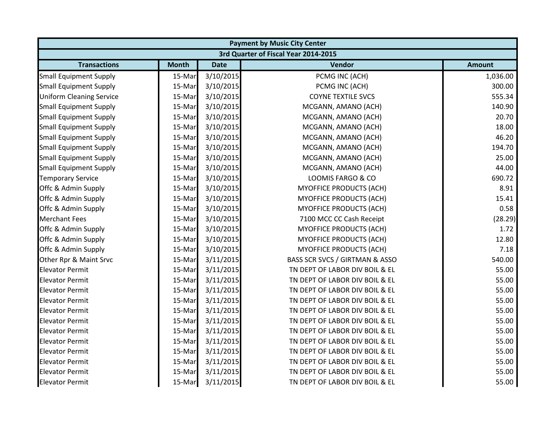| <b>Payment by Music City Center</b> |                                      |             |                                |               |  |  |  |
|-------------------------------------|--------------------------------------|-------------|--------------------------------|---------------|--|--|--|
|                                     | 3rd Quarter of Fiscal Year 2014-2015 |             |                                |               |  |  |  |
| <b>Transactions</b>                 | <b>Month</b>                         | <b>Date</b> | Vendor                         | <b>Amount</b> |  |  |  |
| <b>Small Equipment Supply</b>       | 15-Mar                               | 3/10/2015   | PCMG INC (ACH)                 | 1,036.00      |  |  |  |
| <b>Small Equipment Supply</b>       | 15-Mar                               | 3/10/2015   | PCMG INC (ACH)                 | 300.00        |  |  |  |
| <b>Uniform Cleaning Service</b>     | 15-Mar                               | 3/10/2015   | <b>COYNE TEXTILE SVCS</b>      | 555.34        |  |  |  |
| <b>Small Equipment Supply</b>       | 15-Mar                               | 3/10/2015   | MCGANN, AMANO (ACH)            | 140.90        |  |  |  |
| <b>Small Equipment Supply</b>       | 15-Mar                               | 3/10/2015   | MCGANN, AMANO (ACH)            | 20.70         |  |  |  |
| <b>Small Equipment Supply</b>       | 15-Mar                               | 3/10/2015   | MCGANN, AMANO (ACH)            | 18.00         |  |  |  |
| <b>Small Equipment Supply</b>       | 15-Mar                               | 3/10/2015   | MCGANN, AMANO (ACH)            | 46.20         |  |  |  |
| <b>Small Equipment Supply</b>       | 15-Mar                               | 3/10/2015   | MCGANN, AMANO (ACH)            | 194.70        |  |  |  |
| <b>Small Equipment Supply</b>       | 15-Mar                               | 3/10/2015   | MCGANN, AMANO (ACH)            | 25.00         |  |  |  |
| <b>Small Equipment Supply</b>       | 15-Mar                               | 3/10/2015   | MCGANN, AMANO (ACH)            | 44.00         |  |  |  |
| <b>Temporary Service</b>            | 15-Mar                               | 3/10/2015   | LOOMIS FARGO & CO              | 690.72        |  |  |  |
| Offc & Admin Supply                 | 15-Mar                               | 3/10/2015   | <b>MYOFFICE PRODUCTS (ACH)</b> | 8.91          |  |  |  |
| Offc & Admin Supply                 | 15-Mar                               | 3/10/2015   | MYOFFICE PRODUCTS (ACH)        | 15.41         |  |  |  |
| Offc & Admin Supply                 | 15-Mar                               | 3/10/2015   | <b>MYOFFICE PRODUCTS (ACH)</b> | 0.58          |  |  |  |
| <b>Merchant Fees</b>                | 15-Mar                               | 3/10/2015   | 7100 MCC CC Cash Receipt       | (28.29)       |  |  |  |
| Offc & Admin Supply                 | 15-Mar                               | 3/10/2015   | MYOFFICE PRODUCTS (ACH)        | 1.72          |  |  |  |
| Offc & Admin Supply                 | 15-Mar                               | 3/10/2015   | <b>MYOFFICE PRODUCTS (ACH)</b> | 12.80         |  |  |  |
| Offc & Admin Supply                 | 15-Mar                               | 3/10/2015   | <b>MYOFFICE PRODUCTS (ACH)</b> | 7.18          |  |  |  |
| Other Rpr & Maint Srvc              | 15-Mar                               | 3/11/2015   | BASS SCR SVCS / GIRTMAN & ASSO | 540.00        |  |  |  |
| <b>Elevator Permit</b>              | 15-Mar                               | 3/11/2015   | TN DEPT OF LABOR DIV BOIL & EL | 55.00         |  |  |  |
| <b>Elevator Permit</b>              | 15-Mar                               | 3/11/2015   | TN DEPT OF LABOR DIV BOIL & EL | 55.00         |  |  |  |
| <b>Elevator Permit</b>              | 15-Mar                               | 3/11/2015   | TN DEPT OF LABOR DIV BOIL & EL | 55.00         |  |  |  |
| <b>Elevator Permit</b>              | 15-Mar                               | 3/11/2015   | TN DEPT OF LABOR DIV BOIL & EL | 55.00         |  |  |  |
| <b>Elevator Permit</b>              | 15-Mar                               | 3/11/2015   | TN DEPT OF LABOR DIV BOIL & EL | 55.00         |  |  |  |
| <b>Elevator Permit</b>              | 15-Mar                               | 3/11/2015   | TN DEPT OF LABOR DIV BOIL & EL | 55.00         |  |  |  |
| <b>Elevator Permit</b>              | 15-Mar                               | 3/11/2015   | TN DEPT OF LABOR DIV BOIL & EL | 55.00         |  |  |  |
| <b>Elevator Permit</b>              | 15-Mar                               | 3/11/2015   | TN DEPT OF LABOR DIV BOIL & EL | 55.00         |  |  |  |
| <b>Elevator Permit</b>              | 15-Mar                               | 3/11/2015   | TN DEPT OF LABOR DIV BOIL & EL | 55.00         |  |  |  |
| <b>Elevator Permit</b>              | 15-Mar                               | 3/11/2015   | TN DEPT OF LABOR DIV BOIL & EL | 55.00         |  |  |  |
| <b>Elevator Permit</b>              | 15-Mar                               | 3/11/2015   | TN DEPT OF LABOR DIV BOIL & EL | 55.00         |  |  |  |
| <b>Elevator Permit</b>              | 15-Mar                               | 3/11/2015   | TN DEPT OF LABOR DIV BOIL & EL | 55.00         |  |  |  |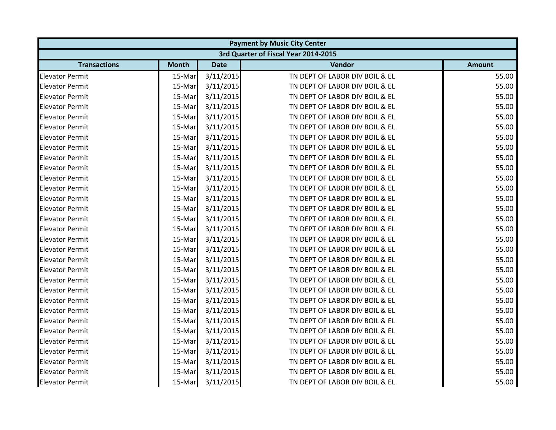|                        | <b>Payment by Music City Center</b> |             |                                      |               |  |  |
|------------------------|-------------------------------------|-------------|--------------------------------------|---------------|--|--|
|                        |                                     |             | 3rd Quarter of Fiscal Year 2014-2015 |               |  |  |
| <b>Transactions</b>    | <b>Month</b>                        | <b>Date</b> | Vendor                               | <b>Amount</b> |  |  |
| <b>Elevator Permit</b> | 15-Mar                              | 3/11/2015   | TN DEPT OF LABOR DIV BOIL & EL       | 55.00         |  |  |
| <b>Elevator Permit</b> | 15-Mar                              | 3/11/2015   | TN DEPT OF LABOR DIV BOIL & EL       | 55.00         |  |  |
| <b>Elevator Permit</b> | 15-Mar                              | 3/11/2015   | TN DEPT OF LABOR DIV BOIL & EL       | 55.00         |  |  |
| <b>Elevator Permit</b> | 15-Mar                              | 3/11/2015   | TN DEPT OF LABOR DIV BOIL & EL       | 55.00         |  |  |
| <b>Elevator Permit</b> | 15-Mar                              | 3/11/2015   | TN DEPT OF LABOR DIV BOIL & EL       | 55.00         |  |  |
| <b>Elevator Permit</b> | 15-Mar                              | 3/11/2015   | TN DEPT OF LABOR DIV BOIL & EL       | 55.00         |  |  |
| <b>Elevator Permit</b> | 15-Mar                              | 3/11/2015   | TN DEPT OF LABOR DIV BOIL & EL       | 55.00         |  |  |
| <b>Elevator Permit</b> | 15-Mar                              | 3/11/2015   | TN DEPT OF LABOR DIV BOIL & EL       | 55.00         |  |  |
| <b>Elevator Permit</b> | 15-Mar                              | 3/11/2015   | TN DEPT OF LABOR DIV BOIL & EL       | 55.00         |  |  |
| <b>Elevator Permit</b> | 15-Mar                              | 3/11/2015   | TN DEPT OF LABOR DIV BOIL & EL       | 55.00         |  |  |
| <b>Elevator Permit</b> | 15-Mar                              | 3/11/2015   | TN DEPT OF LABOR DIV BOIL & EL       | 55.00         |  |  |
| <b>Elevator Permit</b> | 15-Mar                              | 3/11/2015   | TN DEPT OF LABOR DIV BOIL & EL       | 55.00         |  |  |
| <b>Elevator Permit</b> | 15-Mar                              | 3/11/2015   | TN DEPT OF LABOR DIV BOIL & EL       | 55.00         |  |  |
| <b>Elevator Permit</b> | 15-Mar                              | 3/11/2015   | TN DEPT OF LABOR DIV BOIL & EL       | 55.00         |  |  |
| <b>Elevator Permit</b> | 15-Mar                              | 3/11/2015   | TN DEPT OF LABOR DIV BOIL & EL       | 55.00         |  |  |
| <b>Elevator Permit</b> | 15-Mar                              | 3/11/2015   | TN DEPT OF LABOR DIV BOIL & EL       | 55.00         |  |  |
| <b>Elevator Permit</b> | 15-Mar                              | 3/11/2015   | TN DEPT OF LABOR DIV BOIL & EL       | 55.00         |  |  |
| <b>Elevator Permit</b> | 15-Mar                              | 3/11/2015   | TN DEPT OF LABOR DIV BOIL & EL       | 55.00         |  |  |
| <b>Elevator Permit</b> | 15-Mar                              | 3/11/2015   | TN DEPT OF LABOR DIV BOIL & EL       | 55.00         |  |  |
| <b>Elevator Permit</b> | 15-Mar                              | 3/11/2015   | TN DEPT OF LABOR DIV BOIL & EL       | 55.00         |  |  |
| <b>Elevator Permit</b> | 15-Mar                              | 3/11/2015   | TN DEPT OF LABOR DIV BOIL & EL       | 55.00         |  |  |
| <b>Elevator Permit</b> | 15-Mar                              | 3/11/2015   | TN DEPT OF LABOR DIV BOIL & EL       | 55.00         |  |  |
| <b>Elevator Permit</b> | 15-Mar                              | 3/11/2015   | TN DEPT OF LABOR DIV BOIL & EL       | 55.00         |  |  |
| <b>Elevator Permit</b> | 15-Mar                              | 3/11/2015   | TN DEPT OF LABOR DIV BOIL & EL       | 55.00         |  |  |
| <b>Elevator Permit</b> | 15-Mar                              | 3/11/2015   | TN DEPT OF LABOR DIV BOIL & EL       | 55.00         |  |  |
| <b>Elevator Permit</b> | 15-Mar                              | 3/11/2015   | TN DEPT OF LABOR DIV BOIL & EL       | 55.00         |  |  |
| <b>Elevator Permit</b> | 15-Mar                              | 3/11/2015   | TN DEPT OF LABOR DIV BOIL & EL       | 55.00         |  |  |
| <b>Elevator Permit</b> | 15-Mar                              | 3/11/2015   | TN DEPT OF LABOR DIV BOIL & EL       | 55.00         |  |  |
| <b>Elevator Permit</b> | 15-Mar                              | 3/11/2015   | TN DEPT OF LABOR DIV BOIL & EL       | 55.00         |  |  |
| <b>Elevator Permit</b> | 15-Mar                              | 3/11/2015   | TN DEPT OF LABOR DIV BOIL & EL       | 55.00         |  |  |
| <b>Elevator Permit</b> | 15-Mar                              | 3/11/2015   | TN DEPT OF LABOR DIV BOIL & EL       | 55.00         |  |  |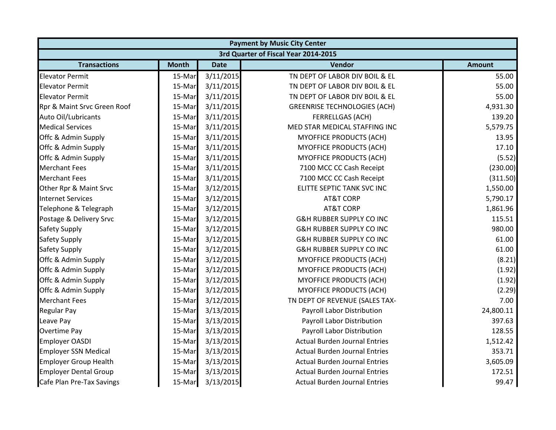| <b>Payment by Music City Center</b> |                                      |             |                                      |               |  |  |  |
|-------------------------------------|--------------------------------------|-------------|--------------------------------------|---------------|--|--|--|
|                                     | 3rd Quarter of Fiscal Year 2014-2015 |             |                                      |               |  |  |  |
| <b>Transactions</b>                 | <b>Month</b>                         | <b>Date</b> | Vendor                               | <b>Amount</b> |  |  |  |
| <b>Elevator Permit</b>              | 15-Mar                               | 3/11/2015   | TN DEPT OF LABOR DIV BOIL & EL       | 55.00         |  |  |  |
| <b>Elevator Permit</b>              | 15-Mar                               | 3/11/2015   | TN DEPT OF LABOR DIV BOIL & EL       | 55.00         |  |  |  |
| <b>Elevator Permit</b>              | 15-Mar                               | 3/11/2015   | TN DEPT OF LABOR DIV BOIL & EL       | 55.00         |  |  |  |
| Rpr & Maint Srvc Green Roof         | 15-Mar                               | 3/11/2015   | <b>GREENRISE TECHNOLOGIES (ACH)</b>  | 4,931.30      |  |  |  |
| Auto Oil/Lubricants                 | 15-Mar                               | 3/11/2015   | <b>FERRELLGAS (ACH)</b>              | 139.20        |  |  |  |
| <b>Medical Services</b>             | 15-Mar                               | 3/11/2015   | MED STAR MEDICAL STAFFING INC        | 5,579.75      |  |  |  |
| Offc & Admin Supply                 | 15-Mar                               | 3/11/2015   | <b>MYOFFICE PRODUCTS (ACH)</b>       | 13.95         |  |  |  |
| Offc & Admin Supply                 | 15-Mar                               | 3/11/2015   | <b>MYOFFICE PRODUCTS (ACH)</b>       | 17.10         |  |  |  |
| Offc & Admin Supply                 | 15-Mar                               | 3/11/2015   | <b>MYOFFICE PRODUCTS (ACH)</b>       | (5.52)        |  |  |  |
| <b>Merchant Fees</b>                | 15-Mar                               | 3/11/2015   | 7100 MCC CC Cash Receipt             | (230.00)      |  |  |  |
| <b>Merchant Fees</b>                | 15-Mar                               | 3/11/2015   | 7100 MCC CC Cash Receipt             | (311.50)      |  |  |  |
| Other Rpr & Maint Srvc              | 15-Mar                               | 3/12/2015   | ELITTE SEPTIC TANK SVC INC           | 1,550.00      |  |  |  |
| <b>Internet Services</b>            | 15-Mar                               | 3/12/2015   | <b>AT&amp;T CORP</b>                 | 5,790.17      |  |  |  |
| Telephone & Telegraph               | 15-Mar                               | 3/12/2015   | <b>AT&amp;T CORP</b>                 | 1,861.96      |  |  |  |
| Postage & Delivery Srvc             | 15-Mar                               | 3/12/2015   | <b>G&amp;H RUBBER SUPPLY CO INC</b>  | 115.51        |  |  |  |
| <b>Safety Supply</b>                | 15-Mar                               | 3/12/2015   | <b>G&amp;H RUBBER SUPPLY CO INC</b>  | 980.00        |  |  |  |
| <b>Safety Supply</b>                | 15-Mar                               | 3/12/2015   | <b>G&amp;H RUBBER SUPPLY CO INC</b>  | 61.00         |  |  |  |
| <b>Safety Supply</b>                | 15-Mar                               | 3/12/2015   | <b>G&amp;H RUBBER SUPPLY CO INC</b>  | 61.00         |  |  |  |
| Offc & Admin Supply                 | 15-Mar                               | 3/12/2015   | MYOFFICE PRODUCTS (ACH)              | (8.21)        |  |  |  |
| Offc & Admin Supply                 | 15-Mar                               | 3/12/2015   | <b>MYOFFICE PRODUCTS (ACH)</b>       | (1.92)        |  |  |  |
| Offc & Admin Supply                 | 15-Mar                               | 3/12/2015   | <b>MYOFFICE PRODUCTS (ACH)</b>       | (1.92)        |  |  |  |
| Offc & Admin Supply                 | 15-Mar                               | 3/12/2015   | MYOFFICE PRODUCTS (ACH)              | (2.29)        |  |  |  |
| <b>Merchant Fees</b>                | 15-Mar                               | 3/12/2015   | TN DEPT OF REVENUE (SALES TAX-       | 7.00          |  |  |  |
| <b>Regular Pay</b>                  | 15-Mar                               | 3/13/2015   | Payroll Labor Distribution           | 24,800.11     |  |  |  |
| Leave Pay                           | 15-Mar                               | 3/13/2015   | Payroll Labor Distribution           | 397.63        |  |  |  |
| Overtime Pay                        | 15-Mar                               | 3/13/2015   | Payroll Labor Distribution           | 128.55        |  |  |  |
| <b>Employer OASDI</b>               | 15-Mar                               | 3/13/2015   | <b>Actual Burden Journal Entries</b> | 1,512.42      |  |  |  |
| <b>Employer SSN Medical</b>         | 15-Mar                               | 3/13/2015   | <b>Actual Burden Journal Entries</b> | 353.71        |  |  |  |
| <b>Employer Group Health</b>        | 15-Mar                               | 3/13/2015   | <b>Actual Burden Journal Entries</b> | 3,605.09      |  |  |  |
| <b>Employer Dental Group</b>        | 15-Mar                               | 3/13/2015   | <b>Actual Burden Journal Entries</b> | 172.51        |  |  |  |
| Cafe Plan Pre-Tax Savings           | 15-Mar                               | 3/13/2015   | <b>Actual Burden Journal Entries</b> | 99.47         |  |  |  |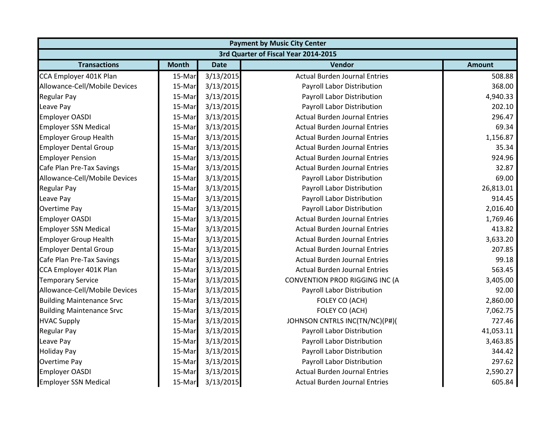| <b>Payment by Music City Center</b>  |              |             |                                      |               |  |  |
|--------------------------------------|--------------|-------------|--------------------------------------|---------------|--|--|
| 3rd Quarter of Fiscal Year 2014-2015 |              |             |                                      |               |  |  |
| <b>Transactions</b>                  | <b>Month</b> | <b>Date</b> | Vendor                               | <b>Amount</b> |  |  |
| CCA Employer 401K Plan               | 15-Mar       | 3/13/2015   | <b>Actual Burden Journal Entries</b> | 508.88        |  |  |
| Allowance-Cell/Mobile Devices        | 15-Mar       | 3/13/2015   | Payroll Labor Distribution           | 368.00        |  |  |
| <b>Regular Pay</b>                   | 15-Mar       | 3/13/2015   | Payroll Labor Distribution           | 4,940.33      |  |  |
| Leave Pay                            | 15-Mar       | 3/13/2015   | Payroll Labor Distribution           | 202.10        |  |  |
| <b>Employer OASDI</b>                | 15-Mar       | 3/13/2015   | <b>Actual Burden Journal Entries</b> | 296.47        |  |  |
| <b>Employer SSN Medical</b>          | 15-Mar       | 3/13/2015   | <b>Actual Burden Journal Entries</b> | 69.34         |  |  |
| <b>Employer Group Health</b>         | 15-Mar       | 3/13/2015   | <b>Actual Burden Journal Entries</b> | 1,156.87      |  |  |
| <b>Employer Dental Group</b>         | 15-Mar       | 3/13/2015   | <b>Actual Burden Journal Entries</b> | 35.34         |  |  |
| <b>Employer Pension</b>              | 15-Mar       | 3/13/2015   | <b>Actual Burden Journal Entries</b> | 924.96        |  |  |
| Cafe Plan Pre-Tax Savings            | 15-Mar       | 3/13/2015   | <b>Actual Burden Journal Entries</b> | 32.87         |  |  |
| Allowance-Cell/Mobile Devices        | 15-Mar       | 3/13/2015   | Payroll Labor Distribution           | 69.00         |  |  |
| <b>Regular Pay</b>                   | 15-Mar       | 3/13/2015   | Payroll Labor Distribution           | 26,813.01     |  |  |
| Leave Pay                            | 15-Mar       | 3/13/2015   | Payroll Labor Distribution           | 914.45        |  |  |
| <b>Overtime Pay</b>                  | 15-Mar       | 3/13/2015   | Payroll Labor Distribution           | 2,016.40      |  |  |
| <b>Employer OASDI</b>                | 15-Mar       | 3/13/2015   | <b>Actual Burden Journal Entries</b> | 1,769.46      |  |  |
| <b>Employer SSN Medical</b>          | 15-Mar       | 3/13/2015   | <b>Actual Burden Journal Entries</b> | 413.82        |  |  |
| <b>Employer Group Health</b>         | 15-Mar       | 3/13/2015   | <b>Actual Burden Journal Entries</b> | 3,633.20      |  |  |
| <b>Employer Dental Group</b>         | 15-Mar       | 3/13/2015   | <b>Actual Burden Journal Entries</b> | 207.85        |  |  |
| Cafe Plan Pre-Tax Savings            | 15-Mar       | 3/13/2015   | <b>Actual Burden Journal Entries</b> | 99.18         |  |  |
| CCA Employer 401K Plan               | 15-Mar       | 3/13/2015   | <b>Actual Burden Journal Entries</b> | 563.45        |  |  |
| <b>Temporary Service</b>             | 15-Mar       | 3/13/2015   | CONVENTION PROD RIGGING INC (A       | 3,405.00      |  |  |
| Allowance-Cell/Mobile Devices        | 15-Mar       | 3/13/2015   | Payroll Labor Distribution           | 92.00         |  |  |
| <b>Building Maintenance Srvc</b>     | 15-Mar       | 3/13/2015   | FOLEY CO (ACH)                       | 2,860.00      |  |  |
| <b>Building Maintenance Srvc</b>     | 15-Mar       | 3/13/2015   | FOLEY CO (ACH)                       | 7,062.75      |  |  |
| <b>HVAC Supply</b>                   | 15-Mar       | 3/13/2015   | JOHNSON CNTRLS INC(TN/NC)(P#)(       | 727.46        |  |  |
| <b>Regular Pay</b>                   | 15-Mar       | 3/13/2015   | Payroll Labor Distribution           | 41,053.11     |  |  |
| Leave Pay                            | 15-Mar       | 3/13/2015   | Payroll Labor Distribution           | 3,463.85      |  |  |
| <b>Holiday Pay</b>                   | 15-Mar       | 3/13/2015   | Payroll Labor Distribution           | 344.42        |  |  |
| Overtime Pay                         | 15-Mar       | 3/13/2015   | Payroll Labor Distribution           | 297.62        |  |  |
| <b>Employer OASDI</b>                | 15-Mar       | 3/13/2015   | <b>Actual Burden Journal Entries</b> | 2,590.27      |  |  |
| <b>Employer SSN Medical</b>          | 15-Mar       | 3/13/2015   | <b>Actual Burden Journal Entries</b> | 605.84        |  |  |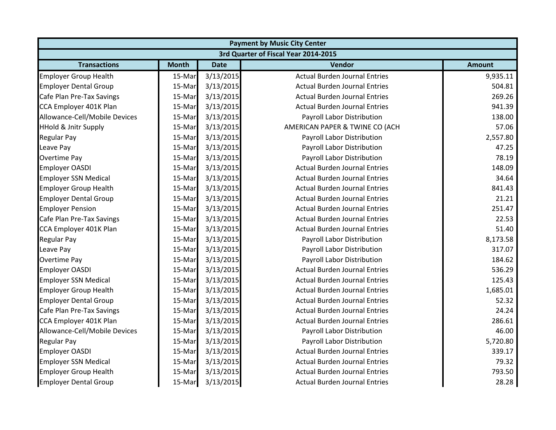| <b>Payment by Music City Center</b> |                                      |             |                                      |               |  |  |  |
|-------------------------------------|--------------------------------------|-------------|--------------------------------------|---------------|--|--|--|
|                                     | 3rd Quarter of Fiscal Year 2014-2015 |             |                                      |               |  |  |  |
| <b>Transactions</b>                 | <b>Month</b>                         | <b>Date</b> | <b>Vendor</b>                        | <b>Amount</b> |  |  |  |
| <b>Employer Group Health</b>        | 15-Mar                               | 3/13/2015   | <b>Actual Burden Journal Entries</b> | 9,935.11      |  |  |  |
| <b>Employer Dental Group</b>        | 15-Mar                               | 3/13/2015   | <b>Actual Burden Journal Entries</b> | 504.81        |  |  |  |
| Cafe Plan Pre-Tax Savings           | 15-Mar                               | 3/13/2015   | <b>Actual Burden Journal Entries</b> | 269.26        |  |  |  |
| CCA Employer 401K Plan              | 15-Mar                               | 3/13/2015   | <b>Actual Burden Journal Entries</b> | 941.39        |  |  |  |
| Allowance-Cell/Mobile Devices       | 15-Mar                               | 3/13/2015   | Payroll Labor Distribution           | 138.00        |  |  |  |
| <b>HHold &amp; Jnitr Supply</b>     | 15-Mar                               | 3/13/2015   | AMERICAN PAPER & TWINE CO (ACH       | 57.06         |  |  |  |
| <b>Regular Pay</b>                  | 15-Mar                               | 3/13/2015   | Payroll Labor Distribution           | 2,557.80      |  |  |  |
| Leave Pay                           | 15-Mar                               | 3/13/2015   | Payroll Labor Distribution           | 47.25         |  |  |  |
| Overtime Pay                        | 15-Mar                               | 3/13/2015   | Payroll Labor Distribution           | 78.19         |  |  |  |
| <b>Employer OASDI</b>               | 15-Mar                               | 3/13/2015   | <b>Actual Burden Journal Entries</b> | 148.09        |  |  |  |
| <b>Employer SSN Medical</b>         | 15-Mar                               | 3/13/2015   | <b>Actual Burden Journal Entries</b> | 34.64         |  |  |  |
| <b>Employer Group Health</b>        | 15-Mar                               | 3/13/2015   | <b>Actual Burden Journal Entries</b> | 841.43        |  |  |  |
| <b>Employer Dental Group</b>        | 15-Mar                               | 3/13/2015   | <b>Actual Burden Journal Entries</b> | 21.21         |  |  |  |
| <b>Employer Pension</b>             | 15-Mar                               | 3/13/2015   | <b>Actual Burden Journal Entries</b> | 251.47        |  |  |  |
| Cafe Plan Pre-Tax Savings           | 15-Mar                               | 3/13/2015   | <b>Actual Burden Journal Entries</b> | 22.53         |  |  |  |
| CCA Employer 401K Plan              | 15-Mar                               | 3/13/2015   | <b>Actual Burden Journal Entries</b> | 51.40         |  |  |  |
| <b>Regular Pay</b>                  | 15-Mar                               | 3/13/2015   | Payroll Labor Distribution           | 8,173.58      |  |  |  |
| Leave Pay                           | 15-Mar                               | 3/13/2015   | Payroll Labor Distribution           | 317.07        |  |  |  |
| <b>Overtime Pay</b>                 | 15-Mar                               | 3/13/2015   | Payroll Labor Distribution           | 184.62        |  |  |  |
| <b>Employer OASDI</b>               | 15-Mar                               | 3/13/2015   | <b>Actual Burden Journal Entries</b> | 536.29        |  |  |  |
| <b>Employer SSN Medical</b>         | 15-Mar                               | 3/13/2015   | <b>Actual Burden Journal Entries</b> | 125.43        |  |  |  |
| <b>Employer Group Health</b>        | 15-Mar                               | 3/13/2015   | <b>Actual Burden Journal Entries</b> | 1,685.01      |  |  |  |
| <b>Employer Dental Group</b>        | 15-Mar                               | 3/13/2015   | <b>Actual Burden Journal Entries</b> | 52.32         |  |  |  |
| Cafe Plan Pre-Tax Savings           | 15-Mar                               | 3/13/2015   | <b>Actual Burden Journal Entries</b> | 24.24         |  |  |  |
| CCA Employer 401K Plan              | 15-Mar                               | 3/13/2015   | <b>Actual Burden Journal Entries</b> | 286.61        |  |  |  |
| Allowance-Cell/Mobile Devices       | 15-Mar                               | 3/13/2015   | Payroll Labor Distribution           | 46.00         |  |  |  |
| <b>Regular Pay</b>                  | 15-Mar                               | 3/13/2015   | Payroll Labor Distribution           | 5,720.80      |  |  |  |
| <b>Employer OASDI</b>               | 15-Mar                               | 3/13/2015   | <b>Actual Burden Journal Entries</b> | 339.17        |  |  |  |
| <b>Employer SSN Medical</b>         | 15-Mar                               | 3/13/2015   | <b>Actual Burden Journal Entries</b> | 79.32         |  |  |  |
| <b>Employer Group Health</b>        | 15-Mar                               | 3/13/2015   | <b>Actual Burden Journal Entries</b> | 793.50        |  |  |  |
| <b>Employer Dental Group</b>        | 15-Mar                               | 3/13/2015   | <b>Actual Burden Journal Entries</b> | 28.28         |  |  |  |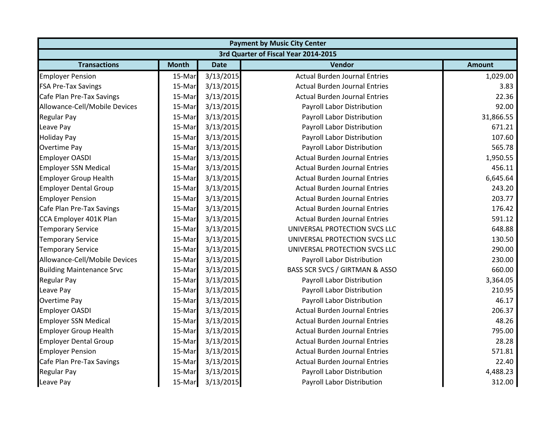|                                  | <b>Payment by Music City Center</b> |             |                                      |               |  |  |
|----------------------------------|-------------------------------------|-------------|--------------------------------------|---------------|--|--|
|                                  |                                     |             | 3rd Quarter of Fiscal Year 2014-2015 |               |  |  |
| <b>Transactions</b>              | <b>Month</b>                        | <b>Date</b> | <b>Vendor</b>                        | <b>Amount</b> |  |  |
| <b>Employer Pension</b>          | 15-Mar                              | 3/13/2015   | <b>Actual Burden Journal Entries</b> | 1,029.00      |  |  |
| <b>FSA Pre-Tax Savings</b>       | 15-Mar                              | 3/13/2015   | <b>Actual Burden Journal Entries</b> | 3.83          |  |  |
| Cafe Plan Pre-Tax Savings        | 15-Mar                              | 3/13/2015   | <b>Actual Burden Journal Entries</b> | 22.36         |  |  |
| Allowance-Cell/Mobile Devices    | 15-Mar                              | 3/13/2015   | Payroll Labor Distribution           | 92.00         |  |  |
| <b>Regular Pay</b>               | 15-Mar                              | 3/13/2015   | Payroll Labor Distribution           | 31,866.55     |  |  |
| Leave Pay                        | 15-Mar                              | 3/13/2015   | Payroll Labor Distribution           | 671.21        |  |  |
| <b>Holiday Pay</b>               | 15-Mar                              | 3/13/2015   | Payroll Labor Distribution           | 107.60        |  |  |
| <b>Overtime Pay</b>              | 15-Mar                              | 3/13/2015   | Payroll Labor Distribution           | 565.78        |  |  |
| <b>Employer OASDI</b>            | 15-Mar                              | 3/13/2015   | <b>Actual Burden Journal Entries</b> | 1,950.55      |  |  |
| <b>Employer SSN Medical</b>      | 15-Mar                              | 3/13/2015   | <b>Actual Burden Journal Entries</b> | 456.11        |  |  |
| <b>Employer Group Health</b>     | 15-Mar                              | 3/13/2015   | <b>Actual Burden Journal Entries</b> | 6,645.64      |  |  |
| <b>Employer Dental Group</b>     | 15-Mar                              | 3/13/2015   | <b>Actual Burden Journal Entries</b> | 243.20        |  |  |
| <b>Employer Pension</b>          | 15-Mar                              | 3/13/2015   | <b>Actual Burden Journal Entries</b> | 203.77        |  |  |
| Cafe Plan Pre-Tax Savings        | 15-Mar                              | 3/13/2015   | <b>Actual Burden Journal Entries</b> | 176.42        |  |  |
| CCA Employer 401K Plan           | 15-Mar                              | 3/13/2015   | <b>Actual Burden Journal Entries</b> | 591.12        |  |  |
| <b>Temporary Service</b>         | 15-Mar                              | 3/13/2015   | UNIVERSAL PROTECTION SVCS LLC        | 648.88        |  |  |
| <b>Temporary Service</b>         | 15-Mar                              | 3/13/2015   | UNIVERSAL PROTECTION SVCS LLC        | 130.50        |  |  |
| <b>Temporary Service</b>         | 15-Mar                              | 3/13/2015   | UNIVERSAL PROTECTION SVCS LLC        | 290.00        |  |  |
| Allowance-Cell/Mobile Devices    | 15-Mar                              | 3/13/2015   | Payroll Labor Distribution           | 230.00        |  |  |
| <b>Building Maintenance Srvc</b> | 15-Mar                              | 3/13/2015   | BASS SCR SVCS / GIRTMAN & ASSO       | 660.00        |  |  |
| <b>Regular Pay</b>               | 15-Mar                              | 3/13/2015   | Payroll Labor Distribution           | 3,364.05      |  |  |
| Leave Pay                        | 15-Mar                              | 3/13/2015   | Payroll Labor Distribution           | 210.95        |  |  |
| Overtime Pay                     | 15-Mar                              | 3/13/2015   | Payroll Labor Distribution           | 46.17         |  |  |
| <b>Employer OASDI</b>            | 15-Mar                              | 3/13/2015   | <b>Actual Burden Journal Entries</b> | 206.37        |  |  |
| <b>Employer SSN Medical</b>      | 15-Mar                              | 3/13/2015   | <b>Actual Burden Journal Entries</b> | 48.26         |  |  |
| <b>Employer Group Health</b>     | 15-Mar                              | 3/13/2015   | <b>Actual Burden Journal Entries</b> | 795.00        |  |  |
| <b>Employer Dental Group</b>     | 15-Mar                              | 3/13/2015   | <b>Actual Burden Journal Entries</b> | 28.28         |  |  |
| <b>Employer Pension</b>          | 15-Mar                              | 3/13/2015   | <b>Actual Burden Journal Entries</b> | 571.81        |  |  |
| Cafe Plan Pre-Tax Savings        | 15-Mar                              | 3/13/2015   | <b>Actual Burden Journal Entries</b> | 22.40         |  |  |
| <b>Regular Pay</b>               | 15-Mar                              | 3/13/2015   | Payroll Labor Distribution           | 4,488.23      |  |  |
| Leave Pay                        | 15-Mar                              | 3/13/2015   | Payroll Labor Distribution           | 312.00        |  |  |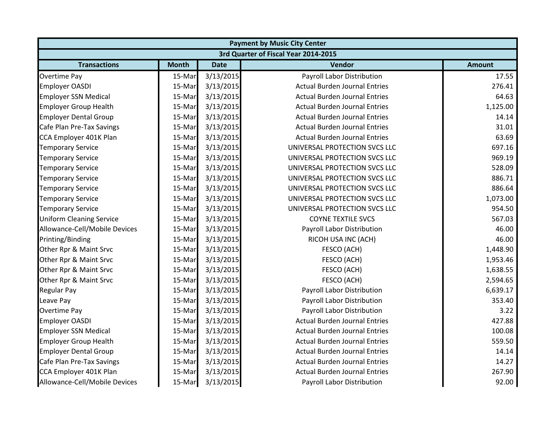| <b>Payment by Music City Center</b> |                                      |             |                                      |               |  |  |  |
|-------------------------------------|--------------------------------------|-------------|--------------------------------------|---------------|--|--|--|
|                                     | 3rd Quarter of Fiscal Year 2014-2015 |             |                                      |               |  |  |  |
| <b>Transactions</b>                 | <b>Month</b>                         | <b>Date</b> | Vendor                               | <b>Amount</b> |  |  |  |
| <b>Overtime Pay</b>                 | 15-Mar                               | 3/13/2015   | Payroll Labor Distribution           | 17.55         |  |  |  |
| <b>Employer OASDI</b>               | 15-Mar                               | 3/13/2015   | <b>Actual Burden Journal Entries</b> | 276.41        |  |  |  |
| <b>Employer SSN Medical</b>         | 15-Mar                               | 3/13/2015   | <b>Actual Burden Journal Entries</b> | 64.63         |  |  |  |
| <b>Employer Group Health</b>        | 15-Mar                               | 3/13/2015   | <b>Actual Burden Journal Entries</b> | 1,125.00      |  |  |  |
| <b>Employer Dental Group</b>        | 15-Mar                               | 3/13/2015   | <b>Actual Burden Journal Entries</b> | 14.14         |  |  |  |
| Cafe Plan Pre-Tax Savings           | 15-Mar                               | 3/13/2015   | <b>Actual Burden Journal Entries</b> | 31.01         |  |  |  |
| CCA Employer 401K Plan              | 15-Mar                               | 3/13/2015   | <b>Actual Burden Journal Entries</b> | 63.69         |  |  |  |
| <b>Temporary Service</b>            | 15-Mar                               | 3/13/2015   | UNIVERSAL PROTECTION SVCS LLC        | 697.16        |  |  |  |
| <b>Temporary Service</b>            | 15-Mar                               | 3/13/2015   | UNIVERSAL PROTECTION SVCS LLC        | 969.19        |  |  |  |
| <b>Temporary Service</b>            | 15-Mar                               | 3/13/2015   | UNIVERSAL PROTECTION SVCS LLC        | 528.09        |  |  |  |
| <b>Temporary Service</b>            | 15-Mar                               | 3/13/2015   | UNIVERSAL PROTECTION SVCS LLC        | 886.71        |  |  |  |
| <b>Temporary Service</b>            | 15-Mar                               | 3/13/2015   | UNIVERSAL PROTECTION SVCS LLC        | 886.64        |  |  |  |
| <b>Temporary Service</b>            | 15-Mar                               | 3/13/2015   | UNIVERSAL PROTECTION SVCS LLC        | 1,073.00      |  |  |  |
| <b>Temporary Service</b>            | 15-Mar                               | 3/13/2015   | UNIVERSAL PROTECTION SVCS LLC        | 954.50        |  |  |  |
| <b>Uniform Cleaning Service</b>     | 15-Mar                               | 3/13/2015   | <b>COYNE TEXTILE SVCS</b>            | 567.03        |  |  |  |
| Allowance-Cell/Mobile Devices       | 15-Mar                               | 3/13/2015   | Payroll Labor Distribution           | 46.00         |  |  |  |
| Printing/Binding                    | 15-Mar                               | 3/13/2015   | RICOH USA INC (ACH)                  | 46.00         |  |  |  |
| Other Rpr & Maint Srvc              | 15-Mar                               | 3/13/2015   | FESCO (ACH)                          | 1,448.90      |  |  |  |
| Other Rpr & Maint Srvc              | 15-Mar                               | 3/13/2015   | FESCO (ACH)                          | 1,953.46      |  |  |  |
| Other Rpr & Maint Srvc              | 15-Mar                               | 3/13/2015   | FESCO (ACH)                          | 1,638.55      |  |  |  |
| Other Rpr & Maint Srvc              | 15-Mar                               | 3/13/2015   | FESCO (ACH)                          | 2,594.65      |  |  |  |
| <b>Regular Pay</b>                  | 15-Mar                               | 3/13/2015   | Payroll Labor Distribution           | 6,639.17      |  |  |  |
| Leave Pay                           | 15-Mar                               | 3/13/2015   | Payroll Labor Distribution           | 353.40        |  |  |  |
| Overtime Pay                        | 15-Mar                               | 3/13/2015   | Payroll Labor Distribution           | 3.22          |  |  |  |
| <b>Employer OASDI</b>               | 15-Mar                               | 3/13/2015   | <b>Actual Burden Journal Entries</b> | 427.88        |  |  |  |
| <b>Employer SSN Medical</b>         | 15-Mar                               | 3/13/2015   | <b>Actual Burden Journal Entries</b> | 100.08        |  |  |  |
| <b>Employer Group Health</b>        | 15-Mar                               | 3/13/2015   | <b>Actual Burden Journal Entries</b> | 559.50        |  |  |  |
| <b>Employer Dental Group</b>        | 15-Mar                               | 3/13/2015   | <b>Actual Burden Journal Entries</b> | 14.14         |  |  |  |
| Cafe Plan Pre-Tax Savings           | 15-Mar                               | 3/13/2015   | <b>Actual Burden Journal Entries</b> | 14.27         |  |  |  |
| CCA Employer 401K Plan              | 15-Mar                               | 3/13/2015   | <b>Actual Burden Journal Entries</b> | 267.90        |  |  |  |
| Allowance-Cell/Mobile Devices       | 15-Mar                               | 3/13/2015   | Payroll Labor Distribution           | 92.00         |  |  |  |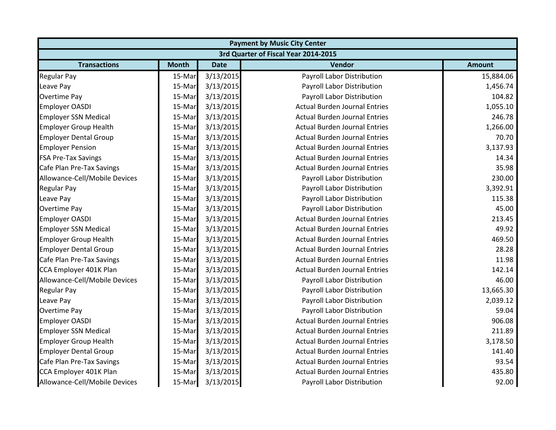| <b>Payment by Music City Center</b> |                                      |             |                                      |               |  |  |  |
|-------------------------------------|--------------------------------------|-------------|--------------------------------------|---------------|--|--|--|
|                                     | 3rd Quarter of Fiscal Year 2014-2015 |             |                                      |               |  |  |  |
| <b>Transactions</b>                 | <b>Month</b>                         | <b>Date</b> | Vendor                               | <b>Amount</b> |  |  |  |
| <b>Regular Pay</b>                  | 15-Mar                               | 3/13/2015   | Payroll Labor Distribution           | 15,884.06     |  |  |  |
| Leave Pay                           | 15-Mar                               | 3/13/2015   | Payroll Labor Distribution           | 1,456.74      |  |  |  |
| <b>Overtime Pay</b>                 | 15-Mar                               | 3/13/2015   | Payroll Labor Distribution           | 104.82        |  |  |  |
| <b>Employer OASDI</b>               | 15-Mar                               | 3/13/2015   | <b>Actual Burden Journal Entries</b> | 1,055.10      |  |  |  |
| <b>Employer SSN Medical</b>         | 15-Mar                               | 3/13/2015   | <b>Actual Burden Journal Entries</b> | 246.78        |  |  |  |
| <b>Employer Group Health</b>        | 15-Mar                               | 3/13/2015   | <b>Actual Burden Journal Entries</b> | 1,266.00      |  |  |  |
| <b>Employer Dental Group</b>        | 15-Mar                               | 3/13/2015   | <b>Actual Burden Journal Entries</b> | 70.70         |  |  |  |
| <b>Employer Pension</b>             | 15-Mar                               | 3/13/2015   | <b>Actual Burden Journal Entries</b> | 3,137.93      |  |  |  |
| <b>FSA Pre-Tax Savings</b>          | 15-Mar                               | 3/13/2015   | <b>Actual Burden Journal Entries</b> | 14.34         |  |  |  |
| Cafe Plan Pre-Tax Savings           | 15-Mar                               | 3/13/2015   | <b>Actual Burden Journal Entries</b> | 35.98         |  |  |  |
| Allowance-Cell/Mobile Devices       | 15-Mar                               | 3/13/2015   | Payroll Labor Distribution           | 230.00        |  |  |  |
| <b>Regular Pay</b>                  | 15-Mar                               | 3/13/2015   | Payroll Labor Distribution           | 3,392.91      |  |  |  |
| Leave Pay                           | 15-Mar                               | 3/13/2015   | Payroll Labor Distribution           | 115.38        |  |  |  |
| <b>Overtime Pay</b>                 | 15-Mar                               | 3/13/2015   | Payroll Labor Distribution           | 45.00         |  |  |  |
| Employer OASDI                      | 15-Mar                               | 3/13/2015   | <b>Actual Burden Journal Entries</b> | 213.45        |  |  |  |
| <b>Employer SSN Medical</b>         | 15-Mar                               | 3/13/2015   | <b>Actual Burden Journal Entries</b> | 49.92         |  |  |  |
| <b>Employer Group Health</b>        | 15-Mar                               | 3/13/2015   | <b>Actual Burden Journal Entries</b> | 469.50        |  |  |  |
| <b>Employer Dental Group</b>        | 15-Mar                               | 3/13/2015   | <b>Actual Burden Journal Entries</b> | 28.28         |  |  |  |
| Cafe Plan Pre-Tax Savings           | 15-Mar                               | 3/13/2015   | <b>Actual Burden Journal Entries</b> | 11.98         |  |  |  |
| CCA Employer 401K Plan              | 15-Mar                               | 3/13/2015   | <b>Actual Burden Journal Entries</b> | 142.14        |  |  |  |
| Allowance-Cell/Mobile Devices       | 15-Mar                               | 3/13/2015   | Payroll Labor Distribution           | 46.00         |  |  |  |
| <b>Regular Pay</b>                  | 15-Mar                               | 3/13/2015   | Payroll Labor Distribution           | 13,665.30     |  |  |  |
| Leave Pay                           | 15-Mar                               | 3/13/2015   | Payroll Labor Distribution           | 2,039.12      |  |  |  |
| <b>Overtime Pay</b>                 | 15-Mar                               | 3/13/2015   | Payroll Labor Distribution           | 59.04         |  |  |  |
| <b>Employer OASDI</b>               | 15-Mar                               | 3/13/2015   | <b>Actual Burden Journal Entries</b> | 906.08        |  |  |  |
| <b>Employer SSN Medical</b>         | 15-Mar                               | 3/13/2015   | <b>Actual Burden Journal Entries</b> | 211.89        |  |  |  |
| <b>Employer Group Health</b>        | 15-Mar                               | 3/13/2015   | <b>Actual Burden Journal Entries</b> | 3,178.50      |  |  |  |
| <b>Employer Dental Group</b>        | 15-Mar                               | 3/13/2015   | <b>Actual Burden Journal Entries</b> | 141.40        |  |  |  |
| Cafe Plan Pre-Tax Savings           | 15-Mar                               | 3/13/2015   | <b>Actual Burden Journal Entries</b> | 93.54         |  |  |  |
| CCA Employer 401K Plan              | 15-Mar                               | 3/13/2015   | <b>Actual Burden Journal Entries</b> | 435.80        |  |  |  |
| Allowance-Cell/Mobile Devices       | 15-Mar                               | 3/13/2015   | Payroll Labor Distribution           | 92.00         |  |  |  |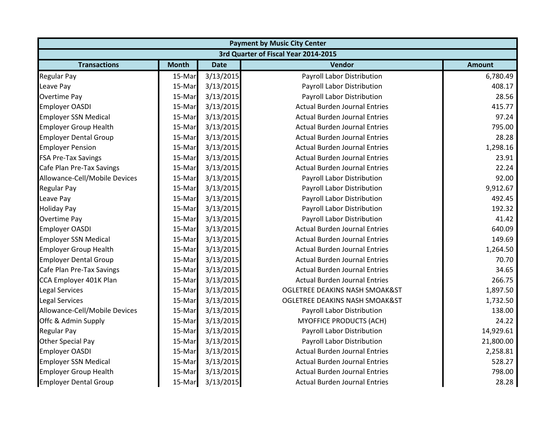| <b>Payment by Music City Center</b> |              |             |                                           |               |  |
|-------------------------------------|--------------|-------------|-------------------------------------------|---------------|--|
|                                     |              |             | 3rd Quarter of Fiscal Year 2014-2015      |               |  |
| <b>Transactions</b>                 | <b>Month</b> | <b>Date</b> | Vendor                                    | <b>Amount</b> |  |
| <b>Regular Pay</b>                  | 15-Mar       | 3/13/2015   | Payroll Labor Distribution                | 6,780.49      |  |
| Leave Pay                           | 15-Mar       | 3/13/2015   | Payroll Labor Distribution                | 408.17        |  |
| <b>Overtime Pay</b>                 | 15-Mar       | 3/13/2015   | Payroll Labor Distribution                | 28.56         |  |
| Employer OASDI                      | 15-Mar       | 3/13/2015   | <b>Actual Burden Journal Entries</b>      | 415.77        |  |
| <b>Employer SSN Medical</b>         | 15-Mar       | 3/13/2015   | <b>Actual Burden Journal Entries</b>      | 97.24         |  |
| <b>Employer Group Health</b>        | 15-Mar       | 3/13/2015   | <b>Actual Burden Journal Entries</b>      | 795.00        |  |
| <b>Employer Dental Group</b>        | 15-Mar       | 3/13/2015   | <b>Actual Burden Journal Entries</b>      | 28.28         |  |
| <b>Employer Pension</b>             | 15-Mar       | 3/13/2015   | <b>Actual Burden Journal Entries</b>      | 1,298.16      |  |
| <b>FSA Pre-Tax Savings</b>          | 15-Mar       | 3/13/2015   | <b>Actual Burden Journal Entries</b>      | 23.91         |  |
| Cafe Plan Pre-Tax Savings           | 15-Mar       | 3/13/2015   | <b>Actual Burden Journal Entries</b>      | 22.24         |  |
| Allowance-Cell/Mobile Devices       | 15-Mar       | 3/13/2015   | Payroll Labor Distribution                | 92.00         |  |
| <b>Regular Pay</b>                  | 15-Mar       | 3/13/2015   | Payroll Labor Distribution                | 9,912.67      |  |
| Leave Pay                           | 15-Mar       | 3/13/2015   | Payroll Labor Distribution                | 492.45        |  |
| <b>Holiday Pay</b>                  | 15-Mar       | 3/13/2015   | Payroll Labor Distribution                | 192.32        |  |
| <b>Overtime Pay</b>                 | 15-Mar       | 3/13/2015   | Payroll Labor Distribution                | 41.42         |  |
| <b>Employer OASDI</b>               | 15-Mar       | 3/13/2015   | <b>Actual Burden Journal Entries</b>      | 640.09        |  |
| <b>Employer SSN Medical</b>         | 15-Mar       | 3/13/2015   | <b>Actual Burden Journal Entries</b>      | 149.69        |  |
| <b>Employer Group Health</b>        | 15-Mar       | 3/13/2015   | <b>Actual Burden Journal Entries</b>      | 1,264.50      |  |
| <b>Employer Dental Group</b>        | 15-Mar       | 3/13/2015   | <b>Actual Burden Journal Entries</b>      | 70.70         |  |
| Cafe Plan Pre-Tax Savings           | 15-Mar       | 3/13/2015   | <b>Actual Burden Journal Entries</b>      | 34.65         |  |
| CCA Employer 401K Plan              | 15-Mar       | 3/13/2015   | <b>Actual Burden Journal Entries</b>      | 266.75        |  |
| <b>Legal Services</b>               | 15-Mar       | 3/13/2015   | <b>OGLETREE DEAKINS NASH SMOAK&amp;ST</b> | 1,897.50      |  |
| <b>Legal Services</b>               | 15-Mar       | 3/13/2015   | OGLETREE DEAKINS NASH SMOAK&ST            | 1,732.50      |  |
| Allowance-Cell/Mobile Devices       | 15-Mar       | 3/13/2015   | Payroll Labor Distribution                | 138.00        |  |
| Offc & Admin Supply                 | 15-Mar       | 3/13/2015   | MYOFFICE PRODUCTS (ACH)                   | 24.22         |  |
| <b>Regular Pay</b>                  | 15-Mar       | 3/13/2015   | Payroll Labor Distribution                | 14,929.61     |  |
| Other Special Pay                   | 15-Mar       | 3/13/2015   | Payroll Labor Distribution                | 21,800.00     |  |
| <b>Employer OASDI</b>               | 15-Mar       | 3/13/2015   | <b>Actual Burden Journal Entries</b>      | 2,258.81      |  |
| <b>Employer SSN Medical</b>         | 15-Mar       | 3/13/2015   | <b>Actual Burden Journal Entries</b>      | 528.27        |  |
| <b>Employer Group Health</b>        | 15-Mar       | 3/13/2015   | <b>Actual Burden Journal Entries</b>      | 798.00        |  |
| <b>Employer Dental Group</b>        | 15-Mar       | 3/13/2015   | <b>Actual Burden Journal Entries</b>      | 28.28         |  |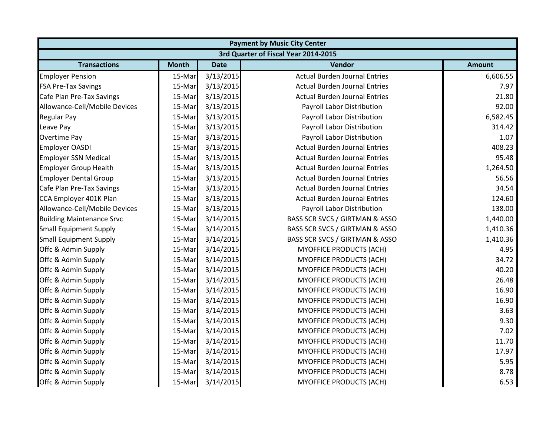| <b>Payment by Music City Center</b>  |              |             |                                      |               |  |  |
|--------------------------------------|--------------|-------------|--------------------------------------|---------------|--|--|
| 3rd Quarter of Fiscal Year 2014-2015 |              |             |                                      |               |  |  |
| <b>Transactions</b>                  | <b>Month</b> | <b>Date</b> | Vendor                               | <b>Amount</b> |  |  |
| <b>Employer Pension</b>              | 15-Mar       | 3/13/2015   | <b>Actual Burden Journal Entries</b> | 6,606.55      |  |  |
| <b>FSA Pre-Tax Savings</b>           | 15-Mar       | 3/13/2015   | <b>Actual Burden Journal Entries</b> | 7.97          |  |  |
| Cafe Plan Pre-Tax Savings            | 15-Mar       | 3/13/2015   | <b>Actual Burden Journal Entries</b> | 21.80         |  |  |
| Allowance-Cell/Mobile Devices        | 15-Mar       | 3/13/2015   | Payroll Labor Distribution           | 92.00         |  |  |
| <b>Regular Pay</b>                   | 15-Mar       | 3/13/2015   | Payroll Labor Distribution           | 6,582.45      |  |  |
| Leave Pay                            | 15-Mar       | 3/13/2015   | Payroll Labor Distribution           | 314.42        |  |  |
| <b>Overtime Pay</b>                  | 15-Mar       | 3/13/2015   | Payroll Labor Distribution           | 1.07          |  |  |
| <b>Employer OASDI</b>                | 15-Mar       | 3/13/2015   | <b>Actual Burden Journal Entries</b> | 408.23        |  |  |
| <b>Employer SSN Medical</b>          | 15-Mar       | 3/13/2015   | <b>Actual Burden Journal Entries</b> | 95.48         |  |  |
| <b>Employer Group Health</b>         | 15-Mar       | 3/13/2015   | <b>Actual Burden Journal Entries</b> | 1,264.50      |  |  |
| <b>Employer Dental Group</b>         | 15-Mar       | 3/13/2015   | <b>Actual Burden Journal Entries</b> | 56.56         |  |  |
| Cafe Plan Pre-Tax Savings            | 15-Mar       | 3/13/2015   | <b>Actual Burden Journal Entries</b> | 34.54         |  |  |
| CCA Employer 401K Plan               | 15-Mar       | 3/13/2015   | <b>Actual Burden Journal Entries</b> | 124.60        |  |  |
| Allowance-Cell/Mobile Devices        | 15-Mar       | 3/13/2015   | Payroll Labor Distribution           | 138.00        |  |  |
| <b>Building Maintenance Srvc</b>     | 15-Mar       | 3/14/2015   | BASS SCR SVCS / GIRTMAN & ASSO       | 1,440.00      |  |  |
| <b>Small Equipment Supply</b>        | 15-Mar       | 3/14/2015   | BASS SCR SVCS / GIRTMAN & ASSO       | 1,410.36      |  |  |
| <b>Small Equipment Supply</b>        | 15-Mar       | 3/14/2015   | BASS SCR SVCS / GIRTMAN & ASSO       | 1,410.36      |  |  |
| Offc & Admin Supply                  | 15-Mar       | 3/14/2015   | <b>MYOFFICE PRODUCTS (ACH)</b>       | 4.95          |  |  |
| Offc & Admin Supply                  | 15-Mar       | 3/14/2015   | <b>MYOFFICE PRODUCTS (ACH)</b>       | 34.72         |  |  |
| Offc & Admin Supply                  | 15-Mar       | 3/14/2015   | MYOFFICE PRODUCTS (ACH)              | 40.20         |  |  |
| Offc & Admin Supply                  | 15-Mar       | 3/14/2015   | MYOFFICE PRODUCTS (ACH)              | 26.48         |  |  |
| Offc & Admin Supply                  | 15-Mar       | 3/14/2015   | <b>MYOFFICE PRODUCTS (ACH)</b>       | 16.90         |  |  |
| Offc & Admin Supply                  | 15-Mar       | 3/14/2015   | MYOFFICE PRODUCTS (ACH)              | 16.90         |  |  |
| Offc & Admin Supply                  | 15-Mar       | 3/14/2015   | <b>MYOFFICE PRODUCTS (ACH)</b>       | 3.63          |  |  |
| Offc & Admin Supply                  | 15-Mar       | 3/14/2015   | <b>MYOFFICE PRODUCTS (ACH)</b>       | 9.30          |  |  |
| Offc & Admin Supply                  | 15-Mar       | 3/14/2015   | <b>MYOFFICE PRODUCTS (ACH)</b>       | 7.02          |  |  |
| Offc & Admin Supply                  | 15-Mar       | 3/14/2015   | <b>MYOFFICE PRODUCTS (ACH)</b>       | 11.70         |  |  |
| Offc & Admin Supply                  | 15-Mar       | 3/14/2015   | <b>MYOFFICE PRODUCTS (ACH)</b>       | 17.97         |  |  |
| Offc & Admin Supply                  | 15-Mar       | 3/14/2015   | <b>MYOFFICE PRODUCTS (ACH)</b>       | 5.95          |  |  |
| Offc & Admin Supply                  | 15-Mar       | 3/14/2015   | <b>MYOFFICE PRODUCTS (ACH)</b>       | 8.78          |  |  |
| Offc & Admin Supply                  | 15-Mar       | 3/14/2015   | MYOFFICE PRODUCTS (ACH)              | 6.53          |  |  |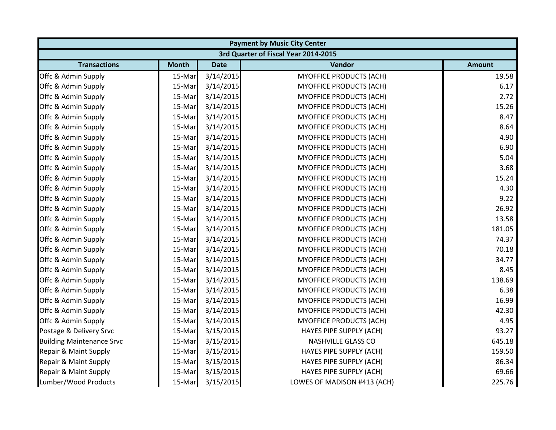| <b>Payment by Music City Center</b> |                                      |             |                                |               |  |  |  |
|-------------------------------------|--------------------------------------|-------------|--------------------------------|---------------|--|--|--|
|                                     | 3rd Quarter of Fiscal Year 2014-2015 |             |                                |               |  |  |  |
| <b>Transactions</b>                 | <b>Month</b>                         | <b>Date</b> | Vendor                         | <b>Amount</b> |  |  |  |
| Offc & Admin Supply                 | 15-Mar                               | 3/14/2015   | <b>MYOFFICE PRODUCTS (ACH)</b> | 19.58         |  |  |  |
| Offc & Admin Supply                 | 15-Mar                               | 3/14/2015   | <b>MYOFFICE PRODUCTS (ACH)</b> | 6.17          |  |  |  |
| Offc & Admin Supply                 | 15-Mar                               | 3/14/2015   | <b>MYOFFICE PRODUCTS (ACH)</b> | 2.72          |  |  |  |
| Offc & Admin Supply                 | 15-Mar                               | 3/14/2015   | MYOFFICE PRODUCTS (ACH)        | 15.26         |  |  |  |
| Offc & Admin Supply                 | 15-Mar                               | 3/14/2015   | <b>MYOFFICE PRODUCTS (ACH)</b> | 8.47          |  |  |  |
| Offc & Admin Supply                 | 15-Mar                               | 3/14/2015   | <b>MYOFFICE PRODUCTS (ACH)</b> | 8.64          |  |  |  |
| Offc & Admin Supply                 | 15-Mar                               | 3/14/2015   | <b>MYOFFICE PRODUCTS (ACH)</b> | 4.90          |  |  |  |
| Offc & Admin Supply                 | 15-Mar                               | 3/14/2015   | <b>MYOFFICE PRODUCTS (ACH)</b> | 6.90          |  |  |  |
| Offc & Admin Supply                 | 15-Mar                               | 3/14/2015   | <b>MYOFFICE PRODUCTS (ACH)</b> | 5.04          |  |  |  |
| Offc & Admin Supply                 | 15-Mar                               | 3/14/2015   | <b>MYOFFICE PRODUCTS (ACH)</b> | 3.68          |  |  |  |
| Offc & Admin Supply                 | 15-Mar                               | 3/14/2015   | <b>MYOFFICE PRODUCTS (ACH)</b> | 15.24         |  |  |  |
| Offc & Admin Supply                 | 15-Mar                               | 3/14/2015   | <b>MYOFFICE PRODUCTS (ACH)</b> | 4.30          |  |  |  |
| Offc & Admin Supply                 | 15-Mar                               | 3/14/2015   | <b>MYOFFICE PRODUCTS (ACH)</b> | 9.22          |  |  |  |
| Offc & Admin Supply                 | 15-Mar                               | 3/14/2015   | <b>MYOFFICE PRODUCTS (ACH)</b> | 26.92         |  |  |  |
| Offc & Admin Supply                 | 15-Mar                               | 3/14/2015   | <b>MYOFFICE PRODUCTS (ACH)</b> | 13.58         |  |  |  |
| Offc & Admin Supply                 | 15-Mar                               | 3/14/2015   | <b>MYOFFICE PRODUCTS (ACH)</b> | 181.05        |  |  |  |
| Offc & Admin Supply                 | 15-Mar                               | 3/14/2015   | <b>MYOFFICE PRODUCTS (ACH)</b> | 74.37         |  |  |  |
| Offc & Admin Supply                 | 15-Mar                               | 3/14/2015   | MYOFFICE PRODUCTS (ACH)        | 70.18         |  |  |  |
| Offc & Admin Supply                 | 15-Mar                               | 3/14/2015   | <b>MYOFFICE PRODUCTS (ACH)</b> | 34.77         |  |  |  |
| Offc & Admin Supply                 | 15-Mar                               | 3/14/2015   | <b>MYOFFICE PRODUCTS (ACH)</b> | 8.45          |  |  |  |
| Offc & Admin Supply                 | 15-Mar                               | 3/14/2015   | <b>MYOFFICE PRODUCTS (ACH)</b> | 138.69        |  |  |  |
| Offc & Admin Supply                 | 15-Mar                               | 3/14/2015   | <b>MYOFFICE PRODUCTS (ACH)</b> | 6.38          |  |  |  |
| Offc & Admin Supply                 | 15-Mar                               | 3/14/2015   | <b>MYOFFICE PRODUCTS (ACH)</b> | 16.99         |  |  |  |
| Offc & Admin Supply                 | 15-Mar                               | 3/14/2015   | <b>MYOFFICE PRODUCTS (ACH)</b> | 42.30         |  |  |  |
| Offc & Admin Supply                 | 15-Mar                               | 3/14/2015   | MYOFFICE PRODUCTS (ACH)        | 4.95          |  |  |  |
| Postage & Delivery Srvc             | 15-Mar                               | 3/15/2015   | HAYES PIPE SUPPLY (ACH)        | 93.27         |  |  |  |
| <b>Building Maintenance Srvc</b>    | 15-Mar                               | 3/15/2015   | <b>NASHVILLE GLASS CO</b>      | 645.18        |  |  |  |
| Repair & Maint Supply               | 15-Mar                               | 3/15/2015   | HAYES PIPE SUPPLY (ACH)        | 159.50        |  |  |  |
| Repair & Maint Supply               | 15-Mar                               | 3/15/2015   | HAYES PIPE SUPPLY (ACH)        | 86.34         |  |  |  |
| Repair & Maint Supply               | 15-Mar                               | 3/15/2015   | HAYES PIPE SUPPLY (ACH)        | 69.66         |  |  |  |
| Lumber/Wood Products                | 15-Mar                               | 3/15/2015   | LOWES OF MADISON #413 (ACH)    | 225.76        |  |  |  |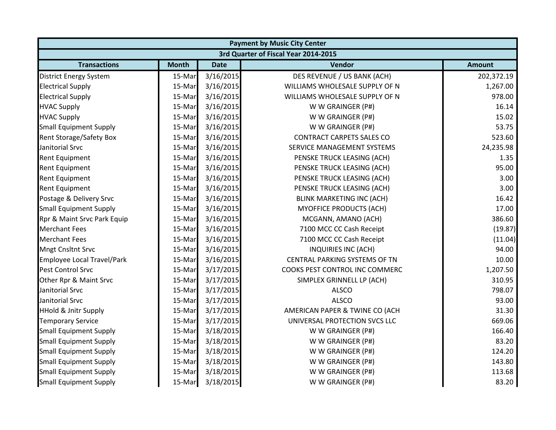| <b>Payment by Music City Center</b> |                                      |             |                                  |               |  |  |  |
|-------------------------------------|--------------------------------------|-------------|----------------------------------|---------------|--|--|--|
|                                     | 3rd Quarter of Fiscal Year 2014-2015 |             |                                  |               |  |  |  |
| <b>Transactions</b>                 | <b>Month</b>                         | <b>Date</b> | Vendor                           | <b>Amount</b> |  |  |  |
| <b>District Energy System</b>       | 15-Mar                               | 3/16/2015   | DES REVENUE / US BANK (ACH)      | 202,372.19    |  |  |  |
| <b>Electrical Supply</b>            | 15-Mar                               | 3/16/2015   | WILLIAMS WHOLESALE SUPPLY OF N   | 1,267.00      |  |  |  |
| <b>Electrical Supply</b>            | 15-Mar                               | 3/16/2015   | WILLIAMS WHOLESALE SUPPLY OF N   | 978.00        |  |  |  |
| <b>HVAC Supply</b>                  | 15-Mar                               | 3/16/2015   | W W GRAINGER (P#)                | 16.14         |  |  |  |
| <b>HVAC Supply</b>                  | 15-Mar                               | 3/16/2015   | W W GRAINGER (P#)                | 15.02         |  |  |  |
| <b>Small Equipment Supply</b>       | 15-Mar                               | 3/16/2015   | W W GRAINGER (P#)                | 53.75         |  |  |  |
| <b>Rent Storage/Safety Box</b>      | 15-Mar                               | 3/16/2015   | <b>CONTRACT CARPETS SALES CO</b> | 523.60        |  |  |  |
| Janitorial Srvc                     | 15-Mar                               | 3/16/2015   | SERVICE MANAGEMENT SYSTEMS       | 24,235.98     |  |  |  |
| <b>Rent Equipment</b>               | 15-Mar                               | 3/16/2015   | PENSKE TRUCK LEASING (ACH)       | 1.35          |  |  |  |
| <b>Rent Equipment</b>               | 15-Mar                               | 3/16/2015   | PENSKE TRUCK LEASING (ACH)       | 95.00         |  |  |  |
| <b>Rent Equipment</b>               | 15-Mar                               | 3/16/2015   | PENSKE TRUCK LEASING (ACH)       | 3.00          |  |  |  |
| <b>Rent Equipment</b>               | 15-Mar                               | 3/16/2015   | PENSKE TRUCK LEASING (ACH)       | 3.00          |  |  |  |
| Postage & Delivery Srvc             | 15-Mar                               | 3/16/2015   | <b>BLINK MARKETING INC (ACH)</b> | 16.42         |  |  |  |
| <b>Small Equipment Supply</b>       | 15-Mar                               | 3/16/2015   | <b>MYOFFICE PRODUCTS (ACH)</b>   | 17.00         |  |  |  |
| Rpr & Maint Srvc Park Equip         | 15-Mar                               | 3/16/2015   | MCGANN, AMANO (ACH)              | 386.60        |  |  |  |
| <b>Merchant Fees</b>                | 15-Mar                               | 3/16/2015   | 7100 MCC CC Cash Receipt         | (19.87)       |  |  |  |
| <b>Merchant Fees</b>                | 15-Mar                               | 3/16/2015   | 7100 MCC CC Cash Receipt         | (11.04)       |  |  |  |
| <b>Mngt Cnsltnt Srvc</b>            | 15-Mar                               | 3/16/2015   | INQUIRIES INC (ACH)              | 94.00         |  |  |  |
| <b>Employee Local Travel/Park</b>   | 15-Mar                               | 3/16/2015   | CENTRAL PARKING SYSTEMS OF TN    | 10.00         |  |  |  |
| Pest Control Srvc                   | 15-Mar                               | 3/17/2015   | COOKS PEST CONTROL INC COMMERC   | 1,207.50      |  |  |  |
| Other Rpr & Maint Srvc              | 15-Mar                               | 3/17/2015   | SIMPLEX GRINNELL LP (ACH)        | 310.95        |  |  |  |
| Janitorial Srvc                     | 15-Mar                               | 3/17/2015   | <b>ALSCO</b>                     | 798.07        |  |  |  |
| Janitorial Srvc                     | 15-Mar                               | 3/17/2015   | <b>ALSCO</b>                     | 93.00         |  |  |  |
| <b>HHold &amp; Jnitr Supply</b>     | 15-Mar                               | 3/17/2015   | AMERICAN PAPER & TWINE CO (ACH   | 31.30         |  |  |  |
| <b>Temporary Service</b>            | 15-Mar                               | 3/17/2015   | UNIVERSAL PROTECTION SVCS LLC    | 669.06        |  |  |  |
| <b>Small Equipment Supply</b>       | 15-Mar                               | 3/18/2015   | W W GRAINGER (P#)                | 166.40        |  |  |  |
| <b>Small Equipment Supply</b>       | 15-Mar                               | 3/18/2015   | W W GRAINGER (P#)                | 83.20         |  |  |  |
| <b>Small Equipment Supply</b>       | 15-Mar                               | 3/18/2015   | W W GRAINGER (P#)                | 124.20        |  |  |  |
| <b>Small Equipment Supply</b>       | 15-Mar                               | 3/18/2015   | W W GRAINGER (P#)                | 143.80        |  |  |  |
| <b>Small Equipment Supply</b>       | 15-Mar                               | 3/18/2015   | W W GRAINGER (P#)                | 113.68        |  |  |  |
| <b>Small Equipment Supply</b>       | 15-Mar                               | 3/18/2015   | W W GRAINGER (P#)                | 83.20         |  |  |  |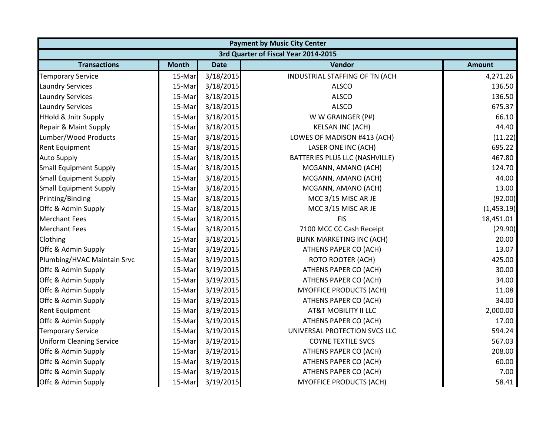|                                 |              |             | <b>Payment by Music City Center</b>  |               |
|---------------------------------|--------------|-------------|--------------------------------------|---------------|
|                                 |              |             | 3rd Quarter of Fiscal Year 2014-2015 |               |
| <b>Transactions</b>             | <b>Month</b> | <b>Date</b> | Vendor                               | <b>Amount</b> |
| <b>Temporary Service</b>        | 15-Mar       | 3/18/2015   | INDUSTRIAL STAFFING OF TN (ACH       | 4,271.26      |
| <b>Laundry Services</b>         | 15-Mar       | 3/18/2015   | <b>ALSCO</b>                         | 136.50        |
| <b>Laundry Services</b>         | 15-Mar       | 3/18/2015   | <b>ALSCO</b>                         | 136.50        |
| <b>Laundry Services</b>         | 15-Mar       | 3/18/2015   | <b>ALSCO</b>                         | 675.37        |
| <b>HHold &amp; Jnitr Supply</b> | 15-Mar       | 3/18/2015   | W W GRAINGER (P#)                    | 66.10         |
| Repair & Maint Supply           | 15-Mar       | 3/18/2015   | <b>KELSAN INC (ACH)</b>              | 44.40         |
| Lumber/Wood Products            | 15-Mar       | 3/18/2015   | LOWES OF MADISON #413 (ACH)          | (11.22)       |
| <b>Rent Equipment</b>           | 15-Mar       | 3/18/2015   | LASER ONE INC (ACH)                  | 695.22        |
| <b>Auto Supply</b>              | 15-Mar       | 3/18/2015   | BATTERIES PLUS LLC (NASHVILLE)       | 467.80        |
| <b>Small Equipment Supply</b>   | 15-Mar       | 3/18/2015   | MCGANN, AMANO (ACH)                  | 124.70        |
| <b>Small Equipment Supply</b>   | 15-Mar       | 3/18/2015   | MCGANN, AMANO (ACH)                  | 44.00         |
| <b>Small Equipment Supply</b>   | 15-Mar       | 3/18/2015   | MCGANN, AMANO (ACH)                  | 13.00         |
| Printing/Binding                | 15-Mar       | 3/18/2015   | MCC 3/15 MISC AR JE                  | (92.00)       |
| Offc & Admin Supply             | 15-Mar       | 3/18/2015   | MCC 3/15 MISC AR JE                  | (1,453.19)    |
| <b>Merchant Fees</b>            | 15-Mar       | 3/18/2015   | <b>FIS</b>                           | 18,451.01     |
| <b>Merchant Fees</b>            | 15-Mar       | 3/18/2015   | 7100 MCC CC Cash Receipt             | (29.90)       |
| Clothing                        | 15-Mar       | 3/18/2015   | <b>BLINK MARKETING INC (ACH)</b>     | 20.00         |
| Offc & Admin Supply             | 15-Mar       | 3/19/2015   | ATHENS PAPER CO (ACH)                | 13.07         |
| Plumbing/HVAC Maintain Srvc     | 15-Mar       | 3/19/2015   | <b>ROTO ROOTER (ACH)</b>             | 425.00        |
| Offc & Admin Supply             | 15-Mar       | 3/19/2015   | ATHENS PAPER CO (ACH)                | 30.00         |
| Offc & Admin Supply             | 15-Mar       | 3/19/2015   | ATHENS PAPER CO (ACH)                | 34.00         |
| Offc & Admin Supply             | 15-Mar       | 3/19/2015   | MYOFFICE PRODUCTS (ACH)              | 11.08         |
| Offc & Admin Supply             | 15-Mar       | 3/19/2015   | ATHENS PAPER CO (ACH)                | 34.00         |
| <b>Rent Equipment</b>           | 15-Mar       | 3/19/2015   | AT&T MOBILITY II LLC                 | 2,000.00      |
| Offc & Admin Supply             | 15-Mar       | 3/19/2015   | <b>ATHENS PAPER CO (ACH)</b>         | 17.00         |
| <b>Temporary Service</b>        | 15-Mar       | 3/19/2015   | UNIVERSAL PROTECTION SVCS LLC        | 594.24        |
| <b>Uniform Cleaning Service</b> | 15-Mar       | 3/19/2015   | <b>COYNE TEXTILE SVCS</b>            | 567.03        |
| Offc & Admin Supply             | 15-Mar       | 3/19/2015   | ATHENS PAPER CO (ACH)                | 208.00        |
| Offc & Admin Supply             | 15-Mar       | 3/19/2015   | ATHENS PAPER CO (ACH)                | 60.00         |
| Offc & Admin Supply             | 15-Mar       | 3/19/2015   | ATHENS PAPER CO (ACH)                | 7.00          |
| Offc & Admin Supply             | 15-Mar       | 3/19/2015   | <b>MYOFFICE PRODUCTS (ACH)</b>       | 58.41         |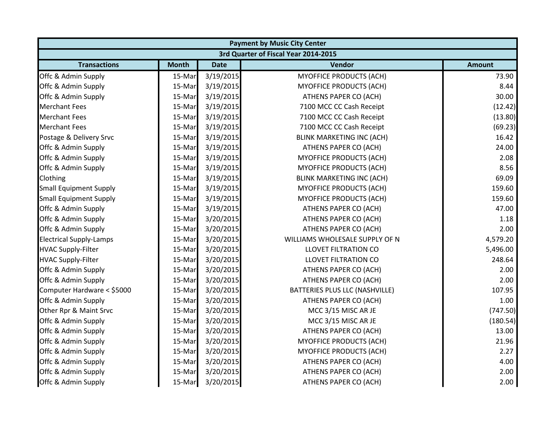|                                | <b>Payment by Music City Center</b>  |             |                                  |               |  |  |  |
|--------------------------------|--------------------------------------|-------------|----------------------------------|---------------|--|--|--|
|                                | 3rd Quarter of Fiscal Year 2014-2015 |             |                                  |               |  |  |  |
| <b>Transactions</b>            | <b>Month</b>                         | <b>Date</b> | Vendor                           | <b>Amount</b> |  |  |  |
| Offc & Admin Supply            | 15-Mar                               | 3/19/2015   | MYOFFICE PRODUCTS (ACH)          | 73.90         |  |  |  |
| Offc & Admin Supply            | 15-Mar                               | 3/19/2015   | <b>MYOFFICE PRODUCTS (ACH)</b>   | 8.44          |  |  |  |
| Offc & Admin Supply            | 15-Mar                               | 3/19/2015   | ATHENS PAPER CO (ACH)            | 30.00         |  |  |  |
| <b>Merchant Fees</b>           | 15-Mar                               | 3/19/2015   | 7100 MCC CC Cash Receipt         | (12.42)       |  |  |  |
| <b>Merchant Fees</b>           | 15-Mar                               | 3/19/2015   | 7100 MCC CC Cash Receipt         | (13.80)       |  |  |  |
| <b>Merchant Fees</b>           | 15-Mar                               | 3/19/2015   | 7100 MCC CC Cash Receipt         | (69.23)       |  |  |  |
| Postage & Delivery Srvc        | 15-Mar                               | 3/19/2015   | BLINK MARKETING INC (ACH)        | 16.42         |  |  |  |
| Offc & Admin Supply            | 15-Mar                               | 3/19/2015   | ATHENS PAPER CO (ACH)            | 24.00         |  |  |  |
| Offc & Admin Supply            | 15-Mar                               | 3/19/2015   | <b>MYOFFICE PRODUCTS (ACH)</b>   | 2.08          |  |  |  |
| Offc & Admin Supply            | 15-Mar                               | 3/19/2015   | <b>MYOFFICE PRODUCTS (ACH)</b>   | 8.56          |  |  |  |
| Clothing                       | 15-Mar                               | 3/19/2015   | <b>BLINK MARKETING INC (ACH)</b> | 69.09         |  |  |  |
| <b>Small Equipment Supply</b>  | 15-Mar                               | 3/19/2015   | <b>MYOFFICE PRODUCTS (ACH)</b>   | 159.60        |  |  |  |
| <b>Small Equipment Supply</b>  | 15-Mar                               | 3/19/2015   | <b>MYOFFICE PRODUCTS (ACH)</b>   | 159.60        |  |  |  |
| Offc & Admin Supply            | 15-Mar                               | 3/19/2015   | ATHENS PAPER CO (ACH)            | 47.00         |  |  |  |
| Offc & Admin Supply            | 15-Mar                               | 3/20/2015   | ATHENS PAPER CO (ACH)            | 1.18          |  |  |  |
| Offc & Admin Supply            | 15-Mar                               | 3/20/2015   | ATHENS PAPER CO (ACH)            | 2.00          |  |  |  |
| <b>Electrical Supply-Lamps</b> | 15-Mar                               | 3/20/2015   | WILLIAMS WHOLESALE SUPPLY OF N   | 4,579.20      |  |  |  |
| <b>HVAC Supply-Filter</b>      | 15-Mar                               | 3/20/2015   | <b>LLOVET FILTRATION CO</b>      | 5,496.00      |  |  |  |
| <b>HVAC Supply-Filter</b>      | 15-Mar                               | 3/20/2015   | <b>LLOVET FILTRATION CO</b>      | 248.64        |  |  |  |
| Offc & Admin Supply            | 15-Mar                               | 3/20/2015   | ATHENS PAPER CO (ACH)            | 2.00          |  |  |  |
| Offc & Admin Supply            | 15-Mar                               | 3/20/2015   | ATHENS PAPER CO (ACH)            | 2.00          |  |  |  |
| Computer Hardware < \$5000     | 15-Mar                               | 3/20/2015   | BATTERIES PLUS LLC (NASHVILLE)   | 107.95        |  |  |  |
| Offc & Admin Supply            | 15-Mar                               | 3/20/2015   | ATHENS PAPER CO (ACH)            | 1.00          |  |  |  |
| Other Rpr & Maint Srvc         | 15-Mar                               | 3/20/2015   | MCC 3/15 MISC AR JE              | (747.50)      |  |  |  |
| Offc & Admin Supply            | 15-Mar                               | 3/20/2015   | MCC 3/15 MISC AR JE              | (180.54)      |  |  |  |
| Offc & Admin Supply            | 15-Mar                               | 3/20/2015   | ATHENS PAPER CO (ACH)            | 13.00         |  |  |  |
| Offc & Admin Supply            | 15-Mar                               | 3/20/2015   | <b>MYOFFICE PRODUCTS (ACH)</b>   | 21.96         |  |  |  |
| Offc & Admin Supply            | 15-Mar                               | 3/20/2015   | <b>MYOFFICE PRODUCTS (ACH)</b>   | 2.27          |  |  |  |
| Offc & Admin Supply            | 15-Mar                               | 3/20/2015   | ATHENS PAPER CO (ACH)            | 4.00          |  |  |  |
| Offc & Admin Supply            | 15-Mar                               | 3/20/2015   | ATHENS PAPER CO (ACH)            | 2.00          |  |  |  |
| Offc & Admin Supply            | 15-Mar                               | 3/20/2015   | ATHENS PAPER CO (ACH)            | 2.00          |  |  |  |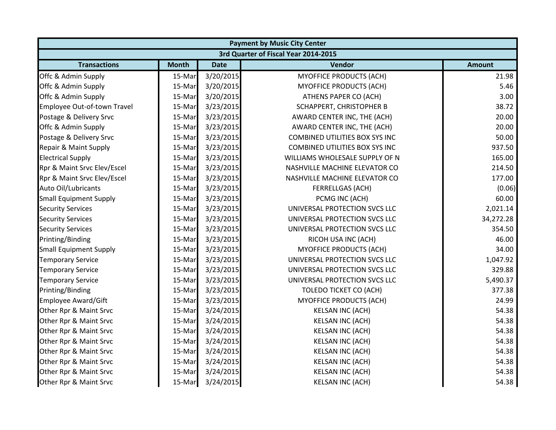|                               | <b>Payment by Music City Center</b>  |             |                                       |               |  |  |  |
|-------------------------------|--------------------------------------|-------------|---------------------------------------|---------------|--|--|--|
|                               | 3rd Quarter of Fiscal Year 2014-2015 |             |                                       |               |  |  |  |
| <b>Transactions</b>           | <b>Month</b>                         | <b>Date</b> | Vendor                                | <b>Amount</b> |  |  |  |
| Offc & Admin Supply           | 15-Mar                               | 3/20/2015   | <b>MYOFFICE PRODUCTS (ACH)</b>        | 21.98         |  |  |  |
| Offc & Admin Supply           | 15-Mar                               | 3/20/2015   | <b>MYOFFICE PRODUCTS (ACH)</b>        | 5.46          |  |  |  |
| Offc & Admin Supply           | 15-Mar                               | 3/20/2015   | ATHENS PAPER CO (ACH)                 | 3.00          |  |  |  |
| Employee Out-of-town Travel   | 15-Mar                               | 3/23/2015   | SCHAPPERT, CHRISTOPHER B              | 38.72         |  |  |  |
| Postage & Delivery Srvc       | 15-Mar                               | 3/23/2015   | AWARD CENTER INC, THE (ACH)           | 20.00         |  |  |  |
| Offc & Admin Supply           | 15-Mar                               | 3/23/2015   | AWARD CENTER INC, THE (ACH)           | 20.00         |  |  |  |
| Postage & Delivery Srvc       | 15-Mar                               | 3/23/2015   | <b>COMBINED UTILITIES BOX SYS INC</b> | 50.00         |  |  |  |
| Repair & Maint Supply         | 15-Mar                               | 3/23/2015   | <b>COMBINED UTILITIES BOX SYS INC</b> | 937.50        |  |  |  |
| <b>Electrical Supply</b>      | 15-Mar                               | 3/23/2015   | WILLIAMS WHOLESALE SUPPLY OF N        | 165.00        |  |  |  |
| Rpr & Maint Srvc Elev/Escel   | 15-Mar                               | 3/23/2015   | NASHVILLE MACHINE ELEVATOR CO         | 214.50        |  |  |  |
| Rpr & Maint Srvc Elev/Escel   | 15-Mar                               | 3/23/2015   | NASHVILLE MACHINE ELEVATOR CO         | 177.00        |  |  |  |
| Auto Oil/Lubricants           | 15-Mar                               | 3/23/2015   | FERRELLGAS (ACH)                      | (0.06)        |  |  |  |
| <b>Small Equipment Supply</b> | 15-Mar                               | 3/23/2015   | PCMG INC (ACH)                        | 60.00         |  |  |  |
| <b>Security Services</b>      | 15-Mar                               | 3/23/2015   | UNIVERSAL PROTECTION SVCS LLC         | 2,021.14      |  |  |  |
| <b>Security Services</b>      | 15-Mar                               | 3/23/2015   | UNIVERSAL PROTECTION SVCS LLC         | 34,272.28     |  |  |  |
| <b>Security Services</b>      | 15-Mar                               | 3/23/2015   | UNIVERSAL PROTECTION SVCS LLC         | 354.50        |  |  |  |
| Printing/Binding              | 15-Mar                               | 3/23/2015   | RICOH USA INC (ACH)                   | 46.00         |  |  |  |
| <b>Small Equipment Supply</b> | 15-Mar                               | 3/23/2015   | MYOFFICE PRODUCTS (ACH)               | 34.00         |  |  |  |
| <b>Temporary Service</b>      | 15-Mar                               | 3/23/2015   | UNIVERSAL PROTECTION SVCS LLC         | 1,047.92      |  |  |  |
| <b>Temporary Service</b>      | 15-Mar                               | 3/23/2015   | UNIVERSAL PROTECTION SVCS LLC         | 329.88        |  |  |  |
| <b>Temporary Service</b>      | 15-Mar                               | 3/23/2015   | UNIVERSAL PROTECTION SVCS LLC         | 5,490.37      |  |  |  |
| Printing/Binding              | 15-Mar                               | 3/23/2015   | <b>TOLEDO TICKET CO (ACH)</b>         | 377.38        |  |  |  |
| Employee Award/Gift           | 15-Mar                               | 3/23/2015   | MYOFFICE PRODUCTS (ACH)               | 24.99         |  |  |  |
| Other Rpr & Maint Srvc        | 15-Mar                               | 3/24/2015   | <b>KELSAN INC (ACH)</b>               | 54.38         |  |  |  |
| Other Rpr & Maint Srvc        | 15-Mar                               | 3/24/2015   | <b>KELSAN INC (ACH)</b>               | 54.38         |  |  |  |
| Other Rpr & Maint Srvc        | 15-Mar                               | 3/24/2015   | <b>KELSAN INC (ACH)</b>               | 54.38         |  |  |  |
| Other Rpr & Maint Srvc        | 15-Mar                               | 3/24/2015   | <b>KELSAN INC (ACH)</b>               | 54.38         |  |  |  |
| Other Rpr & Maint Srvc        | 15-Mar                               | 3/24/2015   | <b>KELSAN INC (ACH)</b>               | 54.38         |  |  |  |
| Other Rpr & Maint Srvc        | 15-Mar                               | 3/24/2015   | <b>KELSAN INC (ACH)</b>               | 54.38         |  |  |  |
| Other Rpr & Maint Srvc        | 15-Mar                               | 3/24/2015   | <b>KELSAN INC (ACH)</b>               | 54.38         |  |  |  |
| Other Rpr & Maint Srvc        | 15-Mar                               | 3/24/2015   | <b>KELSAN INC (ACH)</b>               | 54.38         |  |  |  |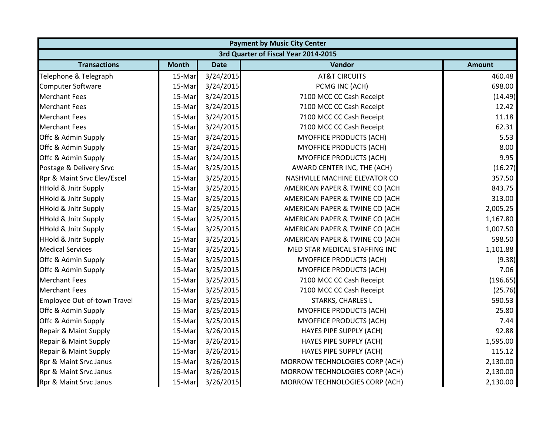| <b>Payment by Music City Center</b>  |              |             |                                |               |  |  |
|--------------------------------------|--------------|-------------|--------------------------------|---------------|--|--|
| 3rd Quarter of Fiscal Year 2014-2015 |              |             |                                |               |  |  |
| <b>Transactions</b>                  | <b>Month</b> | <b>Date</b> | Vendor                         | <b>Amount</b> |  |  |
| Telephone & Telegraph                | 15-Mar       | 3/24/2015   | <b>AT&amp;T CIRCUITS</b>       | 460.48        |  |  |
| <b>Computer Software</b>             | 15-Mar       | 3/24/2015   | PCMG INC (ACH)                 | 698.00        |  |  |
| <b>Merchant Fees</b>                 | 15-Mar       | 3/24/2015   | 7100 MCC CC Cash Receipt       | (14.49)       |  |  |
| <b>Merchant Fees</b>                 | 15-Mar       | 3/24/2015   | 7100 MCC CC Cash Receipt       | 12.42         |  |  |
| <b>Merchant Fees</b>                 | 15-Mar       | 3/24/2015   | 7100 MCC CC Cash Receipt       | 11.18         |  |  |
| <b>Merchant Fees</b>                 | 15-Mar       | 3/24/2015   | 7100 MCC CC Cash Receipt       | 62.31         |  |  |
| Offc & Admin Supply                  | 15-Mar       | 3/24/2015   | <b>MYOFFICE PRODUCTS (ACH)</b> | 5.53          |  |  |
| Offc & Admin Supply                  | 15-Mar       | 3/24/2015   | <b>MYOFFICE PRODUCTS (ACH)</b> | 8.00          |  |  |
| Offc & Admin Supply                  | 15-Mar       | 3/24/2015   | <b>MYOFFICE PRODUCTS (ACH)</b> | 9.95          |  |  |
| Postage & Delivery Srvc              | 15-Mar       | 3/25/2015   | AWARD CENTER INC, THE (ACH)    | (16.27)       |  |  |
| Rpr & Maint Srvc Elev/Escel          | 15-Mar       | 3/25/2015   | NASHVILLE MACHINE ELEVATOR CO  | 357.50        |  |  |
| <b>HHold &amp; Jnitr Supply</b>      | 15-Mar       | 3/25/2015   | AMERICAN PAPER & TWINE CO (ACH | 843.75        |  |  |
| <b>HHold &amp; Jnitr Supply</b>      | 15-Mar       | 3/25/2015   | AMERICAN PAPER & TWINE CO (ACH | 313.00        |  |  |
| <b>HHold &amp; Jnitr Supply</b>      | 15-Mar       | 3/25/2015   | AMERICAN PAPER & TWINE CO (ACH | 2,005.25      |  |  |
| <b>HHold &amp; Jnitr Supply</b>      | 15-Mar       | 3/25/2015   | AMERICAN PAPER & TWINE CO (ACH | 1,167.80      |  |  |
| <b>HHold &amp; Jnitr Supply</b>      | 15-Mar       | 3/25/2015   | AMERICAN PAPER & TWINE CO (ACH | 1,007.50      |  |  |
| <b>HHold &amp; Jnitr Supply</b>      | 15-Mar       | 3/25/2015   | AMERICAN PAPER & TWINE CO (ACH | 598.50        |  |  |
| <b>Medical Services</b>              | 15-Mar       | 3/25/2015   | MED STAR MEDICAL STAFFING INC  | 1,101.88      |  |  |
| Offc & Admin Supply                  | 15-Mar       | 3/25/2015   | <b>MYOFFICE PRODUCTS (ACH)</b> | (9.38)        |  |  |
| Offc & Admin Supply                  | 15-Mar       | 3/25/2015   | <b>MYOFFICE PRODUCTS (ACH)</b> | 7.06          |  |  |
| <b>Merchant Fees</b>                 | 15-Mar       | 3/25/2015   | 7100 MCC CC Cash Receipt       | (196.65)      |  |  |
| <b>Merchant Fees</b>                 | 15-Mar       | 3/25/2015   | 7100 MCC CC Cash Receipt       | (25.76)       |  |  |
| Employee Out-of-town Travel          | 15-Mar       | 3/25/2015   | STARKS, CHARLES L              | 590.53        |  |  |
| Offc & Admin Supply                  | 15-Mar       | 3/25/2015   | MYOFFICE PRODUCTS (ACH)        | 25.80         |  |  |
| Offc & Admin Supply                  | 15-Mar       | 3/25/2015   | MYOFFICE PRODUCTS (ACH)        | 7.44          |  |  |
| Repair & Maint Supply                | 15-Mar       | 3/26/2015   | HAYES PIPE SUPPLY (ACH)        | 92.88         |  |  |
| Repair & Maint Supply                | 15-Mar       | 3/26/2015   | HAYES PIPE SUPPLY (ACH)        | 1,595.00      |  |  |
| Repair & Maint Supply                | 15-Mar       | 3/26/2015   | HAYES PIPE SUPPLY (ACH)        | 115.12        |  |  |
| Rpr & Maint Srvc Janus               | 15-Mar       | 3/26/2015   | MORROW TECHNOLOGIES CORP (ACH) | 2,130.00      |  |  |
| Rpr & Maint Srvc Janus               | 15-Mar       | 3/26/2015   | MORROW TECHNOLOGIES CORP (ACH) | 2,130.00      |  |  |
| Rpr & Maint Srvc Janus               | 15-Mar       | 3/26/2015   | MORROW TECHNOLOGIES CORP (ACH) | 2,130.00      |  |  |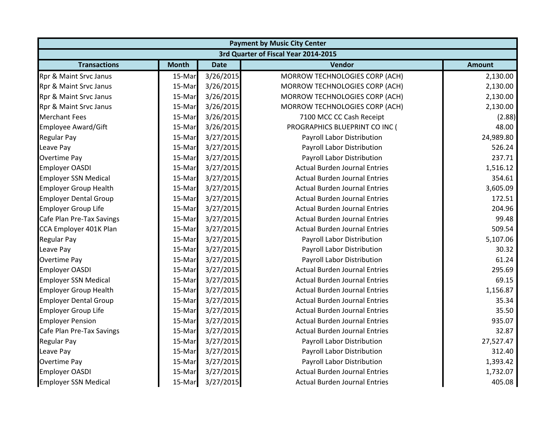|                              |                                      |             | <b>Payment by Music City Center</b>  |               |  |  |  |
|------------------------------|--------------------------------------|-------------|--------------------------------------|---------------|--|--|--|
|                              | 3rd Quarter of Fiscal Year 2014-2015 |             |                                      |               |  |  |  |
| <b>Transactions</b>          | <b>Month</b>                         | <b>Date</b> | Vendor                               | <b>Amount</b> |  |  |  |
| Rpr & Maint Srvc Janus       | 15-Mar                               | 3/26/2015   | MORROW TECHNOLOGIES CORP (ACH)       | 2,130.00      |  |  |  |
| Rpr & Maint Srvc Janus       | 15-Mar                               | 3/26/2015   | MORROW TECHNOLOGIES CORP (ACH)       | 2,130.00      |  |  |  |
| Rpr & Maint Srvc Janus       | 15-Mar                               | 3/26/2015   | MORROW TECHNOLOGIES CORP (ACH)       | 2,130.00      |  |  |  |
| Rpr & Maint Srvc Janus       | 15-Mar                               | 3/26/2015   | MORROW TECHNOLOGIES CORP (ACH)       | 2,130.00      |  |  |  |
| <b>Merchant Fees</b>         | 15-Mar                               | 3/26/2015   | 7100 MCC CC Cash Receipt             | (2.88)        |  |  |  |
| <b>Employee Award/Gift</b>   | 15-Mar                               | 3/26/2015   | PROGRAPHICS BLUEPRINT CO INC (       | 48.00         |  |  |  |
| Regular Pay                  | 15-Mar                               | 3/27/2015   | Payroll Labor Distribution           | 24,989.80     |  |  |  |
| Leave Pay                    | 15-Mar                               | 3/27/2015   | Payroll Labor Distribution           | 526.24        |  |  |  |
| Overtime Pay                 | 15-Mar                               | 3/27/2015   | Payroll Labor Distribution           | 237.71        |  |  |  |
| <b>Employer OASDI</b>        | 15-Mar                               | 3/27/2015   | <b>Actual Burden Journal Entries</b> | 1,516.12      |  |  |  |
| <b>Employer SSN Medical</b>  | 15-Mar                               | 3/27/2015   | <b>Actual Burden Journal Entries</b> | 354.61        |  |  |  |
| <b>Employer Group Health</b> | 15-Mar                               | 3/27/2015   | <b>Actual Burden Journal Entries</b> | 3,605.09      |  |  |  |
| <b>Employer Dental Group</b> | 15-Mar                               | 3/27/2015   | <b>Actual Burden Journal Entries</b> | 172.51        |  |  |  |
| <b>Employer Group Life</b>   | 15-Mar                               | 3/27/2015   | <b>Actual Burden Journal Entries</b> | 204.96        |  |  |  |
| Cafe Plan Pre-Tax Savings    | 15-Mar                               | 3/27/2015   | <b>Actual Burden Journal Entries</b> | 99.48         |  |  |  |
| CCA Employer 401K Plan       | 15-Mar                               | 3/27/2015   | <b>Actual Burden Journal Entries</b> | 509.54        |  |  |  |
| <b>Regular Pay</b>           | 15-Mar                               | 3/27/2015   | Payroll Labor Distribution           | 5,107.06      |  |  |  |
| Leave Pay                    | 15-Mar                               | 3/27/2015   | Payroll Labor Distribution           | 30.32         |  |  |  |
| <b>Overtime Pay</b>          | 15-Mar                               | 3/27/2015   | Payroll Labor Distribution           | 61.24         |  |  |  |
| <b>Employer OASDI</b>        | 15-Mar                               | 3/27/2015   | <b>Actual Burden Journal Entries</b> | 295.69        |  |  |  |
| <b>Employer SSN Medical</b>  | 15-Mar                               | 3/27/2015   | <b>Actual Burden Journal Entries</b> | 69.15         |  |  |  |
| <b>Employer Group Health</b> | 15-Mar                               | 3/27/2015   | <b>Actual Burden Journal Entries</b> | 1,156.87      |  |  |  |
| <b>Employer Dental Group</b> | 15-Mar                               | 3/27/2015   | <b>Actual Burden Journal Entries</b> | 35.34         |  |  |  |
| <b>Employer Group Life</b>   | 15-Mar                               | 3/27/2015   | <b>Actual Burden Journal Entries</b> | 35.50         |  |  |  |
| <b>Employer Pension</b>      | 15-Mar                               | 3/27/2015   | <b>Actual Burden Journal Entries</b> | 935.07        |  |  |  |
| Cafe Plan Pre-Tax Savings    | 15-Mar                               | 3/27/2015   | <b>Actual Burden Journal Entries</b> | 32.87         |  |  |  |
| <b>Regular Pay</b>           | 15-Mar                               | 3/27/2015   | Payroll Labor Distribution           | 27,527.47     |  |  |  |
| Leave Pay                    | 15-Mar                               | 3/27/2015   | Payroll Labor Distribution           | 312.40        |  |  |  |
| Overtime Pay                 | 15-Mar                               | 3/27/2015   | Payroll Labor Distribution           | 1,393.42      |  |  |  |
| <b>Employer OASDI</b>        | 15-Mar                               | 3/27/2015   | <b>Actual Burden Journal Entries</b> | 1,732.07      |  |  |  |
| <b>Employer SSN Medical</b>  | 15-Mar                               | 3/27/2015   | <b>Actual Burden Journal Entries</b> | 405.08        |  |  |  |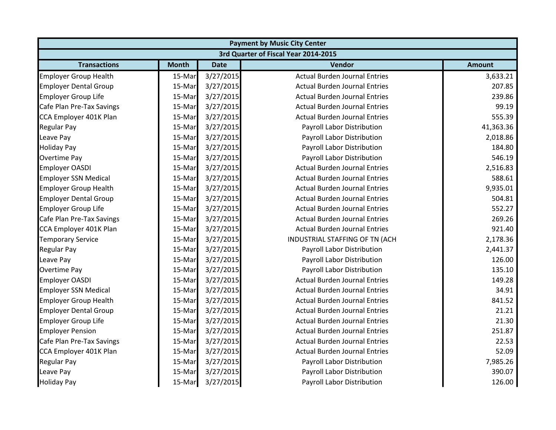|                                      | <b>Payment by Music City Center</b> |             |                                      |               |  |  |
|--------------------------------------|-------------------------------------|-------------|--------------------------------------|---------------|--|--|
| 3rd Quarter of Fiscal Year 2014-2015 |                                     |             |                                      |               |  |  |
| <b>Transactions</b>                  | <b>Month</b>                        | <b>Date</b> | <b>Vendor</b>                        | <b>Amount</b> |  |  |
| <b>Employer Group Health</b>         | 15-Mar                              | 3/27/2015   | <b>Actual Burden Journal Entries</b> | 3,633.21      |  |  |
| <b>Employer Dental Group</b>         | 15-Mar                              | 3/27/2015   | <b>Actual Burden Journal Entries</b> | 207.85        |  |  |
| <b>Employer Group Life</b>           | 15-Mar                              | 3/27/2015   | <b>Actual Burden Journal Entries</b> | 239.86        |  |  |
| Cafe Plan Pre-Tax Savings            | 15-Mar                              | 3/27/2015   | <b>Actual Burden Journal Entries</b> | 99.19         |  |  |
| CCA Employer 401K Plan               | 15-Mar                              | 3/27/2015   | <b>Actual Burden Journal Entries</b> | 555.39        |  |  |
| <b>Regular Pay</b>                   | 15-Mar                              | 3/27/2015   | Payroll Labor Distribution           | 41,363.36     |  |  |
| Leave Pay                            | 15-Mar                              | 3/27/2015   | Payroll Labor Distribution           | 2,018.86      |  |  |
| <b>Holiday Pay</b>                   | 15-Mar                              | 3/27/2015   | Payroll Labor Distribution           | 184.80        |  |  |
| Overtime Pay                         | 15-Mar                              | 3/27/2015   | Payroll Labor Distribution           | 546.19        |  |  |
| <b>Employer OASDI</b>                | 15-Mar                              | 3/27/2015   | <b>Actual Burden Journal Entries</b> | 2,516.83      |  |  |
| <b>Employer SSN Medical</b>          | 15-Mar                              | 3/27/2015   | <b>Actual Burden Journal Entries</b> | 588.61        |  |  |
| <b>Employer Group Health</b>         | 15-Mar                              | 3/27/2015   | <b>Actual Burden Journal Entries</b> | 9,935.01      |  |  |
| <b>Employer Dental Group</b>         | 15-Mar                              | 3/27/2015   | <b>Actual Burden Journal Entries</b> | 504.81        |  |  |
| <b>Employer Group Life</b>           | 15-Mar                              | 3/27/2015   | <b>Actual Burden Journal Entries</b> | 552.27        |  |  |
| Cafe Plan Pre-Tax Savings            | 15-Mar                              | 3/27/2015   | <b>Actual Burden Journal Entries</b> | 269.26        |  |  |
| CCA Employer 401K Plan               | 15-Mar                              | 3/27/2015   | <b>Actual Burden Journal Entries</b> | 921.40        |  |  |
| <b>Temporary Service</b>             | 15-Mar                              | 3/27/2015   | INDUSTRIAL STAFFING OF TN (ACH       | 2,178.36      |  |  |
| <b>Regular Pay</b>                   | 15-Mar                              | 3/27/2015   | Payroll Labor Distribution           | 2,441.37      |  |  |
| Leave Pay                            | 15-Mar                              | 3/27/2015   | Payroll Labor Distribution           | 126.00        |  |  |
| Overtime Pay                         | 15-Mar                              | 3/27/2015   | Payroll Labor Distribution           | 135.10        |  |  |
| <b>Employer OASDI</b>                | 15-Mar                              | 3/27/2015   | <b>Actual Burden Journal Entries</b> | 149.28        |  |  |
| <b>Employer SSN Medical</b>          | 15-Mar                              | 3/27/2015   | <b>Actual Burden Journal Entries</b> | 34.91         |  |  |
| <b>Employer Group Health</b>         | 15-Mar                              | 3/27/2015   | <b>Actual Burden Journal Entries</b> | 841.52        |  |  |
| <b>Employer Dental Group</b>         | 15-Mar                              | 3/27/2015   | <b>Actual Burden Journal Entries</b> | 21.21         |  |  |
| <b>Employer Group Life</b>           | 15-Mar                              | 3/27/2015   | <b>Actual Burden Journal Entries</b> | 21.30         |  |  |
| <b>Employer Pension</b>              | 15-Mar                              | 3/27/2015   | <b>Actual Burden Journal Entries</b> | 251.87        |  |  |
| Cafe Plan Pre-Tax Savings            | 15-Mar                              | 3/27/2015   | <b>Actual Burden Journal Entries</b> | 22.53         |  |  |
| CCA Employer 401K Plan               | 15-Mar                              | 3/27/2015   | <b>Actual Burden Journal Entries</b> | 52.09         |  |  |
| <b>Regular Pay</b>                   | 15-Mar                              | 3/27/2015   | Payroll Labor Distribution           | 7,985.26      |  |  |
| Leave Pay                            | 15-Mar                              | 3/27/2015   | Payroll Labor Distribution           | 390.07        |  |  |
| <b>Holiday Pay</b>                   | 15-Mar                              | 3/27/2015   | Payroll Labor Distribution           | 126.00        |  |  |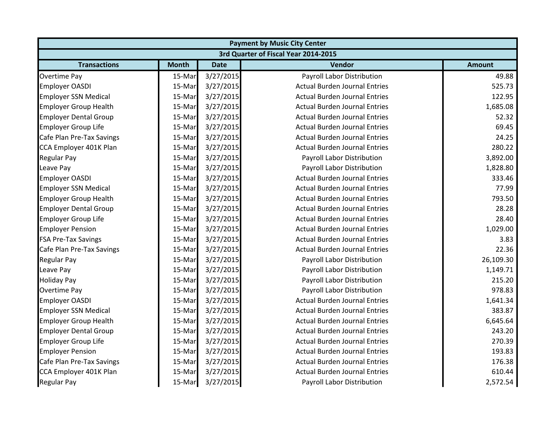|                                      | <b>Payment by Music City Center</b> |             |                                      |               |  |  |
|--------------------------------------|-------------------------------------|-------------|--------------------------------------|---------------|--|--|
| 3rd Quarter of Fiscal Year 2014-2015 |                                     |             |                                      |               |  |  |
| <b>Transactions</b>                  | <b>Month</b>                        | <b>Date</b> | Vendor                               | <b>Amount</b> |  |  |
| <b>Overtime Pay</b>                  | 15-Mar                              | 3/27/2015   | Payroll Labor Distribution           | 49.88         |  |  |
| <b>Employer OASDI</b>                | 15-Mar                              | 3/27/2015   | <b>Actual Burden Journal Entries</b> | 525.73        |  |  |
| <b>Employer SSN Medical</b>          | 15-Mar                              | 3/27/2015   | <b>Actual Burden Journal Entries</b> | 122.95        |  |  |
| Employer Group Health                | 15-Mar                              | 3/27/2015   | <b>Actual Burden Journal Entries</b> | 1,685.08      |  |  |
| <b>Employer Dental Group</b>         | 15-Mar                              | 3/27/2015   | <b>Actual Burden Journal Entries</b> | 52.32         |  |  |
| <b>Employer Group Life</b>           | 15-Mar                              | 3/27/2015   | <b>Actual Burden Journal Entries</b> | 69.45         |  |  |
| Cafe Plan Pre-Tax Savings            | 15-Mar                              | 3/27/2015   | <b>Actual Burden Journal Entries</b> | 24.25         |  |  |
| CCA Employer 401K Plan               | 15-Mar                              | 3/27/2015   | <b>Actual Burden Journal Entries</b> | 280.22        |  |  |
| <b>Regular Pay</b>                   | 15-Mar                              | 3/27/2015   | Payroll Labor Distribution           | 3,892.00      |  |  |
| Leave Pay                            | 15-Mar                              | 3/27/2015   | Payroll Labor Distribution           | 1,828.80      |  |  |
| <b>Employer OASDI</b>                | 15-Mar                              | 3/27/2015   | <b>Actual Burden Journal Entries</b> | 333.46        |  |  |
| <b>Employer SSN Medical</b>          | 15-Mar                              | 3/27/2015   | <b>Actual Burden Journal Entries</b> | 77.99         |  |  |
| <b>Employer Group Health</b>         | 15-Mar                              | 3/27/2015   | <b>Actual Burden Journal Entries</b> | 793.50        |  |  |
| <b>Employer Dental Group</b>         | 15-Mar                              | 3/27/2015   | <b>Actual Burden Journal Entries</b> | 28.28         |  |  |
| <b>Employer Group Life</b>           | 15-Mar                              | 3/27/2015   | <b>Actual Burden Journal Entries</b> | 28.40         |  |  |
| <b>Employer Pension</b>              | 15-Mar                              | 3/27/2015   | <b>Actual Burden Journal Entries</b> | 1,029.00      |  |  |
| <b>FSA Pre-Tax Savings</b>           | 15-Mar                              | 3/27/2015   | <b>Actual Burden Journal Entries</b> | 3.83          |  |  |
| Cafe Plan Pre-Tax Savings            | 15-Mar                              | 3/27/2015   | <b>Actual Burden Journal Entries</b> | 22.36         |  |  |
| <b>Regular Pay</b>                   | 15-Mar                              | 3/27/2015   | Payroll Labor Distribution           | 26,109.30     |  |  |
| Leave Pay                            | 15-Mar                              | 3/27/2015   | Payroll Labor Distribution           | 1,149.71      |  |  |
| <b>Holiday Pay</b>                   | 15-Mar                              | 3/27/2015   | Payroll Labor Distribution           | 215.20        |  |  |
| <b>Overtime Pay</b>                  | 15-Mar                              | 3/27/2015   | Payroll Labor Distribution           | 978.83        |  |  |
| <b>Employer OASDI</b>                | 15-Mar                              | 3/27/2015   | <b>Actual Burden Journal Entries</b> | 1,641.34      |  |  |
| <b>Employer SSN Medical</b>          | 15-Mar                              | 3/27/2015   | <b>Actual Burden Journal Entries</b> | 383.87        |  |  |
| <b>Employer Group Health</b>         | 15-Mar                              | 3/27/2015   | <b>Actual Burden Journal Entries</b> | 6,645.64      |  |  |
| <b>Employer Dental Group</b>         | 15-Mar                              | 3/27/2015   | <b>Actual Burden Journal Entries</b> | 243.20        |  |  |
| <b>Employer Group Life</b>           | 15-Mar                              | 3/27/2015   | <b>Actual Burden Journal Entries</b> | 270.39        |  |  |
| <b>Employer Pension</b>              | 15-Mar                              | 3/27/2015   | <b>Actual Burden Journal Entries</b> | 193.83        |  |  |
| Cafe Plan Pre-Tax Savings            | 15-Mar                              | 3/27/2015   | <b>Actual Burden Journal Entries</b> | 176.38        |  |  |
| CCA Employer 401K Plan               | 15-Mar                              | 3/27/2015   | <b>Actual Burden Journal Entries</b> | 610.44        |  |  |
| <b>Regular Pay</b>                   | 15-Mar                              | 3/27/2015   | Payroll Labor Distribution           | 2,572.54      |  |  |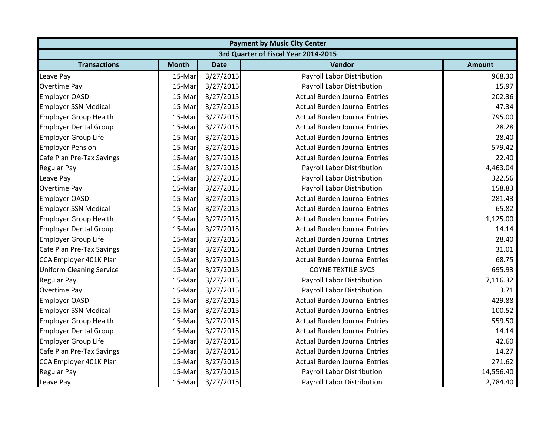| <b>Payment by Music City Center</b>  |              |             |                                      |               |  |  |
|--------------------------------------|--------------|-------------|--------------------------------------|---------------|--|--|
| 3rd Quarter of Fiscal Year 2014-2015 |              |             |                                      |               |  |  |
| <b>Transactions</b>                  | <b>Month</b> | <b>Date</b> | Vendor                               | <b>Amount</b> |  |  |
| Leave Pay                            | 15-Mar       | 3/27/2015   | <b>Payroll Labor Distribution</b>    | 968.30        |  |  |
| <b>Overtime Pay</b>                  | 15-Mar       | 3/27/2015   | Payroll Labor Distribution           | 15.97         |  |  |
| <b>Employer OASDI</b>                | 15-Mar       | 3/27/2015   | <b>Actual Burden Journal Entries</b> | 202.36        |  |  |
| <b>Employer SSN Medical</b>          | 15-Mar       | 3/27/2015   | <b>Actual Burden Journal Entries</b> | 47.34         |  |  |
| <b>Employer Group Health</b>         | 15-Mar       | 3/27/2015   | <b>Actual Burden Journal Entries</b> | 795.00        |  |  |
| <b>Employer Dental Group</b>         | 15-Mar       | 3/27/2015   | <b>Actual Burden Journal Entries</b> | 28.28         |  |  |
| <b>Employer Group Life</b>           | 15-Mar       | 3/27/2015   | <b>Actual Burden Journal Entries</b> | 28.40         |  |  |
| <b>Employer Pension</b>              | 15-Mar       | 3/27/2015   | <b>Actual Burden Journal Entries</b> | 579.42        |  |  |
| Cafe Plan Pre-Tax Savings            | 15-Mar       | 3/27/2015   | <b>Actual Burden Journal Entries</b> | 22.40         |  |  |
| <b>Regular Pay</b>                   | 15-Mar       | 3/27/2015   | Payroll Labor Distribution           | 4,463.04      |  |  |
| Leave Pay                            | 15-Mar       | 3/27/2015   | Payroll Labor Distribution           | 322.56        |  |  |
| <b>Overtime Pay</b>                  | 15-Mar       | 3/27/2015   | Payroll Labor Distribution           | 158.83        |  |  |
| <b>Employer OASDI</b>                | 15-Mar       | 3/27/2015   | <b>Actual Burden Journal Entries</b> | 281.43        |  |  |
| <b>Employer SSN Medical</b>          | 15-Mar       | 3/27/2015   | <b>Actual Burden Journal Entries</b> | 65.82         |  |  |
| <b>Employer Group Health</b>         | 15-Mar       | 3/27/2015   | <b>Actual Burden Journal Entries</b> | 1,125.00      |  |  |
| <b>Employer Dental Group</b>         | 15-Mar       | 3/27/2015   | <b>Actual Burden Journal Entries</b> | 14.14         |  |  |
| <b>Employer Group Life</b>           | 15-Mar       | 3/27/2015   | <b>Actual Burden Journal Entries</b> | 28.40         |  |  |
| Cafe Plan Pre-Tax Savings            | 15-Mar       | 3/27/2015   | <b>Actual Burden Journal Entries</b> | 31.01         |  |  |
| CCA Employer 401K Plan               | 15-Mar       | 3/27/2015   | <b>Actual Burden Journal Entries</b> | 68.75         |  |  |
| <b>Uniform Cleaning Service</b>      | 15-Mar       | 3/27/2015   | <b>COYNE TEXTILE SVCS</b>            | 695.93        |  |  |
| <b>Regular Pay</b>                   | 15-Mar       | 3/27/2015   | Payroll Labor Distribution           | 7,116.32      |  |  |
| <b>Overtime Pay</b>                  | 15-Mar       | 3/27/2015   | Payroll Labor Distribution           | 3.71          |  |  |
| <b>Employer OASDI</b>                | 15-Mar       | 3/27/2015   | <b>Actual Burden Journal Entries</b> | 429.88        |  |  |
| <b>Employer SSN Medical</b>          | 15-Mar       | 3/27/2015   | <b>Actual Burden Journal Entries</b> | 100.52        |  |  |
| <b>Employer Group Health</b>         | 15-Mar       | 3/27/2015   | <b>Actual Burden Journal Entries</b> | 559.50        |  |  |
| <b>Employer Dental Group</b>         | 15-Mar       | 3/27/2015   | <b>Actual Burden Journal Entries</b> | 14.14         |  |  |
| <b>Employer Group Life</b>           | 15-Mar       | 3/27/2015   | <b>Actual Burden Journal Entries</b> | 42.60         |  |  |
| Cafe Plan Pre-Tax Savings            | 15-Mar       | 3/27/2015   | <b>Actual Burden Journal Entries</b> | 14.27         |  |  |
| CCA Employer 401K Plan               | 15-Mar       | 3/27/2015   | <b>Actual Burden Journal Entries</b> | 271.62        |  |  |
| <b>Regular Pay</b>                   | 15-Mar       | 3/27/2015   | Payroll Labor Distribution           | 14,556.40     |  |  |
| Leave Pay                            | 15-Mar       | 3/27/2015   | Payroll Labor Distribution           | 2,784.40      |  |  |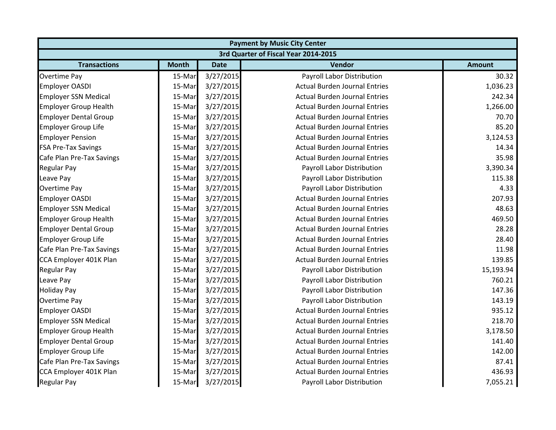| <b>Payment by Music City Center</b> |                                      |             |                                      |               |  |  |  |
|-------------------------------------|--------------------------------------|-------------|--------------------------------------|---------------|--|--|--|
|                                     | 3rd Quarter of Fiscal Year 2014-2015 |             |                                      |               |  |  |  |
| <b>Transactions</b>                 | <b>Month</b>                         | <b>Date</b> | Vendor                               | <b>Amount</b> |  |  |  |
| <b>Overtime Pay</b>                 | 15-Mar                               | 3/27/2015   | Payroll Labor Distribution           | 30.32         |  |  |  |
| <b>Employer OASDI</b>               | 15-Mar                               | 3/27/2015   | <b>Actual Burden Journal Entries</b> | 1,036.23      |  |  |  |
| <b>Employer SSN Medical</b>         | 15-Mar                               | 3/27/2015   | <b>Actual Burden Journal Entries</b> | 242.34        |  |  |  |
| Employer Group Health               | 15-Mar                               | 3/27/2015   | <b>Actual Burden Journal Entries</b> | 1,266.00      |  |  |  |
| <b>Employer Dental Group</b>        | 15-Mar                               | 3/27/2015   | <b>Actual Burden Journal Entries</b> | 70.70         |  |  |  |
| <b>Employer Group Life</b>          | 15-Mar                               | 3/27/2015   | <b>Actual Burden Journal Entries</b> | 85.20         |  |  |  |
| <b>Employer Pension</b>             | 15-Mar                               | 3/27/2015   | <b>Actual Burden Journal Entries</b> | 3,124.53      |  |  |  |
| <b>FSA Pre-Tax Savings</b>          | 15-Mar                               | 3/27/2015   | <b>Actual Burden Journal Entries</b> | 14.34         |  |  |  |
| Cafe Plan Pre-Tax Savings           | 15-Mar                               | 3/27/2015   | <b>Actual Burden Journal Entries</b> | 35.98         |  |  |  |
| <b>Regular Pay</b>                  | 15-Mar                               | 3/27/2015   | Payroll Labor Distribution           | 3,390.34      |  |  |  |
| Leave Pay                           | 15-Mar                               | 3/27/2015   | Payroll Labor Distribution           | 115.38        |  |  |  |
| <b>Overtime Pay</b>                 | 15-Mar                               | 3/27/2015   | Payroll Labor Distribution           | 4.33          |  |  |  |
| <b>Employer OASDI</b>               | 15-Mar                               | 3/27/2015   | <b>Actual Burden Journal Entries</b> | 207.93        |  |  |  |
| <b>Employer SSN Medical</b>         | 15-Mar                               | 3/27/2015   | <b>Actual Burden Journal Entries</b> | 48.63         |  |  |  |
| <b>Employer Group Health</b>        | 15-Mar                               | 3/27/2015   | <b>Actual Burden Journal Entries</b> | 469.50        |  |  |  |
| <b>Employer Dental Group</b>        | 15-Mar                               | 3/27/2015   | <b>Actual Burden Journal Entries</b> | 28.28         |  |  |  |
| <b>Employer Group Life</b>          | 15-Mar                               | 3/27/2015   | <b>Actual Burden Journal Entries</b> | 28.40         |  |  |  |
| Cafe Plan Pre-Tax Savings           | 15-Mar                               | 3/27/2015   | <b>Actual Burden Journal Entries</b> | 11.98         |  |  |  |
| CCA Employer 401K Plan              | 15-Mar                               | 3/27/2015   | <b>Actual Burden Journal Entries</b> | 139.85        |  |  |  |
| <b>Regular Pay</b>                  | 15-Mar                               | 3/27/2015   | Payroll Labor Distribution           | 15,193.94     |  |  |  |
| Leave Pay                           | 15-Mar                               | 3/27/2015   | Payroll Labor Distribution           | 760.21        |  |  |  |
| <b>Holiday Pay</b>                  | 15-Mar                               | 3/27/2015   | Payroll Labor Distribution           | 147.36        |  |  |  |
| Overtime Pay                        | 15-Mar                               | 3/27/2015   | Payroll Labor Distribution           | 143.19        |  |  |  |
| <b>Employer OASDI</b>               | 15-Mar                               | 3/27/2015   | <b>Actual Burden Journal Entries</b> | 935.12        |  |  |  |
| <b>Employer SSN Medical</b>         | 15-Mar                               | 3/27/2015   | <b>Actual Burden Journal Entries</b> | 218.70        |  |  |  |
| <b>Employer Group Health</b>        | 15-Mar                               | 3/27/2015   | <b>Actual Burden Journal Entries</b> | 3,178.50      |  |  |  |
| <b>Employer Dental Group</b>        | 15-Mar                               | 3/27/2015   | <b>Actual Burden Journal Entries</b> | 141.40        |  |  |  |
| <b>Employer Group Life</b>          | 15-Mar                               | 3/27/2015   | <b>Actual Burden Journal Entries</b> | 142.00        |  |  |  |
| Cafe Plan Pre-Tax Savings           | 15-Mar                               | 3/27/2015   | <b>Actual Burden Journal Entries</b> | 87.41         |  |  |  |
| CCA Employer 401K Plan              | 15-Mar                               | 3/27/2015   | <b>Actual Burden Journal Entries</b> | 436.93        |  |  |  |
| <b>Regular Pay</b>                  | 15-Mar                               | 3/27/2015   | Payroll Labor Distribution           | 7,055.21      |  |  |  |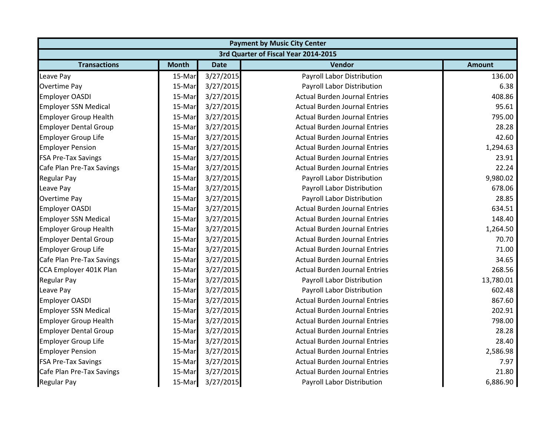|                              | <b>Payment by Music City Center</b>  |             |                                      |               |  |  |  |
|------------------------------|--------------------------------------|-------------|--------------------------------------|---------------|--|--|--|
|                              | 3rd Quarter of Fiscal Year 2014-2015 |             |                                      |               |  |  |  |
| <b>Transactions</b>          | <b>Month</b>                         | <b>Date</b> | Vendor                               | <b>Amount</b> |  |  |  |
| Leave Pay                    | 15-Mar                               | 3/27/2015   | Payroll Labor Distribution           | 136.00        |  |  |  |
| <b>Overtime Pay</b>          | 15-Mar                               | 3/27/2015   | Payroll Labor Distribution           | 6.38          |  |  |  |
| <b>Employer OASDI</b>        | 15-Mar                               | 3/27/2015   | <b>Actual Burden Journal Entries</b> | 408.86        |  |  |  |
| <b>Employer SSN Medical</b>  | 15-Mar                               | 3/27/2015   | <b>Actual Burden Journal Entries</b> | 95.61         |  |  |  |
| <b>Employer Group Health</b> | 15-Mar                               | 3/27/2015   | <b>Actual Burden Journal Entries</b> | 795.00        |  |  |  |
| <b>Employer Dental Group</b> | 15-Mar                               | 3/27/2015   | <b>Actual Burden Journal Entries</b> | 28.28         |  |  |  |
| <b>Employer Group Life</b>   | 15-Mar                               | 3/27/2015   | <b>Actual Burden Journal Entries</b> | 42.60         |  |  |  |
| <b>Employer Pension</b>      | 15-Mar                               | 3/27/2015   | <b>Actual Burden Journal Entries</b> | 1,294.63      |  |  |  |
| <b>FSA Pre-Tax Savings</b>   | 15-Mar                               | 3/27/2015   | <b>Actual Burden Journal Entries</b> | 23.91         |  |  |  |
| Cafe Plan Pre-Tax Savings    | 15-Mar                               | 3/27/2015   | <b>Actual Burden Journal Entries</b> | 22.24         |  |  |  |
| <b>Regular Pay</b>           | 15-Mar                               | 3/27/2015   | Payroll Labor Distribution           | 9,980.02      |  |  |  |
| Leave Pay                    | 15-Mar                               | 3/27/2015   | Payroll Labor Distribution           | 678.06        |  |  |  |
| <b>Overtime Pay</b>          | 15-Mar                               | 3/27/2015   | Payroll Labor Distribution           | 28.85         |  |  |  |
| <b>Employer OASDI</b>        | 15-Mar                               | 3/27/2015   | <b>Actual Burden Journal Entries</b> | 634.51        |  |  |  |
| <b>Employer SSN Medical</b>  | 15-Mar                               | 3/27/2015   | <b>Actual Burden Journal Entries</b> | 148.40        |  |  |  |
| <b>Employer Group Health</b> | 15-Mar                               | 3/27/2015   | <b>Actual Burden Journal Entries</b> | 1,264.50      |  |  |  |
| <b>Employer Dental Group</b> | 15-Mar                               | 3/27/2015   | <b>Actual Burden Journal Entries</b> | 70.70         |  |  |  |
| <b>Employer Group Life</b>   | 15-Mar                               | 3/27/2015   | <b>Actual Burden Journal Entries</b> | 71.00         |  |  |  |
| Cafe Plan Pre-Tax Savings    | 15-Mar                               | 3/27/2015   | <b>Actual Burden Journal Entries</b> | 34.65         |  |  |  |
| CCA Employer 401K Plan       | 15-Mar                               | 3/27/2015   | <b>Actual Burden Journal Entries</b> | 268.56        |  |  |  |
| <b>Regular Pay</b>           | 15-Mar                               | 3/27/2015   | Payroll Labor Distribution           | 13,780.01     |  |  |  |
| Leave Pay                    | 15-Mar                               | 3/27/2015   | Payroll Labor Distribution           | 602.48        |  |  |  |
| <b>Employer OASDI</b>        | 15-Mar                               | 3/27/2015   | <b>Actual Burden Journal Entries</b> | 867.60        |  |  |  |
| <b>Employer SSN Medical</b>  | 15-Mar                               | 3/27/2015   | <b>Actual Burden Journal Entries</b> | 202.91        |  |  |  |
| <b>Employer Group Health</b> | 15-Mar                               | 3/27/2015   | <b>Actual Burden Journal Entries</b> | 798.00        |  |  |  |
| <b>Employer Dental Group</b> | 15-Mar                               | 3/27/2015   | <b>Actual Burden Journal Entries</b> | 28.28         |  |  |  |
| <b>Employer Group Life</b>   | 15-Mar                               | 3/27/2015   | <b>Actual Burden Journal Entries</b> | 28.40         |  |  |  |
| <b>Employer Pension</b>      | 15-Mar                               | 3/27/2015   | <b>Actual Burden Journal Entries</b> | 2,586.98      |  |  |  |
| <b>FSA Pre-Tax Savings</b>   | 15-Mar                               | 3/27/2015   | <b>Actual Burden Journal Entries</b> | 7.97          |  |  |  |
| Cafe Plan Pre-Tax Savings    | 15-Mar                               | 3/27/2015   | <b>Actual Burden Journal Entries</b> | 21.80         |  |  |  |
| <b>Regular Pay</b>           | 15-Mar                               | 3/27/2015   | Payroll Labor Distribution           | 6,886.90      |  |  |  |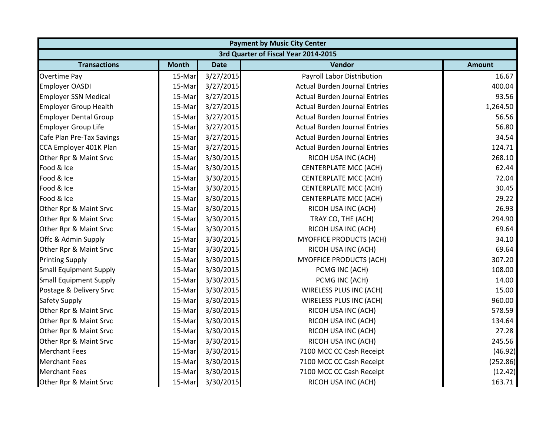|                               |              |             | <b>Payment by Music City Center</b>  |               |
|-------------------------------|--------------|-------------|--------------------------------------|---------------|
|                               |              |             | 3rd Quarter of Fiscal Year 2014-2015 |               |
| <b>Transactions</b>           | <b>Month</b> | <b>Date</b> | Vendor                               | <b>Amount</b> |
| Overtime Pay                  | 15-Mar       | 3/27/2015   | Payroll Labor Distribution           | 16.67         |
| <b>Employer OASDI</b>         | 15-Mar       | 3/27/2015   | <b>Actual Burden Journal Entries</b> | 400.04        |
| <b>Employer SSN Medical</b>   | 15-Mar       | 3/27/2015   | <b>Actual Burden Journal Entries</b> | 93.56         |
| <b>Employer Group Health</b>  | 15-Mar       | 3/27/2015   | <b>Actual Burden Journal Entries</b> | 1,264.50      |
| <b>Employer Dental Group</b>  | 15-Mar       | 3/27/2015   | <b>Actual Burden Journal Entries</b> | 56.56         |
| <b>Employer Group Life</b>    | 15-Mar       | 3/27/2015   | <b>Actual Burden Journal Entries</b> | 56.80         |
| Cafe Plan Pre-Tax Savings     | 15-Mar       | 3/27/2015   | <b>Actual Burden Journal Entries</b> | 34.54         |
| CCA Employer 401K Plan        | 15-Mar       | 3/27/2015   | <b>Actual Burden Journal Entries</b> | 124.71        |
| Other Rpr & Maint Srvc        | 15-Mar       | 3/30/2015   | RICOH USA INC (ACH)                  | 268.10        |
| Food & Ice                    | 15-Mar       | 3/30/2015   | <b>CENTERPLATE MCC (ACH)</b>         | 62.44         |
| Food & Ice                    | 15-Mar       | 3/30/2015   | <b>CENTERPLATE MCC (ACH)</b>         | 72.04         |
| Food & Ice                    | 15-Mar       | 3/30/2015   | <b>CENTERPLATE MCC (ACH)</b>         | 30.45         |
| Food & Ice                    | 15-Mar       | 3/30/2015   | <b>CENTERPLATE MCC (ACH)</b>         | 29.22         |
| Other Rpr & Maint Srvc        | 15-Mar       | 3/30/2015   | RICOH USA INC (ACH)                  | 26.93         |
| Other Rpr & Maint Srvc        | 15-Mar       | 3/30/2015   | TRAY CO, THE (ACH)                   | 294.90        |
| Other Rpr & Maint Srvc        | 15-Mar       | 3/30/2015   | RICOH USA INC (ACH)                  | 69.64         |
| Offc & Admin Supply           | 15-Mar       | 3/30/2015   | <b>MYOFFICE PRODUCTS (ACH)</b>       | 34.10         |
| Other Rpr & Maint Srvc        | 15-Mar       | 3/30/2015   | RICOH USA INC (ACH)                  | 69.64         |
| <b>Printing Supply</b>        | 15-Mar       | 3/30/2015   | MYOFFICE PRODUCTS (ACH)              | 307.20        |
| <b>Small Equipment Supply</b> | 15-Mar       | 3/30/2015   | PCMG INC (ACH)                       | 108.00        |
| <b>Small Equipment Supply</b> | 15-Mar       | 3/30/2015   | PCMG INC (ACH)                       | 14.00         |
| Postage & Delivery Srvc       | 15-Mar       | 3/30/2015   | WIRELESS PLUS INC (ACH)              | 15.00         |
| <b>Safety Supply</b>          | 15-Mar       | 3/30/2015   | WIRELESS PLUS INC (ACH)              | 960.00        |
| Other Rpr & Maint Srvc        | 15-Mar       | 3/30/2015   | RICOH USA INC (ACH)                  | 578.59        |
| Other Rpr & Maint Srvc        | 15-Mar       | 3/30/2015   | RICOH USA INC (ACH)                  | 134.64        |
| Other Rpr & Maint Srvc        | 15-Mar       | 3/30/2015   | RICOH USA INC (ACH)                  | 27.28         |
| Other Rpr & Maint Srvc        | 15-Mar       | 3/30/2015   | RICOH USA INC (ACH)                  | 245.56        |
| <b>Merchant Fees</b>          | 15-Mar       | 3/30/2015   | 7100 MCC CC Cash Receipt             | (46.92)       |
| <b>Merchant Fees</b>          | 15-Mar       | 3/30/2015   | 7100 MCC CC Cash Receipt             | (252.86)      |
| <b>Merchant Fees</b>          | 15-Mar       | 3/30/2015   | 7100 MCC CC Cash Receipt             | (12.42)       |
| Other Rpr & Maint Srvc        | 15-Mar       | 3/30/2015   | RICOH USA INC (ACH)                  | 163.71        |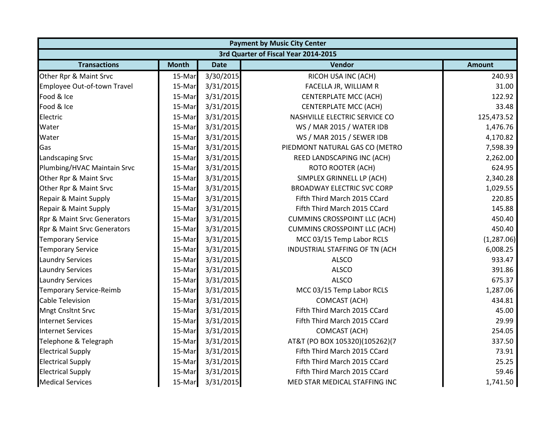|                                        |              |             | <b>Payment by Music City Center</b>  |               |
|----------------------------------------|--------------|-------------|--------------------------------------|---------------|
|                                        |              |             | 3rd Quarter of Fiscal Year 2014-2015 |               |
| <b>Transactions</b>                    | <b>Month</b> | <b>Date</b> | Vendor                               | <b>Amount</b> |
| Other Rpr & Maint Srvc                 | 15-Mar       | 3/30/2015   | RICOH USA INC (ACH)                  | 240.93        |
| Employee Out-of-town Travel            | 15-Mar       | 3/31/2015   | FACELLA JR, WILLIAM R                | 31.00         |
| Food & Ice                             | 15-Mar       | 3/31/2015   | <b>CENTERPLATE MCC (ACH)</b>         | 122.92        |
| Food & Ice                             | 15-Mar       | 3/31/2015   | <b>CENTERPLATE MCC (ACH)</b>         | 33.48         |
| Electric                               | 15-Mar       | 3/31/2015   | NASHVILLE ELECTRIC SERVICE CO        | 125,473.52    |
| Water                                  | 15-Mar       | 3/31/2015   | WS / MAR 2015 / WATER IDB            | 1,476.76      |
| Water                                  | 15-Mar       | 3/31/2015   | WS / MAR 2015 / SEWER IDB            | 4,170.82      |
| Gas                                    | 15-Mar       | 3/31/2015   | PIEDMONT NATURAL GAS CO (METRO       | 7,598.39      |
| Landscaping Srvc                       | 15-Mar       | 3/31/2015   | REED LANDSCAPING INC (ACH)           | 2,262.00      |
| Plumbing/HVAC Maintain Srvc            | 15-Mar       | 3/31/2015   | <b>ROTO ROOTER (ACH)</b>             | 624.95        |
| Other Rpr & Maint Srvc                 | 15-Mar       | 3/31/2015   | SIMPLEX GRINNELL LP (ACH)            | 2,340.28      |
| Other Rpr & Maint Srvc                 | 15-Mar       | 3/31/2015   | <b>BROADWAY ELECTRIC SVC CORP</b>    | 1,029.55      |
| Repair & Maint Supply                  | 15-Mar       | 3/31/2015   | Fifth Third March 2015 CCard         | 220.85        |
| Repair & Maint Supply                  | 15-Mar       | 3/31/2015   | Fifth Third March 2015 CCard         | 145.88        |
| <b>Rpr &amp; Maint Srvc Generators</b> | 15-Mar       | 3/31/2015   | <b>CUMMINS CROSSPOINT LLC (ACH)</b>  | 450.40        |
| <b>Rpr &amp; Maint Srvc Generators</b> | 15-Mar       | 3/31/2015   | <b>CUMMINS CROSSPOINT LLC (ACH)</b>  | 450.40        |
| <b>Temporary Service</b>               | 15-Mar       | 3/31/2015   | MCC 03/15 Temp Labor RCLS            | (1, 287.06)   |
| <b>Temporary Service</b>               | 15-Mar       | 3/31/2015   | INDUSTRIAL STAFFING OF TN (ACH       | 6,008.25      |
| <b>Laundry Services</b>                | 15-Mar       | 3/31/2015   | <b>ALSCO</b>                         | 933.47        |
| <b>Laundry Services</b>                | 15-Mar       | 3/31/2015   | <b>ALSCO</b>                         | 391.86        |
| <b>Laundry Services</b>                | 15-Mar       | 3/31/2015   | <b>ALSCO</b>                         | 675.37        |
| <b>Temporary Service-Reimb</b>         | 15-Mar       | 3/31/2015   | MCC 03/15 Temp Labor RCLS            | 1,287.06      |
| <b>Cable Television</b>                | 15-Mar       | 3/31/2015   | <b>COMCAST (ACH)</b>                 | 434.81        |
| <b>Mngt Cnsltnt Srvc</b>               | 15-Mar       | 3/31/2015   | Fifth Third March 2015 CCard         | 45.00         |
| <b>Internet Services</b>               | 15-Mar       | 3/31/2015   | Fifth Third March 2015 CCard         | 29.99         |
| <b>Internet Services</b>               | 15-Mar       | 3/31/2015   | <b>COMCAST (ACH)</b>                 | 254.05        |
| Telephone & Telegraph                  | 15-Mar       | 3/31/2015   | AT&T (PO BOX 105320)(105262)(7       | 337.50        |
| <b>Electrical Supply</b>               | 15-Mar       | 3/31/2015   | Fifth Third March 2015 CCard         | 73.91         |
| <b>Electrical Supply</b>               | 15-Mar       | 3/31/2015   | Fifth Third March 2015 CCard         | 25.25         |
| <b>Electrical Supply</b>               | 15-Mar       | 3/31/2015   | Fifth Third March 2015 CCard         | 59.46         |
| <b>Medical Services</b>                | 15-Mar       | 3/31/2015   | MED STAR MEDICAL STAFFING INC        | 1,741.50      |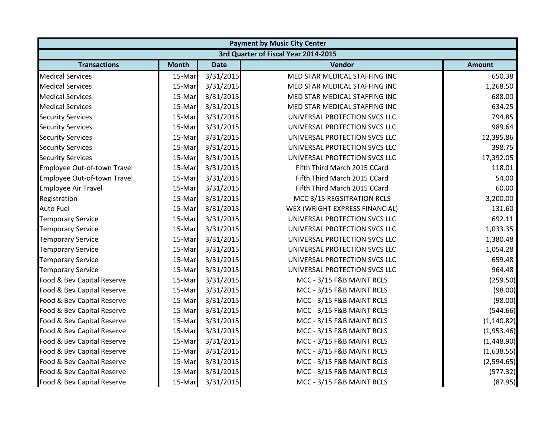| <b>Payment by Music City Center</b>  |              |             |                                |               |
|--------------------------------------|--------------|-------------|--------------------------------|---------------|
| 3rd Quarter of Fiscal Year 2014-2015 |              |             |                                |               |
| <b>Transactions</b>                  | <b>Month</b> | <b>Date</b> | Vendor                         | <b>Amount</b> |
| <b>Medical Services</b>              | 15-Mar       | 3/31/2015   | MED STAR MEDICAL STAFFING INC  | 650.38        |
| <b>Medical Services</b>              | 15-Mar       | 3/31/2015   | MED STAR MEDICAL STAFFING INC  | 1,268.50      |
| <b>Medical Services</b>              | 15-Mar       | 3/31/2015   | MED STAR MEDICAL STAFFING INC  | 688.00        |
| <b>Medical Services</b>              | 15-Mar       | 3/31/2015   | MED STAR MEDICAL STAFFING INC  | 634.25        |
| <b>Security Services</b>             | 15-Mar       | 3/31/2015   | UNIVERSAL PROTECTION SVCS LLC  | 794.85        |
| <b>Security Services</b>             | 15-Mar       | 3/31/2015   | UNIVERSAL PROTECTION SVCS LLC  | 989.64        |
| <b>Security Services</b>             | 15-Mar       | 3/31/2015   | UNIVERSAL PROTECTION SVCS LLC  | 12,395.86     |
| <b>Security Services</b>             | 15-Mar       | 3/31/2015   | UNIVERSAL PROTECTION SVCS LLC  | 398.75        |
| <b>Security Services</b>             | 15-Mar       | 3/31/2015   | UNIVERSAL PROTECTION SVCS LLC  | 17,392.05     |
| Employee Out-of-town Travel          | 15-Mar       | 3/31/2015   | Fifth Third March 2015 CCard   | 118.01        |
| Employee Out-of-town Travel          | 15-Mar       | 3/31/2015   | Fifth Third March 2015 CCard   | 54.00         |
| <b>Employee Air Travel</b>           | 15-Mar       | 3/31/2015   | Fifth Third March 2015 CCard   | 60.00         |
| Registration                         | 15-Mar       | 3/31/2015   | MCC 3/15 REGSITRATION RCLS     | 3,200.00      |
| <b>Auto Fuel</b>                     | 15-Mar       | 3/31/2015   | WEX (WRIGHT EXPRESS FINANCIAL) | 131.60        |
| <b>Temporary Service</b>             | 15-Mar       | 3/31/2015   | UNIVERSAL PROTECTION SVCS LLC  | 692.11        |
| <b>Temporary Service</b>             | 15-Mar       | 3/31/2015   | UNIVERSAL PROTECTION SVCS LLC  | 1,033.35      |
| <b>Temporary Service</b>             | 15-Mar       | 3/31/2015   | UNIVERSAL PROTECTION SVCS LLC  | 1,380.48      |
| <b>Temporary Service</b>             | 15-Mar       | 3/31/2015   | UNIVERSAL PROTECTION SVCS LLC  | 1,054.28      |
| <b>Temporary Service</b>             | 15-Mar       | 3/31/2015   | UNIVERSAL PROTECTION SVCS LLC  | 659.48        |
| <b>Temporary Service</b>             | 15-Mar       | 3/31/2015   | UNIVERSAL PROTECTION SVCS LLC  | 964.48        |
| Food & Bev Capital Reserve           | 15-Mar       | 3/31/2015   | MCC - 3/15 F&B MAINT RCLS      | (259.50)      |
| Food & Bev Capital Reserve           | 15-Mar       | 3/31/2015   | MCC - 3/15 F&B MAINT RCLS      | (98.00)       |
| Food & Bev Capital Reserve           | 15-Mar       | 3/31/2015   | MCC - 3/15 F&B MAINT RCLS      | (98.00)       |
| Food & Bev Capital Reserve           | 15-Mar       | 3/31/2015   | MCC - 3/15 F&B MAINT RCLS      | (544.66)      |
| Food & Bev Capital Reserve           | 15-Mar       | 3/31/2015   | MCC - 3/15 F&B MAINT RCLS      | (1, 140.82)   |
| Food & Bev Capital Reserve           | 15-Mar       | 3/31/2015   | MCC - 3/15 F&B MAINT RCLS      | (1,953.46)    |
| Food & Bev Capital Reserve           | 15-Mar       | 3/31/2015   | MCC - 3/15 F&B MAINT RCLS      | (1,448.90)    |
| Food & Bev Capital Reserve           | 15-Mar       | 3/31/2015   | MCC - 3/15 F&B MAINT RCLS      | (1,638.55)    |
| Food & Bev Capital Reserve           | 15-Mar       | 3/31/2015   | MCC - 3/15 F&B MAINT RCLS      | (2,594.65)    |
| Food & Bev Capital Reserve           | 15-Mar       | 3/31/2015   | MCC - 3/15 F&B MAINT RCLS      | (577.32)      |
| Food & Bev Capital Reserve           | 15-Mar       | 3/31/2015   | MCC - 3/15 F&B MAINT RCLS      | (87.95)       |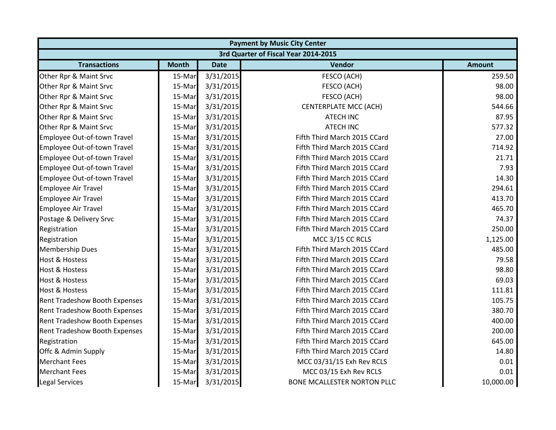| <b>Payment by Music City Center</b>  |              |             |                                    |               |  |
|--------------------------------------|--------------|-------------|------------------------------------|---------------|--|
| 3rd Quarter of Fiscal Year 2014-2015 |              |             |                                    |               |  |
| <b>Transactions</b>                  | <b>Month</b> | <b>Date</b> | Vendor                             | <b>Amount</b> |  |
| Other Rpr & Maint Srvc               | 15-Mar       | 3/31/2015   | FESCO (ACH)                        | 259.50        |  |
| Other Rpr & Maint Srvc               | 15-Mar       | 3/31/2015   | FESCO (ACH)                        | 98.00         |  |
| Other Rpr & Maint Srvc               | 15-Mar       | 3/31/2015   | FESCO (ACH)                        | 98.00         |  |
| Other Rpr & Maint Srvc               | 15-Mar       | 3/31/2015   | <b>CENTERPLATE MCC (ACH)</b>       | 544.66        |  |
| Other Rpr & Maint Srvc               | 15-Mar       | 3/31/2015   | <b>ATECH INC</b>                   | 87.95         |  |
| Other Rpr & Maint Srvc               | 15-Mar       | 3/31/2015   | <b>ATECH INC</b>                   | 577.32        |  |
| Employee Out-of-town Travel          | 15-Mar       | 3/31/2015   | Fifth Third March 2015 CCard       | 27.00         |  |
| Employee Out-of-town Travel          | 15-Mar       | 3/31/2015   | Fifth Third March 2015 CCard       | 714.92        |  |
| Employee Out-of-town Travel          | 15-Mar       | 3/31/2015   | Fifth Third March 2015 CCard       | 21.71         |  |
| Employee Out-of-town Travel          | 15-Mar       | 3/31/2015   | Fifth Third March 2015 CCard       | 7.93          |  |
| Employee Out-of-town Travel          | 15-Mar       | 3/31/2015   | Fifth Third March 2015 CCard       | 14.30         |  |
| <b>Employee Air Travel</b>           | 15-Mar       | 3/31/2015   | Fifth Third March 2015 CCard       | 294.61        |  |
| <b>Employee Air Travel</b>           | 15-Mar       | 3/31/2015   | Fifth Third March 2015 CCard       | 413.70        |  |
| <b>Employee Air Travel</b>           | 15-Mar       | 3/31/2015   | Fifth Third March 2015 CCard       | 465.70        |  |
| Postage & Delivery Srvc              | 15-Mar       | 3/31/2015   | Fifth Third March 2015 CCard       | 74.37         |  |
| Registration                         | 15-Mar       | 3/31/2015   | Fifth Third March 2015 CCard       | 250.00        |  |
| Registration                         | 15-Mar       | 3/31/2015   | MCC 3/15 CC RCLS                   | 1,125.00      |  |
| <b>Membership Dues</b>               | 15-Mar       | 3/31/2015   | Fifth Third March 2015 CCard       | 485.00        |  |
| <b>Host &amp; Hostess</b>            | 15-Mar       | 3/31/2015   | Fifth Third March 2015 CCard       | 79.58         |  |
| <b>Host &amp; Hostess</b>            | 15-Mar       | 3/31/2015   | Fifth Third March 2015 CCard       | 98.80         |  |
| <b>Host &amp; Hostess</b>            | 15-Mar       | 3/31/2015   | Fifth Third March 2015 CCard       | 69.03         |  |
| <b>Host &amp; Hostess</b>            | 15-Mar       | 3/31/2015   | Fifth Third March 2015 CCard       | 111.81        |  |
| <b>Rent Tradeshow Booth Expenses</b> | 15-Mar       | 3/31/2015   | Fifth Third March 2015 CCard       | 105.75        |  |
| Rent Tradeshow Booth Expenses        | 15-Mar       | 3/31/2015   | Fifth Third March 2015 CCard       | 380.70        |  |
| Rent Tradeshow Booth Expenses        | 15-Mar       | 3/31/2015   | Fifth Third March 2015 CCard       | 400.00        |  |
| Rent Tradeshow Booth Expenses        | 15-Mar       | 3/31/2015   | Fifth Third March 2015 CCard       | 200.00        |  |
| Registration                         | 15-Mar       | 3/31/2015   | Fifth Third March 2015 CCard       | 645.00        |  |
| Offc & Admin Supply                  | 15-Mar       | 3/31/2015   | Fifth Third March 2015 CCard       | 14.80         |  |
| <b>Merchant Fees</b>                 | 15-Mar       | 3/31/2015   | MCC 03/31/15 Exh Rev RCLS          | 0.01          |  |
| <b>Merchant Fees</b>                 | 15-Mar       | 3/31/2015   | MCC 03/15 Exh Rev RCLS             | 0.01          |  |
| <b>Legal Services</b>                | 15-Mar       | 3/31/2015   | <b>BONE MCALLESTER NORTON PLLC</b> | 10,000.00     |  |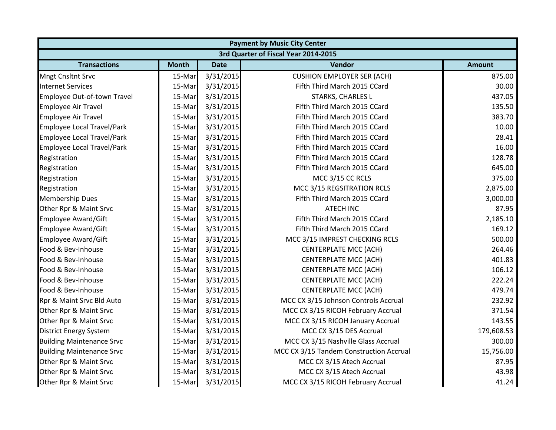| <b>Payment by Music City Center</b>  |              |             |                                         |               |  |
|--------------------------------------|--------------|-------------|-----------------------------------------|---------------|--|
| 3rd Quarter of Fiscal Year 2014-2015 |              |             |                                         |               |  |
| <b>Transactions</b>                  | <b>Month</b> | <b>Date</b> | Vendor                                  | <b>Amount</b> |  |
| <b>Mngt Cnsltnt Srvc</b>             | 15-Mar       | 3/31/2015   | <b>CUSHION EMPLOYER SER (ACH)</b>       | 875.00        |  |
| <b>Internet Services</b>             | 15-Mar       | 3/31/2015   | Fifth Third March 2015 CCard            | 30.00         |  |
| Employee Out-of-town Travel          | 15-Mar       | 3/31/2015   | <b>STARKS, CHARLES L</b>                | 437.05        |  |
| <b>Employee Air Travel</b>           | 15-Mar       | 3/31/2015   | Fifth Third March 2015 CCard            | 135.50        |  |
| <b>Employee Air Travel</b>           | 15-Mar       | 3/31/2015   | Fifth Third March 2015 CCard            | 383.70        |  |
| <b>Employee Local Travel/Park</b>    | 15-Mar       | 3/31/2015   | Fifth Third March 2015 CCard            | 10.00         |  |
| <b>Employee Local Travel/Park</b>    | 15-Mar       | 3/31/2015   | Fifth Third March 2015 CCard            | 28.41         |  |
| <b>Employee Local Travel/Park</b>    | 15-Mar       | 3/31/2015   | Fifth Third March 2015 CCard            | 16.00         |  |
| Registration                         | 15-Mar       | 3/31/2015   | Fifth Third March 2015 CCard            | 128.78        |  |
| Registration                         | 15-Mar       | 3/31/2015   | Fifth Third March 2015 CCard            | 645.00        |  |
| Registration                         | 15-Mar       | 3/31/2015   | MCC 3/15 CC RCLS                        | 375.00        |  |
| Registration                         | 15-Mar       | 3/31/2015   | MCC 3/15 REGSITRATION RCLS              | 2,875.00      |  |
| <b>Membership Dues</b>               | 15-Mar       | 3/31/2015   | Fifth Third March 2015 CCard            | 3,000.00      |  |
| Other Rpr & Maint Srvc               | 15-Mar       | 3/31/2015   | <b>ATECH INC</b>                        | 87.95         |  |
| <b>Employee Award/Gift</b>           | 15-Mar       | 3/31/2015   | Fifth Third March 2015 CCard            | 2,185.10      |  |
| <b>Employee Award/Gift</b>           | 15-Mar       | 3/31/2015   | Fifth Third March 2015 CCard            | 169.12        |  |
| <b>Employee Award/Gift</b>           | 15-Mar       | 3/31/2015   | MCC 3/15 IMPREST CHECKING RCLS          | 500.00        |  |
| Food & Bev-Inhouse                   | 15-Mar       | 3/31/2015   | <b>CENTERPLATE MCC (ACH)</b>            | 264.46        |  |
| Food & Bev-Inhouse                   | 15-Mar       | 3/31/2015   | <b>CENTERPLATE MCC (ACH)</b>            | 401.83        |  |
| Food & Bev-Inhouse                   | 15-Mar       | 3/31/2015   | <b>CENTERPLATE MCC (ACH)</b>            | 106.12        |  |
| Food & Bev-Inhouse                   | 15-Mar       | 3/31/2015   | <b>CENTERPLATE MCC (ACH)</b>            | 222.24        |  |
| Food & Bev-Inhouse                   | 15-Mar       | 3/31/2015   | <b>CENTERPLATE MCC (ACH)</b>            | 479.74        |  |
| Rpr & Maint Srvc Bld Auto            | 15-Mar       | 3/31/2015   | MCC CX 3/15 Johnson Controls Accrual    | 232.92        |  |
| Other Rpr & Maint Srvc               | 15-Mar       | 3/31/2015   | MCC CX 3/15 RICOH February Accrual      | 371.54        |  |
| Other Rpr & Maint Srvc               | 15-Mar       | 3/31/2015   | MCC CX 3/15 RICOH January Accrual       | 143.55        |  |
| <b>District Energy System</b>        | 15-Mar       | 3/31/2015   | MCC CX 3/15 DES Accrual                 | 179,608.53    |  |
| <b>Building Maintenance Srvc</b>     | 15-Mar       | 3/31/2015   | MCC CX 3/15 Nashville Glass Accrual     | 300.00        |  |
| <b>Building Maintenance Srvc</b>     | 15-Mar       | 3/31/2015   | MCC CX 3/15 Tandem Construction Accrual | 15,756.00     |  |
| Other Rpr & Maint Srvc               | 15-Mar       | 3/31/2015   | MCC CX 3/15 Atech Accrual               | 87.95         |  |
| Other Rpr & Maint Srvc               | 15-Mar       | 3/31/2015   | MCC CX 3/15 Atech Accrual               | 43.98         |  |
| Other Rpr & Maint Srvc               | 15-Mar       | 3/31/2015   | MCC CX 3/15 RICOH February Accrual      | 41.24         |  |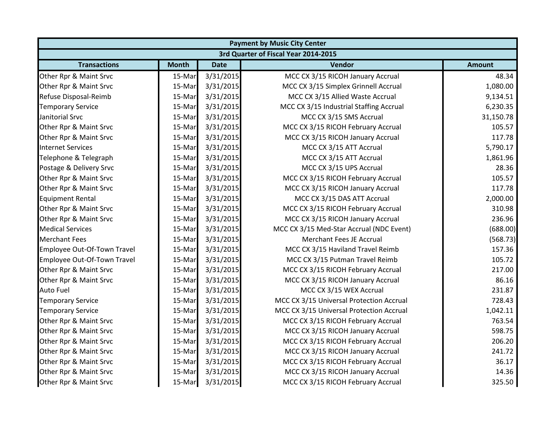| <b>Payment by Music City Center</b>  |              |             |                                          |               |  |
|--------------------------------------|--------------|-------------|------------------------------------------|---------------|--|
| 3rd Quarter of Fiscal Year 2014-2015 |              |             |                                          |               |  |
| <b>Transactions</b>                  | <b>Month</b> | <b>Date</b> | Vendor                                   | <b>Amount</b> |  |
| Other Rpr & Maint Srvc               | 15-Mar       | 3/31/2015   | MCC CX 3/15 RICOH January Accrual        | 48.34         |  |
| Other Rpr & Maint Srvc               | 15-Mar       | 3/31/2015   | MCC CX 3/15 Simplex Grinnell Accrual     | 1,080.00      |  |
| Refuse Disposal-Reimb                | 15-Mar       | 3/31/2015   | MCC CX 3/15 Allied Waste Accrual         | 9,134.51      |  |
| <b>Temporary Service</b>             | 15-Mar       | 3/31/2015   | MCC CX 3/15 Industrial Staffing Accrual  | 6,230.35      |  |
| Janitorial Srvc                      | 15-Mar       | 3/31/2015   | MCC CX 3/15 SMS Accrual                  | 31,150.78     |  |
| Other Rpr & Maint Srvc               | 15-Mar       | 3/31/2015   | MCC CX 3/15 RICOH February Accrual       | 105.57        |  |
| Other Rpr & Maint Srvc               | 15-Mar       | 3/31/2015   | MCC CX 3/15 RICOH January Accrual        | 117.78        |  |
| <b>Internet Services</b>             | 15-Mar       | 3/31/2015   | MCC CX 3/15 ATT Accrual                  | 5,790.17      |  |
| Telephone & Telegraph                | 15-Mar       | 3/31/2015   | MCC CX 3/15 ATT Accrual                  | 1,861.96      |  |
| Postage & Delivery Srvc              | 15-Mar       | 3/31/2015   | MCC CX 3/15 UPS Accrual                  | 28.36         |  |
| Other Rpr & Maint Srvc               | 15-Mar       | 3/31/2015   | MCC CX 3/15 RICOH February Accrual       | 105.57        |  |
| Other Rpr & Maint Srvc               | 15-Mar       | 3/31/2015   | MCC CX 3/15 RICOH January Accrual        | 117.78        |  |
| <b>Equipment Rental</b>              | 15-Mar       | 3/31/2015   | MCC CX 3/15 DAS ATT Accrual              | 2,000.00      |  |
| Other Rpr & Maint Srvc               | 15-Mar       | 3/31/2015   | MCC CX 3/15 RICOH February Accrual       | 310.98        |  |
| Other Rpr & Maint Srvc               | 15-Mar       | 3/31/2015   | MCC CX 3/15 RICOH January Accrual        | 236.96        |  |
| <b>Medical Services</b>              | 15-Mar       | 3/31/2015   | MCC CX 3/15 Med-Star Accrual (NDC Event) | (688.00)      |  |
| <b>Merchant Fees</b>                 | 15-Mar       | 3/31/2015   | <b>Merchant Fees JE Accrual</b>          | (568.73)      |  |
| <b>Employee Out-Of-Town Travel</b>   | 15-Mar       | 3/31/2015   | MCC CX 3/15 Haviland Travel Reimb        | 157.36        |  |
| Employee Out-Of-Town Travel          | 15-Mar       | 3/31/2015   | MCC CX 3/15 Putman Travel Reimb          | 105.72        |  |
| Other Rpr & Maint Srvc               | 15-Mar       | 3/31/2015   | MCC CX 3/15 RICOH February Accrual       | 217.00        |  |
| Other Rpr & Maint Srvc               | 15-Mar       | 3/31/2015   | MCC CX 3/15 RICOH January Accrual        | 86.16         |  |
| <b>Auto Fuel</b>                     | 15-Mar       | 3/31/2015   | MCC CX 3/15 WEX Accrual                  | 231.87        |  |
| <b>Temporary Service</b>             | 15-Mar       | 3/31/2015   | MCC CX 3/15 Universal Protection Accrual | 728.43        |  |
| <b>Temporary Service</b>             | 15-Mar       | 3/31/2015   | MCC CX 3/15 Universal Protection Accrual | 1,042.11      |  |
| Other Rpr & Maint Srvc               | 15-Mar       | 3/31/2015   | MCC CX 3/15 RICOH February Accrual       | 763.54        |  |
| Other Rpr & Maint Srvc               | 15-Mar       | 3/31/2015   | MCC CX 3/15 RICOH January Accrual        | 598.75        |  |
| Other Rpr & Maint Srvc               | 15-Mar       | 3/31/2015   | MCC CX 3/15 RICOH February Accrual       | 206.20        |  |
| Other Rpr & Maint Srvc               | 15-Mar       | 3/31/2015   | MCC CX 3/15 RICOH January Accrual        | 241.72        |  |
| Other Rpr & Maint Srvc               | 15-Mar       | 3/31/2015   | MCC CX 3/15 RICOH February Accrual       | 36.17         |  |
| Other Rpr & Maint Srvc               | 15-Mar       | 3/31/2015   | MCC CX 3/15 RICOH January Accrual        | 14.36         |  |
| Other Rpr & Maint Srvc               | 15-Mar       | 3/31/2015   | MCC CX 3/15 RICOH February Accrual       | 325.50        |  |